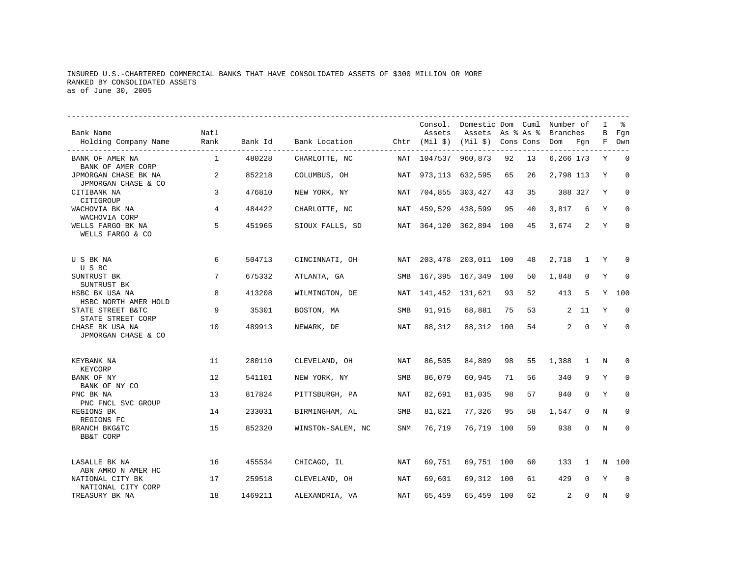# INSURED U.S.-CHARTERED COMMERCIAL BANKS THAT HAVE CONSOLIDATED ASSETS OF \$300 MILLION OR MORE RANKED BY CONSOLIDATED ASSETS as of June 30, 2005

| Bank Name<br>Holding Company Name                              | Natl<br>Rank<br>----------------- | Bank Id | Bank Location Chtr (Mil \$) (Mil \$) Cons Cons |            | Consol.<br>Assets | Domestic Dom Cuml Number of<br>Assets As % As % |     |    | Branches<br>Dom Fgn |              | I<br>В<br>F | ႜ<br>Fqn<br>Own |
|----------------------------------------------------------------|-----------------------------------|---------|------------------------------------------------|------------|-------------------|-------------------------------------------------|-----|----|---------------------|--------------|-------------|-----------------|
| BANK OF AMER NA<br>BANK OF AMER CORP                           | 1                                 | 480228  | CHARLOTTE, NC                                  |            | NAT 1047537       | 960,873                                         | 92  | 13 | 6,266 173           |              | Y           | $\mathbf 0$     |
| JPMORGAN CHASE BK NA<br>JPMORGAN CHASE & CO                    | 2                                 | 852218  | COLUMBUS, OH                                   | NAT        |                   | 973, 113 632, 595                               | 65  | 26 | 2,798 113           |              | Y           | $\Omega$        |
| CITIBANK NA<br>CITIGROUP                                       | 3                                 | 476810  | NEW YORK, NY                                   | NAT        |                   | 704,855 303,427                                 | 43  | 35 |                     | 388 327      | Y           | $\mathbf 0$     |
| WACHOVIA BK NA                                                 | 4                                 | 484422  | CHARLOTTE, NC                                  | NAT        |                   | 459,529 438,599                                 | 95  | 40 | 3,817               | 6            | Y           | $\mathbf 0$     |
| WACHOVIA CORP<br>WELLS FARGO BK NA<br>WELLS FARGO & CO         | 5                                 | 451965  | SIOUX FALLS, SD                                | NAT        |                   | 364,120 362,894                                 | 100 | 45 | 3,674               | 2            | Y           | $\Omega$        |
| U S BK NA                                                      | 6                                 | 504713  | CINCINNATI, OH                                 | NAT        |                   | 203,478 203,011 100                             |     | 48 | 2,718               | 1            | Y           | 0               |
| U S BC<br>SUNTRUST BK                                          | 7                                 | 675332  | ATLANTA, GA                                    | SMB        |                   | 167,395 167,349                                 | 100 | 50 | 1,848               | $\mathbf 0$  | Y           | $\Omega$        |
| SUNTRUST BK<br>HSBC BK USA NA                                  | 8                                 | 413208  | WILMINGTON, DE                                 | NAT        | 141,452 131,621   |                                                 | 93  | 52 | 413                 | 5            | Y           | 100             |
| HSBC NORTH AMER HOLD<br>STATE STREET B&TC<br>STATE STREET CORP | 9                                 | 35301   | BOSTON, MA                                     | SMB        | 91,915            | 68,881                                          | 75  | 53 |                     | 2 11         | Y           | $\Omega$        |
| CHASE BK USA NA<br>JPMORGAN CHASE & CO                         | 10                                | 489913  | NEWARK, DE                                     | NAT        | 88,312            | 88,312                                          | 100 | 54 | $\overline{a}$      | $\mathbf 0$  | Y           | $\mathbf 0$     |
| KEYBANK NA<br>KEYCORP                                          | 11                                | 280110  | CLEVELAND, OH                                  | NAT        | 86,505            | 84,809                                          | 98  | 55 | 1,388               | $\mathbf{1}$ | N           | $\mathbf 0$     |
| BANK OF NY<br>BANK OF NY CO                                    | 12                                | 541101  | NEW YORK, NY                                   | <b>SMB</b> | 86,079            | 60,945                                          | 71  | 56 | 340                 | 9            | Υ           | $\mathbf 0$     |
| PNC BK NA<br>PNC FNCL SVC GROUP                                | 13                                | 817824  | PITTSBURGH, PA                                 | NAT        | 82,691            | 81,035                                          | 98  | 57 | 940                 | $\Omega$     | Υ           | $\mathbf 0$     |
| REGIONS BK<br>REGIONS FC                                       | 14                                | 233031  | BIRMINGHAM, AL                                 | <b>SMB</b> | 81,821            | 77,326                                          | 95  | 58 | 1,547               | $\Omega$     | N           | $\Omega$        |
| BRANCH BKG&TC<br><b>BB&amp;T CORP</b>                          | 15                                | 852320  | WINSTON-SALEM, NC                              | <b>SNM</b> | 76,719            | 76,719                                          | 100 | 59 | 938                 | $\mathbf 0$  | N           | $\Omega$        |
| LASALLE BK NA                                                  | 16                                | 455534  | CHICAGO, IL                                    | NAT        | 69,751            | 69,751 100                                      |     | 60 | 133                 | 1            | N           | 100             |
| ABN AMRO N AMER HC<br>NATIONAL CITY BK<br>NATIONAL CITY CORP   | 17                                | 259518  | CLEVELAND, OH                                  | NAT        | 69,601            | 69,312                                          | 100 | 61 | 429                 | $\mathbf 0$  | Y           | $\Omega$        |
| TREASURY BK NA                                                 | 18                                | 1469211 | ALEXANDRIA, VA                                 | NAT        | 65,459            | 65,459                                          | 100 | 62 | $\overline{a}$      | $\Omega$     | N           | 0               |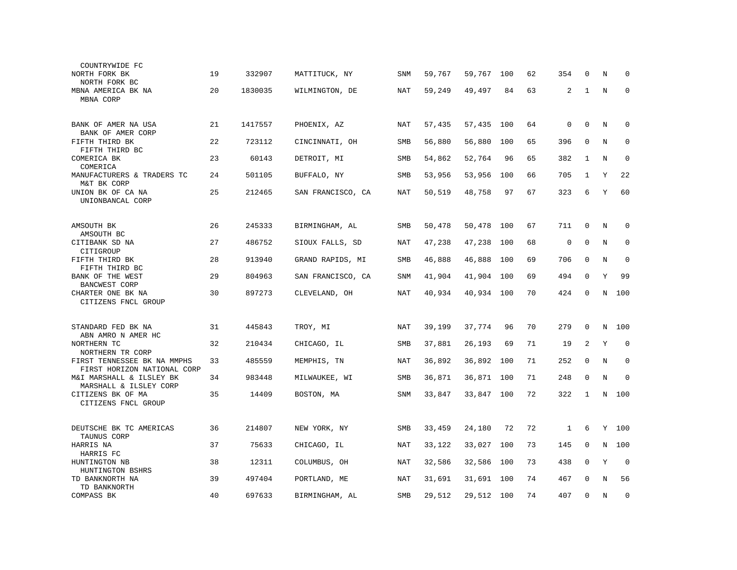| COUNTRYWIDE FC                                             |    |         |                   |            |        |        |     |    |             |              |         |             |
|------------------------------------------------------------|----|---------|-------------------|------------|--------|--------|-----|----|-------------|--------------|---------|-------------|
| NORTH FORK BK<br>NORTH FORK BC                             | 19 | 332907  | MATTITUCK, NY     | <b>SNM</b> | 59,767 | 59,767 | 100 | 62 | 354         | 0            | N       | $\Omega$    |
| MBNA AMERICA BK NA<br>MBNA CORP                            | 20 | 1830035 | WILMINGTON, DE    | NAT        | 59,249 | 49,497 | 84  | 63 | 2           | $\mathbf{1}$ | N       | $\mathbf 0$ |
|                                                            |    |         |                   |            |        |        |     |    |             |              |         |             |
| BANK OF AMER NA USA<br>BANK OF AMER CORP                   | 21 | 1417557 | PHOENIX, AZ       | NAT        | 57,435 | 57,435 | 100 | 64 | 0           | $\mathbf 0$  | Ν       | $\mathbf 0$ |
| FIFTH THIRD BK<br>FIFTH THIRD BC                           | 22 | 723112  | CINCINNATI, OH    | SMB        | 56,880 | 56,880 | 100 | 65 | 396         | $\mathbf 0$  | N       | $\mathbf 0$ |
| COMERICA BK<br>COMERICA                                    | 23 | 60143   | DETROIT, MI       | SMB        | 54,862 | 52,764 | 96  | 65 | 382         | 1            | N       | $\mathbf 0$ |
| MANUFACTURERS & TRADERS TC<br>M&T BK CORP                  | 24 | 501105  | BUFFALO, NY       | SMB        | 53,956 | 53,956 | 100 | 66 | 705         | 1            | Y       | 22          |
| UNION BK OF CA NA<br>UNIONBANCAL CORP                      | 25 | 212465  | SAN FRANCISCO, CA | NAT        | 50,519 | 48,758 | 97  | 67 | 323         | 6            | Υ       | 60          |
| AMSOUTH BK                                                 | 26 | 245333  | BIRMINGHAM, AL    | SMB        | 50,478 | 50,478 | 100 | 67 | 711         | 0            | N       | 0           |
| AMSOUTH BC                                                 |    |         |                   |            |        |        |     |    |             |              |         |             |
| CITIBANK SD NA<br>CITIGROUP                                | 27 | 486752  | SIOUX FALLS, SD   | <b>NAT</b> | 47,238 | 47,238 | 100 | 68 | $\mathsf 0$ | $\mathbf 0$  | N       | $\mathbf 0$ |
| FIFTH THIRD BK<br>FIFTH THIRD BC                           | 28 | 913940  | GRAND RAPIDS, MI  | SMB        | 46,888 | 46,888 | 100 | 69 | 706         | $\mathbf 0$  | N       | $\mathbf 0$ |
| BANK OF THE WEST<br>BANCWEST CORP                          | 29 | 804963  | SAN FRANCISCO, CA | <b>SNM</b> | 41,904 | 41,904 | 100 | 69 | 494         | $\Omega$     | Y       | 99          |
| CHARTER ONE BK NA<br>CITIZENS FNCL GROUP                   | 30 | 897273  | CLEVELAND, OH     | NAT        | 40,934 | 40,934 | 100 | 70 | 424         | 0            | N       | 100         |
|                                                            |    |         |                   |            |        |        |     |    |             |              |         |             |
| STANDARD FED BK NA<br>ABN AMRO N AMER HC                   | 31 | 445843  | TROY, MI          | NAT        | 39,199 | 37,774 | 96  | 70 | 279         | $\Omega$     | N       | 100         |
| NORTHERN TC<br>NORTHERN TR CORP                            | 32 | 210434  | CHICAGO, IL       | SMB        | 37,881 | 26,193 | 69  | 71 | 19          | 2            | Υ       | $\mathbf 0$ |
| FIRST TENNESSEE BK NA MMPHS<br>FIRST HORIZON NATIONAL CORP | 33 | 485559  | MEMPHIS, TN       | <b>NAT</b> | 36,892 | 36,892 | 100 | 71 | 252         | $\mathbf 0$  | N       | $\mathbf 0$ |
| M&I MARSHALL & ILSLEY BK<br>MARSHALL & ILSLEY CORP         | 34 | 983448  | MILWAUKEE, WI     | SMB        | 36,871 | 36,871 | 100 | 71 | 248         | $\mathbf 0$  | $\rm N$ | $\mathbf 0$ |
| CITIZENS BK OF MA<br>CITIZENS FNCL GROUP                   | 35 | 14409   | BOSTON, MA        | SNM        | 33,847 | 33,847 | 100 | 72 | 322         | $\mathbf{1}$ |         | N 100       |
|                                                            |    |         |                   |            |        |        |     |    |             |              |         |             |
| DEUTSCHE BK TC AMERICAS<br>TAUNUS CORP                     | 36 | 214807  | NEW YORK, NY      | SMB        | 33,459 | 24,180 | 72  | 72 | 1           | 6            |         | Y 100       |
| HARRIS NA<br>HARRIS FC                                     | 37 | 75633   | CHICAGO, IL       | NAT        | 33,122 | 33,027 | 100 | 73 | 145         | 0            | N       | 100         |
| HUNTINGTON NB<br>HUNTINGTON BSHRS                          | 38 | 12311   | COLUMBUS, OH      | NAT        | 32,586 | 32,586 | 100 | 73 | 438         | $\mathbf 0$  | Y       | $\mathbf 0$ |
| TD BANKNORTH NA<br>TD BANKNORTH                            | 39 | 497404  | PORTLAND, ME      | NAT        | 31,691 | 31,691 | 100 | 74 | 467         | $\Omega$     | N       | 56          |
| COMPASS BK                                                 | 40 | 697633  | BIRMINGHAM, AL    | SMB        | 29,512 | 29,512 | 100 | 74 | 407         | $\mathbf 0$  | $\rm N$ | $\mathbf 0$ |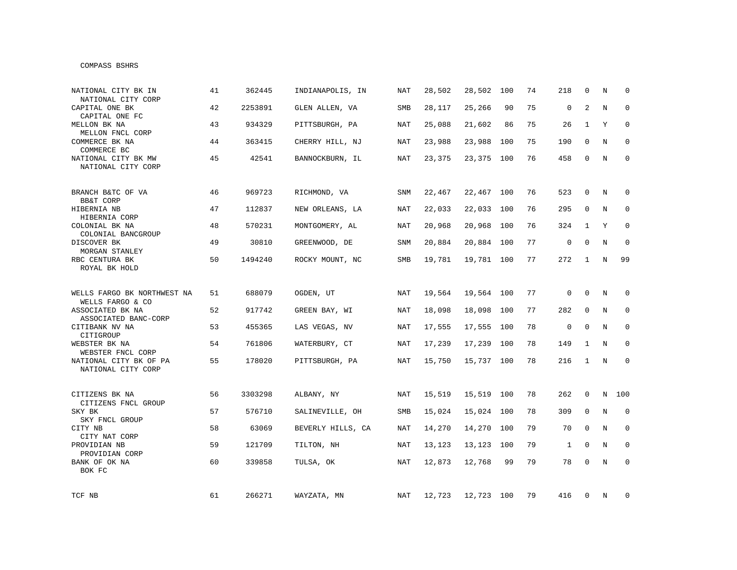### COMPASS BSHRS

| NATIONAL CITY BK IN<br>NATIONAL CITY CORP       | 41 | 362445  | INDIANAPOLIS, IN  | <b>NAT</b> | 28,502 | 28,502     | 100 | 74 | 218          | $\mathbf{0}$ | N | $\Omega$     |
|-------------------------------------------------|----|---------|-------------------|------------|--------|------------|-----|----|--------------|--------------|---|--------------|
| CAPITAL ONE BK<br>CAPITAL ONE FC                | 42 | 2253891 | GLEN ALLEN, VA    | SMB        | 28,117 | 25,266     | 90  | 75 | $\mathbf 0$  | 2            | N | $\mathbf 0$  |
| MELLON BK NA<br>MELLON FNCL CORP                | 43 | 934329  | PITTSBURGH, PA    | NAT        | 25,088 | 21,602     | 86  | 75 | 26           | $\mathbf{1}$ | Y | $\mathbf 0$  |
| COMMERCE BK NA<br>COMMERCE BC                   | 44 | 363415  | CHERRY HILL, NJ   | NAT        | 23,988 | 23,988     | 100 | 75 | 190          | 0            | N | $\mathbf 0$  |
| NATIONAL CITY BK MW<br>NATIONAL CITY CORP       | 45 | 42541   | BANNOCKBURN, IL   | NAT        | 23,375 | 23,375     | 100 | 76 | 458          | 0            | N | $\mathbf 0$  |
| BRANCH B&TC OF VA<br><b>BB&amp;T CORP</b>       | 46 | 969723  | RICHMOND, VA      | <b>SNM</b> | 22,467 | 22,467 100 |     | 76 | 523          | $\Omega$     | N | 0            |
| HIBERNIA NB<br>HIBERNIA CORP                    | 47 | 112837  | NEW ORLEANS, LA   | NAT        | 22,033 | 22,033     | 100 | 76 | 295          | $\mathbf 0$  | N | $\mathbf 0$  |
| COLONIAL BK NA<br>COLONIAL BANCGROUP            | 48 | 570231  | MONTGOMERY, AL    | NAT        | 20,968 | 20,968     | 100 | 76 | 324          | 1            | Y | $\mathbf{0}$ |
| DISCOVER BK<br>MORGAN STANLEY                   | 49 | 30810   | GREENWOOD, DE     | SNM        | 20,884 | 20,884     | 100 | 77 | $\mathsf 0$  | 0            | N | $\mathbf 0$  |
| RBC CENTURA BK<br>ROYAL BK HOLD                 | 50 | 1494240 | ROCKY MOUNT, NC   | <b>SMB</b> | 19,781 | 19,781 100 |     | 77 | 272          | 1            | N | 99           |
| WELLS FARGO BK NORTHWEST NA<br>WELLS FARGO & CO | 51 | 688079  | OGDEN, UT         | NAT        | 19,564 | 19,564     | 100 | 77 | $\mathbf 0$  | $\Omega$     | N | 0            |
| ASSOCIATED BK NA<br>ASSOCIATED BANC-CORP        | 52 | 917742  | GREEN BAY, WI     | NAT        | 18,098 | 18,098     | 100 | 77 | 282          | $\mathbf 0$  | N | $\mathbf 0$  |
| CITIBANK NV NA<br>CITIGROUP                     | 53 | 455365  | LAS VEGAS, NV     | <b>NAT</b> | 17,555 | 17,555     | 100 | 78 | $\mathsf 0$  | $\mathbf 0$  | N | $\mathbf 0$  |
| WEBSTER BK NA<br>WEBSTER FNCL CORP              | 54 | 761806  | WATERBURY, CT     | <b>NAT</b> | 17,239 | 17,239     | 100 | 78 | 149          | 1            | N | $\mathbf 0$  |
| NATIONAL CITY BK OF PA<br>NATIONAL CITY CORP    | 55 | 178020  | PITTSBURGH, PA    | <b>NAT</b> | 15,750 | 15,737 100 |     | 78 | 216          | $\mathbf{1}$ | N | $\mathbf 0$  |
| CITIZENS BK NA<br>CITIZENS FNCL GROUP           | 56 | 3303298 | ALBANY, NY        | NAT        | 15,519 | 15,519 100 |     | 78 | 262          | 0            | N | 100          |
| SKY BK<br>SKY FNCL GROUP                        | 57 | 576710  | SALINEVILLE, OH   | SMB        | 15,024 | 15,024     | 100 | 78 | 309          | $\mathbf 0$  | N | $\mathbf 0$  |
| CITY NB<br>CITY NAT CORP                        | 58 | 63069   | BEVERLY HILLS, CA | NAT        | 14,270 | 14,270     | 100 | 79 | 70           | $\mathbf 0$  | N | $\mathbf 0$  |
| PROVIDIAN NB<br>PROVIDIAN CORP                  | 59 | 121709  | TILTON, NH        | NAT        | 13,123 | 13,123     | 100 | 79 | $\mathbf{1}$ | 0            | N | 0            |
| BANK OF OK NA<br>BOK FC                         | 60 | 339858  | TULSA, OK         | NAT        | 12,873 | 12,768     | 99  | 79 | 78           | $\mathbf 0$  | N | $\mathbf 0$  |
| TCF NB                                          | 61 | 266271  | WAYZATA, MN       | NAT        | 12,723 | 12,723 100 |     | 79 | 416          | 0            | N | 0            |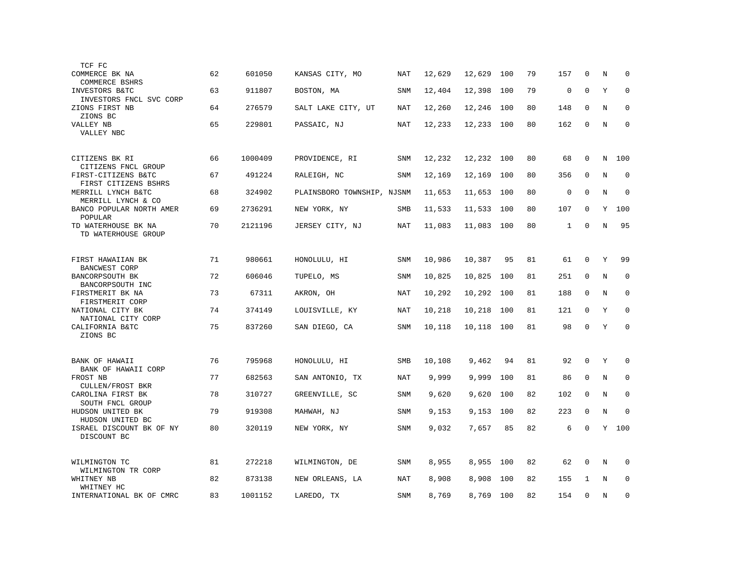| TCF FC                                      |    |         |                            |            |        |        |     |    |              |             |         |             |
|---------------------------------------------|----|---------|----------------------------|------------|--------|--------|-----|----|--------------|-------------|---------|-------------|
| COMMERCE BK NA<br>COMMERCE BSHRS            | 62 | 601050  | KANSAS CITY, MO            | NAT        | 12,629 | 12,629 | 100 | 79 | 157          | $\mathbf 0$ | N       | $\mathbf 0$ |
| INVESTORS B&TC<br>INVESTORS FNCL SVC CORP   | 63 | 911807  | BOSTON, MA                 | <b>SNM</b> | 12,404 | 12,398 | 100 | 79 | $\mathsf 0$  | $\mathbf 0$ | Y       | $\mathbf 0$ |
| ZIONS FIRST NB                              | 64 | 276579  | SALT LAKE CITY, UT         | NAT        | 12,260 | 12,246 | 100 | 80 | 148          | $\mathbf 0$ | N       | $\mathbf 0$ |
| ZIONS BC<br>VALLEY NB<br>VALLEY NBC         | 65 | 229801  | PASSAIC, NJ                | <b>NAT</b> | 12,233 | 12,233 | 100 | 80 | 162          | $\mathbf 0$ | N       | $\mathbf 0$ |
|                                             |    |         |                            |            |        |        |     |    |              |             |         |             |
| CITIZENS BK RI<br>CITIZENS FNCL GROUP       | 66 | 1000409 | PROVIDENCE, RI             | SNM        | 12,232 | 12,232 | 100 | 80 | 68           | 0           | N       | 100         |
| FIRST-CITIZENS B&TC<br>FIRST CITIZENS BSHRS | 67 | 491224  | RALEIGH, NC                | SNM        | 12,169 | 12,169 | 100 | 80 | 356          | $\mathbf 0$ | N       | $\mathbf 0$ |
| MERRILL LYNCH B&TC<br>MERRILL LYNCH & CO    | 68 | 324902  | PLAINSBORO TOWNSHIP, NJSNM |            | 11,653 | 11,653 | 100 | 80 | $\mathsf 0$  | $\Omega$    | $\rm N$ | $\mathbf 0$ |
| BANCO POPULAR NORTH AMER<br>POPULAR         | 69 | 2736291 | NEW YORK, NY               | SMB        | 11,533 | 11,533 | 100 | 80 | 107          | $\Omega$    | Y       | 100         |
| TD WATERHOUSE BK NA<br>TD WATERHOUSE GROUP  | 70 | 2121196 | JERSEY CITY, NJ            | NAT        | 11,083 | 11,083 | 100 | 80 | $\mathbf{1}$ | $\Omega$    | N       | 95          |
|                                             |    |         |                            |            |        |        |     |    |              |             |         |             |
| FIRST HAWAIIAN BK<br><b>BANCWEST CORP</b>   | 71 | 980661  | HONOLULU, HI               | <b>SNM</b> | 10,986 | 10,387 | 95  | 81 | 61           | $\mathbf 0$ | Y       | 99          |
| BANCORPSOUTH BK<br>BANCORPSOUTH INC         | 72 | 606046  | TUPELO, MS                 | <b>SNM</b> | 10,825 | 10,825 | 100 | 81 | 251          | $\mathbf 0$ | N       | $\mathbf 0$ |
| FIRSTMERIT BK NA<br>FIRSTMERIT CORP         | 73 | 67311   | AKRON, OH                  | NAT        | 10,292 | 10,292 | 100 | 81 | 188          | $\Omega$    | N       | $\mathbf 0$ |
| NATIONAL CITY BK<br>NATIONAL CITY CORP      | 74 | 374149  | LOUISVILLE, KY             | NAT        | 10,218 | 10,218 | 100 | 81 | 121          | $\mathbf 0$ | Υ       | $\mathbf 0$ |
| CALIFORNIA B&TC<br>ZIONS BC                 | 75 | 837260  | SAN DIEGO, CA              | SNM        | 10,118 | 10,118 | 100 | 81 | 98           | $\mathbf 0$ | Y       | $\mathbf 0$ |
|                                             |    |         |                            |            |        |        |     |    |              |             |         |             |
| BANK OF HAWAII<br>BANK OF HAWAII CORP       | 76 | 795968  | HONOLULU, HI               | <b>SMB</b> | 10,108 | 9,462  | 94  | 81 | 92           | $\mathbf 0$ | Y       | $\mathbf 0$ |
| FROST NB<br>CULLEN/FROST BKR                | 77 | 682563  | SAN ANTONIO, TX            | NAT        | 9,999  | 9,999  | 100 | 81 | 86           | $\mathbf 0$ | N       | 0           |
| CAROLINA FIRST BK<br>SOUTH FNCL GROUP       | 78 | 310727  | GREENVILLE, SC             | SNM        | 9,620  | 9,620  | 100 | 82 | 102          | $\mathbf 0$ | N       | $\mathbf 0$ |
| HUDSON UNITED BK<br>HUDSON UNITED BC        | 79 | 919308  | MAHWAH, NJ                 | <b>SNM</b> | 9,153  | 9,153  | 100 | 82 | 223          | $\mathbf 0$ | N       | $\mathbf 0$ |
| ISRAEL DISCOUNT BK OF NY<br>DISCOUNT BC     | 80 | 320119  | NEW YORK, NY               | <b>SNM</b> | 9,032  | 7,657  | 85  | 82 | 6            | $\mathbf 0$ | Y       | 100         |
|                                             |    |         |                            |            |        |        |     |    |              |             |         |             |
| WILMINGTON TC<br>WILMINGTON TR CORP         | 81 | 272218  | WILMINGTON, DE             | SNM        | 8,955  | 8,955  | 100 | 82 | 62           | 0           | N       | 0           |
| WHITNEY NB<br>WHITNEY HC                    | 82 | 873138  | NEW ORLEANS, LA            | <b>NAT</b> | 8,908  | 8,908  | 100 | 82 | 155          | 1           | N       | $\mathbf 0$ |
| INTERNATIONAL BK OF CMRC                    | 83 | 1001152 | LAREDO, TX                 | SNM        | 8,769  | 8,769  | 100 | 82 | 154          | $\mathbf 0$ | N       | $\mathbf 0$ |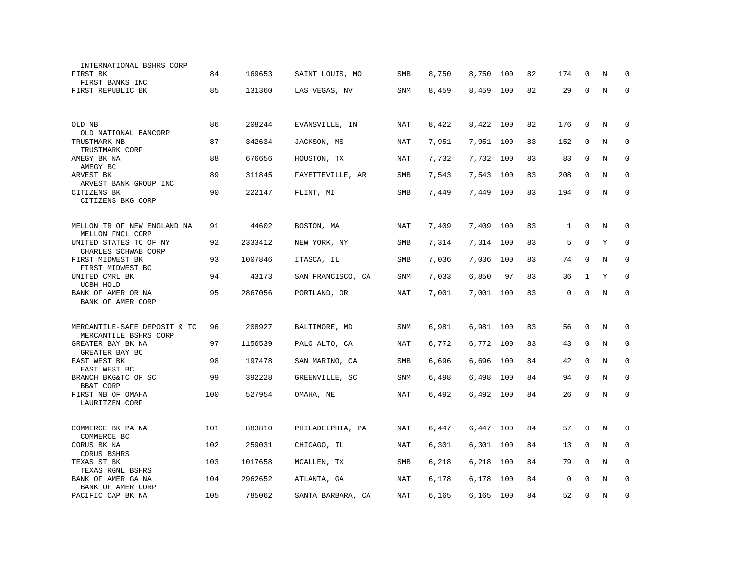| INTERNATIONAL BSHRS CORP<br>FIRST BK                              | 84  | 169653  | SAINT LOUIS, MO   | SMB        | 8,750 | 8,750     | 100 | 82 | 174          | $\Omega$     | N | <sup>0</sup> |
|-------------------------------------------------------------------|-----|---------|-------------------|------------|-------|-----------|-----|----|--------------|--------------|---|--------------|
| FIRST BANKS INC<br>FIRST REPUBLIC BK                              | 85  | 131360  | LAS VEGAS, NV     | <b>SNM</b> | 8,459 | 8,459     | 100 | 82 | 29           | $\mathbf 0$  | N | $\Omega$     |
| OLD NB                                                            | 86  | 208244  | EVANSVILLE, IN    | NAT        | 8,422 | 8,422     | 100 | 82 | 176          | $\mathbf 0$  | N | 0            |
| OLD NATIONAL BANCORP                                              |     |         |                   |            |       |           |     |    |              |              |   |              |
| TRUSTMARK NB<br>TRUSTMARK CORP                                    | 87  | 342634  | JACKSON, MS       | NAT        | 7,951 | 7,951 100 |     | 83 | 152          | 0            | N | 0            |
| AMEGY BK NA<br>AMEGY BC                                           | 88  | 676656  | HOUSTON, TX       | <b>NAT</b> | 7,732 | 7,732     | 100 | 83 | 83           | $\mathbf 0$  | N | $\mathbf 0$  |
| ARVEST BK<br>ARVEST BANK GROUP INC                                | 89  | 311845  | FAYETTEVILLE, AR  | SMB        | 7,543 | 7,543     | 100 | 83 | 208          | $\mathbf 0$  | N | $\mathbf 0$  |
| CITIZENS BK<br>CITIZENS BKG CORP                                  | 90  | 222147  | FLINT, MI         | SMB        | 7,449 | 7,449     | 100 | 83 | 194          | $\Omega$     | N | $\mathbf 0$  |
| MELLON TR OF NEW ENGLAND NA                                       | 91  | 44602   | BOSTON, MA        | <b>NAT</b> | 7,409 | 7,409     | 100 | 83 | $\mathbf{1}$ | $\mathbf 0$  | N | $\mathbf 0$  |
| MELLON FNCL CORP<br>UNITED STATES TC OF NY<br>CHARLES SCHWAB CORP | 92  | 2333412 | NEW YORK, NY      | <b>SMB</b> | 7,314 | 7,314     | 100 | 83 | 5            | $\Omega$     | Y | $\mathbf 0$  |
| FIRST MIDWEST BK<br>FIRST MIDWEST BC                              | 93  | 1007846 | ITASCA, IL        | <b>SMB</b> | 7,036 | 7,036     | 100 | 83 | 74           | $\mathbf 0$  | N | $\mathbf 0$  |
| UNITED CMRL BK<br>UCBH HOLD                                       | 94  | 43173   | SAN FRANCISCO, CA | SNM        | 7,033 | 6,850     | 97  | 83 | 36           | $\mathbf{1}$ | Y | $\mathbf 0$  |
| BANK OF AMER OR NA<br>BANK OF AMER CORP                           | 95  | 2867056 | PORTLAND, OR      | <b>NAT</b> | 7,001 | 7,001 100 |     | 83 | 0            | $\mathbf 0$  | N | $\mathbf 0$  |
|                                                                   |     |         |                   |            |       |           |     |    |              |              |   |              |
| MERCANTILE-SAFE DEPOSIT & TC<br>MERCANTILE BSHRS CORP             | 96  | 208927  | BALTIMORE, MD     | SNM        | 6,981 | 6,981     | 100 | 83 | 56           | $\Omega$     | N | $\Omega$     |
| GREATER BAY BK NA<br>GREATER BAY BC                               | 97  | 1156539 | PALO ALTO, CA     | NAT        | 6,772 | 6,772     | 100 | 83 | 43           | $\mathbf 0$  | N | $\mathbf 0$  |
| EAST WEST BK<br>EAST WEST BC                                      | 98  | 197478  | SAN MARINO, CA    | SMB        | 6,696 | 6,696     | 100 | 84 | 42           | $\Omega$     | N | $\mathbf 0$  |
| BRANCH BKG&TC OF SC<br>BB&T CORP                                  | 99  | 392228  | GREENVILLE, SC    | <b>SNM</b> | 6,498 | 6,498     | 100 | 84 | 94           | $\mathbf 0$  | N | $\mathbf 0$  |
| FIRST NB OF OMAHA<br>LAURITZEN CORP                               | 100 | 527954  | OMAHA, NE         | NAT        | 6,492 | 6,492 100 |     | 84 | 26           | $\mathbf 0$  | N | 0            |
| COMMERCE BK PA NA                                                 | 101 | 883810  | PHILADELPHIA, PA  | <b>NAT</b> | 6,447 | 6,447 100 |     | 84 | 57           | $\mathbf 0$  | N | $\mathbf 0$  |
| COMMERCE BC                                                       |     |         |                   |            |       |           |     |    |              |              |   |              |
| CORUS BK NA<br>CORUS BSHRS                                        | 102 | 259031  | CHICAGO, IL       | NAT        | 6,301 | 6,301     | 100 | 84 | 13           | $\mathbf 0$  | N | $\mathbf 0$  |
| TEXAS ST BK<br>TEXAS RGNL BSHRS                                   | 103 | 1017658 | MCALLEN, TX       | SMB        | 6,218 | 6,218     | 100 | 84 | 79           | $\mathbf 0$  | N | 0            |
| BANK OF AMER GA NA<br>BANK OF AMER CORP                           | 104 | 2962652 | ATLANTA, GA       | NAT        | 6,178 | 6,178     | 100 | 84 | $\mathbf 0$  | $\Omega$     | N | $\mathbf 0$  |
| PACIFIC CAP BK NA                                                 | 105 | 785062  | SANTA BARBARA, CA | <b>NAT</b> | 6,165 | 6,165 100 |     | 84 | 52           | $\Omega$     | N | 0            |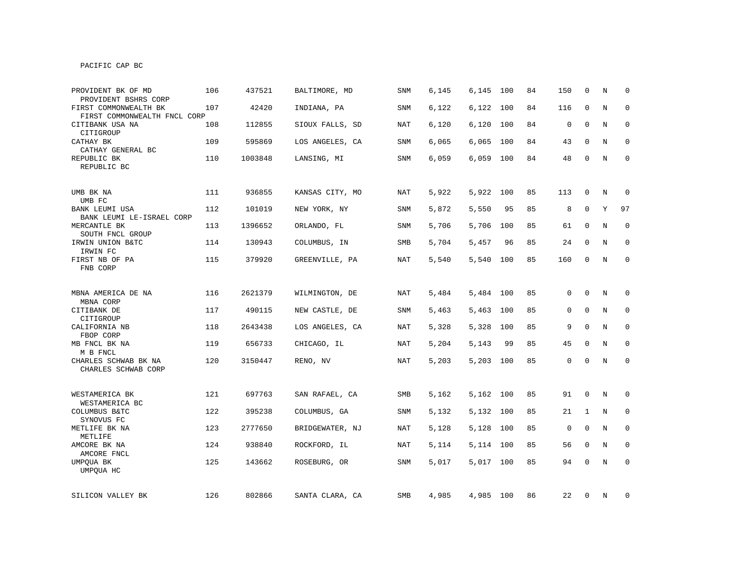| PROVIDENT BK OF MD<br>PROVIDENT BSHRS CORP            | 106 | 437521  | BALTIMORE, MD   | SNM        | 6,145 | 6,145     | 100 | 84 | 150         | $\mathbf 0$  | N           | $\Omega$    |
|-------------------------------------------------------|-----|---------|-----------------|------------|-------|-----------|-----|----|-------------|--------------|-------------|-------------|
| FIRST COMMONWEALTH BK<br>FIRST COMMONWEALTH FNCL CORP | 107 | 42420   | INDIANA, PA     | SNM        | 6,122 | 6,122     | 100 | 84 | 116         | $\mathbf 0$  | N           | $\mathbf 0$ |
| CITIBANK USA NA<br>CITIGROUP                          | 108 | 112855  | SIOUX FALLS, SD | NAT        | 6,120 | 6,120     | 100 | 84 | $\mathbf 0$ | $\Omega$     | N           | $\mathbf 0$ |
| CATHAY BK<br>CATHAY GENERAL BC                        | 109 | 595869  | LOS ANGELES, CA | SNM        | 6,065 | 6,065     | 100 | 84 | 43          | 0            | N           | $\mathbf 0$ |
| REPUBLIC BK<br>REPUBLIC BC                            | 110 | 1003848 | LANSING, MI     | SNM        | 6,059 | 6,059 100 |     | 84 | 48          | 0            | N           | 0           |
| UMB BK NA<br>UMB FC                                   | 111 | 936855  | KANSAS CITY, MO | NAT        | 5,922 | 5,922     | 100 | 85 | 113         | 0            | N           | $\mathbf 0$ |
| BANK LEUMI USA<br>BANK LEUMI LE-ISRAEL CORP           | 112 | 101019  | NEW YORK, NY    | SNM        | 5,872 | 5,550     | 95  | 85 | 8           | $\mathbf 0$  | Y           | 97          |
| MERCANTLE BK<br>SOUTH FNCL GROUP                      | 113 | 1396652 | ORLANDO, FL     | SNM        | 5,706 | 5,706     | 100 | 85 | 61          | 0            | N           | 0           |
| IRWIN UNION B&TC<br>IRWIN FC                          | 114 | 130943  | COLUMBUS, IN    | SMB        | 5,704 | 5,457     | 96  | 85 | 24          | $\mathbf 0$  | Ν           | 0           |
| FIRST NB OF PA<br>FNB CORP                            | 115 | 379920  | GREENVILLE, PA  | <b>NAT</b> | 5,540 | 5,540     | 100 | 85 | 160         | $\Omega$     | N           | $\mathbf 0$ |
| MBNA AMERICA DE NA                                    | 116 | 2621379 | WILMINGTON, DE  | <b>NAT</b> | 5,484 | 5,484 100 |     | 85 | 0           | $\mathbf 0$  | N           | $\mathbf 0$ |
| MBNA CORP<br>CITIBANK DE<br>CITIGROUP                 | 117 | 490115  | NEW CASTLE, DE  | SNM        | 5,463 | 5,463 100 |     | 85 | 0           | $\mathbf 0$  | N           | $\mathbf 0$ |
| CALIFORNIA NB<br>FBOP CORP                            | 118 | 2643438 | LOS ANGELES, CA | NAT        | 5,328 | 5,328     | 100 | 85 | 9           | $\mathbf 0$  | N           | 0           |
| MB FNCL BK NA<br>M B FNCL                             | 119 | 656733  | CHICAGO, IL     | <b>NAT</b> | 5,204 | 5,143     | 99  | 85 | 45          | $\mathbf 0$  | N           | $\mathbf 0$ |
| CHARLES SCHWAB BK NA<br>CHARLES SCHWAB CORP           | 120 | 3150447 | RENO, NV        | <b>NAT</b> | 5,203 | 5,203 100 |     | 85 | 0           | $\mathbf 0$  | N           | $\mathbf 0$ |
| WESTAMERICA BK<br>WESTAMERICA BC                      | 121 | 697763  | SAN RAFAEL, CA  | SMB        | 5,162 | 5,162 100 |     | 85 | 91          | $\mathsf{O}$ | N           | 0           |
| COLUMBUS B&TC<br>SYNOVUS FC                           | 122 | 395238  | COLUMBUS, GA    | SNM        | 5,132 | 5,132 100 |     | 85 | 21          | 1            | N           | 0           |
| METLIFE BK NA<br>METLIFE                              | 123 | 2777650 | BRIDGEWATER, NJ | NAT        | 5,128 | 5,128     | 100 | 85 | $\mathbf 0$ | $\mathbf 0$  | $\mathbf N$ | 0           |
| AMCORE BK NA<br>AMCORE FNCL                           | 124 | 938840  | ROCKFORD, IL    | NAT        | 5,114 | 5,114     | 100 | 85 | 56          | $\mathbf 0$  | N           | $\mathbf 0$ |
| UMPQUA BK<br>UMPQUA HC                                | 125 | 143662  | ROSEBURG, OR    | SNM        | 5,017 | 5,017     | 100 | 85 | 94          | $\mathbf 0$  | $\rm N$     | $\mathbf 0$ |
| SILICON VALLEY BK                                     | 126 | 802866  | SANTA CLARA, CA | SMB        | 4,985 | 4,985 100 |     | 86 | 22          | 0            | N           | 0           |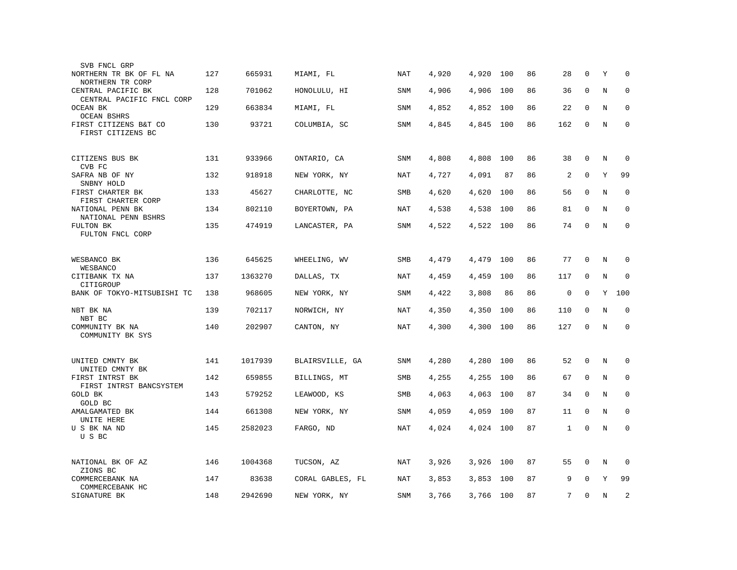| SVB FNCL GRP                                    |     |         |                  |            |       |       |     |    |              |             |         |             |
|-------------------------------------------------|-----|---------|------------------|------------|-------|-------|-----|----|--------------|-------------|---------|-------------|
| NORTHERN TR BK OF FL NA<br>NORTHERN TR CORP     | 127 | 665931  | MIAMI, FL        | NAT        | 4,920 | 4,920 | 100 | 86 | 28           | $\Omega$    | Υ       | $\Omega$    |
| CENTRAL PACIFIC BK<br>CENTRAL PACIFIC FNCL CORP | 128 | 701062  | HONOLULU, HI     | SNM        | 4,906 | 4,906 | 100 | 86 | 36           | $\mathbf 0$ | $\rm N$ | 0           |
| OCEAN BK<br><b>OCEAN BSHRS</b>                  | 129 | 663834  | MIAMI, FL        | SNM        | 4,852 | 4,852 | 100 | 86 | 22           | $\mathbf 0$ | N       | $\mathbf 0$ |
| FIRST CITIZENS B&T CO<br>FIRST CITIZENS BC      | 130 | 93721   | COLUMBIA, SC     | <b>SNM</b> | 4,845 | 4,845 | 100 | 86 | 162          | $\mathbf 0$ | N       | $\mathbf 0$ |
| CITIZENS BUS BK<br>CVB FC                       | 131 | 933966  | ONTARIO, CA      | <b>SNM</b> | 4,808 | 4,808 | 100 | 86 | 38           | $\mathbf 0$ | N       | $\mathbf 0$ |
| SAFRA NB OF NY<br>SNBNY HOLD                    | 132 | 918918  | NEW YORK, NY     | NAT        | 4,727 | 4,091 | 87  | 86 | 2            | 0           | Υ       | 99          |
| FIRST CHARTER BK<br>FIRST CHARTER CORP          | 133 | 45627   | CHARLOTTE, NC    | SMB        | 4,620 | 4,620 | 100 | 86 | 56           | 0           | Ν       | 0           |
| NATIONAL PENN BK<br>NATIONAL PENN BSHRS         | 134 | 802110  | BOYERTOWN, PA    | <b>NAT</b> | 4,538 | 4,538 | 100 | 86 | 81           | $\mathbf 0$ | N       | $\mathbf 0$ |
| FULTON BK<br>FULTON FNCL CORP                   | 135 | 474919  | LANCASTER, PA    | SNM        | 4,522 | 4,522 | 100 | 86 | 74           | $\mathbf 0$ | N       | $\mathbf 0$ |
| WESBANCO BK                                     | 136 | 645625  | WHEELING, WV     | SMB        | 4,479 | 4,479 | 100 | 86 | 77           | $\mathbf 0$ | N       | 0           |
| WESBANCO<br>CITIBANK TX NA                      | 137 | 1363270 | DALLAS, TX       | <b>NAT</b> | 4,459 | 4,459 | 100 | 86 | 117          | $\mathbf 0$ | N       | $\mathbf 0$ |
| CITIGROUP<br>BANK OF TOKYO-MITSUBISHI TC        | 138 | 968605  | NEW YORK, NY     | SNM        | 4,422 | 3,808 | 86  | 86 | $\mathbf 0$  | $\mathbf 0$ | Y       | 100         |
| NBT BK NA                                       | 139 | 702117  | NORWICH, NY      | <b>NAT</b> | 4,350 | 4,350 | 100 | 86 | 110          | $\mathbf 0$ | N       | 0           |
| NBT BC<br>COMMUNITY BK NA<br>COMMUNITY BK SYS   | 140 | 202907  | CANTON, NY       | <b>NAT</b> | 4,300 | 4,300 | 100 | 86 | 127          | $\mathbf 0$ | N       | $\mathbf 0$ |
|                                                 |     |         |                  |            |       |       |     |    |              |             |         |             |
| UNITED CMNTY BK<br>UNITED CMNTY BK              | 141 | 1017939 | BLAIRSVILLE, GA  | SNM        | 4,280 | 4,280 | 100 | 86 | 52           | $\mathbf 0$ | N       | 0           |
| FIRST INTRST BK<br>FIRST INTRST BANCSYSTEM      | 142 | 659855  | BILLINGS, MT     | SMB        | 4,255 | 4,255 | 100 | 86 | 67           | 0           | N       | 0           |
| GOLD BK<br>GOLD BC                              | 143 | 579252  | LEAWOOD, KS      | SMB        | 4,063 | 4,063 | 100 | 87 | 34           | 0           | N       | $\mathbf 0$ |
| AMALGAMATED BK<br>UNITE HERE                    | 144 | 661308  | NEW YORK, NY     | <b>SNM</b> | 4,059 | 4,059 | 100 | 87 | 11           | $\Omega$    | N       | $\Omega$    |
| U S BK NA ND<br>U S BC                          | 145 | 2582023 | FARGO, ND        | <b>NAT</b> | 4,024 | 4,024 | 100 | 87 | $\mathbf{1}$ | $\mathbf 0$ | $\rm N$ | $\mathbf 0$ |
| NATIONAL BK OF AZ<br>ZIONS BC                   | 146 | 1004368 | TUCSON, AZ       | NAT        | 3,926 | 3,926 | 100 | 87 | 55           | 0           | N       | 0           |
| COMMERCEBANK NA<br>COMMERCEBANK HC              | 147 | 83638   | CORAL GABLES, FL | NAT        | 3,853 | 3,853 | 100 | 87 | 9            | $\Omega$    | Υ       | 99          |
| SIGNATURE BK                                    | 148 | 2942690 | NEW YORK, NY     | <b>SNM</b> | 3,766 | 3,766 | 100 | 87 | 7            | $\mathbf 0$ | $\rm N$ | 2           |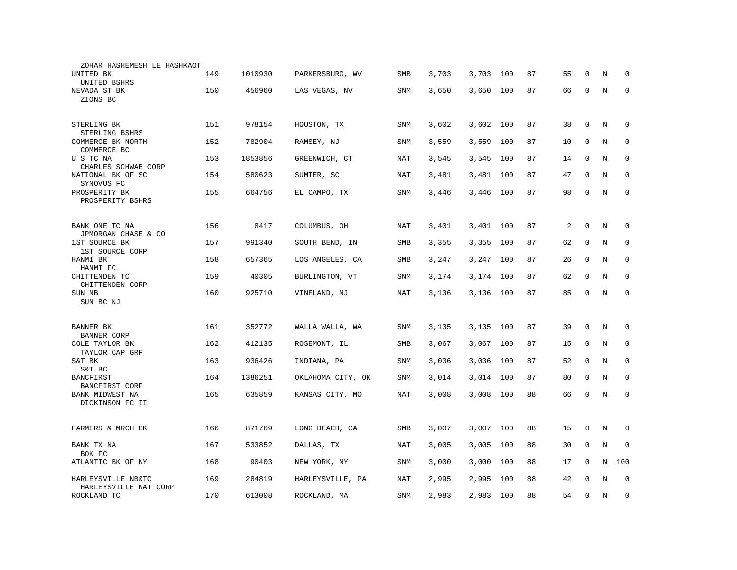| ZOHAR HASHEMESH LE HASHKAOT                 |     |         |                   |            |       |       |     |    |    |             |         |             |
|---------------------------------------------|-----|---------|-------------------|------------|-------|-------|-----|----|----|-------------|---------|-------------|
| UNITED BK<br>UNITED BSHRS                   | 149 | 1010930 | PARKERSBURG, WV   | SMB        | 3,703 | 3,703 | 100 | 87 | 55 | $\Omega$    | N       | 0           |
| NEVADA ST BK<br>ZIONS BC                    | 150 | 456960  | LAS VEGAS, NV     | <b>SNM</b> | 3,650 | 3,650 | 100 | 87 | 66 | $\mathbf 0$ | N       | $\mathbf 0$ |
| STERLING BK<br>STERLING BSHRS               | 151 | 978154  | HOUSTON, TX       | SNM        | 3,602 | 3,602 | 100 | 87 | 38 | $\mathbf 0$ | N       | $\mathbf 0$ |
| COMMERCE BK NORTH<br>COMMERCE BC            | 152 | 782904  | RAMSEY, NJ        | <b>SNM</b> | 3,559 | 3,559 | 100 | 87 | 10 | 0           | $\rm N$ | 0           |
| U S TC NA<br>CHARLES SCHWAB CORP            | 153 | 1853856 | GREENWICH, CT     | <b>NAT</b> | 3,545 | 3,545 | 100 | 87 | 14 | $\mathbf 0$ | N       | $\mathbf 0$ |
| NATIONAL BK OF SC<br>SYNOVUS FC             | 154 | 580623  | SUMTER, SC        | NAT        | 3,481 | 3,481 | 100 | 87 | 47 | $\Omega$    | N       | $\mathbf 0$ |
| PROSPERITY BK<br>PROSPERITY BSHRS           | 155 | 664756  | EL CAMPO, TX      | SNM        | 3,446 | 3,446 | 100 | 87 | 98 | $\mathbf 0$ | $\rm N$ | $\mathbf 0$ |
| BANK ONE TC NA<br>JPMORGAN CHASE & CO       | 156 | 8417    | COLUMBUS, OH      | NAT        | 3,401 | 3,401 | 100 | 87 | 2  | $\mathbf 0$ | N       | 0           |
| 1ST SOURCE BK<br>1ST SOURCE CORP            | 157 | 991340  | SOUTH BEND, IN    | SMB        | 3,355 | 3,355 | 100 | 87 | 62 | 0           | $\rm N$ | 0           |
| HANMI BK<br>HANMI FC                        | 158 | 657365  | LOS ANGELES, CA   | SMB        | 3,247 | 3,247 | 100 | 87 | 26 | $\mathbf 0$ | N       | $\mathbf 0$ |
| CHITTENDEN TC<br>CHITTENDEN CORP            | 159 | 40305   | BURLINGTON, VT    | <b>SNM</b> | 3,174 | 3,174 | 100 | 87 | 62 | $\mathbf 0$ | N       | $\mathbf 0$ |
| SUN NB<br>SUN BC NJ                         | 160 | 925710  | VINELAND, NJ      | NAT        | 3,136 | 3,136 | 100 | 87 | 85 | $\mathbf 0$ | N       | $\mathbf 0$ |
| BANNER BK<br><b>BANNER CORP</b>             | 161 | 352772  | WALLA WALLA, WA   | SNM        | 3,135 | 3,135 | 100 | 87 | 39 | $\mathbf 0$ | N       | $\mathbf 0$ |
| COLE TAYLOR BK<br>TAYLOR CAP GRP            | 162 | 412135  | ROSEMONT, IL      | SMB        | 3,067 | 3,067 | 100 | 87 | 15 | $\mathbf 0$ | N       | $\mathbf 0$ |
| S&T BK<br>S&T BC                            | 163 | 936426  | INDIANA, PA       | SNM        | 3,036 | 3,036 | 100 | 87 | 52 | $\mathbf 0$ | N       | $\mathbf 0$ |
| <b>BANCFIRST</b><br>BANCFIRST CORP          | 164 | 1386251 | OKLAHOMA CITY, OK | <b>SNM</b> | 3,014 | 3,014 | 100 | 87 | 80 | $\mathbf 0$ | N       | $\mathbf 0$ |
| BANK MIDWEST NA<br>DICKINSON FC II          | 165 | 635859  | KANSAS CITY, MO   | NAT        | 3,008 | 3,008 | 100 | 88 | 66 | $\mathbf 0$ | N       | $\mathbf 0$ |
| FARMERS & MRCH BK                           | 166 | 871769  | LONG BEACH, CA    | SMB        | 3,007 | 3,007 | 100 | 88 | 15 | $\mathbf 0$ | N       | 0           |
| BANK TX NA<br>BOK FC                        | 167 | 533852  | DALLAS, TX        | NAT        | 3,005 | 3,005 | 100 | 88 | 30 | $\mathbf 0$ | N       | $\mathbf 0$ |
| ATLANTIC BK OF NY                           | 168 | 90403   | NEW YORK, NY      | SNM        | 3,000 | 3,000 | 100 | 88 | 17 | 0           | N       | 100         |
| HARLEYSVILLE NB&TC<br>HARLEYSVILLE NAT CORP | 169 | 284819  | HARLEYSVILLE, PA  | NAT        | 2,995 | 2,995 | 100 | 88 | 42 | $\Omega$    | N       | $\mathbf 0$ |
| ROCKLAND TC                                 | 170 | 613008  | ROCKLAND, MA      | <b>SNM</b> | 2,983 | 2,983 | 100 | 88 | 54 | $\mathbf 0$ | N       | $\mathbf 0$ |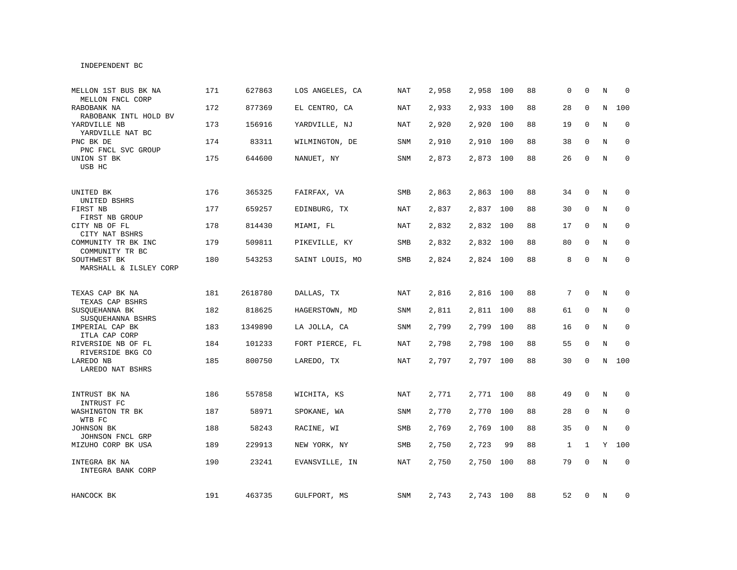## INDEPENDENT BC

| MELLON 1ST BUS BK NA<br>MELLON FNCL CORP   | 171 | 627863  | LOS ANGELES, CA | <b>NAT</b> | 2,958 | 2,958     | 100 | 88 | $\Omega$     | $\Omega$     | N           | $\Omega$    |
|--------------------------------------------|-----|---------|-----------------|------------|-------|-----------|-----|----|--------------|--------------|-------------|-------------|
| RABOBANK NA<br>RABOBANK INTL HOLD BV       | 172 | 877369  | EL CENTRO, CA   | <b>NAT</b> | 2,933 | 2,933     | 100 | 88 | 28           | $\mathbf 0$  | $\mathbf N$ | 100         |
| YARDVILLE NB<br>YARDVILLE NAT BC           | 173 | 156916  | YARDVILLE, NJ   | NAT        | 2,920 | 2,920     | 100 | 88 | 19           | $\Omega$     | N           | $\mathbf 0$ |
| PNC BK DE<br>PNC FNCL SVC GROUP            | 174 | 83311   | WILMINGTON, DE  | SNM        | 2,910 | 2,910     | 100 | 88 | 38           | 0            | N           | $\mathbf 0$ |
| UNION ST BK<br>USB HC                      | 175 | 644600  | NANUET, NY      | SNM        | 2,873 | 2,873 100 |     | 88 | 26           | 0            | N           | $\mathbf 0$ |
| UNITED BK                                  | 176 | 365325  | FAIRFAX, VA     | <b>SMB</b> | 2,863 | 2,863 100 |     | 88 | 34           | $\mathbf 0$  | N           | 0           |
| UNITED BSHRS<br>FIRST NB<br>FIRST NB GROUP | 177 | 659257  | EDINBURG, TX    | NAT        | 2,837 | 2,837 100 |     | 88 | 30           | 0            | N           | 0           |
| CITY NB OF FL<br>CITY NAT BSHRS            | 178 | 814430  | MIAMI, FL       | NAT        | 2,832 | 2,832 100 |     | 88 | 17           | 0            | N           | $\mathbf 0$ |
| COMMUNITY TR BK INC<br>COMMUNITY TR BC     | 179 | 509811  | PIKEVILLE, KY   | SMB        | 2,832 | 2,832 100 |     | 88 | 80           | 0            | N           | $\mathbf 0$ |
| SOUTHWEST BK<br>MARSHALL & ILSLEY CORP     | 180 | 543253  | SAINT LOUIS, MO | SMB        | 2,824 | 2,824 100 |     | 88 | 8            | 0            | N           | 0           |
| TEXAS CAP BK NA<br>TEXAS CAP BSHRS         | 181 | 2618780 | DALLAS, TX      | NAT        | 2,816 | 2,816     | 100 | 88 | 7            | $\Omega$     | N           | 0           |
| SUSQUEHANNA BK<br>SUSQUEHANNA BSHRS        | 182 | 818625  | HAGERSTOWN, MD  | SNM        | 2,811 | 2,811 100 |     | 88 | 61           | $\mathbf 0$  | N           | $\mathbf 0$ |
| IMPERIAL CAP BK<br>ITLA CAP CORP           | 183 | 1349890 | LA JOLLA, CA    | SNM        | 2,799 | 2,799     | 100 | 88 | 16           | 0            | N           | $\mathbf 0$ |
| RIVERSIDE NB OF FL<br>RIVERSIDE BKG CO     | 184 | 101233  | FORT PIERCE, FL | <b>NAT</b> | 2,798 | 2,798     | 100 | 88 | 55           | $\mathbf 0$  | $\rm N$     | $\mathbf 0$ |
| LAREDO NB<br>LAREDO NAT BSHRS              | 185 | 800750  | LAREDO, TX      | <b>NAT</b> | 2,797 | 2,797 100 |     | 88 | 30           | $\mathbf 0$  | N           | 100         |
| INTRUST BK NA<br>INTRUST FC                | 186 | 557858  | WICHITA, KS     | NAT        | 2,771 | 2,771 100 |     | 88 | 49           | 0            | N           | 0           |
| WASHINGTON TR BK<br>WTB FC                 | 187 | 58971   | SPOKANE, WA     | SNM        | 2,770 | 2,770 100 |     | 88 | 28           | $\mathbf 0$  | N           | $\mathbf 0$ |
| JOHNSON BK<br>JOHNSON FNCL GRP             | 188 | 58243   | RACINE, WI      | SMB        | 2,769 | 2,769     | 100 | 88 | 35           | $\mathbf 0$  | N           | $\Omega$    |
| MIZUHO CORP BK USA                         | 189 | 229913  | NEW YORK, NY    | SMB        | 2,750 | 2,723     | 99  | 88 | $\mathbf{1}$ | $\mathbf{1}$ |             | Y 100       |
| INTEGRA BK NA<br>INTEGRA BANK CORP         | 190 | 23241   | EVANSVILLE, IN  | <b>NAT</b> | 2,750 | 2,750     | 100 | 88 | 79           | $\mathbf 0$  | $\rm N$     | $\mathbf 0$ |
| HANCOCK BK                                 | 191 | 463735  | GULFPORT, MS    | SNM        | 2,743 | 2,743 100 |     | 88 | 52           | 0            | N           | 0           |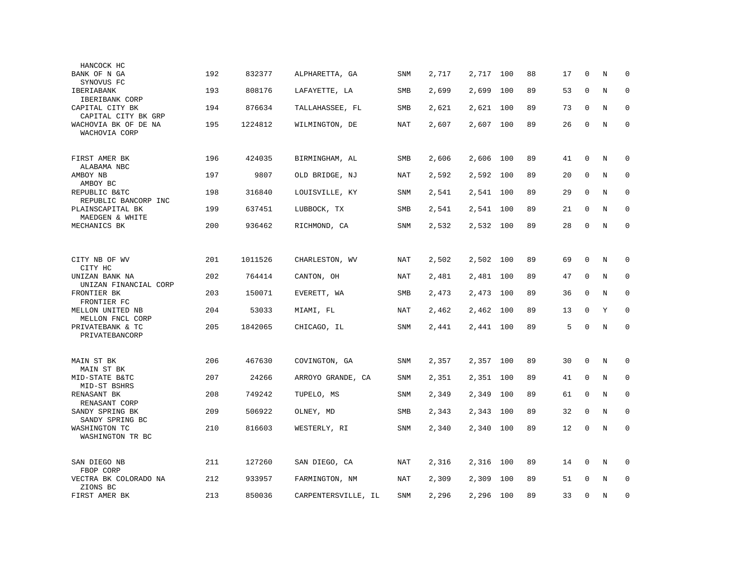| HANCOCK HC                              |     |         |                     |            |       |           |     |    |    |              |         |             |
|-----------------------------------------|-----|---------|---------------------|------------|-------|-----------|-----|----|----|--------------|---------|-------------|
| BANK OF N GA<br>SYNOVUS FC              | 192 | 832377  | ALPHARETTA, GA      | SNM        | 2,717 | 2,717     | 100 | 88 | 17 | 0            | N       | $\mathbf 0$ |
| IBERIABANK<br>IBERIBANK CORP            | 193 | 808176  | LAFAYETTE, LA       | <b>SMB</b> | 2,699 | 2,699     | 100 | 89 | 53 | $\mathbf 0$  | N       | $\mathbf 0$ |
| CAPITAL CITY BK<br>CAPITAL CITY BK GRP  | 194 | 876634  | TALLAHASSEE, FL     | SMB        | 2,621 | 2,621     | 100 | 89 | 73 | $\Omega$     | N       | $\mathbf 0$ |
| WACHOVIA BK OF DE NA<br>WACHOVIA CORP   | 195 | 1224812 | WILMINGTON, DE      | <b>NAT</b> | 2,607 | 2,607     | 100 | 89 | 26 | $\mathbf 0$  | $\rm N$ | $\mathbf 0$ |
| FIRST AMER BK<br>ALABAMA NBC            | 196 | 424035  | BIRMINGHAM, AL      | SMB        | 2,606 | 2,606     | 100 | 89 | 41 | $\mathbf 0$  | N       | $\mathbf 0$ |
| AMBOY NB<br>AMBOY BC                    | 197 | 9807    | OLD BRIDGE, NJ      | NAT        | 2,592 | 2,592     | 100 | 89 | 20 | 0            | N       | $\mathbf 0$ |
| REPUBLIC B&TC<br>REPUBLIC BANCORP INC   | 198 | 316840  | LOUISVILLE, KY      | SNM        | 2,541 | 2,541     | 100 | 89 | 29 | $\mathbf 0$  | N       | $\mathbf 0$ |
| PLAINSCAPITAL BK<br>MAEDGEN & WHITE     | 199 | 637451  | LUBBOCK, TX         | <b>SMB</b> | 2,541 | 2,541     | 100 | 89 | 21 | $\Omega$     | N       | $\mathbf 0$ |
| MECHANICS BK                            | 200 | 936462  | RICHMOND, CA        | SNM        | 2,532 | 2,532     | 100 | 89 | 28 | 0            | N       | $\mathbf 0$ |
|                                         |     |         |                     |            |       |           |     |    |    |              |         |             |
| CITY NB OF WV<br>CITY HC                | 201 | 1011526 | CHARLESTON, WV      | <b>NAT</b> | 2,502 | 2,502 100 |     | 89 | 69 | $\mathbf 0$  | N       | 0           |
| UNIZAN BANK NA<br>UNIZAN FINANCIAL CORP | 202 | 764414  | CANTON, OH          | <b>NAT</b> | 2,481 | 2,481     | 100 | 89 | 47 | $\mathbf{0}$ | N       | $\mathbf 0$ |
| FRONTIER BK<br>FRONTIER FC              | 203 | 150071  | EVERETT, WA         | SMB        | 2,473 | 2,473     | 100 | 89 | 36 | $\mathbf 0$  | N       | $\mathbf 0$ |
| MELLON UNITED NB<br>MELLON FNCL CORP    | 204 | 53033   | MIAMI, FL           | NAT        | 2,462 | 2,462     | 100 | 89 | 13 | $\Omega$     | Υ       | $\mathbf 0$ |
| PRIVATEBANK & TC<br>PRIVATEBANCORP      | 205 | 1842065 | CHICAGO, IL         | SNM        | 2,441 | 2,441 100 |     | 89 | 5  | $\Omega$     | N       | $\Omega$    |
|                                         |     |         |                     |            |       |           |     |    |    |              |         |             |
| MAIN ST BK<br>MAIN ST BK                | 206 | 467630  | COVINGTON, GA       | <b>SNM</b> | 2,357 | 2,357     | 100 | 89 | 30 | $\mathbf 0$  | N       | 0           |
| MID-STATE B&TC<br>MID-ST BSHRS          | 207 | 24266   | ARROYO GRANDE, CA   | <b>SNM</b> | 2,351 | 2,351     | 100 | 89 | 41 | $\mathbf 0$  | N       | $\mathbf 0$ |
| RENASANT BK<br>RENASANT CORP            | 208 | 749242  | TUPELO, MS          | SNM        | 2,349 | 2,349     | 100 | 89 | 61 | 0            | N       | $\mathbf 0$ |
| SANDY SPRING BK<br>SANDY SPRING BC      | 209 | 506922  | OLNEY, MD           | <b>SMB</b> | 2,343 | 2,343     | 100 | 89 | 32 | $\mathbf 0$  | N       | $\mathbf 0$ |
| WASHINGTON TC<br>WASHINGTON TR BC       | 210 | 816603  | WESTERLY, RI        | <b>SNM</b> | 2,340 | 2,340     | 100 | 89 | 12 | $\mathbf 0$  | N       | $\mathbf 0$ |
| SAN DIEGO NB<br>FBOP CORP               | 211 | 127260  | SAN DIEGO, CA       | NAT        | 2,316 | 2,316     | 100 | 89 | 14 | 0            | Ν       | $\mathbf 0$ |
| VECTRA BK COLORADO NA<br>ZIONS BC       | 212 | 933957  | FARMINGTON, NM      | <b>NAT</b> | 2,309 | 2,309     | 100 | 89 | 51 | $\Omega$     | N       | $\mathbf 0$ |
| FIRST AMER BK                           | 213 | 850036  | CARPENTERSVILLE, IL | <b>SNM</b> | 2,296 | 2,296     | 100 | 89 | 33 | $\mathbf{0}$ | N       | $\mathbf 0$ |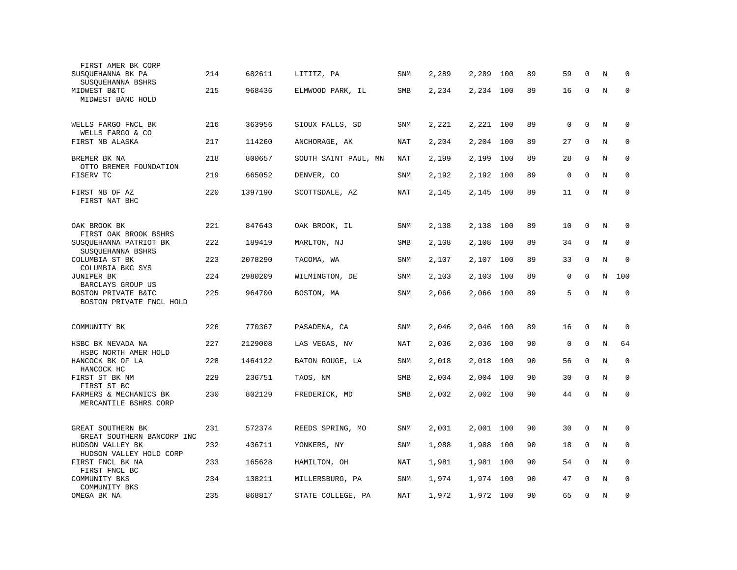| FIRST AMER BK CORP<br>SUSQUEHANNA BK PA                              | 214 | 682611  | LITITZ, PA           | SNM        | 2,289 | 2,289 | 100 | 89 | 59          | $\Omega$     | N | 0           |
|----------------------------------------------------------------------|-----|---------|----------------------|------------|-------|-------|-----|----|-------------|--------------|---|-------------|
| SUSQUEHANNA BSHRS<br>MIDWEST B&TC                                    | 215 | 968436  | ELMWOOD PARK, IL     | SMB        | 2,234 | 2,234 | 100 | 89 | 16          | $\mathbf 0$  | N | $\mathbf 0$ |
| MIDWEST BANC HOLD                                                    |     |         |                      |            |       |       |     |    |             |              |   |             |
| WELLS FARGO FNCL BK<br>WELLS FARGO & CO                              | 216 | 363956  | SIOUX FALLS, SD      | SNM        | 2,221 | 2,221 | 100 | 89 | 0           | $\mathbf 0$  | N | $\mathbf 0$ |
| FIRST NB ALASKA                                                      | 217 | 114260  | ANCHORAGE, AK        | <b>NAT</b> | 2,204 | 2,204 | 100 | 89 | 27          | $\mathbf{0}$ | N | $\mathbf 0$ |
| BREMER BK NA<br>OTTO BREMER FOUNDATION                               | 218 | 800657  | SOUTH SAINT PAUL, MN | <b>NAT</b> | 2,199 | 2,199 | 100 | 89 | 28          | $\mathbf 0$  | N | $\mathbf 0$ |
| FISERV TC                                                            | 219 | 665052  | DENVER, CO           | SNM        | 2,192 | 2,192 | 100 | 89 | $\mathbf 0$ | $\Omega$     | N | $\mathbf 0$ |
| FIRST NB OF AZ<br>FIRST NAT BHC                                      | 220 | 1397190 | SCOTTSDALE, AZ       | NAT        | 2,145 | 2,145 | 100 | 89 | 11          | $\Omega$     | N | $\Omega$    |
| OAK BROOK BK                                                         | 221 | 847643  | OAK BROOK, IL        | SNM        | 2,138 | 2,138 | 100 | 89 | 10          | 0            | N | 0           |
| FIRST OAK BROOK BSHRS<br>SUSQUEHANNA PATRIOT BK<br>SUSQUEHANNA BSHRS | 222 | 189419  | MARLTON, NJ          | SMB        | 2,108 | 2,108 | 100 | 89 | 34          | $\mathbf 0$  | N | $\mathbf 0$ |
| COLUMBIA ST BK<br>COLUMBIA BKG SYS                                   | 223 | 2078290 | TACOMA, WA           | <b>SNM</b> | 2,107 | 2,107 | 100 | 89 | 33          | $\mathbf 0$  | N | $\mathbf 0$ |
| JUNIPER BK                                                           | 224 | 2980209 | WILMINGTON, DE       | <b>SNM</b> | 2,103 | 2,103 | 100 | 89 | 0           | $\mathbf 0$  | N | 100         |
| BARCLAYS GROUP US<br>BOSTON PRIVATE B&TC<br>BOSTON PRIVATE FNCL HOLD | 225 | 964700  | BOSTON, MA           | SNM        | 2,066 | 2,066 | 100 | 89 | 5           | $\Omega$     | N | $\mathbf 0$ |
|                                                                      |     |         |                      |            |       |       |     |    |             |              |   |             |
| COMMUNITY BK                                                         | 226 | 770367  | PASADENA, CA         | SNM        | 2,046 | 2,046 | 100 | 89 | 16          | $\Omega$     | N | 0           |
| HSBC BK NEVADA NA<br>HSBC NORTH AMER HOLD                            | 227 | 2129008 | LAS VEGAS, NV        | NAT        | 2,036 | 2,036 | 100 | 90 | 0           | $\mathbf 0$  | N | 64          |
| HANCOCK BK OF LA<br>HANCOCK HC                                       | 228 | 1464122 | BATON ROUGE, LA      | SNM        | 2,018 | 2,018 | 100 | 90 | 56          | $\mathbf 0$  | N | $\mathbf 0$ |
| FIRST ST BK NM<br>FIRST ST BC                                        | 229 | 236751  | TAOS, NM             | SMB        | 2,004 | 2,004 | 100 | 90 | 30          | $\mathbf 0$  | N | $\mathbf 0$ |
| FARMERS & MECHANICS BK<br>MERCANTILE BSHRS CORP                      | 230 | 802129  | FREDERICK, MD        | SMB        | 2,002 | 2,002 | 100 | 90 | 44          | $\mathbf 0$  | N | $\mathbf 0$ |
|                                                                      |     |         |                      |            |       |       |     |    |             |              |   |             |
| GREAT SOUTHERN BK<br>GREAT SOUTHERN BANCORP INC                      | 231 | 572374  | REEDS SPRING, MO     | SNM        | 2,001 | 2,001 | 100 | 90 | 30          | $\mathbf 0$  | N | $\mathbf 0$ |
| HUDSON VALLEY BK<br>HUDSON VALLEY HOLD CORP                          | 232 | 436711  | YONKERS, NY          | <b>SNM</b> | 1,988 | 1,988 | 100 | 90 | 18          | $\mathbf 0$  | N | 0           |
| FIRST FNCL BK NA<br>FIRST FNCL BC                                    | 233 | 165628  | HAMILTON, OH         | NAT        | 1,981 | 1,981 | 100 | 90 | 54          | $\mathbf 0$  | N | $\mathbf 0$ |
| COMMUNITY BKS<br>COMMUNITY BKS                                       | 234 | 138211  | MILLERSBURG, PA      | <b>SNM</b> | 1,974 | 1,974 | 100 | 90 | 47          | $\Omega$     | N | $\mathbf 0$ |
| OMEGA BK NA                                                          | 235 | 868817  | STATE COLLEGE, PA    | <b>NAT</b> | 1,972 | 1,972 | 100 | 90 | 65          | $\mathbf 0$  | N | $\mathbf 0$ |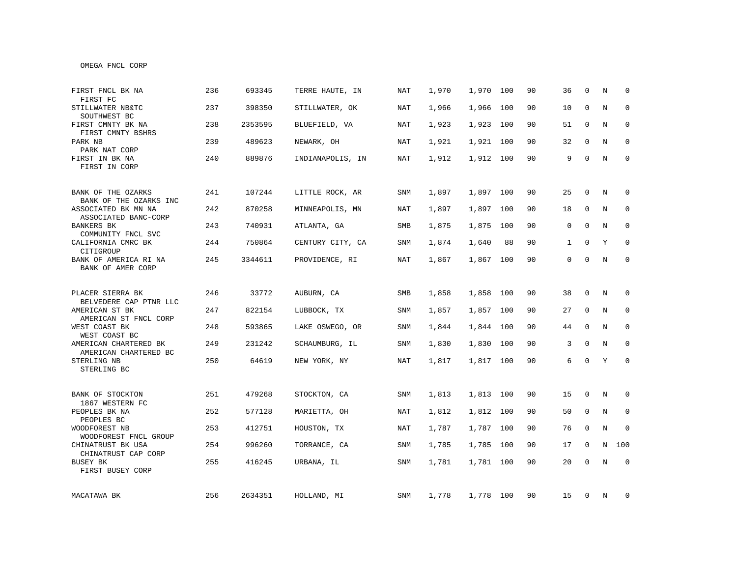| MACATAWA BK                                                       | 256 | 2634351 | HOLLAND, MI      | SNM        | 1,778 | 1,778 100 |     | 90 | 15           | 0            | N          | 0            |
|-------------------------------------------------------------------|-----|---------|------------------|------------|-------|-----------|-----|----|--------------|--------------|------------|--------------|
| BUSEY BK<br>FIRST BUSEY CORP                                      | 255 | 416245  | URBANA, IL       | SNM        | 1,781 | 1,781 100 |     | 90 | 20           | $\mathbf 0$  | N          | $\mathbf 0$  |
| CHINATRUST BK USA<br>CHINATRUST CAP CORP                          | 254 | 996260  | TORRANCE, CA     | SNM        | 1,785 | 1,785 100 |     | 90 | 17           | 0            | N          | 100          |
| WOODFOREST NB<br>WOODFOREST FNCL GROUP                            | 253 | 412751  | HOUSTON, TX      | NAT        | 1,787 | 1,787 100 |     | 90 | 76           | $\mathbf 0$  | N          | $\mathbf 0$  |
| 1867 WESTERN FC<br>PEOPLES BK NA<br>PEOPLES BC                    | 252 | 577128  | MARIETTA, OH     | NAT        | 1,812 | 1,812 100 |     | 90 | 50           | 0            | N          | 0            |
| BANK OF STOCKTON                                                  | 251 | 479268  | STOCKTON, CA     | SNM        | 1,813 | 1,813 100 |     | 90 | 15           | 0            | N          | 0            |
| STERLING NB<br>STERLING BC                                        | 250 | 64619   | NEW YORK, NY     | <b>NAT</b> | 1,817 | 1,817 100 |     | 90 | 6            | $\mathbf 0$  | Y          | $\mathbf{0}$ |
| AMERICAN CHARTERED BK<br>AMERICAN CHARTERED BC                    | 249 | 231242  | SCHAUMBURG, IL   | SNM        | 1,830 | 1,830 100 |     | 90 | 3            | $\mathbf 0$  | N          | $\mathbf 0$  |
| WEST COAST BK<br>WEST COAST BC                                    | 248 | 593865  | LAKE OSWEGO, OR  | SNM        | 1,844 | 1,844 100 |     | 90 | 44           | 0            | N          | 0            |
| BELVEDERE CAP PTNR LLC<br>AMERICAN ST BK<br>AMERICAN ST FNCL CORP | 247 | 822154  | LUBBOCK, TX      | SNM        | 1,857 | 1,857 100 |     | 90 | 27           | 0            | N          | 0            |
| PLACER SIERRA BK                                                  | 246 | 33772   | AUBURN, CA       | SMB        | 1,858 | 1,858 100 |     | 90 | 38           | $\mathbf 0$  | N          | $\mathbf 0$  |
| BANK OF AMERICA RI NA<br>BANK OF AMER CORP                        | 245 | 3344611 | PROVIDENCE, RI   | <b>NAT</b> | 1,867 | 1,867 100 |     | 90 | $\mathbf{0}$ | $\mathbf 0$  | $_{\rm N}$ | $\Omega$     |
| CALIFORNIA CMRC BK<br>CITIGROUP                                   | 244 | 750864  | CENTURY CITY, CA | SNM        | 1,874 | 1,640     | 88  | 90 | $\mathbf{1}$ | $\mathbf{0}$ | Y          | $\mathbf 0$  |
| <b>BANKERS BK</b><br>COMMUNITY FNCL SVC                           | 243 | 740931  | ATLANTA, GA      | SMB        | 1,875 | 1,875     | 100 | 90 | 0            | 0            | N          | 0            |
| ASSOCIATED BK MN NA<br>ASSOCIATED BANC-CORP                       | 242 | 870258  | MINNEAPOLIS, MN  | NAT        | 1,897 | 1,897 100 |     | 90 | 18           | 0            | N          | $\mathbf 0$  |
| BANK OF THE OZARKS<br>BANK OF THE OZARKS INC                      | 241 | 107244  | LITTLE ROCK, AR  | SNM        | 1,897 | 1,897 100 |     | 90 | 25           | $\mathbf 0$  | N          | $\mathbf 0$  |
| FIRST IN BK NA<br>FIRST IN CORP                                   | 240 | 889876  | INDIANAPOLIS, IN | NAT        | 1,912 | 1,912 100 |     | 90 | 9            | 0            | N          | 0            |
| PARK NB<br>PARK NAT CORP                                          | 239 | 489623  | NEWARK, OH       | NAT        | 1,921 | 1,921 100 |     | 90 | 32           | 0            | N          | 0            |
| FIRST CMNTY BK NA<br>FIRST CMNTY BSHRS                            | 238 | 2353595 | BLUEFIELD, VA    | NAT        | 1,923 | 1,923 100 |     | 90 | 51           | 0            | N          | 0            |
| STILLWATER NB&TC<br>SOUTHWEST BC                                  | 237 | 398350  | STILLWATER, OK   | NAT        | 1,966 | 1,966 100 |     | 90 | 10           | 0            | N          | $\mathbf 0$  |
| FIRST FNCL BK NA<br>FIRST FC                                      | 236 | 693345  | TERRE HAUTE, IN  | <b>NAT</b> | 1,970 | 1,970     | 100 | 90 | 36           | $\Omega$     | N          | $\mathbf 0$  |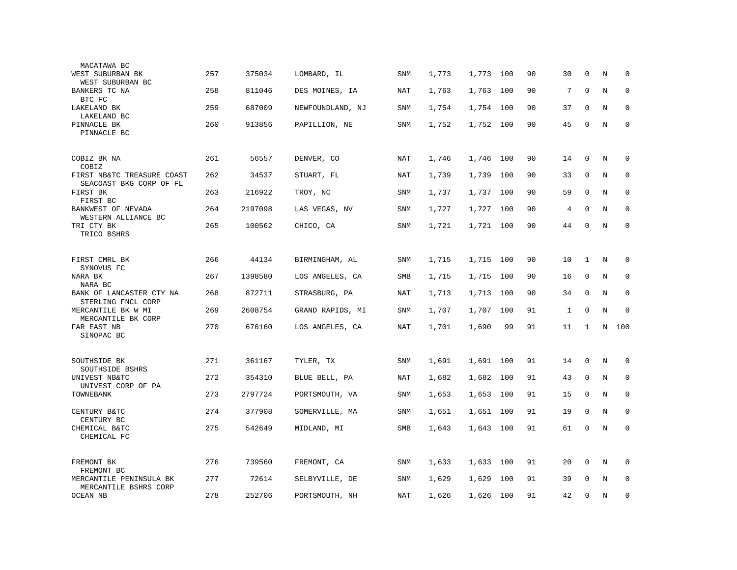| MACATAWA BC                                           |     |         |                  |            |       |           |     |    |    |              |   |             |
|-------------------------------------------------------|-----|---------|------------------|------------|-------|-----------|-----|----|----|--------------|---|-------------|
| WEST SUBURBAN BK                                      | 257 | 375034  | LOMBARD, IL      | <b>SNM</b> | 1,773 | 1,773     | 100 | 90 | 30 | $\mathbf 0$  | N | $\mathbf 0$ |
| WEST SUBURBAN BC<br>BANKERS TC NA                     | 258 | 811046  | DES MOINES, IA   | NAT        | 1,763 | 1,763     | 100 | 90 | 7  | $\mathbf{0}$ | N | 0           |
| BTC FC<br>LAKELAND BK                                 | 259 | 687009  | NEWFOUNDLAND, NJ | SNM        | 1,754 | 1,754     | 100 | 90 | 37 | $\mathbf 0$  | N | $\mathbf 0$ |
| LAKELAND BC                                           | 260 | 913856  |                  |            |       |           | 100 | 90 | 45 | $\mathbf 0$  | N | $\mathbf 0$ |
| PINNACLE BK<br>PINNACLE BC                            |     |         | PAPILLION, NE    | SNM        | 1,752 | 1,752     |     |    |    |              |   |             |
| COBIZ BK NA                                           | 261 | 56557   | DENVER, CO       | <b>NAT</b> | 1,746 | 1,746     | 100 | 90 | 14 | 0            | Ν | 0           |
| COBIZ                                                 |     |         |                  |            |       |           |     |    |    |              |   |             |
| FIRST NB&TC TREASURE COAST<br>SEACOAST BKG CORP OF FL | 262 | 34537   | STUART, FL       | NAT        | 1,739 | 1,739     | 100 | 90 | 33 | $\mathbf 0$  | N | $\mathbf 0$ |
| FIRST BK<br>FIRST BC                                  | 263 | 216922  | TROY, NC         | SNM        | 1,737 | 1,737     | 100 | 90 | 59 | $\mathbf 0$  | N | $\mathbf 0$ |
| BANKWEST OF NEVADA<br>WESTERN ALLIANCE BC             | 264 | 2197098 | LAS VEGAS, NV    | SNM        | 1,727 | 1,727     | 100 | 90 | 4  | $\Omega$     | N | $\Omega$    |
| TRI CTY BK<br>TRICO BSHRS                             | 265 | 100562  | CHICO, CA        | SNM        | 1,721 | 1,721     | 100 | 90 | 44 | $\mathbf 0$  | N | $\mathbf 0$ |
|                                                       |     |         |                  |            |       |           |     |    |    |              |   |             |
| FIRST CMRL BK<br>SYNOVUS FC                           | 266 | 44134   | BIRMINGHAM, AL   | <b>SNM</b> | 1,715 | 1,715 100 |     | 90 | 10 | $\mathbf{1}$ | N | 0           |
| NARA BK<br>NARA BC                                    | 267 | 1398580 | LOS ANGELES, CA  | SMB        | 1,715 | 1,715     | 100 | 90 | 16 | $\mathbf{0}$ | N | $\mathbf 0$ |
| BANK OF LANCASTER CTY NA<br>STERLING FNCL CORP        | 268 | 872711  | STRASBURG, PA    | NAT        | 1,713 | 1,713     | 100 | 90 | 34 | $\Omega$     | N | $\mathbf 0$ |
| MERCANTILE BK W MI<br>MERCANTILE BK CORP              | 269 | 2608754 | GRAND RAPIDS, MI | SNM        | 1,707 | 1,707     | 100 | 91 | 1  | 0            | N | 0           |
| FAR EAST NB<br>SINOPAC BC                             | 270 | 676160  | LOS ANGELES, CA  | NAT        | 1,701 | 1,690     | 99  | 91 | 11 | 1            | N | 100         |
|                                                       |     |         |                  |            |       |           |     |    |    |              |   |             |
| SOUTHSIDE BK<br>SOUTHSIDE BSHRS                       | 271 | 361167  | TYLER, TX        | <b>SNM</b> | 1,691 | 1,691     | 100 | 91 | 14 | $\mathbf 0$  | N | $\mathbf 0$ |
| UNIVEST NB&TC<br>UNIVEST CORP OF PA                   | 272 | 354310  | BLUE BELL, PA    | NAT        | 1,682 | 1,682     | 100 | 91 | 43 | $\mathbf 0$  | N | 0           |
| TOWNEBANK                                             | 273 | 2797724 | PORTSMOUTH, VA   | SNM        | 1,653 | 1,653     | 100 | 91 | 15 | $\mathbf 0$  | N | $\mathbf 0$ |
| CENTURY B&TC<br>CENTURY BC                            | 274 | 377908  | SOMERVILLE, MA   | SNM        | 1,651 | 1,651     | 100 | 91 | 19 | $\mathbf{0}$ | N | $\mathbf 0$ |
| CHEMICAL B&TC<br>CHEMICAL FC                          | 275 | 542649  | MIDLAND, MI      | SMB        | 1,643 | 1,643     | 100 | 91 | 61 | $\mathbf 0$  | N | $\mathbf 0$ |
|                                                       |     |         |                  |            |       |           |     |    |    |              |   |             |
| FREMONT BK<br>FREMONT BC                              | 276 | 739560  | FREMONT, CA      | SNM        | 1,633 | 1,633     | 100 | 91 | 20 | 0            | Ν | 0           |
| MERCANTILE PENINSULA BK<br>MERCANTILE BSHRS CORP      | 277 | 72614   | SELBYVILLE, DE   | SNM        | 1,629 | 1,629     | 100 | 91 | 39 | $\Omega$     | N | $\mathbf 0$ |
| <b>OCEAN NB</b>                                       | 278 | 252706  | PORTSMOUTH, NH   | NAT        | 1,626 | 1,626     | 100 | 91 | 42 | $\mathbf 0$  | N | $\mathbf 0$ |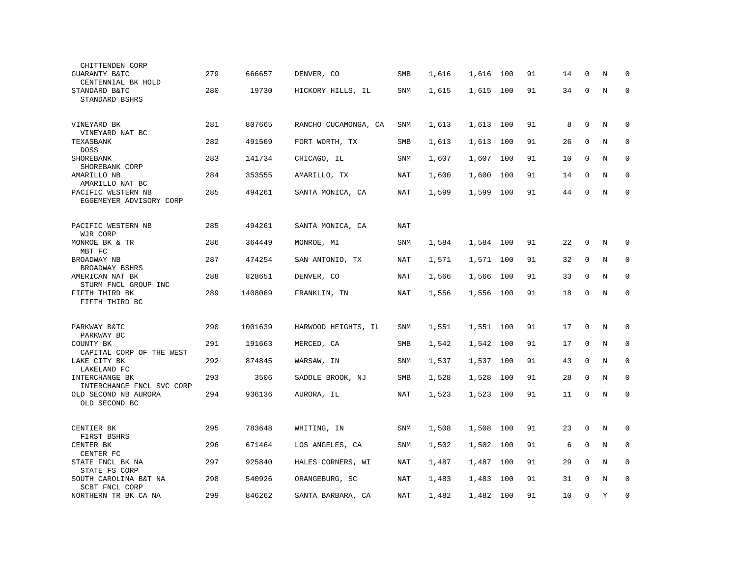| CHITTENDEN CORP                                                    |     |         |                      |            |       |           |     |    |    |              |         |             |
|--------------------------------------------------------------------|-----|---------|----------------------|------------|-------|-----------|-----|----|----|--------------|---------|-------------|
| GUARANTY B&TC<br>CENTENNIAL BK HOLD                                | 279 | 666657  | DENVER, CO           | SMB        | 1,616 | 1,616     | 100 | 91 | 14 | 0            | N       | 0           |
| STANDARD B&TC<br>STANDARD BSHRS                                    | 280 | 19730   | HICKORY HILLS, IL    | SNM        | 1,615 | 1,615     | 100 | 91 | 34 | $\mathbf 0$  | N       | $\mathbf 0$ |
|                                                                    |     |         |                      |            |       |           |     |    |    |              |         |             |
| VINEYARD BK<br>VINEYARD NAT BC                                     | 281 | 807665  | RANCHO CUCAMONGA, CA | SNM        | 1,613 | 1,613     | 100 | 91 | 8  | $\mathbf 0$  | N       | $\mathbf 0$ |
| TEXASBANK<br><b>DOSS</b>                                           | 282 | 491569  | FORT WORTH, TX       | SMB        | 1,613 | 1,613     | 100 | 91 | 26 | $\mathbf{0}$ | N       | $\mathbf 0$ |
| SHOREBANK<br>SHOREBANK CORP                                        | 283 | 141734  | CHICAGO, IL          | SNM        | 1,607 | 1,607     | 100 | 91 | 10 | 0            | N       | $\mathbf 0$ |
| AMARILLO NB<br>AMARILLO NAT BC                                     | 284 | 353555  | AMARILLO, TX         | NAT        | 1,600 | 1,600     | 100 | 91 | 14 | $\Omega$     | N       | $\mathbf 0$ |
| PACIFIC WESTERN NB<br>EGGEMEYER ADVISORY CORP                      | 285 | 494261  | SANTA MONICA, CA     | NAT        | 1,599 | 1,599     | 100 | 91 | 44 | $\mathbf 0$  | N       | $\mathbf 0$ |
| PACIFIC WESTERN NB                                                 | 285 | 494261  | SANTA MONICA, CA     | <b>NAT</b> |       |           |     |    |    |              |         |             |
| WJR CORP<br>MONROE BK & TR<br>MBT FC                               | 286 | 364449  | MONROE, MI           | SNM        | 1,584 | 1,584     | 100 | 91 | 22 | $\mathbf{0}$ | N       | 0           |
| BROADWAY NB<br>BROADWAY BSHRS                                      | 287 | 474254  | SAN ANTONIO, TX      | NAT        | 1,571 | 1,571 100 |     | 91 | 32 | $\mathbf 0$  | N       | $\mathbf 0$ |
| AMERICAN NAT BK<br>STURM FNCL GROUP INC                            | 288 | 828651  | DENVER, CO           | <b>NAT</b> | 1,566 | 1,566     | 100 | 91 | 33 | $\Omega$     | $\rm N$ | $\mathbf 0$ |
| FIFTH THIRD BK<br>FIFTH THIRD BC                                   | 289 | 1408069 | FRANKLIN, TN         | NAT        | 1,556 | 1,556 100 |     | 91 | 18 | $\mathbf 0$  | N       | 0           |
|                                                                    |     |         |                      |            |       |           |     |    |    |              |         |             |
| PARKWAY B&TC<br>PARKWAY BC                                         | 290 | 1001639 | HARWOOD HEIGHTS, IL  | SNM        | 1,551 | 1,551 100 |     | 91 | 17 | $\mathbf 0$  | N       | $\mathbf 0$ |
| COUNTY BK<br>CAPITAL CORP OF THE WEST                              | 291 | 191663  | MERCED, CA           | <b>SMB</b> | 1,542 | 1,542     | 100 | 91 | 17 | $\mathbf 0$  | N       | $\mathbf 0$ |
| LAKE CITY BK<br>LAKELAND FC                                        | 292 | 874845  | WARSAW, IN           | <b>SNM</b> | 1,537 | 1,537     | 100 | 91 | 43 | $\Omega$     | N       | $\mathbf 0$ |
| INTERCHANGE BK                                                     | 293 | 3506    | SADDLE BROOK, NJ     | SMB        | 1,528 | 1,528     | 100 | 91 | 28 | 0            | N       | $\mathbf 0$ |
| INTERCHANGE FNCL SVC CORP<br>OLD SECOND NB AURORA<br>OLD SECOND BC | 294 | 936136  | AURORA, IL           | <b>NAT</b> | 1,523 | 1,523     | 100 | 91 | 11 | $\mathbf{0}$ | N       | $\mathbf 0$ |
|                                                                    |     |         |                      |            |       |           |     |    |    |              |         |             |
| CENTIER BK<br>FIRST BSHRS                                          | 295 | 783648  | WHITING, IN          | SNM        | 1,508 | 1,508     | 100 | 91 | 23 | $\mathbf 0$  | N       | 0           |
| CENTER BK<br>CENTER FC                                             | 296 | 671464  | LOS ANGELES, CA      | SNM        | 1,502 | 1,502     | 100 | 91 | 6  | $\Omega$     | N       | $\mathbf 0$ |
| STATE FNCL BK NA<br>STATE FS CORP                                  | 297 | 925840  | HALES CORNERS, WI    | NAT        | 1,487 | 1,487     | 100 | 91 | 29 | $\mathbf 0$  | N       | $\mathbf 0$ |
| SOUTH CAROLINA B&T NA<br>SCBT FNCL CORP                            | 298 | 540926  | ORANGEBURG, SC       | NAT        | 1,483 | 1,483     | 100 | 91 | 31 | $\Omega$     | N       | $\mathbf 0$ |
| NORTHERN TR BK CA NA                                               | 299 | 846262  | SANTA BARBARA, CA    | NAT        | 1,482 | 1,482     | 100 | 91 | 10 | $\mathbf 0$  | Y       | $\mathsf 0$ |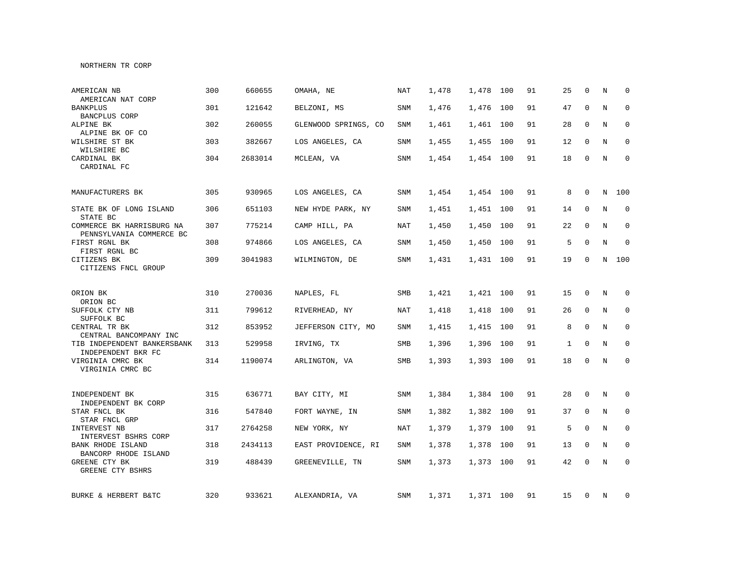### NORTHERN TR CORP

| AMERICAN NB<br>AMERICAN NAT CORP                      | 300 | 660655  | OMAHA, NE            | <b>NAT</b> | 1,478 | 1,478     | 100 | 91 | 25           | $\Omega$     | N       | $\Omega$    |
|-------------------------------------------------------|-----|---------|----------------------|------------|-------|-----------|-----|----|--------------|--------------|---------|-------------|
| <b>BANKPLUS</b><br><b>BANCPLUS CORP</b>               | 301 | 121642  | BELZONI, MS          | <b>SNM</b> | 1,476 | 1,476     | 100 | 91 | 47           | $\Omega$     | N       | $\mathbf 0$ |
| ALPINE BK<br>ALPINE BK OF CO                          | 302 | 260055  | GLENWOOD SPRINGS, CO | SNM        | 1,461 | 1,461     | 100 | 91 | 28           | $\Omega$     | N       | $\mathbf 0$ |
| WILSHIRE ST BK<br>WILSHIRE BC                         | 303 | 382667  | LOS ANGELES, CA      | SNM        | 1,455 | 1,455     | 100 | 91 | 12           | $\Omega$     | N       | $\mathbf 0$ |
| CARDINAL BK<br>CARDINAL FC                            | 304 | 2683014 | MCLEAN, VA           | SNM        | 1,454 | 1,454 100 |     | 91 | 18           | $\Omega$     | N       | $\Omega$    |
| MANUFACTURERS BK                                      | 305 | 930965  | LOS ANGELES, CA      | SNM        | 1,454 | 1,454 100 |     | 91 | 8            | $\mathbf 0$  | N       | 100         |
| STATE BK OF LONG ISLAND<br>STATE BC                   | 306 | 651103  | NEW HYDE PARK, NY    | SNM        | 1,451 | 1,451     | 100 | 91 | 14           | $\mathbf 0$  | $\rm N$ | 0           |
| COMMERCE BK HARRISBURG NA<br>PENNSYLVANIA COMMERCE BC | 307 | 775214  | CAMP HILL, PA        | NAT        | 1,450 | 1,450     | 100 | 91 | 22           | $\Omega$     | N       | $\mathbf 0$ |
| FIRST RGNL BK<br>FIRST RGNL BC                        | 308 | 974866  | LOS ANGELES, CA      | SNM        | 1,450 | 1,450     | 100 | 91 | 5            | $\Omega$     | $\rm N$ | $\mathbf 0$ |
| CITIZENS BK<br>CITIZENS FNCL GROUP                    | 309 | 3041983 | WILMINGTON, DE       | SNM        | 1,431 | 1,431 100 |     | 91 | 19           | $\Omega$     | N       | 100         |
| ORION BK<br>ORION BC                                  | 310 | 270036  | NAPLES, FL           | SMB        | 1,421 | 1,421     | 100 | 91 | 15           | 0            | N       | $\mathbf 0$ |
| SUFFOLK CTY NB<br>SUFFOLK BC                          | 311 | 799612  | RIVERHEAD, NY        | NAT        | 1,418 | 1,418     | 100 | 91 | 26           | $\mathbf 0$  | N       | $\mathbf 0$ |
| CENTRAL TR BK<br>CENTRAL BANCOMPANY INC               | 312 | 853952  | JEFFERSON CITY, MO   | SNM        | 1,415 | 1,415     | 100 | 91 | 8            | $\mathbf 0$  | N       | 0           |
| TIB INDEPENDENT BANKERSBANK<br>INDEPENDENT BKR FC     | 313 | 529958  | IRVING, TX           | SMB        | 1,396 | 1,396     | 100 | 91 | $\mathbf{1}$ | $\mathbf 0$  | N       | 0           |
| VIRGINIA CMRC BK<br>VIRGINIA CMRC BC                  | 314 | 1190074 | ARLINGTON, VA        | SMB        | 1,393 | 1,393 100 |     | 91 | 18           | $\mathbf 0$  | N       | 0           |
| INDEPENDENT BK<br>INDEPENDENT BK CORP                 | 315 | 636771  | BAY CITY, MI         | <b>SNM</b> | 1,384 | 1,384 100 |     | 91 | 28           | $\mathbf 0$  | N       | $\mathbf 0$ |
| STAR FNCL BK<br>STAR FNCL GRP                         | 316 | 547840  | FORT WAYNE, IN       | <b>SNM</b> | 1,382 | 1,382     | 100 | 91 | 37           | $\mathbf{0}$ | N       | $\mathbf 0$ |
| INTERVEST NB<br>INTERVEST BSHRS CORP                  | 317 | 2764258 | NEW YORK, NY         | NAT        | 1,379 | 1,379     | 100 | 91 | 5            | $\mathbf{0}$ | N       | $\mathbf 0$ |
| BANK RHODE ISLAND<br>BANCORP RHODE ISLAND             | 318 | 2434113 | EAST PROVIDENCE, RI  | SNM        | 1,378 | 1,378     | 100 | 91 | 13           | $\mathbf{0}$ | N       | $\mathbf 0$ |
| GREENE CTY BK<br>GREENE CTY BSHRS                     | 319 | 488439  | GREENEVILLE, TN      | <b>SNM</b> | 1,373 | 1,373 100 |     | 91 | 42           | $\mathbf 0$  | N       | $\mathbf 0$ |
| BURKE & HERBERT B&TC                                  | 320 | 933621  | ALEXANDRIA, VA       | SNM        | 1,371 | 1,371 100 |     | 91 | 15           | 0            | N       | 0           |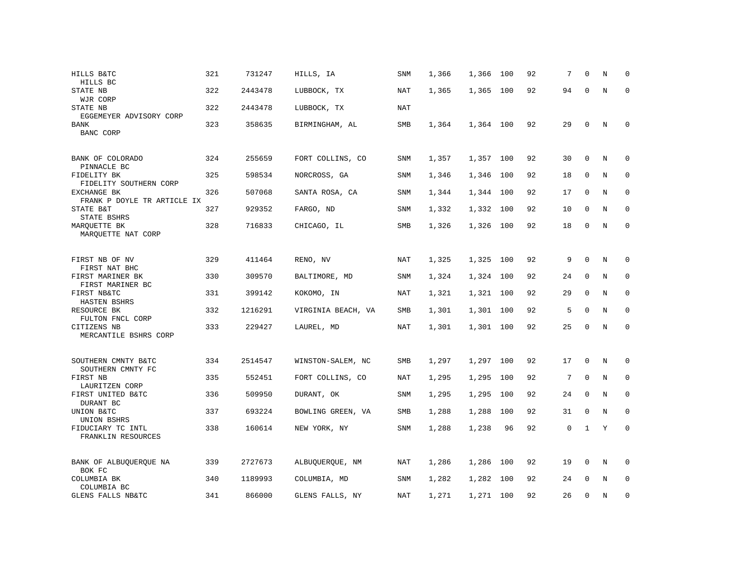| HILLS B&TC<br>HILLS BC                                | 321 | 731247  | HILLS, IA          | SNM        | 1,366 | 1,366     | 100 | 92 | 7  | $\mathbf 0$ | Ν       | $\mathbf 0$ |
|-------------------------------------------------------|-----|---------|--------------------|------------|-------|-----------|-----|----|----|-------------|---------|-------------|
| STATE NB<br>WJR CORP                                  | 322 | 2443478 | LUBBOCK, TX        | NAT        | 1,365 | 1,365     | 100 | 92 | 94 | $\mathbf 0$ | N       | $\mathbf 0$ |
| STATE NB<br>EGGEMEYER ADVISORY CORP                   | 322 | 2443478 | LUBBOCK, TX        | NAT        |       |           |     |    |    |             |         |             |
| <b>BANK</b><br>BANC CORP                              | 323 | 358635  | BIRMINGHAM, AL     | SMB        | 1,364 | 1,364 100 |     | 92 | 29 | $\mathsf 0$ | N       | $\mathbf 0$ |
| BANK OF COLORADO<br>PINNACLE BC                       | 324 | 255659  | FORT COLLINS, CO   | SNM        | 1,357 | 1,357 100 |     | 92 | 30 | $\mathbf 0$ | N       | 0           |
| FIDELITY BK<br>FIDELITY SOUTHERN CORP                 | 325 | 598534  | NORCROSS, GA       | <b>SNM</b> | 1,346 | 1,346     | 100 | 92 | 18 | 0           | $\rm N$ | 0           |
| <b>EXCHANGE BK</b><br>FRANK P DOYLE TR ARTICLE IX     | 326 | 507068  | SANTA ROSA, CA     | SNM        | 1,344 | 1,344 100 |     | 92 | 17 | $\mathbf 0$ | N       | $\mathbf 0$ |
| STATE B&T<br>STATE BSHRS                              | 327 | 929352  | FARGO, ND          | <b>SNM</b> | 1,332 | 1,332     | 100 | 92 | 10 | $\mathbf 0$ | N       | $\mathbf 0$ |
| MARQUETTE BK<br>MARQUETTE NAT CORP                    | 328 | 716833  | CHICAGO, IL        | <b>SMB</b> | 1,326 | 1,326 100 |     | 92 | 18 | $\mathbf 0$ | N       | $\mathbf 0$ |
| FIRST NB OF NV                                        | 329 | 411464  | RENO, NV           | NAT        | 1,325 | 1,325     | 100 | 92 | 9  | $\Omega$    | N       | $\mathbf 0$ |
| FIRST NAT BHC<br>FIRST MARINER BK<br>FIRST MARINER BC | 330 | 309570  | BALTIMORE, MD      | <b>SNM</b> | 1,324 | 1,324     | 100 | 92 | 24 | $\mathbf 0$ | N       | $\mathbf 0$ |
| FIRST NB&TC<br>HASTEN BSHRS                           | 331 | 399142  | KOKOMO, IN         | NAT        | 1,321 | 1,321     | 100 | 92 | 29 | $\mathbf 0$ | N       | $\mathbf 0$ |
| RESOURCE BK<br>FULTON FNCL CORP                       | 332 | 1216291 | VIRGINIA BEACH, VA | SMB        | 1,301 | 1,301     | 100 | 92 | 5  | $\mathbf 0$ | N       | 0           |
| CITIZENS NB<br>MERCANTILE BSHRS CORP                  | 333 | 229427  | LAUREL, MD         | NAT        | 1,301 | 1,301 100 |     | 92 | 25 | $\mathbf 0$ | N       | $\mathbf 0$ |
| SOUTHERN CMNTY B&TC<br>SOUTHERN CMNTY FC              | 334 | 2514547 | WINSTON-SALEM, NC  | SMB        | 1,297 | 1,297 100 |     | 92 | 17 | 0           | N       | 0           |
| FIRST NB<br>LAURITZEN CORP                            | 335 | 552451  | FORT COLLINS, CO   | NAT        | 1,295 | 1,295     | 100 | 92 | 7  | $\mathbf 0$ | N       | $\mathbf 0$ |
| FIRST UNITED B&TC<br>DURANT BC                        | 336 | 509950  | DURANT, OK         | <b>SNM</b> | 1,295 | 1,295     | 100 | 92 | 24 | $\mathbf 0$ | N       | $\mathbf 0$ |
| UNION B&TC<br>UNION BSHRS                             | 337 | 693224  | BOWLING GREEN, VA  | SMB        | 1,288 | 1,288     | 100 | 92 | 31 | $\mathbf 0$ | N       | $\mathbf 0$ |
| FIDUCIARY TC INTL<br>FRANKLIN RESOURCES               | 338 | 160614  | NEW YORK, NY       | SNM        | 1,288 | 1,238     | 96  | 92 | 0  | 1           | Y       | $\mathbf 0$ |
| BANK OF ALBUQUERQUE NA<br>BOK FC                      | 339 | 2727673 | ALBUQUERQUE, NM    | NAT        | 1,286 | 1,286     | 100 | 92 | 19 | $\mathbf 0$ | N       | 0           |
| COLUMBIA BK<br>COLUMBIA BC                            | 340 | 1189993 | COLUMBIA, MD       | SNM        | 1,282 | 1,282     | 100 | 92 | 24 | $\mathbf 0$ | N       | 0           |
| GLENS FALLS NB&TC                                     | 341 | 866000  | GLENS FALLS, NY    | NAT        | 1,271 | 1,271 100 |     | 92 | 26 | $\mathbf 0$ | N       | $\mathbf 0$ |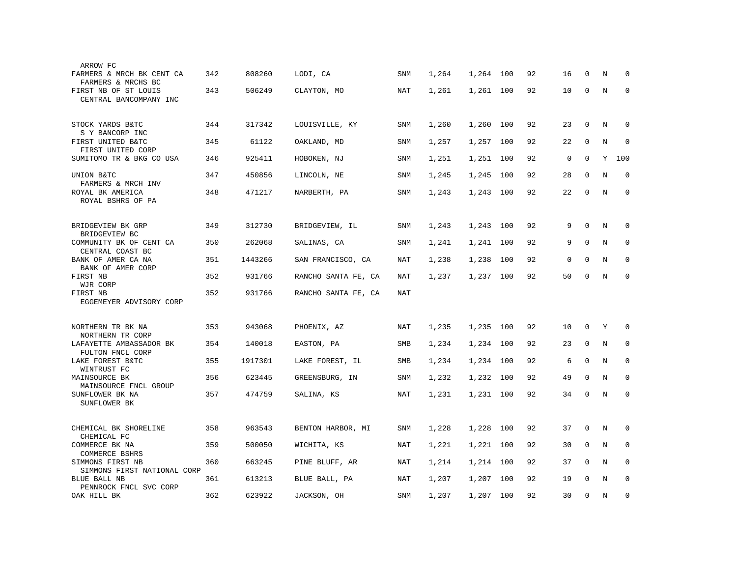| ARROW FC                                        |     |         |                     |            |       |           |     |    |    |             |         |              |
|-------------------------------------------------|-----|---------|---------------------|------------|-------|-----------|-----|----|----|-------------|---------|--------------|
| FARMERS & MRCH BK CENT CA<br>FARMERS & MRCHS BC | 342 | 808260  | LODI, CA            | SNM        | 1,264 | 1,264 100 |     | 92 | 16 | $\Omega$    | N       | $\Omega$     |
| FIRST NB OF ST LOUIS<br>CENTRAL BANCOMPANY INC  | 343 | 506249  | CLAYTON, MO         | NAT        | 1,261 | 1,261 100 |     | 92 | 10 | $\mathbf 0$ | N       | $\mathbf 0$  |
| STOCK YARDS B&TC                                | 344 | 317342  | LOUISVILLE, KY      | SNM        | 1,260 | 1,260 100 |     | 92 | 23 | $\mathbf 0$ | N       | $\Omega$     |
| S Y BANCORP INC                                 |     |         |                     |            |       |           |     |    |    |             |         |              |
| FIRST UNITED B&TC<br>FIRST UNITED CORP          | 345 | 61122   | OAKLAND, MD         | SNM        | 1,257 | 1,257 100 |     | 92 | 22 | 0           | N       | $\Omega$     |
| SUMITOMO TR & BKG CO USA                        | 346 | 925411  | HOBOKEN, NJ         | <b>SNM</b> | 1,251 | 1,251 100 |     | 92 | 0  | $\mathbf 0$ | Y       | 100          |
| UNION B&TC<br>FARMERS & MRCH INV                | 347 | 450856  | LINCOLN, NE         | SNM        | 1,245 | 1,245     | 100 | 92 | 28 | 0           | N       | $\mathbf 0$  |
| ROYAL BK AMERICA<br>ROYAL BSHRS OF PA           | 348 | 471217  | NARBERTH, PA        | SNM        | 1,243 | 1,243     | 100 | 92 | 22 | $\Omega$    | N       | $\mathbf 0$  |
| BRIDGEVIEW BK GRP<br>BRIDGEVIEW BC              | 349 | 312730  | BRIDGEVIEW, IL      | SNM        | 1,243 | 1,243 100 |     | 92 | 9  | $\mathbf 0$ | N       | 0            |
| COMMUNITY BK OF CENT CA<br>CENTRAL COAST BC     | 350 | 262068  | SALINAS, CA         | <b>SNM</b> | 1,241 | 1,241     | 100 | 92 | 9  | $\mathbf 0$ | N       | $\mathbf 0$  |
| BANK OF AMER CA NA<br>BANK OF AMER CORP         | 351 | 1443266 | SAN FRANCISCO, CA   | NAT        | 1,238 | 1,238     | 100 | 92 | 0  | 0           | N       | $\mathbf 0$  |
| FIRST NB<br>WJR CORP                            | 352 | 931766  | RANCHO SANTA FE, CA | NAT        | 1,237 | 1,237 100 |     | 92 | 50 | $\mathbf 0$ | N       | $\mathbf 0$  |
| FIRST NB<br>EGGEMEYER ADVISORY CORP             | 352 | 931766  | RANCHO SANTA FE, CA | <b>NAT</b> |       |           |     |    |    |             |         |              |
| NORTHERN TR BK NA                               | 353 | 943068  | PHOENIX, AZ         | NAT        | 1,235 | 1,235 100 |     | 92 | 10 | $\mathbf 0$ | Y       | $\Omega$     |
| NORTHERN TR CORP                                | 354 | 140018  |                     |            |       |           | 100 | 92 | 23 | 0           | N       | $\mathbf 0$  |
| LAFAYETTE AMBASSADOR BK<br>FULTON FNCL CORP     |     |         | EASTON, PA          | SMB        | 1,234 | 1,234     |     |    |    |             |         |              |
| LAKE FOREST B&TC<br>WINTRUST FC                 | 355 | 1917301 | LAKE FOREST, IL     | SMB        | 1,234 | 1,234     | 100 | 92 | 6  | $\mathbf 0$ | N       | $\mathbf 0$  |
| MAINSOURCE BK<br>MAINSOURCE FNCL GROUP          | 356 | 623445  | GREENSBURG, IN      | <b>SNM</b> | 1,232 | 1,232     | 100 | 92 | 49 | $\mathbf 0$ | N       | $\mathbf 0$  |
| SUNFLOWER BK NA<br>SUNFLOWER BK                 | 357 | 474759  | SALINA, KS          | NAT        | 1,231 | 1,231 100 |     | 92 | 34 | $\mathbf 0$ | N       | $\mathbf{0}$ |
| CHEMICAL BK SHORELINE                           | 358 | 963543  | BENTON HARBOR, MI   | SNM        | 1,228 | 1,228     | 100 | 92 | 37 | $\mathbf 0$ | N       | $\mathbf 0$  |
| CHEMICAL FC<br>COMMERCE BK NA                   | 359 | 500050  | WICHITA, KS         | NAT        | 1,221 | 1,221     | 100 | 92 | 30 | 0           | N       | $\mathbf 0$  |
| <b>COMMERCE BSHRS</b><br>SIMMONS FIRST NB       | 360 | 663245  | PINE BLUFF, AR      | NAT        | 1,214 | 1,214     | 100 | 92 | 37 | $\Omega$    | N       | $\mathbf 0$  |
| SIMMONS FIRST NATIONAL CORP<br>BLUE BALL NB     | 361 | 613213  | BLUE BALL, PA       | NAT        | 1,207 | 1,207     | 100 | 92 | 19 | $\Omega$    | N       | $\mathbf 0$  |
| PENNROCK FNCL SVC CORP<br>OAK HILL BK           | 362 | 623922  | JACKSON, OH         | SNM        | 1,207 | 1,207 100 |     | 92 | 30 | $\mathbf 0$ | $\rm N$ | $\mathbf 0$  |
|                                                 |     |         |                     |            |       |           |     |    |    |             |         |              |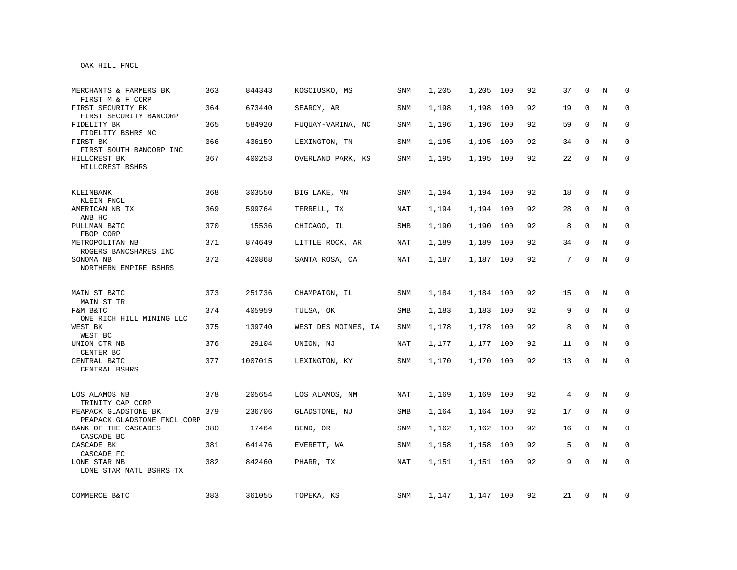## OAK HILL FNCL

| MERCHANTS & FARMERS BK<br>FIRST M & F CORP          | 363 | 844343  | KOSCIUSKO, MS       | SNM        | 1,205 | 1,205     | 100 | 92 | 37              | $\Omega$     | N | $\Omega$    |
|-----------------------------------------------------|-----|---------|---------------------|------------|-------|-----------|-----|----|-----------------|--------------|---|-------------|
| FIRST SECURITY BK<br>FIRST SECURITY BANCORP         | 364 | 673440  | SEARCY, AR          | SNM        | 1,198 | 1,198     | 100 | 92 | 19              | $\Omega$     | N | $\Omega$    |
| FIDELITY BK<br>FIDELITY BSHRS NC                    | 365 | 584920  | FUOUAY-VARINA, NC   | SNM        | 1,196 | 1,196     | 100 | 92 | 59              | $\Omega$     | N | $\Omega$    |
| FIRST BK<br>FIRST SOUTH BANCORP INC                 | 366 | 436159  | LEXINGTON, TN       | <b>SNM</b> | 1,195 | 1,195     | 100 | 92 | 34              | $\Omega$     | N | $\mathbf 0$ |
| HILLCREST BK<br>HILLCREST BSHRS                     | 367 | 400253  | OVERLAND PARK, KS   | SNM        | 1,195 | 1,195 100 |     | 92 | 22              | 0            | N | $\mathbf 0$ |
| KLEINBANK<br>KLEIN FNCL                             | 368 | 303550  | BIG LAKE, MN        | SNM        | 1,194 | 1,194 100 |     | 92 | 18              | 0            | N | 0           |
| AMERICAN NB TX<br>ANB HC                            | 369 | 599764  | TERRELL, TX         | NAT        | 1,194 | 1,194     | 100 | 92 | 28              | 0            | N | 0           |
| PULLMAN B&TC<br>FBOP CORP                           | 370 | 15536   | CHICAGO, IL         | SMB        | 1,190 | 1,190     | 100 | 92 | 8               | $\Omega$     | N | $\mathbf 0$ |
| METROPOLITAN NB<br>ROGERS BANCSHARES INC            | 371 | 874649  | LITTLE ROCK, AR     | NAT        | 1,189 | 1,189     | 100 | 92 | 34              | $\Omega$     | N | $\mathbf 0$ |
| SONOMA NB<br>NORTHERN EMPIRE BSHRS                  | 372 | 420868  | SANTA ROSA, CA      | NAT        | 1,187 | 1,187 100 |     | 92 | $7\overline{ }$ | $\Omega$     | N | $\mathbf 0$ |
| MAIN ST B&TC<br>MAIN ST TR                          | 373 | 251736  | CHAMPAIGN, IL       | SNM        | 1,184 | 1,184 100 |     | 92 | 15              | 0            | N | $\mathbf 0$ |
| F&M B&TC<br>ONE RICH HILL MINING LLC                | 374 | 405959  | TULSA, OK           | SMB        | 1,183 | 1,183     | 100 | 92 | 9               | $\mathbf 0$  | N | 0           |
| WEST BK<br>WEST BC                                  | 375 | 139740  | WEST DES MOINES, IA | SNM        | 1,178 | 1,178     | 100 | 92 | 8               | 0            | N | 0           |
| UNION CTR NB<br>CENTER BC                           | 376 | 29104   | UNION, NJ           | NAT        | 1,177 | 1,177 100 |     | 92 | 11              | $\mathbf 0$  | N | $\mathbf 0$ |
| CENTRAL B&TC<br>CENTRAL BSHRS                       | 377 | 1007015 | LEXINGTON, KY       | SNM        | 1,170 | 1,170 100 |     | 92 | 13              | $\mathbf 0$  | N | $\mathbf 0$ |
| LOS ALAMOS NB<br>TRINITY CAP CORP                   | 378 | 205654  | LOS ALAMOS, NM      | NAT        | 1,169 | 1,169 100 |     | 92 | 4               | $\mathbf 0$  | N | $\mathbf 0$ |
| PEAPACK GLADSTONE BK<br>PEAPACK GLADSTONE FNCL CORP | 379 | 236706  | GLADSTONE, NJ       | SMB        | 1,164 | 1,164 100 |     | 92 | 17              | $\mathbf 0$  | N | $\mathbf 0$ |
| BANK OF THE CASCADES<br>CASCADE BC                  | 380 | 17464   | BEND, OR            | <b>SNM</b> | 1,162 | 1,162 100 |     | 92 | 16              | $\mathbf 0$  | N | $\mathbf 0$ |
| CASCADE BK<br>CASCADE FC                            | 381 | 641476  | EVERETT, WA         | SNM        | 1,158 | 1,158     | 100 | 92 | 5               | $\mathbf 0$  | N | 0           |
| LONE STAR NB<br>LONE STAR NATL BSHRS TX             | 382 | 842460  | PHARR, TX           | NAT        | 1,151 | 1,151 100 |     | 92 | 9               | $\mathbf{0}$ | N | $\mathbf 0$ |
| COMMERCE B&TC                                       | 383 | 361055  | TOPEKA, KS          | SNM        | 1,147 | 1,147 100 |     | 92 | 21              | 0            | N | 0           |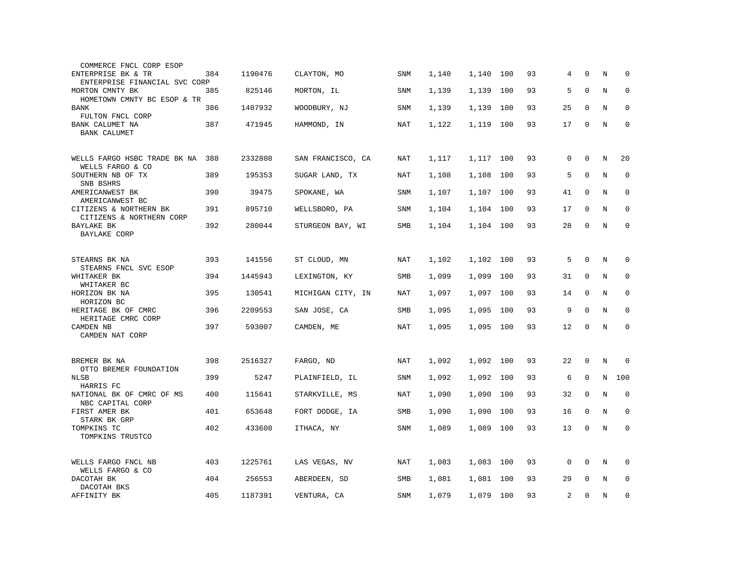| COMMERCE FNCL CORP ESOP                            |     |         |                   |            |       |           |     |    |    |              |   |             |
|----------------------------------------------------|-----|---------|-------------------|------------|-------|-----------|-----|----|----|--------------|---|-------------|
| ENTERPRISE BK & TR                                 | 384 | 1190476 | CLAYTON, MO       | <b>SNM</b> | 1,140 | 1,140     | 100 | 93 | 4  | $\Omega$     | N | $\Omega$    |
| ENTERPRISE FINANCIAL SVC CORP<br>MORTON CMNTY BK   | 385 | 825146  | MORTON, IL        | <b>SNM</b> | 1,139 | 1,139     | 100 | 93 | 5  | $\mathbf{0}$ | N | $\mathbf 0$ |
| HOMETOWN CMNTY BC ESOP & TR<br><b>BANK</b>         | 386 | 1407932 | WOODBURY, NJ      | <b>SNM</b> | 1,139 | 1,139     | 100 | 93 | 25 | $\mathbf 0$  | N | $\mathbf 0$ |
| FULTON FNCL CORP                                   |     |         |                   |            |       |           |     |    |    |              |   |             |
| BANK CALUMET NA<br><b>BANK CALUMET</b>             | 387 | 471945  | HAMMOND, IN       | NAT        | 1,122 | 1,119     | 100 | 93 | 17 | $\mathbf 0$  | N | $\mathbf 0$ |
|                                                    |     |         |                   |            |       |           |     |    |    |              |   |             |
| WELLS FARGO HSBC TRADE BK NA<br>WELLS FARGO & CO   | 388 | 2332808 | SAN FRANCISCO, CA | NAT        | 1,117 | 1,117     | 100 | 93 | 0  | $\mathbf 0$  | N | 20          |
| SOUTHERN NB OF TX<br>SNB BSHRS                     | 389 | 195353  | SUGAR LAND, TX    | NAT        | 1,108 | 1,108     | 100 | 93 | 5  | $\Omega$     | N | $\mathbf 0$ |
| AMERICANWEST BK<br>AMERICANWEST BC                 | 390 | 39475   | SPOKANE, WA       | <b>SNM</b> | 1,107 | 1,107     | 100 | 93 | 41 | $\mathbf 0$  | N | $\mathbf 0$ |
| CITIZENS & NORTHERN BK<br>CITIZENS & NORTHERN CORP | 391 | 895710  | WELLSBORO, PA     | SNM        | 1,104 | 1,104     | 100 | 93 | 17 | $\mathbf 0$  | N | $\mathbf 0$ |
| BAYLAKE BK                                         | 392 | 280044  | STURGEON BAY, WI  | SMB        | 1,104 | 1,104     | 100 | 93 | 28 | $\mathbf 0$  | N | $\mathbf 0$ |
| <b>BAYLAKE CORP</b>                                |     |         |                   |            |       |           |     |    |    |              |   |             |
| STEARNS BK NA<br>STEARNS FNCL SVC ESOP             | 393 | 141556  | ST CLOUD, MN      | NAT        | 1,102 | 1,102 100 |     | 93 | 5  | $\mathbf 0$  | N | $\mathbf 0$ |
| WHITAKER BK<br>WHITAKER BC                         | 394 | 1445943 | LEXINGTON, KY     | SMB        | 1,099 | 1,099     | 100 | 93 | 31 | $\mathbf 0$  | N | $\mathbf 0$ |
| HORIZON BK NA<br>HORIZON BC                        | 395 | 130541  | MICHIGAN CITY, IN | <b>NAT</b> | 1,097 | 1,097 100 |     | 93 | 14 | $\mathbf{0}$ | N | $\mathbf 0$ |
| HERITAGE BK OF CMRC                                | 396 | 2209553 | SAN JOSE, CA      | SMB        | 1,095 | 1,095     | 100 | 93 | 9  | $\mathbf 0$  | N | $\mathbf 0$ |
| HERITAGE CMRC CORP<br>CAMDEN NB                    | 397 | 593007  | CAMDEN, ME        | NAT        | 1,095 | 1,095 100 |     | 93 | 12 | $\Omega$     | N | $\mathbf 0$ |
| CAMDEN NAT CORP                                    |     |         |                   |            |       |           |     |    |    |              |   |             |
| BREMER BK NA                                       | 398 | 2516327 | FARGO, ND         | NAT        | 1,092 | 1,092     | 100 | 93 | 22 | $\mathbf 0$  | N | $\mathbf 0$ |
| OTTO BREMER FOUNDATION<br>NLSB                     | 399 | 5247    |                   | SNM        | 1,092 | 1,092     | 100 | 93 | 6  | $\mathbf 0$  | N | 100         |
| HARRIS FC                                          |     |         | PLAINFIELD, IL    |            |       |           |     |    |    |              |   |             |
| NATIONAL BK OF CMRC OF MS<br>NBC CAPITAL CORP      | 400 | 115641  | STARKVILLE, MS    | NAT        | 1,090 | 1,090     | 100 | 93 | 32 | $\Omega$     | N | $\mathbf 0$ |
| FIRST AMER BK<br>STARK BK GRP                      | 401 | 653648  | FORT DODGE, IA    | SMB        | 1,090 | 1,090     | 100 | 93 | 16 | $\mathbf 0$  | N | $\mathbf 0$ |
| TOMPKINS TC                                        | 402 | 433608  | ITHACA, NY        | <b>SNM</b> | 1,089 | 1,089     | 100 | 93 | 13 | $\mathbf 0$  | N | $\mathbf 0$ |
| TOMPKINS TRUSTCO                                   |     |         |                   |            |       |           |     |    |    |              |   |             |
| WELLS FARGO FNCL NB<br>WELLS FARGO & CO            | 403 | 1225761 | LAS VEGAS, NV     | NAT        | 1,083 | 1,083     | 100 | 93 | 0  | 0            | Ν | 0           |
| DACOTAH BK                                         | 404 | 256553  | ABERDEEN, SD      | SMB        | 1,081 | 1,081     | 100 | 93 | 29 | $\Omega$     | N | $\mathbf 0$ |
| DACOTAH BKS<br>AFFINITY BK                         | 405 | 1187391 | VENTURA, CA       | <b>SNM</b> | 1,079 | 1,079     | 100 | 93 | 2  | $\mathbf 0$  | N | $\mathbf 0$ |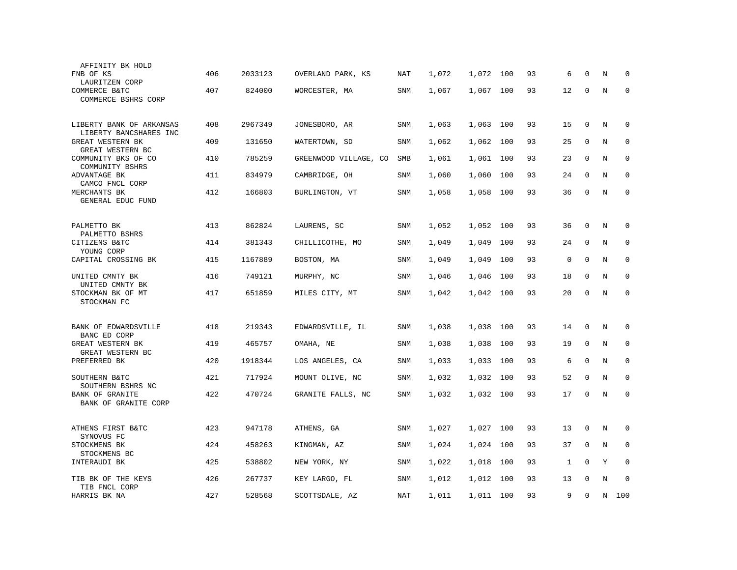| AFFINITY BK HOLD                                   |     |         |                       |            |       |           |     |    |             |             |         |             |
|----------------------------------------------------|-----|---------|-----------------------|------------|-------|-----------|-----|----|-------------|-------------|---------|-------------|
| FNB OF KS<br>LAURITZEN CORP                        | 406 | 2033123 | OVERLAND PARK, KS     | NAT        | 1,072 | 1,072     | 100 | 93 | 6           | $\Omega$    | N       | 0           |
| COMMERCE B&TC<br>COMMERCE BSHRS CORP               | 407 | 824000  | WORCESTER, MA         | <b>SNM</b> | 1,067 | 1,067     | 100 | 93 | 12          | $\mathbf 0$ | N       | $\mathbf 0$ |
| LIBERTY BANK OF ARKANSAS<br>LIBERTY BANCSHARES INC | 408 | 2967349 | JONESBORO, AR         | SNM        | 1,063 | 1,063     | 100 | 93 | 15          | $\mathbf 0$ | N       | $\mathbf 0$ |
| GREAT WESTERN BK<br>GREAT WESTERN BC               | 409 | 131650  | WATERTOWN, SD         | <b>SNM</b> | 1,062 | 1,062     | 100 | 93 | 25          | $\mathbf 0$ | N       | $\mathbf 0$ |
| COMMUNITY BKS OF CO<br>COMMUNITY BSHRS             | 410 | 785259  | GREENWOOD VILLAGE, CO | <b>SMB</b> | 1,061 | 1,061     | 100 | 93 | 23          | $\mathbf 0$ | N       | $\mathbf 0$ |
| ADVANTAGE BK<br>CAMCO FNCL CORP                    | 411 | 834979  | CAMBRIDGE, OH         | SNM        | 1,060 | 1,060     | 100 | 93 | 24          | $\Omega$    | N       | $\mathbf 0$ |
| MERCHANTS BK<br>GENERAL EDUC FUND                  | 412 | 166803  | BURLINGTON, VT        | SNM        | 1,058 | 1,058     | 100 | 93 | 36          | $\mathbf 0$ | N       | $\Omega$    |
| PALMETTO BK<br>PALMETTO BSHRS                      | 413 | 862824  | LAURENS, SC           | SNM        | 1,052 | 1,052     | 100 | 93 | 36          | 0           | N       | 0           |
| CITIZENS B&TC<br>YOUNG CORP                        | 414 | 381343  | CHILLICOTHE, MO       | SNM        | 1,049 | 1,049     | 100 | 93 | 24          | $\mathbf 0$ | N       | $\mathbf 0$ |
| CAPITAL CROSSING BK                                | 415 | 1167889 | BOSTON, MA            | <b>SNM</b> | 1,049 | 1,049     | 100 | 93 | $\mathsf 0$ | $\mathbf 0$ | N       | $\mathbf 0$ |
| UNITED CMNTY BK<br>UNITED CMNTY BK                 | 416 | 749121  | MURPHY, NC            | <b>SNM</b> | 1,046 | 1,046     | 100 | 93 | 18          | $\mathbf 0$ | N       | $\mathbf 0$ |
| STOCKMAN BK OF MT<br>STOCKMAN FC                   | 417 | 651859  | MILES CITY, MT        | SNM        | 1,042 | 1,042     | 100 | 93 | 20          | $\mathbf 0$ | N       | $\mathbf 0$ |
| BANK OF EDWARDSVILLE<br>BANC ED CORP               | 418 | 219343  | EDWARDSVILLE, IL      | SNM        | 1,038 | 1,038     | 100 | 93 | 14          | $\Omega$    | N       | 0           |
| GREAT WESTERN BK<br>GREAT WESTERN BC               | 419 | 465757  | OMAHA, NE             | <b>SNM</b> | 1,038 | 1,038     | 100 | 93 | 19          | $\mathbf 0$ | N       | $\mathbf 0$ |
| PREFERRED BK                                       | 420 | 1918344 | LOS ANGELES, CA       | <b>SNM</b> | 1,033 | 1,033     | 100 | 93 | 6           | $\mathbf 0$ | N       | $\mathbf 0$ |
| SOUTHERN B&TC<br>SOUTHERN BSHRS NC                 | 421 | 717924  | MOUNT OLIVE, NC       | <b>SNM</b> | 1,032 | 1,032     | 100 | 93 | 52          | $\mathbf 0$ | N       | $\mathbf 0$ |
| BANK OF GRANITE<br>BANK OF GRANITE CORP            | 422 | 470724  | GRANITE FALLS, NC     | SNM        | 1,032 | 1,032     | 100 | 93 | 17          | $\mathbf 0$ | N       | $\mathbf 0$ |
| ATHENS FIRST B&TC                                  | 423 | 947178  | ATHENS, GA            | SNM        | 1,027 | 1,027     | 100 | 93 | 13          | $\mathbf 0$ | N       | 0           |
| SYNOVUS FC<br>STOCKMENS BK<br>STOCKMENS BC         | 424 | 458263  | KINGMAN, AZ           | <b>SNM</b> | 1,024 | 1,024     | 100 | 93 | 37          | 0           | $\rm N$ | 0           |
| INTERAUDI BK                                       | 425 | 538802  | NEW YORK, NY          | SNM        | 1,022 | 1,018     | 100 | 93 | 1           | $\mathbf 0$ | Y       | $\mathbf 0$ |
| TIB BK OF THE KEYS<br>TIB FNCL CORP                | 426 | 267737  | KEY LARGO, FL         | <b>SNM</b> | 1,012 | 1,012     | 100 | 93 | 13          | $\Omega$    | N       | $\mathbf 0$ |
| HARRIS BK NA                                       | 427 | 528568  | SCOTTSDALE, AZ        | NAT        | 1,011 | 1,011 100 |     | 93 | 9           | $\mathbf 0$ | N       | 100         |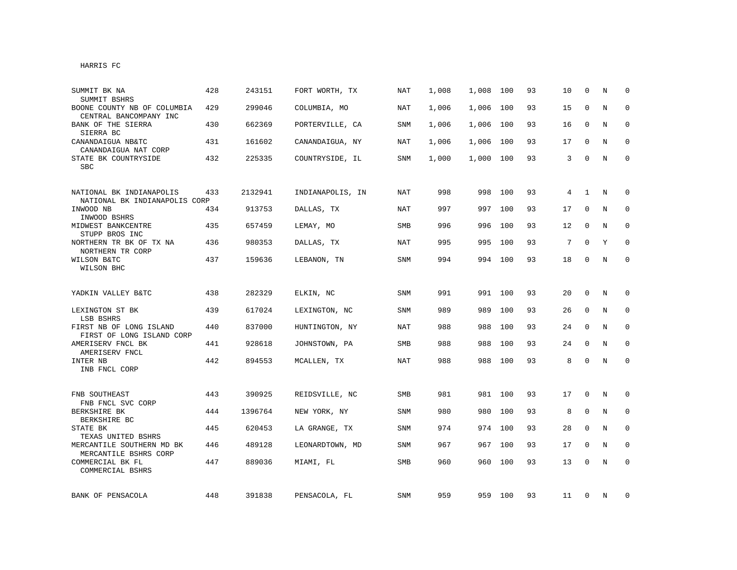| SUMMIT BK NA<br>SUMMIT BSHRS                              | 428 | 243151  | FORT WORTH, TX   | <b>NAT</b> | 1,008 | 1,008 | 100     | 93 | 10 | $\Omega$     | N       | $\Omega$     |
|-----------------------------------------------------------|-----|---------|------------------|------------|-------|-------|---------|----|----|--------------|---------|--------------|
| BOONE COUNTY NB OF COLUMBIA<br>CENTRAL BANCOMPANY INC     | 429 | 299046  | COLUMBIA, MO     | NAT        | 1,006 | 1,006 | 100     | 93 | 15 | 0            | N       | $\mathbf 0$  |
| BANK OF THE SIERRA<br>SIERRA BC                           | 430 | 662369  | PORTERVILLE, CA  | SNM        | 1,006 | 1,006 | 100     | 93 | 16 | 0            | N       | 0            |
| CANANDAIGUA NB&TC<br>CANANDAIGUA NAT CORP                 | 431 | 161602  | CANANDAIGUA, NY  | NAT        | 1,006 | 1,006 | 100     | 93 | 17 | $\Omega$     | N       | $\mathbf 0$  |
| STATE BK COUNTRYSIDE<br><b>SBC</b>                        | 432 | 225335  | COUNTRYSIDE, IL  | SNM        | 1,000 | 1,000 | 100     | 93 | 3  | $\Omega$     | N       | $\mathbf{0}$ |
| NATIONAL BK INDIANAPOLIS<br>NATIONAL BK INDIANAPOLIS CORP | 433 | 2132941 | INDIANAPOLIS, IN | <b>NAT</b> | 998   | 998   | 100     | 93 | 4  | $\mathbf{1}$ | N       | $\mathbf 0$  |
| INWOOD NB<br>INWOOD BSHRS                                 | 434 | 913753  | DALLAS, TX       | <b>NAT</b> | 997   | 997   | 100     | 93 | 17 | $\mathbf 0$  | N       | $\mathbf 0$  |
| MIDWEST BANKCENTRE<br>STUPP BROS INC                      | 435 | 657459  | LEMAY, MO        | <b>SMB</b> | 996   | 996   | 100     | 93 | 12 | 0            | N       | 0            |
| NORTHERN TR BK OF TX NA<br>NORTHERN TR CORP               | 436 | 980353  | DALLAS, TX       | NAT        | 995   | 995   | 100     | 93 | 7  | $\Omega$     | Y       | $\Omega$     |
| WILSON B&TC<br>WILSON BHC                                 | 437 | 159636  | LEBANON, TN      | <b>SNM</b> | 994   |       | 994 100 | 93 | 18 | $\mathbf{0}$ | N       | $\mathbf 0$  |
| YADKIN VALLEY B&TC                                        | 438 | 282329  | ELKIN, NC        | SNM        | 991   | 991   | 100     | 93 | 20 | 0            | N       | 0            |
| LEXINGTON ST BK<br>LSB BSHRS                              | 439 | 617024  | LEXINGTON, NC    | <b>SNM</b> | 989   | 989   | 100     | 93 | 26 | $\mathbf 0$  | N       | $\mathbf 0$  |
| FIRST NB OF LONG ISLAND<br>FIRST OF LONG ISLAND CORP      | 440 | 837000  | HUNTINGTON, NY   | NAT        | 988   | 988   | 100     | 93 | 24 | 0            | N       | 0            |
| AMERISERV FNCL BK<br>AMERISERV FNCL                       | 441 | 928618  | JOHNSTOWN, PA    | <b>SMB</b> | 988   | 988   | 100     | 93 | 24 | $\Omega$     | N       | 0            |
| INTER NB<br>INB FNCL CORP                                 | 442 | 894553  | MCALLEN, TX      | <b>NAT</b> | 988   | 988   | 100     | 93 | 8  | $\Omega$     | $\rm N$ | $\mathbf 0$  |
| FNB SOUTHEAST<br>FNB FNCL SVC CORP                        | 443 | 390925  | REIDSVILLE, NC   | <b>SMB</b> | 981   | 981   | 100     | 93 | 17 | 0            | N       | 0            |
| BERKSHIRE BK<br>BERKSHIRE BC                              | 444 | 1396764 | NEW YORK, NY     | <b>SNM</b> | 980   | 980   | 100     | 93 | 8  | $\mathbf 0$  | N       | $\mathbf 0$  |
| STATE BK<br>TEXAS UNITED BSHRS                            | 445 | 620453  | LA GRANGE, TX    | SNM        | 974   | 974   | 100     | 93 | 28 | 0            | N       | 0            |
| MERCANTILE SOUTHERN MD BK<br>MERCANTILE BSHRS CORP        | 446 | 489128  | LEONARDTOWN, MD  | SNM        | 967   | 967   | 100     | 93 | 17 | 0            | N       | $\mathbf 0$  |
| COMMERCIAL BK FL<br>COMMERCIAL BSHRS                      | 447 | 889036  | MIAMI, FL        | SMB        | 960   | 960   | 100     | 93 | 13 | $\mathbf{0}$ | N       | $\mathbf 0$  |
| BANK OF PENSACOLA                                         | 448 | 391838  | PENSACOLA, FL    | SNM        | 959   | 959   | 100     | 93 | 11 | 0            | N       | 0            |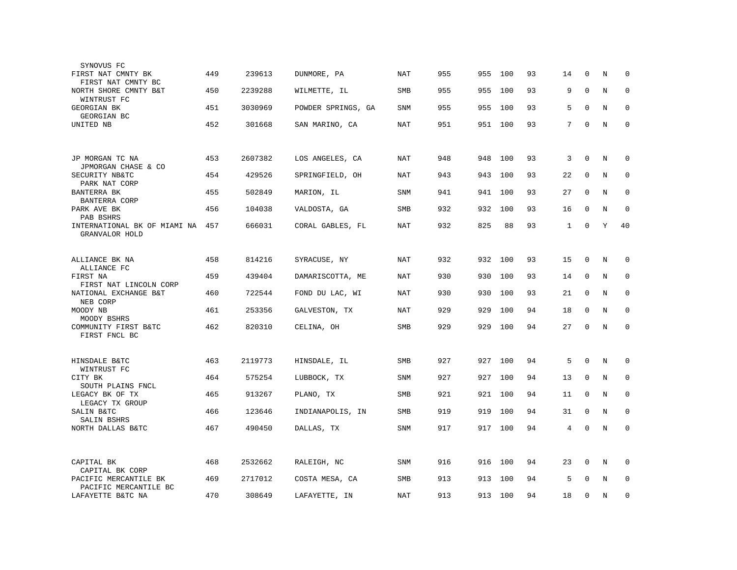| SYNOVUS FC<br>FIRST NAT CMNTY BK               | 449 | 239613  | DUNMORE, PA        | NAT        | 955 | 955 | 100     | 93 | 14           | 0            | N | 0           |
|------------------------------------------------|-----|---------|--------------------|------------|-----|-----|---------|----|--------------|--------------|---|-------------|
| FIRST NAT CMNTY BC<br>NORTH SHORE CMNTY B&T    | 450 | 2239288 | WILMETTE, IL       | <b>SMB</b> | 955 | 955 | 100     | 93 | 9            | $\mathbf 0$  | N | $\mathbf 0$ |
| WINTRUST FC<br>GEORGIAN BK                     | 451 | 3030969 | POWDER SPRINGS, GA | SNM        | 955 | 955 | 100     | 93 | 5            | 0            | N | $\mathbf 0$ |
| GEORGIAN BC<br>UNITED NB                       | 452 | 301668  | SAN MARINO, CA     | <b>NAT</b> | 951 |     | 951 100 | 93 | 7            | $\mathbf 0$  | N | $\Omega$    |
|                                                |     |         |                    |            |     |     |         |    |              |              |   |             |
| JP MORGAN TC NA                                | 453 | 2607382 | LOS ANGELES, CA    | NAT        | 948 | 948 | 100     | 93 | 3            | $\mathbf 0$  | Ν | 0           |
| JPMORGAN CHASE & CO<br>SECURITY NB&TC          | 454 | 429526  | SPRINGFIELD, OH    | <b>NAT</b> | 943 | 943 | 100     | 93 | 22           | 0            | N | 0           |
| PARK NAT CORP<br>BANTERRA BK                   | 455 | 502849  | MARION, IL         | SNM        | 941 | 941 | 100     | 93 | 27           | 0            | N | $\mathbf 0$ |
| BANTERRA CORP<br>PARK AVE BK                   | 456 | 104038  | VALDOSTA, GA       | <b>SMB</b> | 932 | 932 | 100     | 93 | 16           | $\mathbf 0$  | N | $\mathbf 0$ |
| PAB BSHRS<br>INTERNATIONAL BK OF MIAMI NA 457  |     | 666031  | CORAL GABLES, FL   | NAT        | 932 | 825 | 88      | 93 | $\mathbf{1}$ | $\mathbf{0}$ | Υ | 40          |
| GRANVALOR HOLD                                 |     |         |                    |            |     |     |         |    |              |              |   |             |
| ALLIANCE BK NA<br>ALLIANCE FC                  | 458 | 814216  | SYRACUSE, NY       | <b>NAT</b> | 932 |     | 932 100 | 93 | 15           | $\mathbf 0$  | N | 0           |
| FIRST NA<br>FIRST NAT LINCOLN CORP             | 459 | 439404  | DAMARISCOTTA, ME   | NAT        | 930 | 930 | 100     | 93 | 14           | $\mathbf 0$  | N | $\mathbf 0$ |
| NATIONAL EXCHANGE B&T<br>NEB CORP              | 460 | 722544  | FOND DU LAC, WI    | <b>NAT</b> | 930 | 930 | 100     | 93 | 21           | 0            | N | $\mathbf 0$ |
| MOODY NB<br>MOODY BSHRS                        | 461 | 253356  | GALVESTON, TX      | NAT        | 929 | 929 | 100     | 94 | 18           | $\mathbf 0$  | N | $\mathbf 0$ |
| COMMUNITY FIRST B&TC<br>FIRST FNCL BC          | 462 | 820310  | CELINA, OH         | <b>SMB</b> | 929 | 929 | 100     | 94 | 27           | $\Omega$     | N | $\mathbf 0$ |
|                                                |     |         |                    |            |     |     |         |    |              |              |   |             |
| HINSDALE B&TC<br>WINTRUST FC                   | 463 | 2119773 | HINSDALE, IL       | <b>SMB</b> | 927 | 927 | 100     | 94 | 5            | $\Omega$     | N | $\Omega$    |
| CITY BK<br>SOUTH PLAINS FNCL                   | 464 | 575254  | LUBBOCK, TX        | SNM        | 927 | 927 | 100     | 94 | 13           | $\mathbf 0$  | N | 0           |
| LEGACY BK OF TX<br>LEGACY TX GROUP             | 465 | 913267  | PLANO, TX          | <b>SMB</b> | 921 | 921 | 100     | 94 | 11           | 0            | N | 0           |
| SALIN B&TC<br>SALIN BSHRS                      | 466 | 123646  | INDIANAPOLIS, IN   | <b>SMB</b> | 919 | 919 | 100     | 94 | 31           | $\mathbf 0$  | N | $\mathbf 0$ |
| NORTH DALLAS B&TC                              | 467 | 490450  | DALLAS, TX         | SNM        | 917 | 917 | 100     | 94 | 4            | $\mathbf 0$  | N | $\mathbf 0$ |
|                                                |     |         |                    |            |     |     |         |    |              |              |   |             |
| CAPITAL BK<br>CAPITAL BK CORP                  | 468 | 2532662 | RALEIGH, NC        | SNM        | 916 | 916 | 100     | 94 | 23           | $\mathbf 0$  | N | $\mathbf 0$ |
| PACIFIC MERCANTILE BK<br>PACIFIC MERCANTILE BC | 469 | 2717012 | COSTA MESA, CA     | <b>SMB</b> | 913 | 913 | 100     | 94 | 5            | $\Omega$     | N | $\mathbf 0$ |
| LAFAYETTE B&TC NA                              | 470 | 308649  | LAFAYETTE, IN      | <b>NAT</b> | 913 | 913 | 100     | 94 | 18           | $\Omega$     | N | 0           |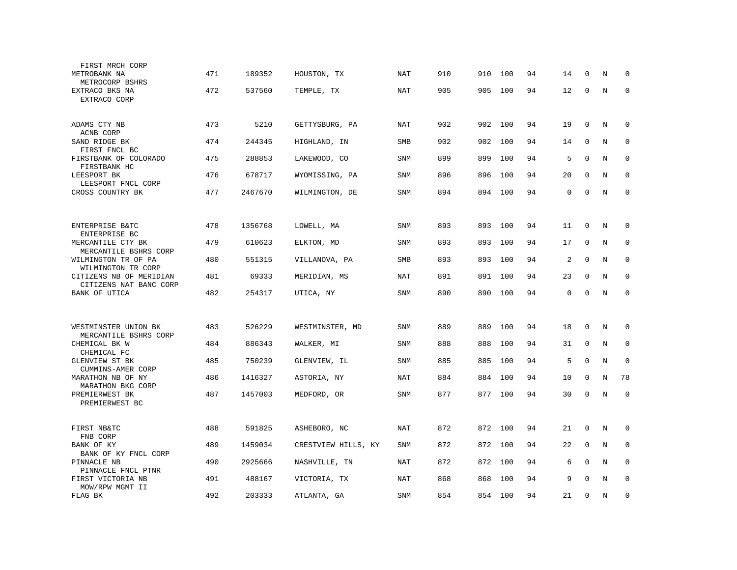| FIRST MRCH CORP<br>METROBANK NA<br>METROCORP BSHRS          | 471 | 189352  | HOUSTON, TX         | <b>NAT</b> | 910 | 910 | 100     | 94 | 14          | 0           | $\rm N$ | $\mathbf 0$ |
|-------------------------------------------------------------|-----|---------|---------------------|------------|-----|-----|---------|----|-------------|-------------|---------|-------------|
| EXTRACO BKS NA<br>EXTRACO CORP                              | 472 | 537560  | TEMPLE, TX          | NAT        | 905 | 905 | 100     | 94 | 12          | $\mathbf 0$ | N       | $\mathbf 0$ |
|                                                             |     |         |                     |            |     |     |         |    |             |             |         |             |
| ADAMS CTY NB<br>ACNB CORP                                   | 473 | 5210    | GETTYSBURG, PA      | <b>NAT</b> | 902 | 902 | 100     | 94 | 19          | 0           | N       | $\mathbf 0$ |
| SAND RIDGE BK                                               | 474 | 244345  | HIGHLAND, IN        | <b>SMB</b> | 902 | 902 | 100     | 94 | 14          | $\mathbf 0$ | N       | $\mathbf 0$ |
| FIRST FNCL BC<br>FIRSTBANK OF COLORADO<br>FIRSTBANK HC      | 475 | 288853  | LAKEWOOD, CO        | SNM        | 899 | 899 | 100     | 94 | 5           | $\Omega$    | N       | $\Omega$    |
| LEESPORT BK<br>LEESPORT FNCL CORP                           | 476 | 678717  | WYOMISSING, PA      | SNM        | 896 | 896 | 100     | 94 | 20          | $\mathbf 0$ | N       | $\mathbf 0$ |
| CROSS COUNTRY BK                                            | 477 | 2467670 | WILMINGTON, DE      | SNM        | 894 | 894 | 100     | 94 | $\mathbf 0$ | $\mathbf 0$ | N       | $\mathbf 0$ |
|                                                             |     |         |                     |            |     |     |         |    |             |             |         |             |
| ENTERPRISE B&TC                                             | 478 | 1356768 | LOWELL, MA          | SNM        | 893 | 893 | 100     | 94 | 11          | 0           | Ν       | $\mathbf 0$ |
| ENTERPRISE BC<br>MERCANTILE CTY BK<br>MERCANTILE BSHRS CORP | 479 | 610623  | ELKTON, MD          | SNM        | 893 | 893 | 100     | 94 | 17          | $\mathbf 0$ | N       | $\mathbf 0$ |
| WILMINGTON TR OF PA<br>WILMINGTON TR CORP                   | 480 | 551315  | VILLANOVA, PA       | <b>SMB</b> | 893 | 893 | 100     | 94 | 2           | $\Omega$    | N       | 0           |
| CITIZENS NB OF MERIDIAN<br>CITIZENS NAT BANC CORP           | 481 | 69333   | MERIDIAN, MS        | NAT        | 891 | 891 | 100     | 94 | 23          | $\Omega$    | N       | $\mathbf 0$ |
| BANK OF UTICA                                               | 482 | 254317  | UTICA, NY           | SNM        | 890 | 890 | 100     | 94 | 0           | $\mathbf 0$ | $\rm N$ | $\mathbf 0$ |
|                                                             |     |         |                     |            |     |     |         |    |             |             |         |             |
| WESTMINSTER UNION BK<br>MERCANTILE BSHRS CORP               | 483 | 526229  | WESTMINSTER, MD     | <b>SNM</b> | 889 | 889 | 100     | 94 | 18          | $\mathbf 0$ | N       | $\mathbf 0$ |
| CHEMICAL BK W<br>CHEMICAL FC                                | 484 | 886343  | WALKER, MI          | <b>SNM</b> | 888 | 888 | 100     | 94 | 31          | $\mathbf 0$ | N       | $\mathbf 0$ |
| <b>GLENVIEW ST BK</b><br>CUMMINS-AMER CORP                  | 485 | 750239  | GLENVIEW, IL        | SNM        | 885 | 885 | 100     | 94 | 5           | 0           | N       | $\mathbf 0$ |
| MARATHON NB OF NY<br>MARATHON BKG CORP                      | 486 | 1416327 | ASTORIA, NY         | NAT        | 884 | 884 | 100     | 94 | 10          | 0           | N       | 78          |
| PREMIERWEST BK<br>PREMIERWEST BC                            | 487 | 1457003 | MEDFORD, OR         | SNM        | 877 | 877 | 100     | 94 | 30          | 0           | N       | $\mathbf 0$ |
|                                                             |     |         |                     |            |     |     |         |    |             |             |         |             |
| FIRST NB&TC<br>FNB CORP                                     | 488 | 591825  | ASHEBORO, NC        | <b>NAT</b> | 872 |     | 872 100 | 94 | 21          | $\mathbf 0$ | N       | $\Omega$    |
| BANK OF KY<br>BANK OF KY FNCL CORP                          | 489 | 1459034 | CRESTVIEW HILLS, KY | SNM        | 872 | 872 | 100     | 94 | 22          | $\mathbf 0$ | N       | $\mathbf 0$ |
| PINNACLE NB<br>PINNACLE FNCL PTNR                           | 490 | 2925666 | NASHVILLE, TN       | NAT        | 872 | 872 | 100     | 94 | 6           | $\mathbf 0$ | N       | $\mathbf 0$ |
| FIRST VICTORIA NB<br>MOW/RPW MGMT II                        | 491 | 488167  | VICTORIA, TX        | <b>NAT</b> | 868 | 868 | 100     | 94 | 9           | $\Omega$    | N       | $\Omega$    |
| FLAG BK                                                     | 492 | 203333  | ATLANTA, GA         | SNM        | 854 | 854 | 100     | 94 | 21          | $\mathbf 0$ | N       | $\mathbf 0$ |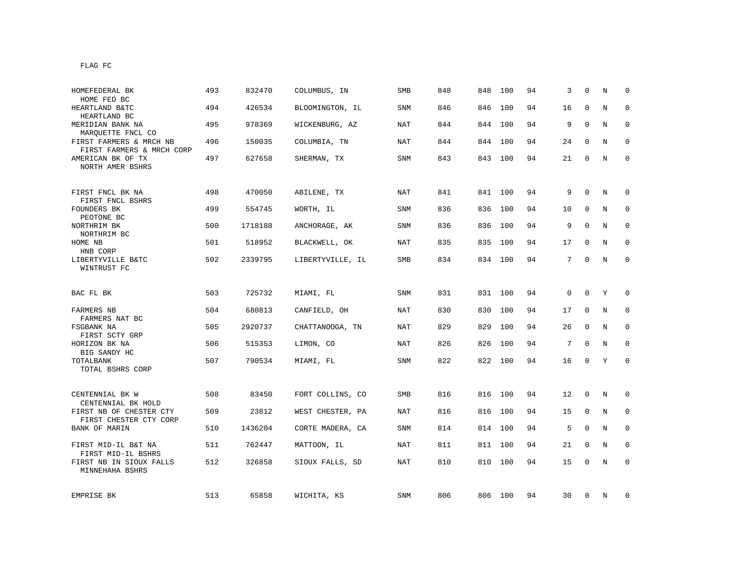| HOMEFEDERAL BK<br>HOME FED BC                        | 493 | 832470  | COLUMBUS, IN     | SMB        | 848 | 848     | 100     | 94 | 3  | $\Omega$     | N           | $\Omega$     |
|------------------------------------------------------|-----|---------|------------------|------------|-----|---------|---------|----|----|--------------|-------------|--------------|
| HEARTLAND B&TC<br>HEARTLAND BC                       | 494 | 426534  | BLOOMINGTON, IL  | SNM        | 846 | 846     | 100     | 94 | 16 | $\mathbf{0}$ | N           | $\mathbf 0$  |
| MERIDIAN BANK NA<br>MARQUETTE FNCL CO                | 495 | 978369  | WICKENBURG, AZ   | NAT        | 844 | 844     | 100     | 94 | 9  | $\Omega$     | N           | $\mathbf 0$  |
| FIRST FARMERS & MRCH NB<br>FIRST FARMERS & MRCH CORP | 496 | 150035  | COLUMBIA, TN     | NAT        | 844 | 844     | 100     | 94 | 24 | $\mathbf 0$  | N           | $\mathbf 0$  |
| AMERICAN BK OF TX<br>NORTH AMER BSHRS                | 497 | 627658  | SHERMAN, TX      | SNM        | 843 |         | 843 100 | 94 | 21 | $\Omega$     | N           | $\mathbf{0}$ |
| FIRST FNCL BK NA<br>FIRST FNCL BSHRS                 | 498 | 470050  | ABILENE, TX      | NAT        | 841 |         | 841 100 | 94 | 9  | $\mathbf 0$  | N           | $\mathbf 0$  |
| FOUNDERS BK<br>PEOTONE BC                            | 499 | 554745  | WORTH, IL        | <b>SNM</b> | 836 | 836     | 100     | 94 | 10 | $\mathbf{0}$ | N           | $\mathbf 0$  |
| NORTHRIM BK<br>NORTHRIM BC                           | 500 | 1718188 | ANCHORAGE, AK    | SNM        | 836 | 836     | 100     | 94 | 9  | $\Omega$     | N           | $\mathbf{0}$ |
| HOME NB<br>HNB CORP                                  | 501 | 518952  | BLACKWELL, OK    | <b>NAT</b> | 835 | 835 100 |         | 94 | 17 | $\mathbf 0$  | N           | 0            |
| LIBERTYVILLE B&TC<br>WINTRUST FC                     | 502 | 2339795 | LIBERTYVILLE, IL | SMB        | 834 |         | 834 100 | 94 | 7  | $\mathbf 0$  | N           | 0            |
| BAC FL BK                                            | 503 | 725732  | MIAMI, FL        | SNM        | 831 |         | 831 100 | 94 | 0  | $\mathbf 0$  | Y           | $\mathbf 0$  |
| FARMERS NB                                           | 504 | 680813  | CANFIELD, OH     | <b>NAT</b> | 830 | 830     | 100     | 94 | 17 | $\mathbf{0}$ | N           | $\mathbf 0$  |
| FARMERS NAT BC<br>FSGBANK NA<br>FIRST SCTY GRP       | 505 | 2920737 | CHATTANOOGA, TN  | <b>NAT</b> | 829 | 829     | 100     | 94 | 26 | $\Omega$     | N           | $\mathbf 0$  |
| HORIZON BK NA<br>BIG SANDY HC                        | 506 | 515353  | LIMON, CO        | <b>NAT</b> | 826 | 826     | 100     | 94 | 7  | $\mathbf{0}$ | N           | $\mathbf 0$  |
| TOTALBANK<br>TOTAL BSHRS CORP                        | 507 | 790534  | MIAMI, FL        | SNM        | 822 |         | 822 100 | 94 | 16 | $\mathbf 0$  | Y           | $\mathbf 0$  |
| CENTENNIAL BK W<br>CENTENNIAL BK HOLD                | 508 | 83450   | FORT COLLINS, CO | <b>SMB</b> | 816 |         | 816 100 | 94 | 12 | $\mathbf 0$  | N           | $\mathbf 0$  |
| FIRST NB OF CHESTER CTY<br>FIRST CHESTER CTY CORP    | 509 | 23812   | WEST CHESTER, PA | NAT        | 816 | 816     | 100     | 94 | 15 | $\mathbf 0$  | N           | $\mathbf{0}$ |
| BANK OF MARIN                                        | 510 | 1436204 | CORTE MADERA, CA | SNM        | 814 | 814     | 100     | 94 | 5  | $\mathbf 0$  | N           | 0            |
| FIRST MID-IL B&T NA<br>FIRST MID-IL BSHRS            | 511 | 762447  | MATTOON, IL      | NAT        | 811 | 811     | 100     | 94 | 21 | $\mathbf{0}$ | N           | $\mathbf{0}$ |
| FIRST NB IN SIOUX FALLS<br>MINNEHAHA BSHRS           | 512 | 326858  | SIOUX FALLS, SD  | NAT        | 810 | 810     | 100     | 94 | 15 | $\mathbf 0$  | $\mathbf N$ | $\mathbf 0$  |
| EMPRISE BK                                           | 513 | 65858   | WICHITA, KS      | SNM        | 806 |         | 806 100 | 94 | 30 | 0            | N           | 0            |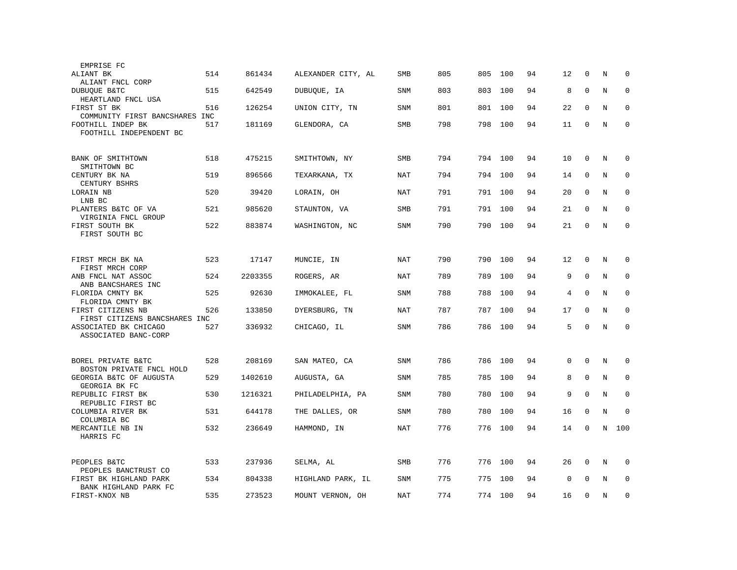| EMPRISE FC                                      |     |         |                    |            |     |     |         |    |             |              |         |             |
|-------------------------------------------------|-----|---------|--------------------|------------|-----|-----|---------|----|-------------|--------------|---------|-------------|
| ALIANT BK                                       | 514 | 861434  | ALEXANDER CITY, AL | SMB        | 805 | 805 | 100     | 94 | 12          | $\mathbf 0$  | N       | $\mathbf 0$ |
| ALIANT FNCL CORP                                |     |         |                    |            |     |     |         |    |             |              |         |             |
| DUBUQUE B&TC                                    | 515 | 642549  | DUBUQUE, IA        | <b>SNM</b> | 803 | 803 | 100     | 94 | 8           | $\mathbf{0}$ | N       | 0           |
| HEARTLAND FNCL USA<br>FIRST ST BK               | 516 | 126254  | UNION CITY, TN     | SNM        | 801 | 801 | 100     | 94 | 22          | $\mathbf{0}$ | N       | $\mathbf 0$ |
| COMMUNITY FIRST BANCSHARES INC                  |     |         |                    |            |     |     |         |    |             |              |         |             |
| FOOTHILL INDEP BK                               | 517 | 181169  | GLENDORA, CA       | SMB        | 798 | 798 | 100     | 94 | 11          | $\mathbf 0$  | N       | $\mathbf 0$ |
| FOOTHILL INDEPENDENT BC                         |     |         |                    |            |     |     |         |    |             |              |         |             |
|                                                 |     |         |                    |            |     |     |         |    |             |              |         |             |
| BANK OF SMITHTOWN                               | 518 | 475215  | SMITHTOWN, NY      | SMB        | 794 |     | 794 100 | 94 | 10          | 0            | $\rm N$ | 0           |
| SMITHTOWN BC                                    |     |         |                    |            |     |     |         |    |             |              |         |             |
| CENTURY BK NA                                   | 519 | 896566  | TEXARKANA, TX      | NAT        | 794 | 794 | 100     | 94 | 14          | $\mathbf 0$  | N       | $\mathbf 0$ |
| CENTURY BSHRS                                   |     |         |                    |            |     |     |         |    |             |              |         |             |
| LORAIN NB<br>LNB BC                             | 520 | 39420   | LORAIN, OH         | <b>NAT</b> | 791 | 791 | 100     | 94 | 20          | $\mathbf{0}$ | N       | $\mathbf 0$ |
| PLANTERS B&TC OF VA                             | 521 | 985620  | STAUNTON, VA       | <b>SMB</b> | 791 | 791 | 100     | 94 | 21          | $\Omega$     | N       | $\Omega$    |
| VIRGINIA FNCL GROUP                             |     |         |                    |            |     |     |         |    |             |              |         |             |
| FIRST SOUTH BK                                  | 522 | 883874  | WASHINGTON, NC     | <b>SNM</b> | 790 | 790 | 100     | 94 | 21          | $\Omega$     | N       | $\mathbf 0$ |
| FIRST SOUTH BC                                  |     |         |                    |            |     |     |         |    |             |              |         |             |
|                                                 |     |         |                    |            |     |     |         |    |             |              |         |             |
| FIRST MRCH BK NA                                | 523 | 17147   | MUNCIE, IN         | <b>NAT</b> | 790 | 790 | 100     | 94 | 12          | $\mathbf 0$  | N       | 0           |
| FIRST MRCH CORP                                 |     |         |                    |            |     |     |         |    |             |              |         |             |
| ANB FNCL NAT ASSOC                              | 524 | 2203355 | ROGERS, AR         | NAT        | 789 | 789 | 100     | 94 | 9           | $\mathbf{0}$ | N       | $\mathbf 0$ |
| ANB BANCSHARES INC<br>FLORIDA CMNTY BK          | 525 | 92630   | IMMOKALEE, FL      | <b>SNM</b> | 788 | 788 | 100     | 94 | 4           | $\Omega$     | N       | $\mathbf 0$ |
| FLORIDA CMNTY BK                                |     |         |                    |            |     |     |         |    |             |              |         |             |
| FIRST CITIZENS NB                               | 526 | 133850  | DYERSBURG, TN      | <b>NAT</b> | 787 | 787 | 100     | 94 | 17          | $\mathbf 0$  | N       | 0           |
| FIRST CITIZENS BANCSHARES INC                   |     |         |                    |            |     |     |         |    |             |              |         |             |
| ASSOCIATED BK CHICAGO                           | 527 | 336932  | CHICAGO, IL        | <b>SNM</b> | 786 | 786 | 100     | 94 | 5           | $\Omega$     | N       | $\mathbf 0$ |
| ASSOCIATED BANC-CORP                            |     |         |                    |            |     |     |         |    |             |              |         |             |
|                                                 |     |         |                    |            |     |     |         |    |             |              |         |             |
| BOREL PRIVATE B&TC                              | 528 | 208169  | SAN MATEO, CA      | <b>SNM</b> | 786 | 786 | 100     | 94 | 0           | $\mathbf{0}$ | N       | $\mathbf 0$ |
| BOSTON PRIVATE FNCL HOLD                        |     |         |                    |            |     |     |         |    |             |              |         |             |
| GEORGIA B&TC OF AUGUSTA                         | 529 | 1402610 | AUGUSTA, GA        | SNM        | 785 | 785 | 100     | 94 | 8           | $\mathbf 0$  | N       | 0           |
| GEORGIA BK FC<br>REPUBLIC FIRST BK              | 530 | 1216321 | PHILADELPHIA, PA   | SNM        | 780 | 780 | 100     | 94 | 9           | $\mathbf{0}$ | N       | $\mathbf 0$ |
| REPUBLIC FIRST BC                               |     |         |                    |            |     |     |         |    |             |              |         |             |
| COLUMBIA RIVER BK                               | 531 | 644178  | THE DALLES, OR     | <b>SNM</b> | 780 | 780 | 100     | 94 | 16          | $\mathbf{0}$ | N       | $\Omega$    |
| COLUMBIA BC                                     |     |         |                    |            |     |     |         |    |             |              |         |             |
| MERCANTILE NB IN                                | 532 | 236649  | HAMMOND, IN        | <b>NAT</b> | 776 | 776 | 100     | 94 | 14          | $\mathbf 0$  | N       | 100         |
| HARRIS FC                                       |     |         |                    |            |     |     |         |    |             |              |         |             |
|                                                 |     |         |                    |            |     |     |         |    |             |              |         |             |
| PEOPLES B&TC                                    | 533 | 237936  | SELMA, AL          | SMB        | 776 | 776 | 100     | 94 | 26          | 0            | N       | 0           |
| PEOPLES BANCTRUST CO                            |     |         |                    |            |     |     |         |    |             |              |         |             |
| FIRST BK HIGHLAND PARK<br>BANK HIGHLAND PARK FC | 534 | 804338  | HIGHLAND PARK, IL  | <b>SNM</b> | 775 | 775 | 100     | 94 | $\mathbf 0$ | $\Omega$     | N       | $\mathbf 0$ |
| FIRST-KNOX NB                                   | 535 | 273523  | MOUNT VERNON, OH   | <b>NAT</b> | 774 | 774 | 100     | 94 | 16          | $\mathbf{0}$ | N       | $\mathbf 0$ |
|                                                 |     |         |                    |            |     |     |         |    |             |              |         |             |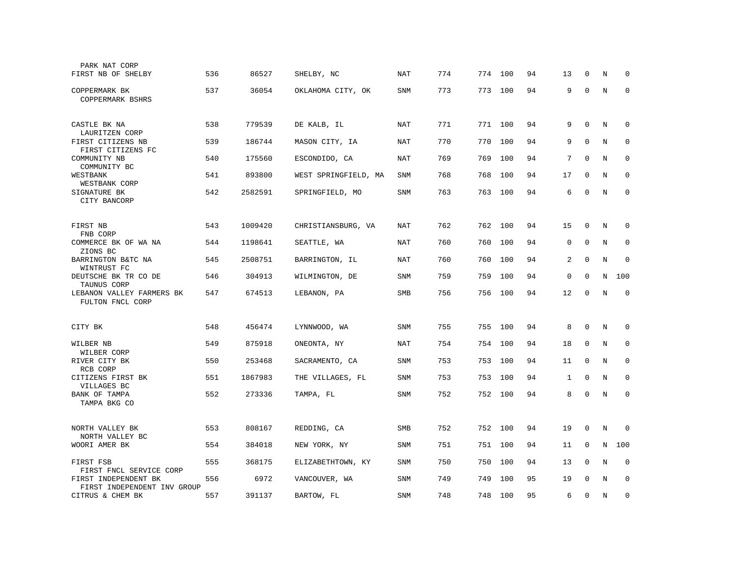| PARK NAT CORP<br>FIRST NB OF SHELBY                 | 536 | 86527   | SHELBY, NC           | NAT        | 774 | 774     | 100     | 94 | 13           | 0           | N       | 0           |
|-----------------------------------------------------|-----|---------|----------------------|------------|-----|---------|---------|----|--------------|-------------|---------|-------------|
| COPPERMARK BK<br>COPPERMARK BSHRS                   | 537 | 36054   | OKLAHOMA CITY, OK    | <b>SNM</b> | 773 | 773     | 100     | 94 | 9            | $\mathbf 0$ | N       | $\mathbf 0$ |
| CASTLE BK NA<br>LAURITZEN CORP                      | 538 | 779539  | DE KALB, IL          | NAT        | 771 | 771 100 |         | 94 | 9            | $\mathbf 0$ | $\rm N$ | 0           |
| FIRST CITIZENS NB<br>FIRST CITIZENS FC              | 539 | 186744  | MASON CITY, IA       | <b>NAT</b> | 770 | 770     | 100     | 94 | 9            | $\mathbf 0$ | N       | $\mathbf 0$ |
| COMMUNITY NB<br>COMMUNITY BC                        | 540 | 175560  | ESCONDIDO, CA        | <b>NAT</b> | 769 | 769     | 100     | 94 | 7            | $\mathbf 0$ | N       | $\mathbf 0$ |
| WESTBANK<br>WESTBANK CORP                           | 541 | 893800  | WEST SPRINGFIELD, MA | <b>SNM</b> | 768 | 768     | 100     | 94 | 17           | $\Omega$    | N       | $\Omega$    |
| SIGNATURE BK<br>CITY BANCORP                        | 542 | 2582591 | SPRINGFIELD, MO      | SNM        | 763 | 763     | 100     | 94 | 6            | $\Omega$    | N       | $\mathbf 0$ |
| FIRST NB<br>FNB CORP                                | 543 | 1009420 | CHRISTIANSBURG, VA   | NAT        | 762 |         | 762 100 | 94 | 15           | 0           | N       | 0           |
| COMMERCE BK OF WA NA<br>ZIONS BC                    | 544 | 1198641 | SEATTLE, WA          | <b>NAT</b> | 760 | 760     | 100     | 94 | $\mathbf 0$  | $\mathbf 0$ | N       | 0           |
| BARRINGTON B&TC NA<br>WINTRUST FC                   | 545 | 2508751 | BARRINGTON, IL       | <b>NAT</b> | 760 | 760     | 100     | 94 | 2            | $\mathbf 0$ | N       | $\mathbf 0$ |
| DEUTSCHE BK TR CO DE<br>TAUNUS CORP                 | 546 | 304913  | WILMINGTON, DE       | <b>SNM</b> | 759 | 759     | 100     | 94 | $\mathsf 0$  | $\mathbf 0$ | N       | 100         |
| LEBANON VALLEY FARMERS BK<br>FULTON FNCL CORP       | 547 | 674513  | LEBANON, PA          | SMB        | 756 | 756     | 100     | 94 | 12           | 0           | N       | $\mathbf 0$ |
| CITY BK                                             | 548 | 456474  | LYNNWOOD, WA         | <b>SNM</b> | 755 | 755     | 100     | 94 | 8            | $\Omega$    | N       | $\Omega$    |
| WILBER NB<br>WILBER CORP                            | 549 | 875918  | ONEONTA, NY          | NAT        | 754 | 754     | 100     | 94 | 18           | $\mathbf 0$ | N       | $\mathbf 0$ |
| RIVER CITY BK<br>RCB CORP                           | 550 | 253468  | SACRAMENTO, CA       | <b>SNM</b> | 753 | 753     | 100     | 94 | 11           | $\mathbf 0$ | N       | 0           |
| CITIZENS FIRST BK<br>VILLAGES BC                    | 551 | 1867983 | THE VILLAGES, FL     | <b>SNM</b> | 753 | 753     | 100     | 94 | $\mathbf{1}$ | $\mathbf 0$ | N       | $\mathbf 0$ |
| BANK OF TAMPA<br>TAMPA BKG CO                       | 552 | 273336  | TAMPA, FL            | SNM        | 752 | 752     | 100     | 94 | 8            | $\mathbf 0$ | N       | $\mathbf 0$ |
| NORTH VALLEY BK<br>NORTH VALLEY BC                  | 553 | 808167  | REDDING, CA          | SMB        | 752 | 752     | 100     | 94 | 19           | $\mathbf 0$ | N       | 0           |
| WOORI AMER BK                                       | 554 | 384018  | NEW YORK, NY         | SNM        | 751 | 751     | 100     | 94 | 11           | 0           | Ν       | 100         |
| FIRST FSB<br>FIRST FNCL SERVICE CORP                | 555 | 368175  | ELIZABETHTOWN, KY    | <b>SNM</b> | 750 | 750     | 100     | 94 | 13           | $\mathbf 0$ | $\rm N$ | $\mathbf 0$ |
| FIRST INDEPENDENT BK<br>FIRST INDEPENDENT INV GROUP | 556 | 6972    | VANCOUVER, WA        | <b>SNM</b> | 749 | 749     | 100     | 95 | 19           | $\Omega$    | N       | $\mathbf 0$ |
| CITRUS & CHEM BK                                    | 557 | 391137  | BARTOW, FL           | SNM        | 748 | 748     | 100     | 95 | 6            | $\mathbf 0$ | $\rm N$ | $\mathbf 0$ |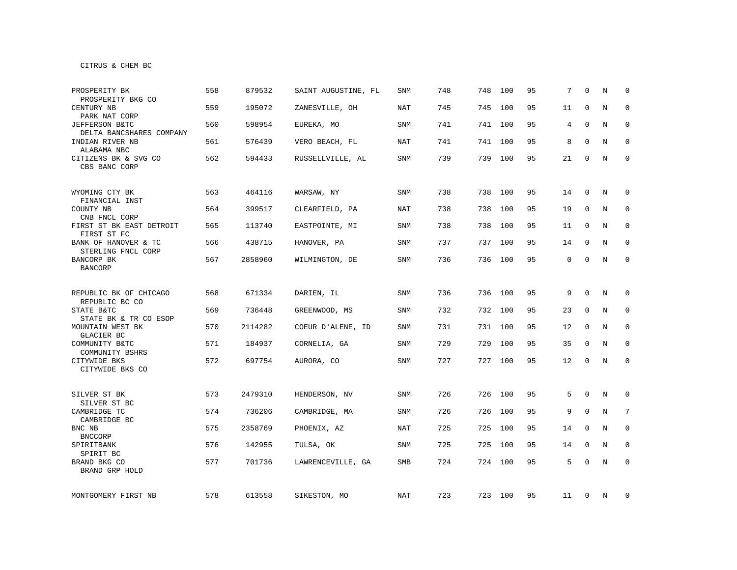CITRUS & CHEM BC

| PROSPERITY BK<br>PROSPERITY BKG CO                      | 558 | 879532  | SAINT AUGUSTINE, FL | <b>SNM</b> | 748 | 748 | 100     | 95 | 7  | $\Omega$    | N           | $\Omega$     |
|---------------------------------------------------------|-----|---------|---------------------|------------|-----|-----|---------|----|----|-------------|-------------|--------------|
| CENTURY NB<br>PARK NAT CORP                             | 559 | 195072  | ZANESVILLE, OH      | <b>NAT</b> | 745 | 745 | 100     | 95 | 11 | $\mathbf 0$ | N           | $\mathbf 0$  |
| JEFFERSON B&TC<br>DELTA BANCSHARES COMPANY              | 560 | 598954  | EUREKA, MO          | SNM        | 741 |     | 741 100 | 95 | 4  | $\mathbf 0$ | N           | $\mathbf 0$  |
| INDIAN RIVER NB<br>ALABAMA NBC                          | 561 | 576439  | VERO BEACH, FL      | NAT        | 741 | 741 | 100     | 95 | 8  | $\Omega$    | $\mathbf N$ | $\mathbf 0$  |
| CITIZENS BK & SVG CO<br>CBS BANC CORP                   | 562 | 594433  | RUSSELLVILLE, AL    | <b>SNM</b> | 739 | 739 | 100     | 95 | 21 | 0           | N           | $\mathbf{0}$ |
| WYOMING CTY BK<br>FINANCIAL INST                        | 563 | 464116  | WARSAW, NY          | SNM        | 738 | 738 | 100     | 95 | 14 | $\Omega$    | N           | $\mathbf 0$  |
| COUNTY NB<br>CNB FNCL CORP                              | 564 | 399517  | CLEARFIELD, PA      | <b>NAT</b> | 738 | 738 | 100     | 95 | 19 | $\mathbf 0$ | N           | 0            |
| FIRST ST BK EAST DETROIT<br>FIRST ST FC                 | 565 | 113740  | EASTPOINTE, MI      | SNM        | 738 | 738 | 100     | 95 | 11 | 0           | N           | 0            |
| BANK OF HANOVER & TC<br>STERLING FNCL CORP              | 566 | 438715  | HANOVER, PA         | SNM        | 737 |     | 737 100 | 95 | 14 | $\Omega$    | N           | $\mathbf 0$  |
| BANCORP BK<br><b>BANCORP</b>                            | 567 | 2858960 | WILMINGTON, DE      | <b>SNM</b> | 736 |     | 736 100 | 95 | 0  | $\mathbf 0$ | N           | $\mathbf 0$  |
| REPUBLIC BK OF CHICAGO                                  | 568 | 671334  | DARIEN, IL          | SNM        | 736 |     | 736 100 | 95 | 9  | $\mathbf 0$ | N           | 0            |
| REPUBLIC BC CO<br>STATE B&TC                            | 569 | 736448  | GREENWOOD, MS       | SNM        | 732 |     | 732 100 | 95 | 23 | $\mathbf 0$ | N           | $\mathbf 0$  |
| STATE BK & TR CO ESOP<br>MOUNTAIN WEST BK<br>GLACIER BC | 570 | 2114282 | COEUR D'ALENE, ID   | SNM        | 731 |     | 731 100 | 95 | 12 | 0           | N           | 0            |
| COMMUNITY B&TC<br>COMMUNITY BSHRS                       | 571 | 184937  | CORNELIA, GA        | SNM        | 729 | 729 | 100     | 95 | 35 | 0           | N           | $\mathbf 0$  |
| CITYWIDE BKS<br>CITYWIDE BKS CO                         | 572 | 697754  | AURORA, CO          | SNM        | 727 |     | 727 100 | 95 | 12 | $\mathbf 0$ | N           | $\mathbf{0}$ |
| SILVER ST BK<br>SILVER ST BC                            | 573 | 2479310 | HENDERSON, NV       | SNM        | 726 | 726 | 100     | 95 | 5  | 0           | N           | 0            |
| CAMBRIDGE TC<br>CAMBRIDGE BC                            | 574 | 736206  | CAMBRIDGE, MA       | SNM        | 726 | 726 | 100     | 95 | 9  | $\mathbf 0$ | N           | 7            |
| BNC NB<br><b>BNCCORP</b>                                | 575 | 2358769 | PHOENIX, AZ         | NAT        | 725 | 725 | 100     | 95 | 14 | 0           | N           | 0            |
| SPIRITBANK<br>SPIRIT BC                                 | 576 | 142955  | TULSA, OK           | SNM        | 725 | 725 | 100     | 95 | 14 | 0           | N           | 0            |
| BRAND BKG CO<br>BRAND GRP HOLD                          | 577 | 701736  | LAWRENCEVILLE, GA   | SMB        | 724 | 724 | 100     | 95 | 5  | $\mathbf 0$ | N           | $\mathbf 0$  |
| MONTGOMERY FIRST NB                                     | 578 | 613558  | SIKESTON, MO        | NAT        | 723 |     | 723 100 | 95 | 11 | 0           | N           | 0            |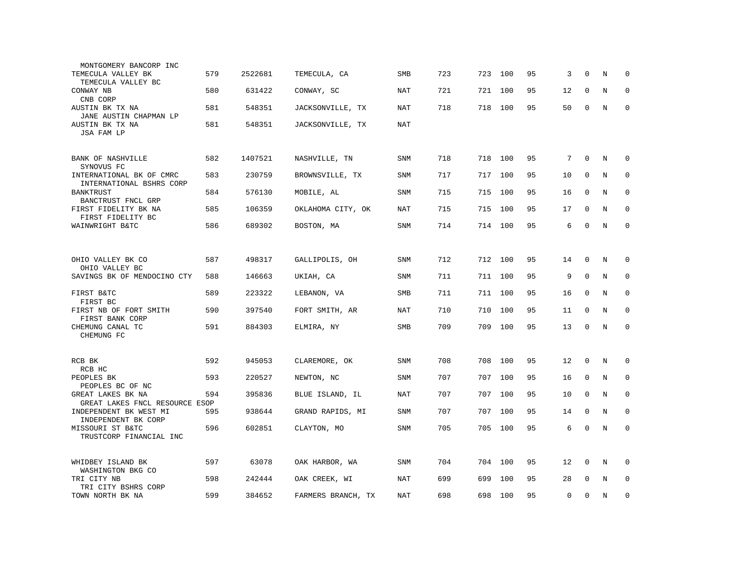| MONTGOMERY BANCORP INC<br>TEMECULA VALLEY BK                    | 579 | 2522681 | TEMECULA, CA       | <b>SMB</b> | 723 | 723 | 100     | 95 | 3  | $\mathbf 0$ | N       | $\mathbf 0$ |
|-----------------------------------------------------------------|-----|---------|--------------------|------------|-----|-----|---------|----|----|-------------|---------|-------------|
| TEMECULA VALLEY BC<br>CONWAY NB                                 | 580 | 631422  | CONWAY, SC         | NAT        | 721 | 721 | 100     | 95 | 12 | 0           | N       | $\mathbf 0$ |
| CNB CORP<br>AUSTIN BK TX NA                                     | 581 | 548351  | JACKSONVILLE, TX   | NAT        | 718 | 718 | 100     | 95 | 50 | 0           | N       | $\mathbf 0$ |
| JANE AUSTIN CHAPMAN LP<br>AUSTIN BK TX NA<br>JSA FAM LP         | 581 | 548351  | JACKSONVILLE, TX   | <b>NAT</b> |     |     |         |    |    |             |         |             |
| <b>BANK OF NASHVILLE</b>                                        | 582 | 1407521 | NASHVILLE, TN      | <b>SNM</b> | 718 | 718 | 100     | 95 | 7  | $\mathbf 0$ | N       | $\mathbf 0$ |
| SYNOVUS FC<br>INTERNATIONAL BK OF CMRC                          | 583 | 230759  | BROWNSVILLE, TX    | <b>SNM</b> | 717 | 717 | 100     | 95 | 10 | $\Omega$    | N       | $\mathbf 0$ |
| INTERNATIONAL BSHRS CORP<br><b>BANKTRUST</b>                    | 584 | 576130  | MOBILE, AL         | <b>SNM</b> | 715 | 715 | 100     | 95 | 16 | $\mathbf 0$ | N       | $\mathbf 0$ |
| BANCTRUST FNCL GRP<br>FIRST FIDELITY BK NA<br>FIRST FIDELITY BC | 585 | 106359  | OKLAHOMA CITY, OK  | NAT        | 715 | 715 | 100     | 95 | 17 | $\Omega$    | N       | $\Omega$    |
| WAINWRIGHT B&TC                                                 | 586 | 689302  | BOSTON, MA         | <b>SNM</b> | 714 | 714 | 100     | 95 | 6  | $\mathbf 0$ | N       | $\mathbf 0$ |
|                                                                 |     |         |                    |            |     |     |         |    |    |             |         |             |
| OHIO VALLEY BK CO<br>OHIO VALLEY BC                             | 587 | 498317  | GALLIPOLIS, OH     | <b>SNM</b> | 712 |     | 712 100 | 95 | 14 | $\mathbf 0$ | N       | $\mathbf 0$ |
| SAVINGS BK OF MENDOCINO CTY                                     | 588 | 146663  | UKIAH, CA          | SNM        | 711 | 711 | 100     | 95 | 9  | $\mathbf 0$ | N       | $\mathbf 0$ |
| FIRST B&TC<br>FIRST BC                                          | 589 | 223322  | LEBANON, VA        | SMB        | 711 |     | 711 100 | 95 | 16 | $\mathbf 0$ | N       | $\mathbf 0$ |
| FIRST NB OF FORT SMITH<br>FIRST BANK CORP                       | 590 | 397540  | FORT SMITH, AR     | <b>NAT</b> | 710 | 710 | 100     | 95 | 11 | $\Omega$    | N       | $\mathbf 0$ |
| CHEMUNG CANAL TC<br>CHEMUNG FC                                  | 591 | 884303  | ELMIRA, NY         | SMB        | 709 | 709 | 100     | 95 | 13 | $\mathbf 0$ | N       | $\mathbf 0$ |
|                                                                 |     |         |                    |            |     |     |         |    |    |             |         |             |
| RCB BK<br>RCB HC                                                | 592 | 945053  | CLAREMORE, OK      | <b>SNM</b> | 708 | 708 | 100     | 95 | 12 | $\mathbf 0$ | N       | $\mathbf 0$ |
| PEOPLES BK<br>PEOPLES BC OF NC                                  | 593 | 220527  | NEWTON, NC         | <b>SNM</b> | 707 | 707 | 100     | 95 | 16 | $\mathbf 0$ | N       | $\mathbf 0$ |
| GREAT LAKES BK NA<br>GREAT LAKES FNCL RESOURCE ESOP             | 594 | 395836  | BLUE ISLAND, IL    | NAT        | 707 | 707 | 100     | 95 | 10 | $\Omega$    | N       | $\mathbf 0$ |
| INDEPENDENT BK WEST MI<br>INDEPENDENT BK CORP                   | 595 | 938644  | GRAND RAPIDS, MI   | <b>SNM</b> | 707 | 707 | 100     | 95 | 14 | $\mathbf 0$ | N       | $\mathbf 0$ |
| MISSOURI ST B&TC<br>TRUSTCORP FINANCIAL INC                     | 596 | 602851  | CLAYTON, MO        | SNM        | 705 | 705 | 100     | 95 | 6  | $\Omega$    | N       | $\Omega$    |
| WHIDBEY ISLAND BK<br>WASHINGTON BKG CO                          | 597 | 63078   | OAK HARBOR, WA     | SNM        | 704 | 704 | 100     | 95 | 12 | 0           | $\rm N$ | 0           |
| TRI CITY NB<br>TRI CITY BSHRS CORP                              | 598 | 242444  | OAK CREEK, WI      | NAT        | 699 | 699 | 100     | 95 | 28 | $\mathbf 0$ | N       | $\mathbf 0$ |
| TOWN NORTH BK NA                                                | 599 | 384652  | FARMERS BRANCH, TX | NAT        | 698 | 698 | 100     | 95 | 0  | $\Omega$    | N       | $\mathbf 0$ |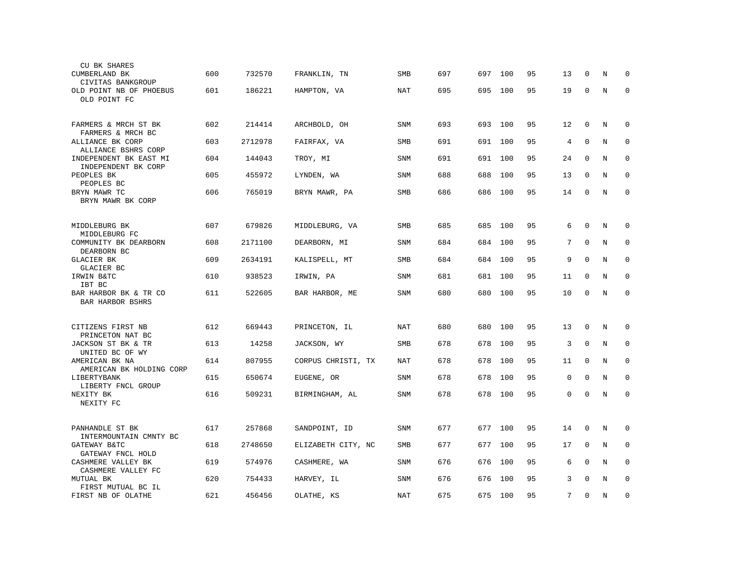| CU BK SHARES<br>CUMBERLAND BK                 | 600 | 732570  | FRANKLIN, TN       | <b>SMB</b> | 697 | 697 | 100     | 95 | 13             | 0            | N       | 0           |
|-----------------------------------------------|-----|---------|--------------------|------------|-----|-----|---------|----|----------------|--------------|---------|-------------|
| CIVITAS BANKGROUP<br>OLD POINT NB OF PHOEBUS  | 601 | 186221  | HAMPTON, VA        | NAT        | 695 | 695 | 100     | 95 | 19             | $\mathbf 0$  | N       | $\mathbf 0$ |
| OLD POINT FC                                  |     |         |                    |            |     |     |         |    |                |              |         |             |
| FARMERS & MRCH ST BK<br>FARMERS & MRCH BC     | 602 | 214414  | ARCHBOLD, OH       | SNM        | 693 |     | 693 100 | 95 | 12             | $\mathbf 0$  | Ν       | 0           |
| ALLIANCE BK CORP<br>ALLIANCE BSHRS CORP       | 603 | 2712978 | FAIRFAX, VA        | <b>SMB</b> | 691 |     | 691 100 | 95 | 4              | $\mathbf 0$  | N       | 0           |
| INDEPENDENT BK EAST MI<br>INDEPENDENT BK CORP | 604 | 144043  | TROY, MI           | <b>SNM</b> | 691 | 691 | 100     | 95 | 24             | $\mathbf 0$  | N       | $\mathbf 0$ |
| PEOPLES BK<br>PEOPLES BC                      | 605 | 455972  | LYNDEN, WA         | SNM        | 688 | 688 | 100     | 95 | 13             | $\Omega$     | N       | $\Omega$    |
| BRYN MAWR TC<br>BRYN MAWR BK CORP             | 606 | 765019  | BRYN MAWR, PA      | SMB        | 686 | 686 | 100     | 95 | 14             | 0            | N       | $\Omega$    |
|                                               |     |         |                    |            |     |     |         |    |                |              |         |             |
| MIDDLEBURG BK<br>MIDDLEBURG FC                | 607 | 679826  | MIDDLEBURG, VA     | SMB        | 685 | 685 | 100     | 95 | 6              | 0            | N       | 0           |
| COMMUNITY BK DEARBORN<br>DEARBORN BC          | 608 | 2171100 | DEARBORN, MI       | SNM        | 684 | 684 | 100     | 95 | $7\phantom{.}$ | $\mathbf 0$  | N       | 0           |
| <b>GLACIER BK</b><br>GLACIER BC               | 609 | 2634191 | KALISPELL, MT      | SMB        | 684 | 684 | 100     | 95 | 9              | $\mathbf 0$  | N       | $\mathbf 0$ |
| IRWIN B&TC<br>IBT BC                          | 610 | 938523  | IRWIN, PA          | <b>SNM</b> | 681 | 681 | 100     | 95 | 11             | $\mathbf 0$  | N       | $\mathbf 0$ |
| BAR HARBOR BK & TR CO<br>BAR HARBOR BSHRS     | 611 | 522605  | BAR HARBOR, ME     | SNM        | 680 | 680 | 100     | 95 | 10             | 0            | N       | $\mathbf 0$ |
| CITIZENS FIRST NB                             | 612 | 669443  | PRINCETON, IL      | NAT        | 680 | 680 | 100     | 95 | 13             | 0            | N       | $\Omega$    |
| PRINCETON NAT BC<br>JACKSON ST BK & TR        | 613 | 14258   | JACKSON, WY        | <b>SMB</b> | 678 | 678 | 100     | 95 | 3              | $\mathbf 0$  | N       | $\mathbf 0$ |
| UNITED BC OF WY                               |     |         |                    |            |     |     | 100     |    |                | $\mathbf 0$  | N       | $\mathbf 0$ |
| AMERICAN BK NA<br>AMERICAN BK HOLDING CORP    | 614 | 807955  | CORPUS CHRISTI, TX | NAT        | 678 | 678 |         | 95 | 11             |              |         |             |
| LIBERTYBANK<br>LIBERTY FNCL GROUP             | 615 | 650674  | EUGENE, OR         | <b>SNM</b> | 678 | 678 | 100     | 95 | $\mathbf 0$    | $\mathbf 0$  | N       | 0           |
| NEXITY BK<br>NEXITY FC                        | 616 | 509231  | BIRMINGHAM, AL     | SNM        | 678 | 678 | 100     | 95 | 0              | $\mathbf{0}$ | N       | $\mathbf 0$ |
| PANHANDLE ST BK                               | 617 | 257868  | SANDPOINT, ID      | SNM        | 677 | 677 | 100     | 95 | 14             | $\mathbf 0$  | N       | $\mathbf 0$ |
| INTERMOUNTAIN CMNTY BC<br>GATEWAY B&TC        | 618 | 2748650 | ELIZABETH CITY, NC | SMB        | 677 | 677 | 100     | 95 | 17             | 0            | N       | 0           |
| GATEWAY FNCL HOLD<br>CASHMERE VALLEY BK       | 619 | 574976  | CASHMERE, WA       | <b>SNM</b> | 676 | 676 | 100     | 95 | 6              | $\mathbf 0$  | N       | $\mathbf 0$ |
| CASHMERE VALLEY FC<br>MUTUAL BK               | 620 | 754433  | HARVEY, IL         | SNM        | 676 | 676 | 100     | 95 | 3              | $\Omega$     | N       | $\mathbf 0$ |
| FIRST MUTUAL BC IL<br>FIRST NB OF OLATHE      | 621 | 456456  | OLATHE, KS         | <b>NAT</b> | 675 | 675 | 100     | 95 | 7              | $\mathbf{0}$ | $\rm N$ | $\mathbf 0$ |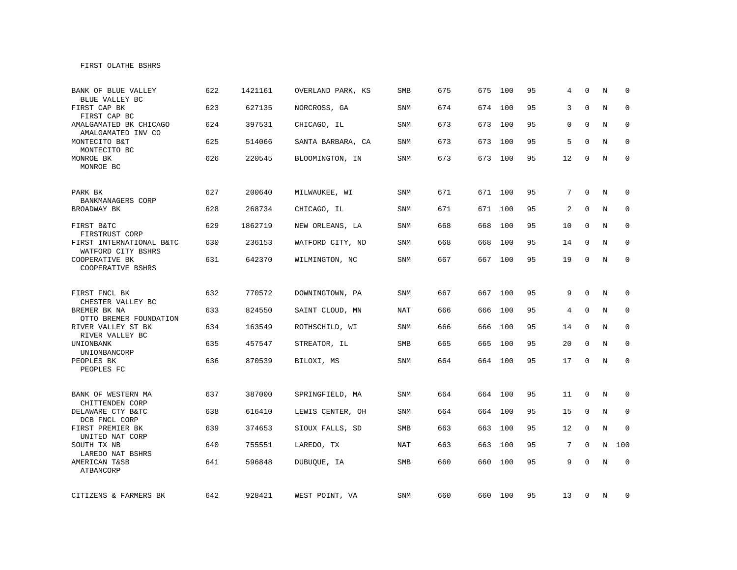## FIRST OLATHE BSHRS

| BANK OF BLUE VALLEY<br>BLUE VALLEY BC                           | 622 | 1421161 | OVERLAND PARK, KS | <b>SMB</b> | 675 | 675 | 100     | 95 | 4              | $\Omega$     | N | $\Omega$     |
|-----------------------------------------------------------------|-----|---------|-------------------|------------|-----|-----|---------|----|----------------|--------------|---|--------------|
| FIRST CAP BK<br>FIRST CAP BC                                    | 623 | 627135  | NORCROSS, GA      | <b>SNM</b> | 674 | 674 | 100     | 95 | 3              | $\Omega$     | N | $\mathbf 0$  |
| AMALGAMATED BK CHICAGO<br>AMALGAMATED INV CO                    | 624 | 397531  | CHICAGO, IL       | SNM        | 673 | 673 | 100     | 95 | 0              | $\Omega$     | N | $\mathbf 0$  |
| MONTECITO B&T<br>MONTECITO BC                                   | 625 | 514066  | SANTA BARBARA, CA | SNM        | 673 | 673 | 100     | 95 | 5              | 0            | N | 0            |
| MONROE BK<br>MONROE BC                                          | 626 | 220545  | BLOOMINGTON, IN   | <b>SNM</b> | 673 |     | 673 100 | 95 | 12             | $\mathbf 0$  | N | $\mathbf{0}$ |
| PARK BK                                                         | 627 | 200640  | MILWAUKEE, WI     | SNM        | 671 |     | 671 100 | 95 | 7              | 0            | N | 0            |
| BANKMANAGERS CORP<br>BROADWAY BK                                | 628 | 268734  | CHICAGO, IL       | SNM        | 671 |     | 671 100 | 95 | 2              | $\Omega$     | N | $\mathbf 0$  |
| FIRST B&TC<br>FIRSTRUST CORP                                    | 629 | 1862719 | NEW ORLEANS, LA   | SNM        | 668 | 668 | 100     | 95 | 10             | $\Omega$     | N | 0            |
| FIRST INTERNATIONAL B&TC<br>WATFORD CITY BSHRS                  | 630 | 236153  | WATFORD CITY, ND  | SNM        | 668 | 668 | 100     | 95 | 14             | 0            | N | 0            |
| COOPERATIVE BK<br>COOPERATIVE BSHRS                             | 631 | 642370  | WILMINGTON, NC    | SNM        | 667 |     | 667 100 | 95 | 19             | 0            | N | 0            |
| FIRST FNCL BK                                                   | 632 | 770572  | DOWNINGTOWN, PA   | <b>SNM</b> | 667 |     | 667 100 | 95 | 9              | $\mathbf 0$  | N | $\mathbf 0$  |
| CHESTER VALLEY BC<br>BREMER BK NA                               | 633 | 824550  | SAINT CLOUD, MN   | NAT        | 666 |     | 666 100 | 95 | 4              | $\mathbf{0}$ | N | $\mathbf 0$  |
| OTTO BREMER FOUNDATION<br>RIVER VALLEY ST BK<br>RIVER VALLEY BC | 634 | 163549  | ROTHSCHILD, WI    | SNM        | 666 |     | 666 100 | 95 | 14             | $\mathbf 0$  | N | $\mathbf 0$  |
| UNIONBANK<br>UNIONBANCORP                                       | 635 | 457547  | STREATOR, IL      | SMB        | 665 |     | 665 100 | 95 | 20             | $\mathbf 0$  | N | $\mathbf 0$  |
| PEOPLES BK<br>PEOPLES FC                                        | 636 | 870539  | BILOXI, MS        | SNM        | 664 |     | 664 100 | 95 | 17             | $\mathbf 0$  | N | $\mathbf 0$  |
| BANK OF WESTERN MA<br>CHITTENDEN CORP                           | 637 | 387000  | SPRINGFIELD, MA   | SNM        | 664 |     | 664 100 | 95 | 11             | $\mathbf 0$  | N | $\mathbf 0$  |
| DELAWARE CTY B&TC<br>DCB FNCL CORP                              | 638 | 616410  | LEWIS CENTER, OH  | SNM        | 664 | 664 | 100     | 95 | 15             | $\mathbf 0$  | N | 0            |
| FIRST PREMIER BK<br>UNITED NAT CORP                             | 639 | 374653  | SIOUX FALLS, SD   | SMB        | 663 | 663 | 100     | 95 | 12             | 0            | N | 0            |
| SOUTH TX NB<br>LAREDO NAT BSHRS                                 | 640 | 755551  | LAREDO, TX        | <b>NAT</b> | 663 | 663 | 100     | 95 | $7\phantom{.}$ | $\Omega$     | N | 100          |
| AMERICAN T&SB<br>ATBANCORP                                      | 641 | 596848  | DUBUQUE, IA       | SMB        | 660 | 660 | 100     | 95 | 9              | $\Omega$     | N | $\mathbf 0$  |
| CITIZENS & FARMERS BK                                           | 642 | 928421  | WEST POINT, VA    | SNM        | 660 |     | 660 100 | 95 | 13             | 0            | N | 0            |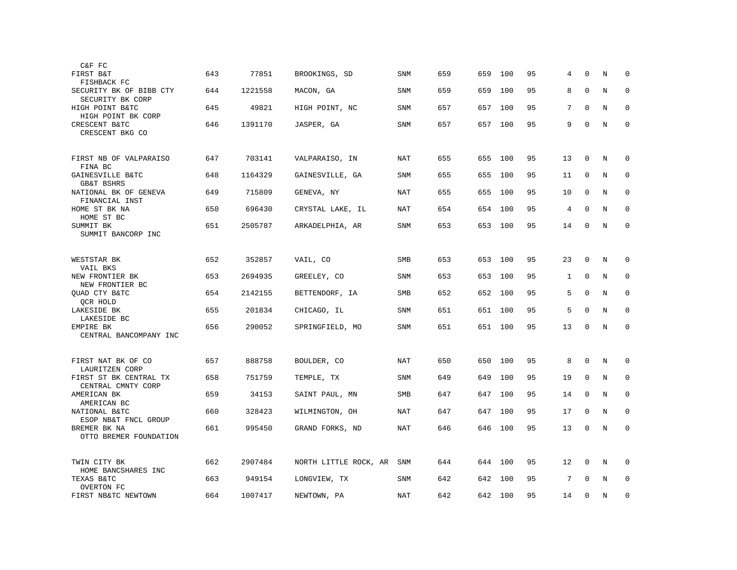| C&F FC                                       |     |         |                       |            |     |     |         |    |              |              |         |             |
|----------------------------------------------|-----|---------|-----------------------|------------|-----|-----|---------|----|--------------|--------------|---------|-------------|
| FIRST B&T<br>FISHBACK FC                     | 643 | 77851   | BROOKINGS, SD         | SNM        | 659 | 659 | 100     | 95 | 4            | $\Omega$     | N       | 0           |
| SECURITY BK OF BIBB CTY<br>SECURITY BK CORP  | 644 | 1221558 | MACON, GA             | <b>SNM</b> | 659 | 659 | 100     | 95 | 8            | $\Omega$     | N       | $\mathbf 0$ |
| HIGH POINT B&TC<br>HIGH POINT BK CORP        | 645 | 49821   | HIGH POINT, NC        | SNM        | 657 | 657 | 100     | 95 | 7            | $\mathbf 0$  | N       | $\mathbf 0$ |
| CRESCENT B&TC<br>CRESCENT BKG CO             | 646 | 1391170 | JASPER, GA            | SNM        | 657 | 657 | 100     | 95 | 9            | $\mathbf 0$  | N       | $\mathbf 0$ |
| FIRST NB OF VALPARAISO<br>FINA BC            | 647 | 703141  | VALPARAISO, IN        | NAT        | 655 | 655 | 100     | 95 | 13           | $\mathbf 0$  | N       | 0           |
| GAINESVILLE B&TC<br><b>GB&amp;T BSHRS</b>    | 648 | 1164329 | GAINESVILLE, GA       | SNM        | 655 | 655 | 100     | 95 | 11           | $\mathbf{0}$ | N       | $\mathbf 0$ |
| NATIONAL BK OF GENEVA<br>FINANCIAL INST      | 649 | 715809  | GENEVA, NY            | <b>NAT</b> | 655 | 655 | 100     | 95 | 10           | $\mathbf 0$  | N       | $\mathbf 0$ |
| HOME ST BK NA<br>HOME ST BC                  | 650 | 696430  | CRYSTAL LAKE, IL      | NAT        | 654 | 654 | 100     | 95 | 4            | $\mathbf 0$  | N       | $\mathbf 0$ |
| SUMMIT BK<br>SUMMIT BANCORP INC              | 651 | 2505787 | ARKADELPHIA, AR       | SNM        | 653 | 653 | 100     | 95 | 14           | $\mathbf 0$  | N       | $\mathbf 0$ |
| WESTSTAR BK<br>VAIL BKS                      | 652 | 352857  | VAIL, CO              | SMB        | 653 | 653 | 100     | 95 | 23           | $\mathbf{0}$ | N       | $\mathbf 0$ |
| NEW FRONTIER BK<br>NEW FRONTIER BC           | 653 | 2694935 | GREELEY, CO           | <b>SNM</b> | 653 | 653 | 100     | 95 | $\mathbf{1}$ | 0            | N       | 0           |
| QUAD CTY B&TC<br>QCR HOLD                    | 654 | 2142155 | BETTENDORF, IA        | <b>SMB</b> | 652 | 652 | 100     | 95 | 5            | $\mathbf 0$  | N       | $\mathbf 0$ |
| LAKESIDE BK<br>LAKESIDE BC                   | 655 | 201834  | CHICAGO, IL           | SNM        | 651 |     | 651 100 | 95 | 5            | $\mathbf 0$  | N       | $\mathbf 0$ |
| EMPIRE BK<br>CENTRAL BANCOMPANY INC          | 656 | 290052  | SPRINGFIELD, MO       | <b>SNM</b> | 651 |     | 651 100 | 95 | 13           | $\mathbf 0$  | N       | $\mathbf 0$ |
| FIRST NAT BK OF CO<br>LAURITZEN CORP         | 657 | 888758  | BOULDER, CO           | NAT        | 650 | 650 | 100     | 95 | 8            | $\Omega$     | N       | $\mathbf 0$ |
| FIRST ST BK CENTRAL TX<br>CENTRAL CMNTY CORP | 658 | 751759  | TEMPLE, TX            | <b>SNM</b> | 649 | 649 | 100     | 95 | 19           | 0            | $\rm N$ | 0           |
| AMERICAN BK<br>AMERICAN BC                   | 659 | 34153   | SAINT PAUL, MN        | <b>SMB</b> | 647 | 647 | 100     | 95 | 14           | $\mathbf 0$  | N       | $\mathbf 0$ |
| NATIONAL B&TC<br>ESOP NB&T FNCL GROUP        | 660 | 328423  | WILMINGTON, OH        | <b>NAT</b> | 647 | 647 | 100     | 95 | 17           | $\mathbf 0$  | N       | 0           |
| BREMER BK NA<br>OTTO BREMER FOUNDATION       | 661 | 995450  | GRAND FORKS, ND       | <b>NAT</b> | 646 | 646 | 100     | 95 | 13           | $\mathbf 0$  | N       | $\mathbf 0$ |
| TWIN CITY BK<br>HOME BANCSHARES INC          | 662 | 2907484 | NORTH LITTLE ROCK, AR | SNM        | 644 | 644 | 100     | 95 | 12           | $\mathbf 0$  | N       | $\mathbf 0$ |
| TEXAS B&TC<br>OVERTON FC                     | 663 | 949154  | LONGVIEW, TX          | <b>SNM</b> | 642 | 642 | 100     | 95 | 7            | $\Omega$     | N       | $\Omega$    |
| FIRST NB&TC NEWTOWN                          | 664 | 1007417 | NEWTOWN, PA           | NAT        | 642 | 642 | 100     | 95 | 14           | $\mathbf 0$  | N       | $\mathsf 0$ |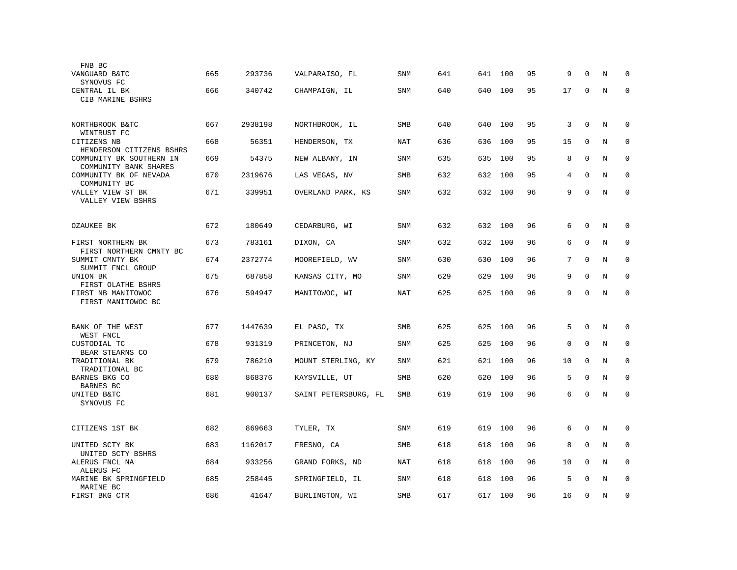| FNB BC                                            |     |         |                      |            |     |     |     |    |    |             |         |             |
|---------------------------------------------------|-----|---------|----------------------|------------|-----|-----|-----|----|----|-------------|---------|-------------|
| VANGUARD B&TC<br>SYNOVUS FC                       | 665 | 293736  | VALPARAISO, FL       | <b>SNM</b> | 641 | 641 | 100 | 95 | 9  | $\Omega$    | N       | $\mathbf 0$ |
| CENTRAL IL BK<br>CIB MARINE BSHRS                 | 666 | 340742  | CHAMPAIGN, IL        | <b>SNM</b> | 640 | 640 | 100 | 95 | 17 | 0           | N       | $\mathbf 0$ |
| NORTHBROOK B&TC<br>WINTRUST FC                    | 667 | 2938198 | NORTHBROOK, IL       | SMB        | 640 | 640 | 100 | 95 | 3  | $\mathbf 0$ | N       | $\mathbf 0$ |
| CITIZENS NB<br>HENDERSON CITIZENS BSHRS           | 668 | 56351   | HENDERSON, TX        | NAT        | 636 | 636 | 100 | 95 | 15 | $\mathbf 0$ | N       | $\mathbf 0$ |
| COMMUNITY BK SOUTHERN IN<br>COMMUNITY BANK SHARES | 669 | 54375   | NEW ALBANY, IN       | SNM        | 635 | 635 | 100 | 95 | 8  | 0           | $\rm N$ | 0           |
| COMMUNITY BK OF NEVADA<br>COMMUNITY BC            | 670 | 2319676 | LAS VEGAS, NV        | SMB        | 632 | 632 | 100 | 95 | 4  | $\mathbf 0$ | N       | $\mathbf 0$ |
| VALLEY VIEW ST BK<br>VALLEY VIEW BSHRS            | 671 | 339951  | OVERLAND PARK, KS    | <b>SNM</b> | 632 | 632 | 100 | 96 | 9  | $\Omega$    | N       | $\mathbf 0$ |
| OZAUKEE BK                                        | 672 | 180649  | CEDARBURG, WI        | <b>SNM</b> | 632 | 632 | 100 | 96 | 6  | $\mathbf 0$ | N       | $\mathbf 0$ |
| FIRST NORTHERN BK<br>FIRST NORTHERN CMNTY BC      | 673 | 783161  | DIXON, CA            | <b>SNM</b> | 632 | 632 | 100 | 96 | 6  | $\mathbf 0$ | N       | 0           |
| SUMMIT CMNTY BK<br>SUMMIT FNCL GROUP              | 674 | 2372774 | MOOREFIELD, WV       | <b>SNM</b> | 630 | 630 | 100 | 96 | 7  | $\mathbf 0$ | N       | $\mathbf 0$ |
| UNION BK<br>FIRST OLATHE BSHRS                    | 675 | 687858  | KANSAS CITY, MO      | <b>SNM</b> | 629 | 629 | 100 | 96 | 9  | $\mathbf 0$ | N       | $\mathbf 0$ |
| FIRST NB MANITOWOC<br>FIRST MANITOWOC BC          | 676 | 594947  | MANITOWOC, WI        | <b>NAT</b> | 625 | 625 | 100 | 96 | 9  | $\mathbf 0$ | N       | $\mathbf 0$ |
| BANK OF THE WEST<br>WEST FNCL                     | 677 | 1447639 | EL PASO, TX          | SMB        | 625 | 625 | 100 | 96 | 5  | $\mathbf 0$ | N       | $\mathbf 0$ |
| CUSTODIAL TC<br>BEAR STEARNS CO                   | 678 | 931319  | PRINCETON, NJ        | <b>SNM</b> | 625 | 625 | 100 | 96 | 0  | $\mathbf 0$ | N       | $\mathbf 0$ |
| TRADITIONAL BK<br>TRADITIONAL BC                  | 679 | 786210  | MOUNT STERLING, KY   | <b>SNM</b> | 621 | 621 | 100 | 96 | 10 | $\Omega$    | N       | $\mathbf 0$ |
| BARNES BKG CO<br>BARNES BC                        | 680 | 868376  | KAYSVILLE, UT        | <b>SMB</b> | 620 | 620 | 100 | 96 | 5  | $\mathbf 0$ | N       | $\mathbf 0$ |
| UNITED B&TC<br>SYNOVUS FC                         | 681 | 900137  | SAINT PETERSBURG, FL | SMB        | 619 | 619 | 100 | 96 | 6  | $\mathbf 0$ | N       | $\mathbf 0$ |
| CITIZENS 1ST BK                                   | 682 | 869663  | TYLER, TX            | SNM        | 619 | 619 | 100 | 96 | 6  | $\mathbf 0$ | N       | $\mathbf 0$ |
| UNITED SCTY BK<br>UNITED SCTY BSHRS               | 683 | 1162017 | FRESNO, CA           | <b>SMB</b> | 618 | 618 | 100 | 96 | 8  | $\mathbf 0$ | N       | $\mathbf 0$ |
| ALERUS FNCL NA<br>ALERUS FC                       | 684 | 933256  | GRAND FORKS, ND      | NAT        | 618 | 618 | 100 | 96 | 10 | $\mathbf 0$ | N       | 0           |
| MARINE BK SPRINGFIELD<br>MARINE BC                | 685 | 258445  | SPRINGFIELD, IL      | <b>SNM</b> | 618 | 618 | 100 | 96 | 5  | $\Omega$    | N       | $\mathbf 0$ |
| FIRST BKG CTR                                     | 686 | 41647   | BURLINGTON, WI       | <b>SMB</b> | 617 | 617 | 100 | 96 | 16 | $\mathbf 0$ | N       | $\mathbf 0$ |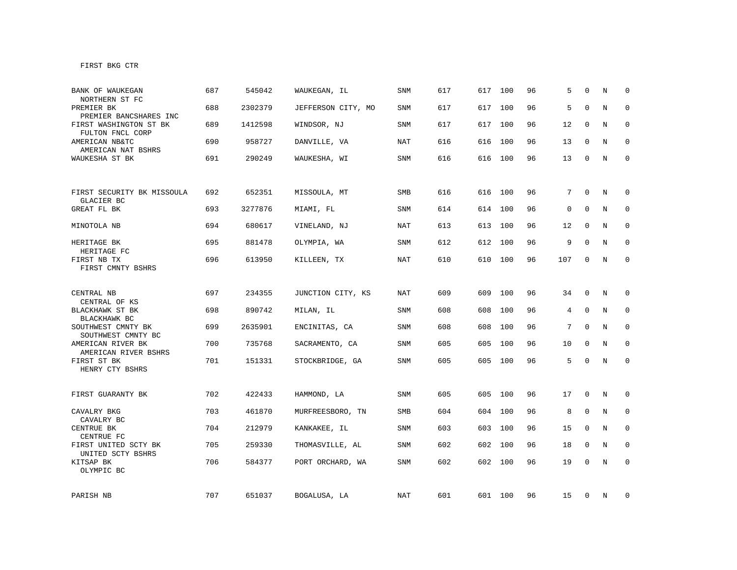| BANK OF WAUKEGAN<br>NORTHERN ST FC         | 687 | 545042  | WAUKEGAN, IL       | SNM        | 617 | 617 | 100     | 96 | 5           | $\Omega$    | N | $\mathbf 0$  |
|--------------------------------------------|-----|---------|--------------------|------------|-----|-----|---------|----|-------------|-------------|---|--------------|
| PREMIER BK<br>PREMIER BANCSHARES INC       | 688 | 2302379 | JEFFERSON CITY, MO | SNM        | 617 | 617 | 100     | 96 | 5           | $\mathbf 0$ | N | $\mathbf 0$  |
| FIRST WASHINGTON ST BK<br>FULTON FNCL CORP | 689 | 1412598 | WINDSOR, NJ        | SNM        | 617 | 617 | 100     | 96 | 12          | 0           | N | $\mathbf 0$  |
| AMERICAN NB&TC<br>AMERICAN NAT BSHRS       | 690 | 958727  | DANVILLE, VA       | NAT        | 616 | 616 | 100     | 96 | 13          | 0           | N | 0            |
| WAUKESHA ST BK                             | 691 | 290249  | WAUKESHA, WI       | SNM        | 616 |     | 616 100 | 96 | 13          | 0           | N | 0            |
|                                            |     |         |                    |            |     |     |         |    |             |             |   |              |
| FIRST SECURITY BK MISSOULA<br>GLACIER BC   | 692 | 652351  | MISSOULA, MT       | <b>SMB</b> | 616 |     | 616 100 | 96 | $7^{\circ}$ | $\Omega$    | N | $\mathbf 0$  |
| GREAT FL BK                                | 693 | 3277876 | MIAMI, FL          | SNM        | 614 |     | 614 100 | 96 | $\mathbf 0$ | $\mathbf 0$ | N | 0            |
| MINOTOLA NB                                | 694 | 680617  | VINELAND, NJ       | NAT        | 613 |     | 613 100 | 96 | 12          | 0           | N | 0            |
| HERITAGE BK<br>HERITAGE FC                 | 695 | 881478  | OLYMPIA, WA        | SNM        | 612 | 612 | 100     | 96 | 9           | $\mathbf 0$ | N | 0            |
| FIRST NB TX<br>FIRST CMNTY BSHRS           | 696 | 613950  | KILLEEN, TX        | <b>NAT</b> | 610 |     | 610 100 | 96 | 107         | $\mathbf 0$ | N | $\Omega$     |
|                                            |     |         |                    |            |     |     |         |    |             |             |   |              |
| CENTRAL NB<br>CENTRAL OF KS                | 697 | 234355  | JUNCTION CITY, KS  | NAT        | 609 | 609 | 100     | 96 | 34          | $\mathbf 0$ | N | $\mathbf 0$  |
| BLACKHAWK ST BK<br>BLACKHAWK BC            | 698 | 890742  | MILAN, IL          | SNM        | 608 | 608 | 100     | 96 | 4           | 0           | N | $\mathbf 0$  |
| SOUTHWEST CMNTY BK<br>SOUTHWEST CMNTY BC   | 699 | 2635901 | ENCINITAS, CA      | SNM        | 608 | 608 | 100     | 96 | 7           | $\mathbf 0$ | N | 0            |
| AMERICAN RIVER BK<br>AMERICAN RIVER BSHRS  | 700 | 735768  | SACRAMENTO, CA     | <b>SNM</b> | 605 | 605 | 100     | 96 | 10          | $\mathbf 0$ | N | $\mathbf{0}$ |
| FIRST ST BK<br>HENRY CTY BSHRS             | 701 | 151331  | STOCKBRIDGE, GA    | <b>SNM</b> | 605 |     | 605 100 | 96 | 5           | $\mathbf 0$ | N | $\mathbf{0}$ |
|                                            |     |         |                    |            |     |     |         |    |             |             |   |              |
| FIRST GUARANTY BK                          | 702 | 422433  | HAMMOND, LA        | SNM        | 605 | 605 | 100     | 96 | 17          | 0           | N | 0            |
| CAVALRY BKG<br>CAVALRY BC                  | 703 | 461870  | MURFREESBORO, TN   | SMB        | 604 | 604 | 100     | 96 | 8           | 0           | N | 0            |
| CENTRUE BK<br>CENTRUE FC                   | 704 | 212979  | KANKAKEE, IL       | SNM        | 603 | 603 | 100     | 96 | 15          | $\mathbf 0$ | N | $\mathbf 0$  |
| FIRST UNITED SCTY BK<br>UNITED SCTY BSHRS  | 705 | 259330  | THOMASVILLE, AL    | <b>SNM</b> | 602 | 602 | 100     | 96 | 18          | 0           | N | $\mathbf 0$  |
| KITSAP BK<br>OLYMPIC BC                    | 706 | 584377  | PORT ORCHARD, WA   | SNM        | 602 | 602 | 100     | 96 | 19          | $\mathbf 0$ | N | $\mathbf 0$  |
|                                            |     |         |                    |            |     |     |         |    |             |             |   |              |
| PARISH NB                                  | 707 | 651037  | BOGALUSA, LA       | NAT        | 601 |     | 601 100 | 96 | 15          | 0           | N | 0            |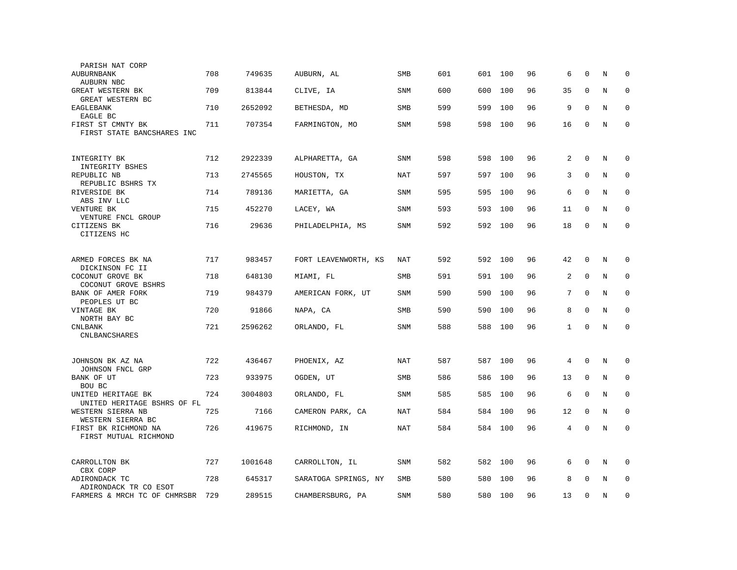| PARISH NAT CORP                                   |     |         |                      |            |     |     |     |    |              |              |   |             |
|---------------------------------------------------|-----|---------|----------------------|------------|-----|-----|-----|----|--------------|--------------|---|-------------|
| AUBURNBANK<br>AUBURN NBC                          | 708 | 749635  | AUBURN, AL           | <b>SMB</b> | 601 | 601 | 100 | 96 | 6            | $\mathbf 0$  | N | $\mathbf 0$ |
| GREAT WESTERN BK<br>GREAT WESTERN BC              | 709 | 813844  | CLIVE, IA            | <b>SNM</b> | 600 | 600 | 100 | 96 | 35           | $\mathbf 0$  | N | $\mathbf 0$ |
| EAGLEBANK<br>EAGLE BC                             | 710 | 2652092 | BETHESDA, MD         | <b>SMB</b> | 599 | 599 | 100 | 96 | 9            | $\mathbf{0}$ | N | $\mathbf 0$ |
| FIRST ST CMNTY BK<br>FIRST STATE BANCSHARES INC   | 711 | 707354  | FARMINGTON, MO       | SNM        | 598 | 598 | 100 | 96 | 16           | 0            | N | $\mathbf 0$ |
| INTEGRITY BK                                      | 712 | 2922339 | ALPHARETTA, GA       | SNM        | 598 | 598 | 100 | 96 | 2            | $\mathbf 0$  | N | $\mathbf 0$ |
| INTEGRITY BSHES<br>REPUBLIC NB                    | 713 | 2745565 | HOUSTON, TX          | <b>NAT</b> | 597 | 597 | 100 | 96 | 3            | $\mathbf 0$  | N | $\mathbf 0$ |
| REPUBLIC BSHRS TX<br>RIVERSIDE BK                 | 714 | 789136  | MARIETTA, GA         | <b>SNM</b> | 595 | 595 | 100 | 96 | 6            | $\mathbf 0$  | N | $\mathbf 0$ |
| ABS INV LLC<br>VENTURE BK                         | 715 | 452270  | LACEY, WA            | <b>SNM</b> | 593 | 593 | 100 | 96 | 11           | $\Omega$     | N | $\Omega$    |
| VENTURE FNCL GROUP<br>CITIZENS BK<br>CITIZENS HC  | 716 | 29636   | PHILADELPHIA, MS     | SNM        | 592 | 592 | 100 | 96 | 18           | $\mathbf 0$  | N | $\mathbf 0$ |
|                                                   |     |         |                      |            |     |     |     |    |              |              |   |             |
| ARMED FORCES BK NA<br>DICKINSON FC II             | 717 | 983457  | FORT LEAVENWORTH, KS | NAT        | 592 | 592 | 100 | 96 | 42           | $\mathbf 0$  | N | 0           |
| COCONUT GROVE BK<br>COCONUT GROVE BSHRS           | 718 | 648130  | MIAMI, FL            | SMB        | 591 | 591 | 100 | 96 | 2            | $\mathbf 0$  | N | $\mathbf 0$ |
| BANK OF AMER FORK<br>PEOPLES UT BC                | 719 | 984379  | AMERICAN FORK, UT    | SNM        | 590 | 590 | 100 | 96 | 7            | $\mathbf 0$  | N | $\mathbf 0$ |
| VINTAGE BK<br>NORTH BAY BC                        | 720 | 91866   | NAPA, CA             | SMB        | 590 | 590 | 100 | 96 | 8            | $\mathbf 0$  | N | $\mathbf 0$ |
| <b>CNLBANK</b><br><b>CNLBANCSHARES</b>            | 721 | 2596262 | ORLANDO, FL          | SNM        | 588 | 588 | 100 | 96 | $\mathbf{1}$ | $\mathbf{0}$ | N | $\mathbf 0$ |
|                                                   |     |         |                      |            |     |     |     |    |              |              |   |             |
| JOHNSON BK AZ NA<br>JOHNSON FNCL GRP              | 722 | 436467  | PHOENIX, AZ          | NAT        | 587 | 587 | 100 | 96 | 4            | $\Omega$     | N | $\Omega$    |
| BANK OF UT<br>BOU BC                              | 723 | 933975  | OGDEN, UT            | <b>SMB</b> | 586 | 586 | 100 | 96 | 13           | $\mathbf 0$  | N | 0           |
| UNITED HERITAGE BK<br>UNITED HERITAGE BSHRS OF FL | 724 | 3004803 | ORLANDO, FL          | <b>SNM</b> | 585 | 585 | 100 | 96 | 6            | $\Omega$     | N | $\mathbf 0$ |
| WESTERN SIERRA NB<br>WESTERN SIERRA BC            | 725 | 7166    | CAMERON PARK, CA     | <b>NAT</b> | 584 | 584 | 100 | 96 | 12           | $\mathbf 0$  | N | $\mathbf 0$ |
| FIRST BK RICHMOND NA<br>FIRST MUTUAL RICHMOND     | 726 | 419675  | RICHMOND, IN         | <b>NAT</b> | 584 | 584 | 100 | 96 | 4            | 0            | N | $\mathbf 0$ |
| CARROLLTON BK<br>CBX CORP                         | 727 | 1001648 | CARROLLTON, IL       | SNM        | 582 | 582 | 100 | 96 | 6            | $\mathbf 0$  | N | $\mathbf 0$ |
| ADIRONDACK TC<br>ADIRONDACK TR CO ESOT            | 728 | 645317  | SARATOGA SPRINGS, NY | SMB        | 580 | 580 | 100 | 96 | 8            | $\mathbf 0$  | N | $\mathbf 0$ |
| FARMERS & MRCH TC OF CHMRSBR                      | 729 | 289515  | CHAMBERSBURG, PA     | SNM        | 580 | 580 | 100 | 96 | 13           | $\Omega$     | N | $\mathbf 0$ |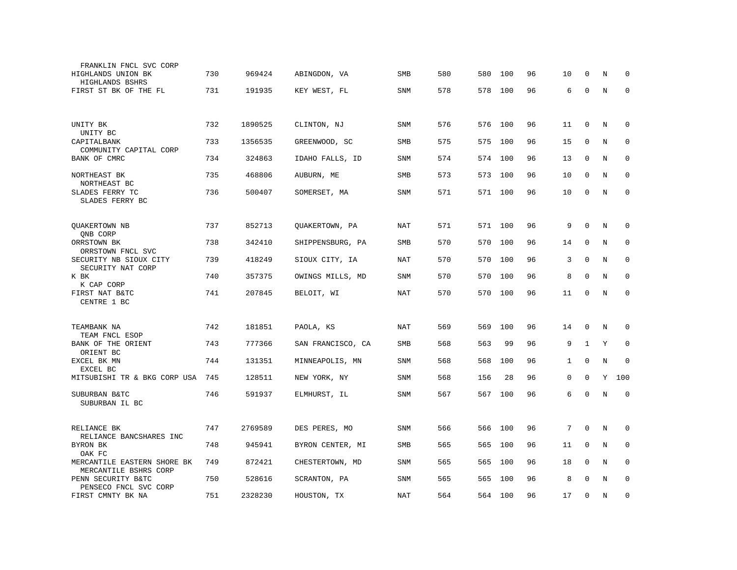| FRANKLIN FNCL SVC CORP                               |     |         |                   |            |     |     |     |    |              |             |         |             |
|------------------------------------------------------|-----|---------|-------------------|------------|-----|-----|-----|----|--------------|-------------|---------|-------------|
| HIGHLANDS UNION BK<br>HIGHLANDS BSHRS                | 730 | 969424  | ABINGDON, VA      | SMB        | 580 | 580 | 100 | 96 | 10           | $\Omega$    | N       | $\Omega$    |
| FIRST ST BK OF THE FL                                | 731 | 191935  | KEY WEST, FL      | <b>SNM</b> | 578 | 578 | 100 | 96 | 6            | $\mathbf 0$ | N       | $\mathbf 0$ |
|                                                      |     |         |                   |            |     |     |     |    |              |             |         |             |
| UNITY BK<br>UNITY BC                                 | 732 | 1890525 | CLINTON, NJ       | <b>SNM</b> | 576 | 576 | 100 | 96 | 11           | 0           | N       | $\mathbf 0$ |
| CAPITALBANK<br>COMMUNITY CAPITAL CORP                | 733 | 1356535 | GREENWOOD, SC     | SMB        | 575 | 575 | 100 | 96 | 15           | 0           | N       | 0           |
| BANK OF CMRC                                         | 734 | 324863  | IDAHO FALLS, ID   | <b>SNM</b> | 574 | 574 | 100 | 96 | 13           | $\mathbf 0$ | N       | $\mathbf 0$ |
| NORTHEAST BK<br>NORTHEAST BC                         | 735 | 468806  | AUBURN, ME        | SMB        | 573 | 573 | 100 | 96 | 10           | $\Omega$    | N       | $\mathbf 0$ |
| SLADES FERRY TC<br>SLADES FERRY BC                   | 736 | 500407  | SOMERSET, MA      | SNM        | 571 | 571 | 100 | 96 | 10           | $\mathbf 0$ | $\rm N$ | $\mathbf 0$ |
|                                                      |     |         |                   |            |     |     |     |    |              |             |         |             |
| QUAKERTOWN NB<br>QNB CORP                            | 737 | 852713  | QUAKERTOWN, PA    | NAT        | 571 | 571 | 100 | 96 | 9            | $\mathbf 0$ | N       | 0           |
| ORRSTOWN BK<br>ORRSTOWN FNCL SVC                     | 738 | 342410  | SHIPPENSBURG, PA  | SMB        | 570 | 570 | 100 | 96 | 14           | 0           | $\rm N$ | 0           |
| SECURITY NB SIOUX CITY<br>SECURITY NAT CORP          | 739 | 418249  | SIOUX CITY, IA    | NAT        | 570 | 570 | 100 | 96 | 3            | $\mathbf 0$ | N       | $\mathbf 0$ |
| K BK<br>K CAP CORP                                   | 740 | 357375  | OWINGS MILLS, MD  | SNM        | 570 | 570 | 100 | 96 | 8            | $\mathbf 0$ | N       | $\mathbf 0$ |
| FIRST NAT B&TC<br>CENTRE 1 BC                        | 741 | 207845  | BELOIT, WI        | NAT        | 570 | 570 | 100 | 96 | 11           | $\mathbf 0$ | N       | $\mathbf 0$ |
|                                                      |     |         |                   |            |     |     |     |    |              |             |         |             |
| TEAMBANK NA<br>TEAM FNCL ESOP                        | 742 | 181851  | PAOLA, KS         | <b>NAT</b> | 569 | 569 | 100 | 96 | 14           | $\mathbf 0$ | N       | $\mathbf 0$ |
| BANK OF THE ORIENT<br>ORIENT BC                      | 743 | 777366  | SAN FRANCISCO, CA | <b>SMB</b> | 568 | 563 | 99  | 96 | 9            | 1           | Υ       | $\mathbf 0$ |
| EXCEL BK MN<br>EXCEL BC                              | 744 | 131351  | MINNEAPOLIS, MN   | SNM        | 568 | 568 | 100 | 96 | $\mathbf{1}$ | $\mathbf 0$ | N       | $\mathbf 0$ |
| MITSUBISHI TR & BKG CORP USA                         | 745 | 128511  | NEW YORK, NY      | <b>SNM</b> | 568 | 156 | 28  | 96 | 0            | $\mathbf 0$ | Υ       | 100         |
| SUBURBAN B&TC<br>SUBURBAN IL BC                      | 746 | 591937  | ELMHURST, IL      | SNM        | 567 | 567 | 100 | 96 | 6            | $\mathbf 0$ | N       | $\mathbf 0$ |
|                                                      |     |         |                   |            |     |     |     |    |              |             |         |             |
| RELIANCE BK<br>RELIANCE BANCSHARES INC               | 747 | 2769589 | DES PERES, MO     | SNM        | 566 | 566 | 100 | 96 | 7            | $\mathbf 0$ | N       | $\mathbf 0$ |
| BYRON BK<br>OAK FC                                   | 748 | 945941  | BYRON CENTER, MI  | SMB        | 565 | 565 | 100 | 96 | 11           | $\mathbf 0$ | N       | $\mathbf 0$ |
| MERCANTILE EASTERN SHORE BK<br>MERCANTILE BSHRS CORP | 749 | 872421  | CHESTERTOWN, MD   | SNM        | 565 | 565 | 100 | 96 | 18           | $\Omega$    | N       | $\mathbf 0$ |
| PENN SECURITY B&TC<br>PENSECO FNCL SVC CORP          | 750 | 528616  | SCRANTON, PA      | SNM        | 565 | 565 | 100 | 96 | 8            | $\Omega$    | N       | $\mathbf 0$ |
| FIRST CMNTY BK NA                                    | 751 | 2328230 | HOUSTON, TX       | NAT        | 564 | 564 | 100 | 96 | 17           | $\mathbf 0$ | N       | $\mathbf 0$ |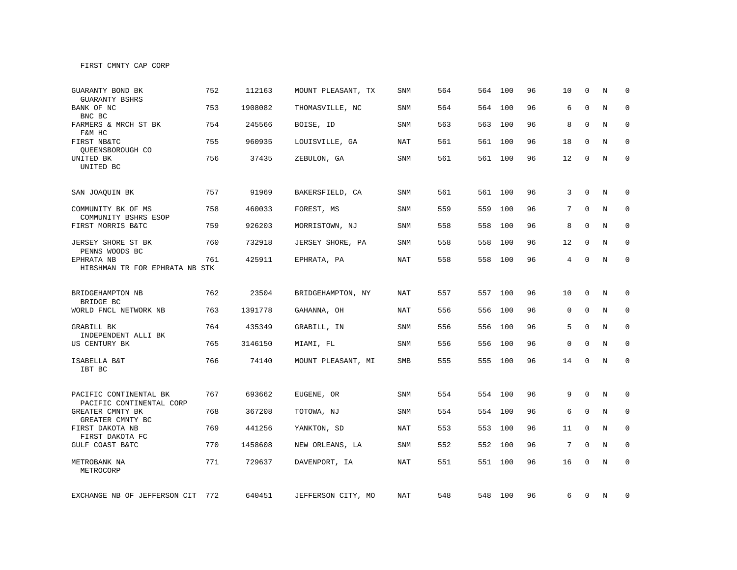FIRST CMNTY CAP CORP

| GUARANTY BOND BK<br>GUARANTY BSHRS                 | 752 | 112163  | MOUNT PLEASANT, TX | <b>SNM</b> | 564 | 564 | 100     | 96 | 10 | $\mathbf 0$  | N | $\Omega$     |
|----------------------------------------------------|-----|---------|--------------------|------------|-----|-----|---------|----|----|--------------|---|--------------|
| BANK OF NC<br>BNC BC                               | 753 | 1908082 | THOMASVILLE, NC    | <b>SNM</b> | 564 | 564 | 100     | 96 | 6  | $\mathbf{0}$ | N | $\mathbf 0$  |
| FARMERS & MRCH ST BK<br>F&M HC                     | 754 | 245566  | BOISE, ID          | SNM        | 563 | 563 | 100     | 96 | 8  | $\Omega$     | N | $\mathbf 0$  |
| FIRST NB&TC<br>OUEENSBOROUGH CO                    | 755 | 960935  | LOUISVILLE, GA     | NAT        | 561 | 561 | 100     | 96 | 18 | $\Omega$     | N | $\mathbf 0$  |
| UNITED BK<br>UNITED BC                             | 756 | 37435   | ZEBULON, GA        | <b>SNM</b> | 561 |     | 561 100 | 96 | 12 | 0            | N | $\mathbf{0}$ |
| SAN JOAQUIN BK                                     | 757 | 91969   | BAKERSFIELD, CA    | <b>SNM</b> | 561 | 561 | 100     | 96 | 3  | $\Omega$     | N | $\mathbf 0$  |
| COMMUNITY BK OF MS<br>COMMUNITY BSHRS ESOP         | 758 | 460033  | FOREST, MS         | SNM        | 559 | 559 | 100     | 96 | 7  | $\mathbf{0}$ | N | $\mathbf 0$  |
| FIRST MORRIS B&TC                                  | 759 | 926203  | MORRISTOWN, NJ     | SNM        | 558 | 558 | 100     | 96 | 8  | $\Omega$     | N | 0            |
| JERSEY SHORE ST BK<br>PENNS WOODS BC               | 760 | 732918  | JERSEY SHORE, PA   | <b>SNM</b> | 558 | 558 | 100     | 96 | 12 | $\Omega$     | N | $\mathbf 0$  |
| EPHRATA NB<br>HIBSHMAN TR FOR EPHRATA NB STK       | 761 | 425911  | EPHRATA, PA        | <b>NAT</b> | 558 | 558 | 100     | 96 | 4  | $\mathbf{0}$ | N | $\mathbf{0}$ |
| BRIDGEHAMPTON NB                                   | 762 | 23504   | BRIDGEHAMPTON, NY  | NAT        | 557 |     | 557 100 | 96 | 10 | $\mathbf 0$  | N | 0            |
| BRIDGE BC<br>WORLD FNCL NETWORK NB                 | 763 | 1391778 | GAHANNA, OH        | <b>NAT</b> | 556 | 556 | 100     | 96 | 0  | $\mathbf 0$  | N | $\mathbf 0$  |
| GRABILL BK<br>INDEPENDENT ALLI BK                  | 764 | 435349  | GRABILL, IN        | <b>SNM</b> | 556 | 556 | 100     | 96 | 5  | $\mathbf{0}$ | N | $\mathbf 0$  |
| US CENTURY BK                                      | 765 | 3146150 | MIAMI, FL          | <b>SNM</b> | 556 | 556 | 100     | 96 | 0  | $\Omega$     | N | $\mathbf 0$  |
| ISABELLA B&T<br>IBT BC                             | 766 | 74140   | MOUNT PLEASANT, MI | SMB        | 555 |     | 555 100 | 96 | 14 | $\mathbf 0$  | N | $\mathbf 0$  |
| PACIFIC CONTINENTAL BK<br>PACIFIC CONTINENTAL CORP | 767 | 693662  | EUGENE, OR         | SNM        | 554 |     | 554 100 | 96 | 9  | $\mathbf 0$  | N | 0            |
| GREATER CMNTY BK<br>GREATER CMNTY BC               | 768 | 367208  | TOTOWA, NJ         | SNM        | 554 | 554 | 100     | 96 | 6  | $\mathbf 0$  | N | $\mathbf{0}$ |
| FIRST DAKOTA NB<br>FIRST DAKOTA FC                 | 769 | 441256  | YANKTON, SD        | <b>NAT</b> | 553 | 553 | 100     | 96 | 11 | $\mathbf{0}$ | N | $\mathbf 0$  |
| GULF COAST B&TC                                    | 770 | 1458608 | NEW ORLEANS, LA    | SNM        | 552 | 552 | 100     | 96 | 7  | $\mathbf 0$  | N | 0            |
| METROBANK NA<br>METROCORP                          | 771 | 729637  | DAVENPORT, IA      | NAT        | 551 | 551 | 100     | 96 | 16 | $\Omega$     | N | $\mathbf 0$  |
| EXCHANGE NB OF JEFFERSON CIT                       | 772 | 640451  | JEFFERSON CITY, MO | NAT        | 548 |     | 548 100 | 96 | 6  | $\mathbf 0$  | N | 0            |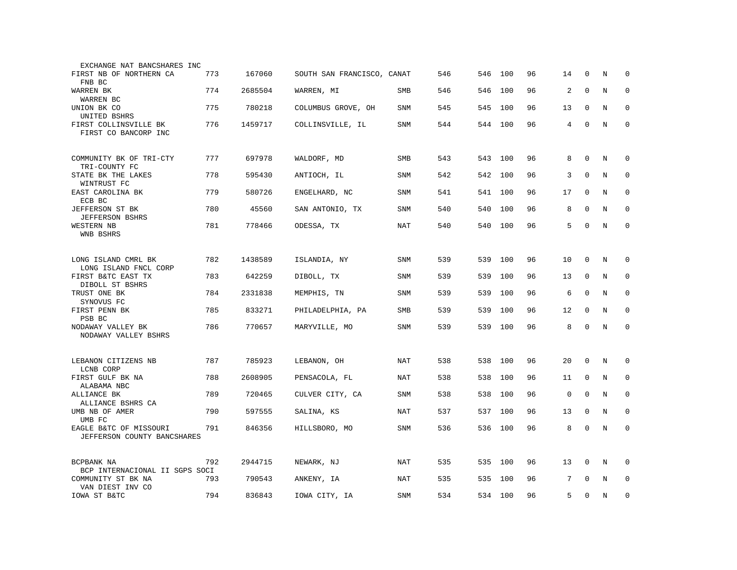| EXCHANGE NAT BANCSHARES INC                           |     |         |                            |            |     |     |         |    |             |             |         |             |
|-------------------------------------------------------|-----|---------|----------------------------|------------|-----|-----|---------|----|-------------|-------------|---------|-------------|
| FIRST NB OF NORTHERN CA<br>FNB BC                     | 773 | 167060  | SOUTH SAN FRANCISCO, CANAT |            | 546 | 546 | 100     | 96 | 14          | 0           | N       | 0           |
| WARREN BK<br>WARREN BC                                | 774 | 2685504 | WARREN, MI                 | <b>SMB</b> | 546 | 546 | 100     | 96 | 2           | $\mathbf 0$ | N       | $\mathbf 0$ |
| UNION BK CO<br>UNITED BSHRS                           | 775 | 780218  | COLUMBUS GROVE, OH         | <b>SNM</b> | 545 | 545 | 100     | 96 | 13          | $\mathbf 0$ | N       | $\mathbf 0$ |
| FIRST COLLINSVILLE BK<br>FIRST CO BANCORP INC         | 776 | 1459717 | COLLINSVILLE, IL           | SNM        | 544 | 544 | 100     | 96 | 4           | $\mathbf 0$ | $\rm N$ | $\Omega$    |
| COMMUNITY BK OF TRI-CTY<br>TRI-COUNTY FC              | 777 | 697978  | WALDORF, MD                | SMB        | 543 | 543 | 100     | 96 | 8           | $\mathbf 0$ | N       | $\mathbf 0$ |
| STATE BK THE LAKES<br>WINTRUST FC                     | 778 | 595430  | ANTIOCH, IL                | <b>SNM</b> | 542 | 542 | 100     | 96 | 3           | $\mathbf 0$ | N       | $\mathbf 0$ |
| EAST CAROLINA BK<br>ECB BC                            | 779 | 580726  | ENGELHARD, NC              | <b>SNM</b> | 541 | 541 | 100     | 96 | 17          | $\mathbf 0$ | N       | $\mathbf 0$ |
| JEFFERSON ST BK<br><b>JEFFERSON BSHRS</b>             | 780 | 45560   | SAN ANTONIO, TX            | <b>SNM</b> | 540 | 540 | 100     | 96 | 8           | $\Omega$    | N       | $\mathbf 0$ |
| WESTERN NB<br>WNB BSHRS                               | 781 | 778466  | ODESSA, TX                 | NAT        | 540 | 540 | 100     | 96 | 5           | $\mathbf 0$ | N       | $\mathbf 0$ |
| LONG ISLAND CMRL BK<br>LONG ISLAND FNCL CORP          | 782 | 1438589 | ISLANDIA, NY               | SNM        | 539 | 539 | 100     | 96 | 10          | $\mathbf 0$ | N       | $\mathbf 0$ |
| FIRST B&TC EAST TX<br>DIBOLL ST BSHRS                 | 783 | 642259  | DIBOLL, TX                 | SNM        | 539 | 539 | 100     | 96 | 13          | $\mathbf 0$ | N       | $\mathbf 0$ |
| TRUST ONE BK<br>SYNOVUS FC                            | 784 | 2331838 | MEMPHIS, TN                | <b>SNM</b> | 539 | 539 | 100     | 96 | 6           | $\mathbf 0$ | N       | 0           |
| FIRST PENN BK<br>PSB BC                               | 785 | 833271  | PHILADELPHIA, PA           | SMB        | 539 | 539 | 100     | 96 | 12          | $\mathbf 0$ | N       | 0           |
| NODAWAY VALLEY BK<br>NODAWAY VALLEY BSHRS             | 786 | 770657  | MARYVILLE, MO              | <b>SNM</b> | 539 | 539 | 100     | 96 | 8           | $\mathbf 0$ | N       | $\mathbf 0$ |
| LEBANON CITIZENS NB<br>LCNB CORP                      | 787 | 785923  | LEBANON, OH                | NAT        | 538 | 538 | 100     | 96 | 20          | 0           | N       | 0           |
| FIRST GULF BK NA<br>ALABAMA NBC                       | 788 | 2608905 | PENSACOLA, FL              | NAT        | 538 | 538 | 100     | 96 | 11          | $\mathbf 0$ | N       | 0           |
| ALLIANCE BK<br>ALLIANCE BSHRS CA                      | 789 | 720465  | CULVER CITY, CA            | <b>SNM</b> | 538 | 538 | 100     | 96 | $\mathbf 0$ | $\Omega$    | N       | $\mathbf 0$ |
| UMB NB OF AMER<br>UMB FC                              | 790 | 597555  | SALINA, KS                 | <b>NAT</b> | 537 | 537 | 100     | 96 | 13          | 0           | N       | 0           |
| EAGLE B&TC OF MISSOURI<br>JEFFERSON COUNTY BANCSHARES | 791 | 846356  | HILLSBORO, MO              | SNM        | 536 | 536 | 100     | 96 | 8           | $\mathbf 0$ | N       | $\mathbf 0$ |
| BCPBANK NA<br>BCP INTERNACIONAL II SGPS SOCI          | 792 | 2944715 | NEWARK, NJ                 | NAT        | 535 | 535 | 100     | 96 | 13          | $\mathbf 0$ | N       | $\mathbf 0$ |
| COMMUNITY ST BK NA<br>VAN DIEST INV CO                | 793 | 790543  | ANKENY, IA                 | <b>NAT</b> | 535 | 535 | 100     | 96 | 7           | $\Omega$    | N       | $\mathbf 0$ |
| IOWA ST B&TC                                          | 794 | 836843  | IOWA CITY, IA              | <b>SNM</b> | 534 |     | 534 100 | 96 | 5           | $\mathbf 0$ | N       | $\Omega$    |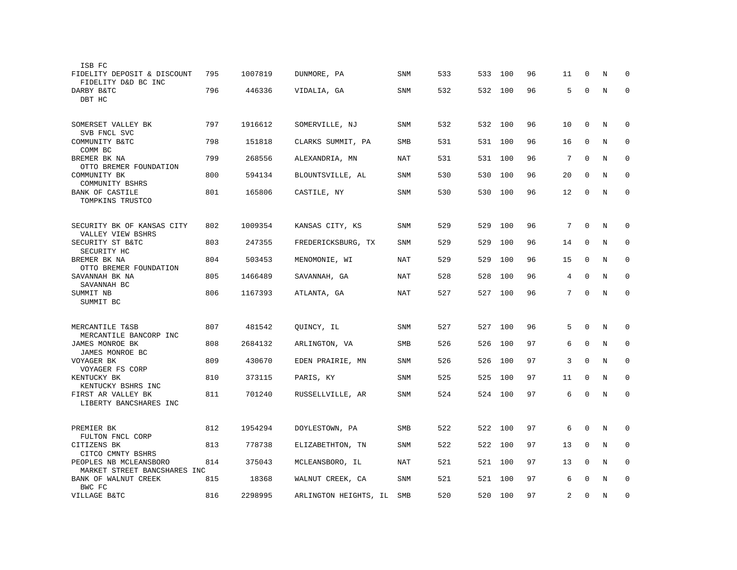| ISB FC                                                 |     |         |                       |            |     |     |     |    |                |              |         |             |
|--------------------------------------------------------|-----|---------|-----------------------|------------|-----|-----|-----|----|----------------|--------------|---------|-------------|
| FIDELITY DEPOSIT & DISCOUNT<br>FIDELITY D&D BC INC     | 795 | 1007819 | DUNMORE, PA           | <b>SNM</b> | 533 | 533 | 100 | 96 | 11             | 0            | N       | $\mathbf 0$ |
| DARBY B&TC<br>DBT HC                                   | 796 | 446336  | VIDALIA, GA           | <b>SNM</b> | 532 | 532 | 100 | 96 | 5              | $\mathbf 0$  | N       | 0           |
| SOMERSET VALLEY BK                                     | 797 | 1916612 | SOMERVILLE, NJ        | <b>SNM</b> | 532 | 532 | 100 | 96 | 10             | $\mathbf 0$  | N       | $\mathbf 0$ |
| SVB FNCL SVC<br>COMMUNITY B&TC<br>COMM BC              | 798 | 151818  | CLARKS SUMMIT, PA     | SMB        | 531 | 531 | 100 | 96 | 16             | $\mathbf 0$  | N       | 0           |
| BREMER BK NA<br>OTTO BREMER FOUNDATION                 | 799 | 268556  | ALEXANDRIA, MN        | NAT        | 531 | 531 | 100 | 96 | 7              | $\Omega$     | N       | 0           |
| COMMUNITY BK<br>COMMUNITY BSHRS                        | 800 | 594134  | BLOUNTSVILLE, AL      | SNM        | 530 | 530 | 100 | 96 | 20             | $\mathbf 0$  | N       | 0           |
| <b>BANK OF CASTILE</b><br>TOMPKINS TRUSTCO             | 801 | 165806  | CASTILE, NY           | <b>SNM</b> | 530 | 530 | 100 | 96 | 12             | $\mathbf 0$  | N       | $\mathbf 0$ |
| SECURITY BK OF KANSAS CITY<br>VALLEY VIEW BSHRS        | 802 | 1009354 | KANSAS CITY, KS       | SNM        | 529 | 529 | 100 | 96 | 7              | $\mathbf 0$  | N       | 0           |
| SECURITY ST B&TC<br>SECURITY HC                        | 803 | 247355  | FREDERICKSBURG, TX    | SNM        | 529 | 529 | 100 | 96 | 14             | $\mathbf 0$  | N       | 0           |
| BREMER BK NA<br>OTTO BREMER FOUNDATION                 | 804 | 503453  | MENOMONIE, WI         | <b>NAT</b> | 529 | 529 | 100 | 96 | 15             | $\mathbf{0}$ | N       | $\mathbf 0$ |
| SAVANNAH BK NA<br>SAVANNAH BC                          | 805 | 1466489 | SAVANNAH, GA          | <b>NAT</b> | 528 | 528 | 100 | 96 | 4              | $\mathbf 0$  | N       | $\mathbf 0$ |
| SUMMIT NB<br>SUMMIT BC                                 | 806 | 1167393 | ATLANTA, GA           | NAT        | 527 | 527 | 100 | 96 | 7              | $\mathbf 0$  | N       | $\mathbf 0$ |
| MERCANTILE T&SB<br>MERCANTILE BANCORP INC              | 807 | 481542  | QUINCY, IL            | <b>SNM</b> | 527 | 527 | 100 | 96 | 5              | $\Omega$     | N       | 0           |
| JAMES MONROE BK<br>JAMES MONROE BC                     | 808 | 2684132 | ARLINGTON, VA         | SMB        | 526 | 526 | 100 | 97 | 6              | $\mathbf 0$  | N       | $\mathbf 0$ |
| VOYAGER BK<br>VOYAGER FS CORP                          | 809 | 430670  | EDEN PRAIRIE, MN      | <b>SNM</b> | 526 | 526 | 100 | 97 | 3              | $\Omega$     | N       | $\mathbf 0$ |
| KENTUCKY BK<br>KENTUCKY BSHRS INC                      | 810 | 373115  | PARIS, KY             | <b>SNM</b> | 525 | 525 | 100 | 97 | 11             | $\mathbf 0$  | N       | 0           |
| FIRST AR VALLEY BK<br>LIBERTY BANCSHARES INC           | 811 | 701240  | RUSSELLVILLE, AR      | SNM        | 524 | 524 | 100 | 97 | 6              | $\mathbf{0}$ | N       | $\mathbf 0$ |
| PREMIER BK<br>FULTON FNCL CORP                         | 812 | 1954294 | DOYLESTOWN, PA        | SMB        | 522 | 522 | 100 | 97 | 6              | $\mathbf 0$  | N       | 0           |
| CITIZENS BK<br>CITCO CMNTY BSHRS                       | 813 | 778738  | ELIZABETHTON, TN      | SNM        | 522 | 522 | 100 | 97 | 13             | 0            | N       | 0           |
| PEOPLES NB MCLEANSBORO<br>MARKET STREET BANCSHARES INC | 814 | 375043  | MCLEANSBORO, IL       | NAT        | 521 | 521 | 100 | 97 | 13             | $\mathbf 0$  | N       | 0           |
| BANK OF WALNUT CREEK<br>BWC FC                         | 815 | 18368   | WALNUT CREEK, CA      | SNM        | 521 | 521 | 100 | 97 | 6              | $\Omega$     | N       | 0           |
| VILLAGE B&TC                                           | 816 | 2298995 | ARLINGTON HEIGHTS, IL | SMB        | 520 | 520 | 100 | 97 | $\overline{2}$ | $\mathbf 0$  | $\rm N$ | $\mathbf 0$ |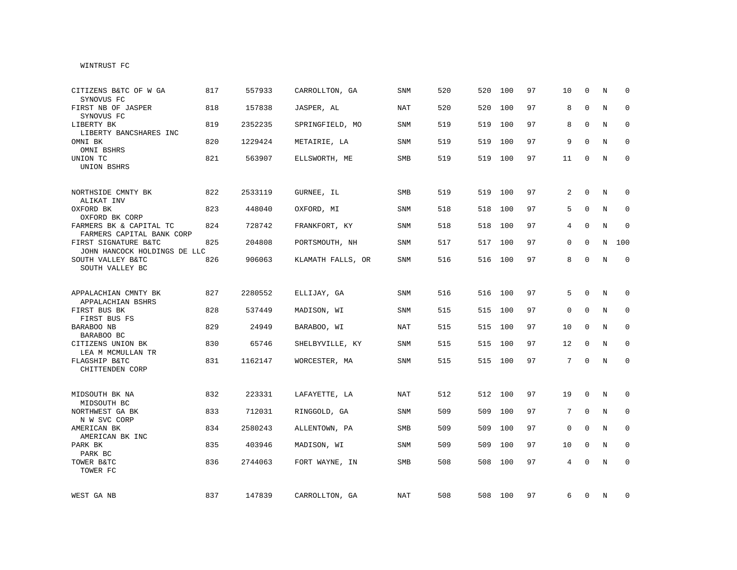## WINTRUST FC

| CITIZENS B&TC OF W GA<br>SYNOVUS FC                  | 817 | 557933  | CARROLLTON, GA    | SNM        | 520 | 520 | 100     | 97 | 10              | $\mathbf 0$  | N           | $\Omega$     |
|------------------------------------------------------|-----|---------|-------------------|------------|-----|-----|---------|----|-----------------|--------------|-------------|--------------|
| FIRST NB OF JASPER<br>SYNOVUS FC                     | 818 | 157838  | JASPER, AL        | <b>NAT</b> | 520 | 520 | 100     | 97 | 8               | $\Omega$     | N           | $\Omega$     |
| LIBERTY BK<br>LIBERTY BANCSHARES INC                 | 819 | 2352235 | SPRINGFIELD, MO   | SNM        | 519 | 519 | 100     | 97 | 8               | $\Omega$     | N           | $\Omega$     |
| OMNI BK<br>OMNI BSHRS                                | 820 | 1229424 | METAIRIE, LA      | SNM        | 519 | 519 | 100     | 97 | 9               | $\mathbf 0$  | N           | 0            |
| UNION TC<br>UNION BSHRS                              | 821 | 563907  | ELLSWORTH, ME     | SMB        | 519 |     | 519 100 | 97 | 11              | 0            | N           | $\mathbf 0$  |
| NORTHSIDE CMNTY BK<br>ALIKAT INV                     | 822 | 2533119 | GURNEE, IL        | <b>SMB</b> | 519 | 519 | 100     | 97 | 2               | $\Omega$     | N           | $\Omega$     |
| OXFORD BK<br>OXFORD BK CORP                          | 823 | 448040  | OXFORD, MI        | <b>SNM</b> | 518 | 518 | 100     | 97 | 5               | $\Omega$     | $\mathbf N$ | $\mathbf 0$  |
| FARMERS BK & CAPITAL TC<br>FARMERS CAPITAL BANK CORP | 824 | 728742  | FRANKFORT, KY     | <b>SNM</b> | 518 | 518 | 100     | 97 | 4               | $\Omega$     | N           | $\mathbf 0$  |
| FIRST SIGNATURE B&TC<br>JOHN HANCOCK HOLDINGS DE LLC | 825 | 204808  | PORTSMOUTH, NH    | <b>SNM</b> | 517 |     | 517 100 | 97 | 0               | $\mathbf 0$  | N           | 100          |
| SOUTH VALLEY B&TC<br>SOUTH VALLEY BC                 | 826 | 906063  | KLAMATH FALLS, OR | SNM        | 516 |     | 516 100 | 97 | 8               | 0            | N           | $\mathbf 0$  |
| APPALACHIAN CMNTY BK                                 | 827 | 2280552 | ELLIJAY, GA       | <b>SNM</b> | 516 |     | 516 100 | 97 | 5               | $\Omega$     | N           | 0            |
| APPALACHIAN BSHRS<br>FIRST BUS BK<br>FIRST BUS FS    | 828 | 537449  | MADISON, WI       | SNM        | 515 | 515 | 100     | 97 | 0               | $\mathbf{0}$ | $\mathbf N$ | $\mathbf 0$  |
| BARABOO NB<br>BARABOO BC                             | 829 | 24949   | BARABOO, WI       | <b>NAT</b> | 515 | 515 | 100     | 97 | 10              | $\mathbf 0$  | N           | $\mathbf 0$  |
| CITIZENS UNION BK<br>LEA M MCMULLAN TR               | 830 | 65746   | SHELBYVILLE, KY   | SNM        | 515 |     | 515 100 | 97 | 12              | $\mathbf 0$  | N           | $\mathbf 0$  |
| FLAGSHIP B&TC<br>CHITTENDEN CORP                     | 831 | 1162147 | WORCESTER, MA     | SNM        | 515 |     | 515 100 | 97 | $7\overline{ }$ | $\mathbf 0$  | N           | $\mathbf 0$  |
| MIDSOUTH BK NA<br>MIDSOUTH BC                        | 832 | 223331  | LAFAYETTE, LA     | NAT        | 512 |     | 512 100 | 97 | 19              | 0            | N           | 0            |
| NORTHWEST GA BK<br>N W SVC CORP                      | 833 | 712031  | RINGGOLD, GA      | SNM        | 509 | 509 | 100     | 97 | $7\overline{ }$ | $\mathbf 0$  | N           | $\mathbf 0$  |
| AMERICAN BK<br>AMERICAN BK INC                       | 834 | 2580243 | ALLENTOWN, PA     | SMB        | 509 | 509 | 100     | 97 | 0               | $\mathbf 0$  | N           | $\mathbf 0$  |
| PARK BK<br>PARK BC                                   | 835 | 403946  | MADISON, WI       | <b>SNM</b> | 509 | 509 | 100     | 97 | 10              | $\mathbf 0$  | N           | $\mathbf 0$  |
| TOWER B&TC<br>TOWER FC                               | 836 | 2744063 | FORT WAYNE, IN    | SMB        | 508 |     | 508 100 | 97 | 4               | $\mathbf 0$  | N           | $\mathbf{0}$ |
| WEST GA NB                                           | 837 | 147839  | CARROLLTON, GA    | NAT        | 508 |     | 508 100 | 97 | 6               | 0            | N           | 0            |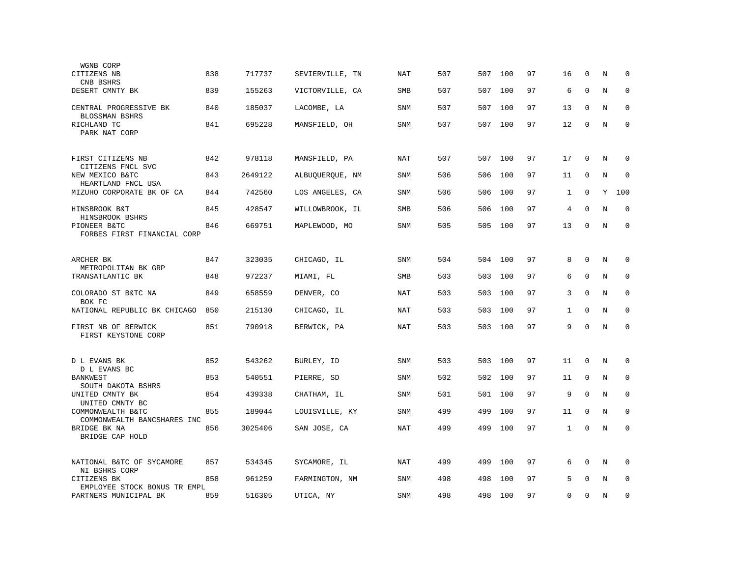| WGNB CORP<br>CITIZENS NB                                       | 838 | 717737  | SEVIERVILLE, TN | NAT        | 507 | 507     | 100     | 97 | 16           | 0           | N       | 0           |
|----------------------------------------------------------------|-----|---------|-----------------|------------|-----|---------|---------|----|--------------|-------------|---------|-------------|
| CNB BSHRS<br>DESERT CMNTY BK                                   | 839 | 155263  | VICTORVILLE, CA | <b>SMB</b> | 507 | 507     | 100     | 97 | 6            | $\mathbf 0$ | N       | $\mathbf 0$ |
| CENTRAL PROGRESSIVE BK                                         | 840 | 185037  | LACOMBE, LA     | <b>SNM</b> | 507 | 507     | 100     | 97 | 13           | 0           | N       | 0           |
| BLOSSMAN BSHRS<br>RICHLAND TC<br>PARK NAT CORP                 | 841 | 695228  | MANSFIELD, OH   | <b>SNM</b> | 507 | 507 100 |         | 97 | 12           | $\mathbf 0$ | $\rm N$ | $\mathbf 0$ |
| FIRST CITIZENS NB<br>CITIZENS FNCL SVC                         | 842 | 978118  | MANSFIELD, PA   | <b>NAT</b> | 507 | 507     | 100     | 97 | 17           | $\mathbf 0$ | N       | $\mathbf 0$ |
| NEW MEXICO B&TC<br>HEARTLAND FNCL USA                          | 843 | 2649122 | ALBUQUERQUE, NM | SNM        | 506 | 506     | 100     | 97 | 11           | 0           | N       | 0           |
| MIZUHO CORPORATE BK OF CA                                      | 844 | 742560  | LOS ANGELES, CA | SNM        | 506 | 506     | 100     | 97 | 1            | $\mathbf 0$ | Y       | 100         |
| HINSBROOK B&T                                                  | 845 | 428547  | WILLOWBROOK, IL | <b>SMB</b> | 506 | 506     | 100     | 97 | 4            | $\Omega$    | N       | $\mathbf 0$ |
| HINSBROOK BSHRS<br>PIONEER B&TC<br>FORBES FIRST FINANCIAL CORP | 846 | 669751  | MAPLEWOOD, MO   | <b>SNM</b> | 505 | 505     | 100     | 97 | 13           | 0           | N       | $\mathbf 0$ |
| ARCHER BK                                                      | 847 | 323035  | CHICAGO, IL     | <b>SNM</b> | 504 |         | 504 100 | 97 | 8            | $\mathbf 0$ | N       | 0           |
| METROPOLITAN BK GRP<br>TRANSATLANTIC BK                        | 848 | 972237  | MIAMI, FL       | <b>SMB</b> | 503 | 503     | 100     | 97 | 6            | $\mathbf 0$ | N       | $\mathbf 0$ |
| COLORADO ST B&TC NA                                            | 849 | 658559  | DENVER, CO      | NAT        | 503 | 503     | 100     | 97 | 3            | $\mathbf 0$ | N       | $\mathbf 0$ |
| BOK FC<br>NATIONAL REPUBLIC BK CHICAGO                         | 850 | 215130  | CHICAGO, IL     | NAT        | 503 | 503     | 100     | 97 | 1            | $\mathbf 0$ | N       | $\mathbf 0$ |
| FIRST NB OF BERWICK<br>FIRST KEYSTONE CORP                     | 851 | 790918  | BERWICK, PA     | <b>NAT</b> | 503 | 503     | 100     | 97 | 9            | $\Omega$    | N       | $\Omega$    |
| D L EVANS BK                                                   | 852 | 543262  | BURLEY, ID      | <b>SNM</b> | 503 | 503     | 100     | 97 | 11           | $\mathbf 0$ | N       | 0           |
| D L EVANS BC<br><b>BANKWEST</b>                                | 853 | 540551  | PIERRE, SD      | <b>SNM</b> | 502 | 502     | 100     | 97 | 11           | $\mathbf 0$ | N       | $\mathbf 0$ |
| SOUTH DAKOTA BSHRS<br>UNITED CMNTY BK                          | 854 | 439338  |                 | <b>SNM</b> | 501 | 501     | 100     | 97 | 9            | $\mathbf 0$ | N       | $\mathbf 0$ |
| UNITED CMNTY BC                                                |     |         | CHATHAM, IL     |            |     |         |         |    |              |             |         |             |
| COMMONWEALTH B&TC<br>COMMONWEALTH BANCSHARES INC               | 855 | 189044  | LOUISVILLE, KY  | SNM        | 499 | 499     | 100     | 97 | 11           | $\mathbf 0$ | N       | $\mathbf 0$ |
| BRIDGE BK NA<br>BRIDGE CAP HOLD                                | 856 | 3025406 | SAN JOSE, CA    | <b>NAT</b> | 499 | 499     | 100     | 97 | $\mathbf{1}$ | $\mathbf 0$ | N       | $\mathbf 0$ |
| NATIONAL B&TC OF SYCAMORE<br>NI BSHRS CORP                     | 857 | 534345  | SYCAMORE, IL    | NAT        | 499 | 499     | 100     | 97 | 6            | $\mathbf 0$ | Ν       | $\mathbf 0$ |
| CITIZENS BK<br>EMPLOYEE STOCK BONUS TR EMPL                    | 858 | 961259  | FARMINGTON, NM  | <b>SNM</b> | 498 | 498     | 100     | 97 | 5            | $\Omega$    | N       | $\mathbf 0$ |
| PARTNERS MUNICIPAL BK                                          | 859 | 516305  | UTICA, NY       | SNM        | 498 | 498     | 100     | 97 | 0            | $\mathbf 0$ | N       | $\mathbf 0$ |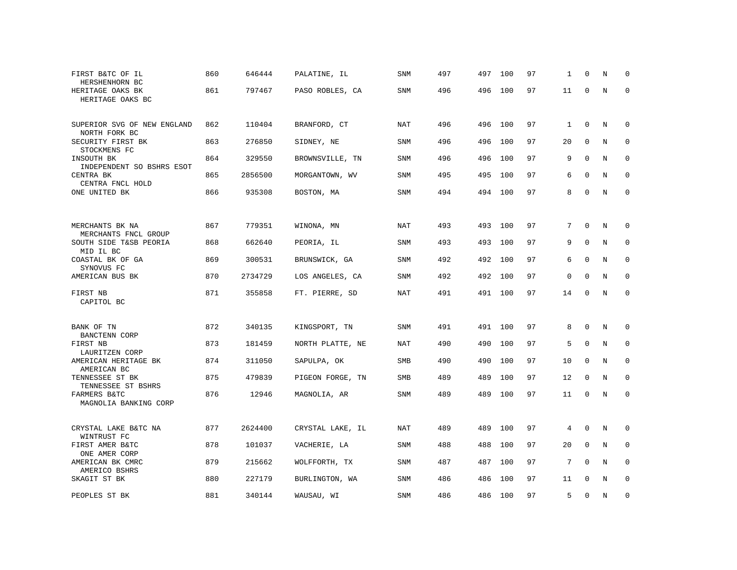| FIRST B&TC OF IL<br>HERSHENHORN BC                      | 860 | 646444  | PALATINE, IL     | SNM        | 497 | 497 | 100     | 97 | 1            | $\mathbf 0$ | N | $\Omega$    |
|---------------------------------------------------------|-----|---------|------------------|------------|-----|-----|---------|----|--------------|-------------|---|-------------|
| HERITAGE OAKS BK<br>HERITAGE OAKS BC                    | 861 | 797467  | PASO ROBLES, CA  | <b>SNM</b> | 496 | 496 | 100     | 97 | 11           | $\mathbf 0$ | N | $\mathbf 0$ |
| SUPERIOR SVG OF NEW ENGLAND<br>NORTH FORK BC            | 862 | 110404  | BRANFORD, CT     | NAT        | 496 | 496 | 100     | 97 | $\mathbf{1}$ | $\mathbf 0$ | N | $\mathbf 0$ |
| SECURITY FIRST BK                                       | 863 | 276850  | SIDNEY, NE       | <b>SNM</b> | 496 | 496 | 100     | 97 | 20           | $\mathbf 0$ | N | $\mathbf 0$ |
| STOCKMENS FC<br>INSOUTH BK<br>INDEPENDENT SO BSHRS ESOT | 864 | 329550  | BROWNSVILLE, TN  | <b>SNM</b> | 496 | 496 | 100     | 97 | 9            | $\mathbf 0$ | N | 0           |
| CENTRA BK<br>CENTRA FNCL HOLD                           | 865 | 2856500 | MORGANTOWN, WV   | SNM        | 495 | 495 | 100     | 97 | 6            | $\mathbf 0$ | N | $\mathbf 0$ |
| ONE UNITED BK                                           | 866 | 935308  | BOSTON, MA       | SNM        | 494 |     | 494 100 | 97 | 8            | $\mathbf 0$ | N | $\mathbf 0$ |
|                                                         |     |         |                  |            |     |     |         |    |              |             |   |             |
| MERCHANTS BK NA<br>MERCHANTS FNCL GROUP                 | 867 | 779351  | WINONA, MN       | NAT        | 493 | 493 | 100     | 97 | 7            | $\Omega$    | N | $\mathbf 0$ |
| SOUTH SIDE T&SB PEORIA<br>MID IL BC                     | 868 | 662640  | PEORIA, IL       | SNM        | 493 | 493 | 100     | 97 | 9            | $\mathbf 0$ | N | $\mathbf 0$ |
| COASTAL BK OF GA<br>SYNOVUS FC                          | 869 | 300531  | BRUNSWICK, GA    | <b>SNM</b> | 492 | 492 | 100     | 97 | 6            | $\mathbf 0$ | N | $\mathbf 0$ |
| AMERICAN BUS BK                                         | 870 | 2734729 | LOS ANGELES, CA  | <b>SNM</b> | 492 | 492 | 100     | 97 | 0            | $\Omega$    | N | $\mathbf 0$ |
| FIRST NB<br>CAPITOL BC                                  | 871 | 355858  | FT. PIERRE, SD   | <b>NAT</b> | 491 | 491 | 100     | 97 | 14           | $\mathbf 0$ | N | $\mathbf 0$ |
| BANK OF TN<br>BANCTENN CORP                             | 872 | 340135  | KINGSPORT, TN    | <b>SNM</b> | 491 | 491 | 100     | 97 | 8            | $\mathbf 0$ | N | $\mathbf 0$ |
| FIRST NB<br>LAURITZEN CORP                              | 873 | 181459  | NORTH PLATTE, NE | NAT        | 490 | 490 | 100     | 97 | 5            | $\mathbf 0$ | N | 0           |
| AMERICAN HERITAGE BK<br>AMERICAN BC                     | 874 | 311050  | SAPULPA, OK      | SMB        | 490 | 490 | 100     | 97 | 10           | $\mathbf 0$ | N | $\mathbf 0$ |
| TENNESSEE ST BK<br>TENNESSEE ST BSHRS                   | 875 | 479839  | PIGEON FORGE, TN | SMB        | 489 | 489 | 100     | 97 | 12           | $\mathbf 0$ | N | $\Omega$    |
| FARMERS B&TC<br>MAGNOLIA BANKING CORP                   | 876 | 12946   | MAGNOLIA, AR     | SNM        | 489 | 489 | 100     | 97 | 11           | $\mathbf 0$ | N | $\mathbf 0$ |
| CRYSTAL LAKE B&TC NA<br>WINTRUST FC                     | 877 | 2624400 | CRYSTAL LAKE, IL | NAT        | 489 | 489 | 100     | 97 | 4            | $\mathbf 0$ | N | $\mathbf 0$ |
| FIRST AMER B&TC<br>ONE AMER CORP                        | 878 | 101037  | VACHERIE, LA     | <b>SNM</b> | 488 | 488 | 100     | 97 | 20           | $\mathbf 0$ | N | $\mathbf 0$ |
| AMERICAN BK CMRC<br>AMERICO BSHRS                       | 879 | 215662  | WOLFFORTH, TX    | <b>SNM</b> | 487 | 487 | 100     | 97 | 7            | $\mathbf 0$ | N | $\mathbf 0$ |
| SKAGIT ST BK                                            | 880 | 227179  | BURLINGTON, WA   | <b>SNM</b> | 486 | 486 | 100     | 97 | 11           | $\Omega$    | N | $\Omega$    |
| PEOPLES ST BK                                           | 881 | 340144  | WAUSAU, WI       | <b>SNM</b> | 486 | 486 | 100     | 97 | 5            | $\mathbf 0$ | N | 0           |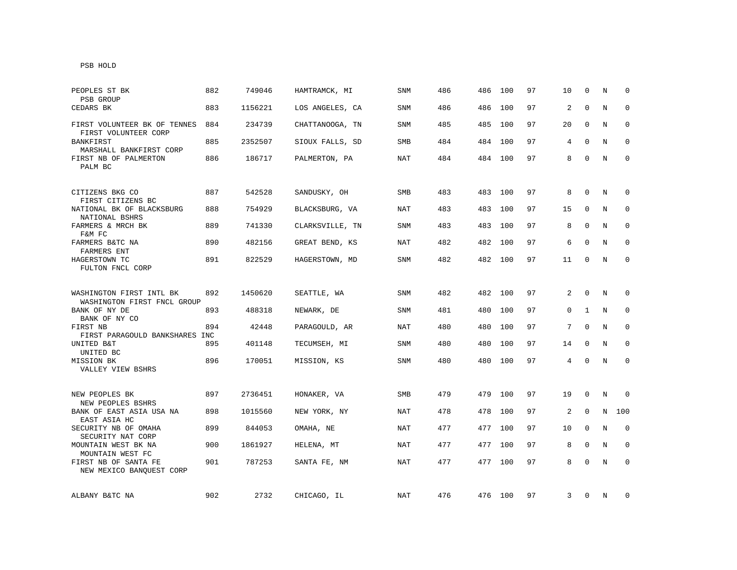| PEOPLES ST BK<br>PSB GROUP                                    | 882 | 749046  | HAMTRAMCK, MI   | SNM        | 486 | 486     | 100 | 97 | 10           | $\Omega$     | N | $\Omega$     |
|---------------------------------------------------------------|-----|---------|-----------------|------------|-----|---------|-----|----|--------------|--------------|---|--------------|
| CEDARS BK                                                     | 883 | 1156221 | LOS ANGELES, CA | <b>SNM</b> | 486 | 486     | 100 | 97 | 2            | $\mathbf 0$  | N | $\mathbf 0$  |
| FIRST VOLUNTEER BK OF TENNES<br>FIRST VOLUNTEER CORP          | 884 | 234739  | CHATTANOOGA, TN | SNM        | 485 | 485     | 100 | 97 | 20           | 0            | N | 0            |
| <b>BANKFIRST</b><br>MARSHALL BANKFIRST CORP                   | 885 | 2352507 | SIOUX FALLS, SD | <b>SMB</b> | 484 | 484     | 100 | 97 | 4            | $\Omega$     | N | $\mathbf 0$  |
| FIRST NB OF PALMERTON<br>PALM BC                              | 886 | 186717  | PALMERTON, PA   | NAT        | 484 | 484 100 |     | 97 | 8            | $\Omega$     | N | $\mathbf{0}$ |
| CITIZENS BKG CO<br>FIRST CITIZENS BC                          | 887 | 542528  | SANDUSKY, OH    | <b>SMB</b> | 483 | 483     | 100 | 97 | 8            | $\Omega$     | N | $\mathbf 0$  |
| NATIONAL BK OF BLACKSBURG<br>NATIONAL BSHRS                   | 888 | 754929  | BLACKSBURG, VA  | <b>NAT</b> | 483 | 483     | 100 | 97 | 15           | $\mathbf 0$  | N | $\mathbf 0$  |
| FARMERS & MRCH BK<br>F&M FC                                   | 889 | 741330  | CLARKSVILLE, TN | <b>SNM</b> | 483 | 483     | 100 | 97 | 8            | 0            | N | 0            |
| FARMERS B&TC NA<br>FARMERS ENT                                | 890 | 482156  | GREAT BEND, KS  | NAT        | 482 | 482     | 100 | 97 | 6            | $\Omega$     | N | $\Omega$     |
| HAGERSTOWN TC<br>FULTON FNCL CORP                             | 891 | 822529  | HAGERSTOWN, MD  | <b>SNM</b> | 482 | 482 100 |     | 97 | 11           | $\mathbf{0}$ | N | $\mathbf 0$  |
| WASHINGTON FIRST INTL BK                                      | 892 | 1450620 | SEATTLE, WA     | SNM        | 482 | 482     | 100 | 97 | 2            | $\mathbf 0$  | N | $\Omega$     |
| WASHINGTON FIRST FNCL GROUP<br>BANK OF NY DE<br>BANK OF NY CO | 893 | 488318  | NEWARK, DE      | <b>SNM</b> | 481 | 480     | 100 | 97 | $\mathbf{0}$ | $\mathbf{1}$ | N | $\mathbf 0$  |
| FIRST NB<br>FIRST PARAGOULD BANKSHARES INC                    | 894 | 42448   | PARAGOULD, AR   | NAT        | 480 | 480     | 100 | 97 | 7            | $\mathbf 0$  | N | 0            |
| UNITED B&T<br>UNITED BC                                       | 895 | 401148  | TECUMSEH, MI    | SNM        | 480 | 480     | 100 | 97 | 14           | 0            | N | 0            |
| MISSION BK<br>VALLEY VIEW BSHRS                               | 896 | 170051  | MISSION, KS     | <b>SNM</b> | 480 | 480     | 100 | 97 | 4            | $\Omega$     | N | $\mathbf 0$  |
| NEW PEOPLES BK<br>NEW PEOPLES BSHRS                           | 897 | 2736451 | HONAKER, VA     | <b>SMB</b> | 479 | 479     | 100 | 97 | 19           | 0            | N | 0            |
| BANK OF EAST ASIA USA NA<br>EAST ASIA HC                      | 898 | 1015560 | NEW YORK, NY    | NAT        | 478 | 478     | 100 | 97 | 2            | 0            | N | 100          |
| SECURITY NB OF OMAHA<br>SECURITY NAT CORP                     | 899 | 844053  | OMAHA, NE       | NAT        | 477 | 477     | 100 | 97 | 10           | $\mathbf 0$  | N | 0            |
| MOUNTAIN WEST BK NA<br>MOUNTAIN WEST FC                       | 900 | 1861927 | HELENA, MT      | NAT        | 477 | 477     | 100 | 97 | 8            | $\mathbf 0$  | N | $\mathbf 0$  |
| FIRST NB OF SANTA FE<br>NEW MEXICO BANQUEST CORP              | 901 | 787253  | SANTA FE, NM    | NAT        | 477 | 477     | 100 | 97 | 8            | $\Omega$     | N | $\Omega$     |
| ALBANY B&TC NA                                                | 902 | 2732    | CHICAGO, IL     | NAT        | 476 | 476 100 |     | 97 | 3            | 0            | N | 0            |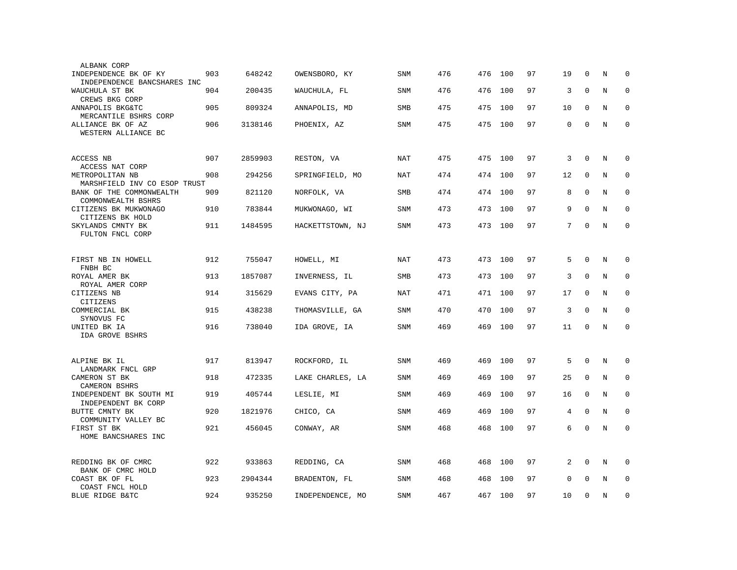| ALBANK CORP                                               |     |         |                  |            |     |     |     |    |    |              |   |             |
|-----------------------------------------------------------|-----|---------|------------------|------------|-----|-----|-----|----|----|--------------|---|-------------|
| INDEPENDENCE BK OF KY<br>INDEPENDENCE BANCSHARES INC      | 903 | 648242  | OWENSBORO, KY    | SNM        | 476 | 476 | 100 | 97 | 19 | $\Omega$     | N | $\Omega$    |
| WAUCHULA ST BK<br>CREWS BKG CORP                          | 904 | 200435  | WAUCHULA, FL     | <b>SNM</b> | 476 | 476 | 100 | 97 | 3  | $\mathbf{0}$ | N | $\mathbf 0$ |
| ANNAPOLIS BKG&TC<br>MERCANTILE BSHRS CORP                 | 905 | 809324  | ANNAPOLIS, MD    | SMB        | 475 | 475 | 100 | 97 | 10 | $\mathbf 0$  | N | $\mathbf 0$ |
| ALLIANCE BK OF AZ<br>WESTERN ALLIANCE BC                  | 906 | 3138146 | PHOENIX, AZ      | <b>SNM</b> | 475 | 475 | 100 | 97 | 0  | $\mathbf{0}$ | N | $\mathbf 0$ |
|                                                           |     |         |                  |            |     |     |     |    |    |              |   |             |
| ACCESS NB<br>ACCESS NAT CORP                              | 907 | 2859903 | RESTON, VA       | NAT        | 475 | 475 | 100 | 97 | 3  | $\mathbf{0}$ | N | $\mathbf 0$ |
| METROPOLITAN NB<br>MARSHFIELD INV CO ESOP TRUST           | 908 | 294256  | SPRINGFIELD, MO  | NAT        | 474 | 474 | 100 | 97 | 12 | $\mathbf 0$  | N | $\mathbf 0$ |
| BANK OF THE COMMONWEALTH<br>COMMONWEALTH BSHRS            | 909 | 821120  | NORFOLK, VA      | SMB        | 474 | 474 | 100 | 97 | 8  | $\mathbf 0$  | N | 0           |
| CITIZENS BK MUKWONAGO<br>CITIZENS BK HOLD                 | 910 | 783844  | MUKWONAGO, WI    | <b>SNM</b> | 473 | 473 | 100 | 97 | 9  | $\Omega$     | N | $\Omega$    |
| SKYLANDS CMNTY BK<br>FULTON FNCL CORP                     | 911 | 1484595 | HACKETTSTOWN, NJ | SNM        | 473 | 473 | 100 | 97 | 7  | $\mathbf 0$  | N | $\mathbf 0$ |
|                                                           |     |         |                  |            |     |     |     |    |    |              |   |             |
| FIRST NB IN HOWELL<br>FNBH BC                             | 912 | 755047  | HOWELL, MI       | NAT        | 473 | 473 | 100 | 97 | 5  | $\mathbf{0}$ | N | 0           |
| ROYAL AMER BK<br>ROYAL AMER CORP                          | 913 | 1857087 | INVERNESS, IL    | SMB        | 473 | 473 | 100 | 97 | 3  | $\mathbf{0}$ | N | $\mathbf 0$ |
| CITIZENS NB<br>CITIZENS                                   | 914 | 315629  | EVANS CITY, PA   | NAT        | 471 | 471 | 100 | 97 | 17 | $\mathbf 0$  | N | $\mathbf 0$ |
| COMMERCIAL BK                                             | 915 | 438238  | THOMASVILLE, GA  | SNM        | 470 | 470 | 100 | 97 | 3  | $\mathbf{0}$ | N | $\mathbf 0$ |
| SYNOVUS FC<br>UNITED BK IA<br>IDA GROVE BSHRS             | 916 | 738040  | IDA GROVE, IA    | SNM        | 469 | 469 | 100 | 97 | 11 | $\mathbf 0$  | N | $\mathbf 0$ |
|                                                           |     |         |                  |            |     |     |     |    |    |              |   |             |
| ALPINE BK IL<br>LANDMARK FNCL GRP                         | 917 | 813947  | ROCKFORD, IL     | SNM        | 469 | 469 | 100 | 97 | 5  | $\mathbf{0}$ | N | $\mathbf 0$ |
| CAMERON ST BK<br>CAMERON BSHRS                            | 918 | 472335  | LAKE CHARLES, LA | <b>SNM</b> | 469 | 469 | 100 | 97 | 25 | $\mathbf 0$  | N | $\mathbf 0$ |
| INDEPENDENT BK SOUTH MI<br>INDEPENDENT BK CORP            | 919 | 405744  | LESLIE, MI       | <b>SNM</b> | 469 | 469 | 100 | 97 | 16 | $\mathbf 0$  | N | $\mathbf 0$ |
| BUTTE CMNTY BK                                            | 920 | 1821976 | CHICO, CA        | SNM        | 469 | 469 | 100 | 97 | 4  | $\mathbf 0$  | N | $\mathbf 0$ |
| COMMUNITY VALLEY BC<br>FIRST ST BK<br>HOME BANCSHARES INC | 921 | 456045  | CONWAY, AR       | <b>SNM</b> | 468 | 468 | 100 | 97 | 6  | $\mathbf 0$  | N | $\mathbf 0$ |
|                                                           |     |         |                  |            |     |     |     |    |    |              |   |             |
| REDDING BK OF CMRC<br>BANK OF CMRC HOLD                   | 922 | 933863  | REDDING, CA      | SNM        | 468 | 468 | 100 | 97 | 2  | $\mathbf 0$  | N | $\mathbf 0$ |
| COAST BK OF FL<br>COAST FNCL HOLD                         | 923 | 2904344 | BRADENTON, FL    | SNM        | 468 | 468 | 100 | 97 | 0  | $\Omega$     | N | $\mathbf 0$ |
| BLUE RIDGE B&TC                                           | 924 | 935250  | INDEPENDENCE, MO | <b>SNM</b> | 467 | 467 | 100 | 97 | 10 | $\mathbf{0}$ | N | $\mathbf 0$ |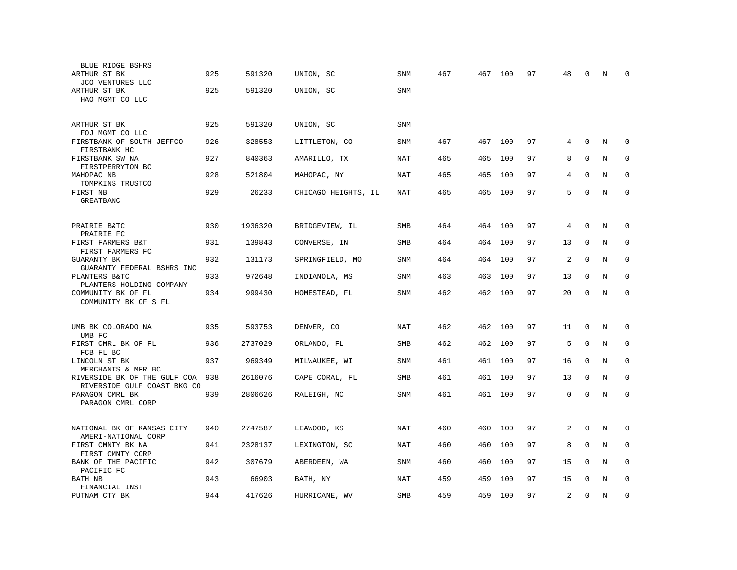| BLUE RIDGE BSHRS<br>ARTHUR ST BK                                       | 925 | 591320  | UNION, SC           | SNM        | 467 |     | 467 100 | 97 | 48 | 0            | N       | $\Omega$    |
|------------------------------------------------------------------------|-----|---------|---------------------|------------|-----|-----|---------|----|----|--------------|---------|-------------|
| JCO VENTURES LLC<br>ARTHUR ST BK<br>HAO MGMT CO LLC                    | 925 | 591320  | UNION, SC           | <b>SNM</b> |     |     |         |    |    |              |         |             |
|                                                                        |     |         |                     |            |     |     |         |    |    |              |         |             |
| ARTHUR ST BK<br>FOJ MGMT CO LLC                                        | 925 | 591320  | UNION, SC           | SNM        |     |     |         |    |    |              |         |             |
| FIRSTBANK OF SOUTH JEFFCO<br>FIRSTBANK HC                              | 926 | 328553  | LITTLETON, CO       | SNM        | 467 |     | 467 100 | 97 | 4  | $\mathbf{0}$ | N       | $\mathbf 0$ |
| FIRSTBANK SW NA<br>FIRSTPERRYTON BC                                    | 927 | 840363  | AMARILLO, TX        | <b>NAT</b> | 465 | 465 | 100     | 97 | 8  | $\mathbf{0}$ | N       | $\mathbf 0$ |
| MAHOPAC NB<br>TOMPKINS TRUSTCO                                         | 928 | 521804  | MAHOPAC, NY         | <b>NAT</b> | 465 | 465 | 100     | 97 | 4  | $\Omega$     | N       | $\Omega$    |
| FIRST NB<br>GREATBANC                                                  | 929 | 26233   | CHICAGO HEIGHTS, IL | NAT        | 465 | 465 | 100     | 97 | 5  | $\Omega$     | N       | $\Omega$    |
|                                                                        |     |         |                     |            |     |     |         |    |    |              |         |             |
| PRAIRIE B&TC<br>PRAIRIE FC                                             | 930 | 1936320 | BRIDGEVIEW, IL      | SMB        | 464 | 464 | 100     | 97 | 4  | 0            | N       | 0           |
| FIRST FARMERS B&T<br>FIRST FARMERS FC                                  | 931 | 139843  | CONVERSE, IN        | SMB        | 464 | 464 | 100     | 97 | 13 | $\mathbf 0$  | N       | $\mathbf 0$ |
| <b>GUARANTY BK</b><br>GUARANTY FEDERAL BSHRS INC                       | 932 | 131173  | SPRINGFIELD, MO     | <b>SNM</b> | 464 | 464 | 100     | 97 | 2  | $\mathbf{0}$ | N       | $\mathbf 0$ |
| PLANTERS B&TC                                                          | 933 | 972648  | INDIANOLA, MS       | <b>SNM</b> | 463 | 463 | 100     | 97 | 13 | $\mathbf{0}$ | N       | $\mathbf 0$ |
| PLANTERS HOLDING COMPANY<br>COMMUNITY BK OF FL<br>COMMUNITY BK OF S FL | 934 | 999430  | HOMESTEAD, FL       | SNM        | 462 | 462 | 100     | 97 | 20 | 0            | N       | $\mathbf 0$ |
|                                                                        |     |         |                     |            |     |     |         |    |    |              |         |             |
| UMB BK COLORADO NA<br>UMB FC                                           | 935 | 593753  | DENVER, CO          | NAT        | 462 | 462 | 100     | 97 | 11 | $\Omega$     | N       | $\Omega$    |
| FIRST CMRL BK OF FL<br>FCB FL BC                                       | 936 | 2737029 | ORLANDO, FL         | SMB        | 462 | 462 | 100     | 97 | 5  | $\mathbf 0$  | N       | 0           |
| LINCOLN ST BK<br>MERCHANTS & MFR BC                                    | 937 | 969349  | MILWAUKEE, WI       | SNM        | 461 | 461 | 100     | 97 | 16 | $\mathbf 0$  | N       | 0           |
| RIVERSIDE BK OF THE GULF COA<br>RIVERSIDE GULF COAST BKG CO            | 938 | 2616076 | CAPE CORAL, FL      | <b>SMB</b> | 461 | 461 | 100     | 97 | 13 | $\mathbf 0$  | N       | $\mathbf 0$ |
| PARAGON CMRL BK<br>PARAGON CMRL CORP                                   | 939 | 2806626 | RALEIGH, NC         | SNM        | 461 | 461 | 100     | 97 | 0  | $\mathbf 0$  | N       | $\mathbf 0$ |
|                                                                        |     |         |                     |            |     |     |         |    |    |              |         |             |
| NATIONAL BK OF KANSAS CITY<br>AMERI-NATIONAL CORP                      | 940 | 2747587 | LEAWOOD, KS         | NAT        | 460 | 460 | 100     | 97 | 2  | $\mathbf 0$  | N       | 0           |
| FIRST CMNTY BK NA<br>FIRST CMNTY CORP                                  | 941 | 2328137 | LEXINGTON, SC       | NAT        | 460 | 460 | 100     | 97 | 8  | 0            | N       | 0           |
| BANK OF THE PACIFIC                                                    | 942 | 307679  | ABERDEEN, WA        | SNM        | 460 | 460 | 100     | 97 | 15 | $\mathbf 0$  | N       | $\mathbf 0$ |
| PACIFIC FC<br>BATH NB                                                  | 943 | 66903   | BATH, NY            | NAT        | 459 | 459 | 100     | 97 | 15 | $\Omega$     | N       | $\mathbf 0$ |
| FINANCIAL INST<br>PUTNAM CTY BK                                        | 944 | 417626  | HURRICANE, WV       | SMB        | 459 | 459 | 100     | 97 | 2  | $\mathbf 0$  | $\rm N$ | $\mathsf 0$ |
|                                                                        |     |         |                     |            |     |     |         |    |    |              |         |             |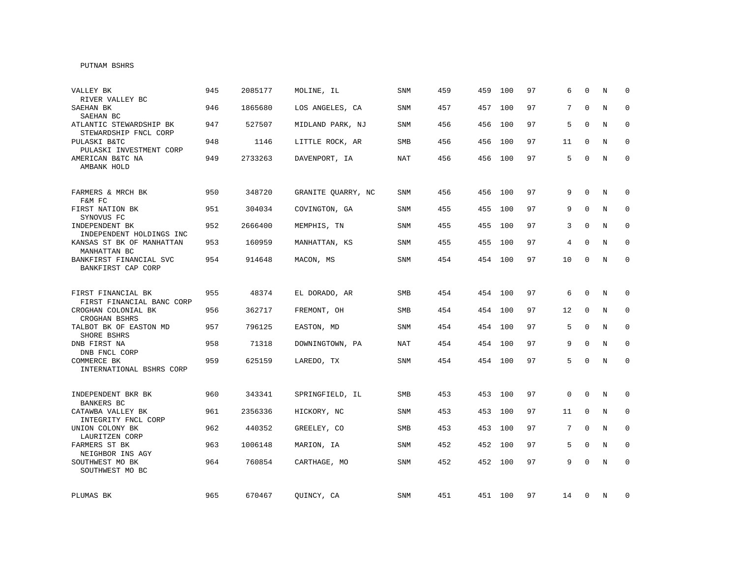## PUTNAM BSHRS

| VALLEY BK<br>RIVER VALLEY BC                                      | 945 | 2085177 | MOLINE, IL         | SNM        | 459 | 459 | 100     | 97 | 6               | $\Omega$     | N | $\Omega$    |
|-------------------------------------------------------------------|-----|---------|--------------------|------------|-----|-----|---------|----|-----------------|--------------|---|-------------|
| SAEHAN BK<br>SAEHAN BC                                            | 946 | 1865680 | LOS ANGELES, CA    | SNM        | 457 | 457 | 100     | 97 | 7               | $\Omega$     | N | $\Omega$    |
| ATLANTIC STEWARDSHIP BK<br>STEWARDSHIP FNCL CORP                  | 947 | 527507  | MIDLAND PARK, NJ   | <b>SNM</b> | 456 | 456 | 100     | 97 | 5               | $\Omega$     | N | $\mathbf 0$ |
| PULASKI B&TC<br>PULASKI INVESTMENT CORP                           | 948 | 1146    | LITTLE ROCK, AR    | <b>SMB</b> | 456 | 456 | 100     | 97 | 11              | 0            | N | $\mathbf 0$ |
| AMERICAN B&TC NA<br>AMBANK HOLD                                   | 949 | 2733263 | DAVENPORT, IA      | NAT        | 456 |     | 456 100 | 97 | 5               | $\Omega$     | N | $\mathbf 0$ |
| FARMERS & MRCH BK<br>F&M FC                                       | 950 | 348720  | GRANITE QUARRY, NC | SNM        | 456 | 456 | 100     | 97 | 9               | $\Omega$     | N | 0           |
| FIRST NATION BK<br>SYNOVUS FC                                     | 951 | 304034  | COVINGTON, GA      | SNM        | 455 | 455 | 100     | 97 | 9               | $\mathbf 0$  | N | 0           |
| INDEPENDENT BK<br>INDEPENDENT HOLDINGS INC                        | 952 | 2666400 | MEMPHIS, TN        | SNM        | 455 | 455 | 100     | 97 | 3               | $\Omega$     | N | 0           |
| KANSAS ST BK OF MANHATTAN<br>MANHATTAN BC                         | 953 | 160959  | MANHATTAN, KS      | <b>SNM</b> | 455 |     | 455 100 | 97 | 4               | $\Omega$     | N | $\mathbf 0$ |
| BANKFIRST FINANCIAL SVC<br>BANKFIRST CAP CORP                     | 954 | 914648  | MACON, MS          | <b>SNM</b> | 454 |     | 454 100 | 97 | 10              | $\Omega$     | N | $\mathbf 0$ |
| FIRST FINANCIAL BK                                                | 955 | 48374   | EL DORADO, AR      | <b>SMB</b> | 454 |     | 454 100 | 97 | 6               | 0            | N | $\mathbf 0$ |
| FIRST FINANCIAL BANC CORP<br>CROGHAN COLONIAL BK<br>CROGHAN BSHRS | 956 | 362717  | FREMONT, OH        | <b>SMB</b> | 454 |     | 454 100 | 97 | 12              | $\mathbf 0$  | N | $\mathbf 0$ |
| TALBOT BK OF EASTON MD<br>SHORE BSHRS                             | 957 | 796125  | EASTON, MD         | SNM        | 454 |     | 454 100 | 97 | 5               | $\mathbf 0$  | N | $\mathbf 0$ |
| DNB FIRST NA<br>DNB FNCL CORP                                     | 958 | 71318   | DOWNINGTOWN, PA    | NAT        | 454 |     | 454 100 | 97 | 9               | $\mathbf 0$  | N | $\mathbf 0$ |
| COMMERCE BK<br>INTERNATIONAL BSHRS CORP                           | 959 | 625159  | LAREDO, TX         | SNM        | 454 |     | 454 100 | 97 | 5               | $\mathbf{0}$ | N | $\mathbf 0$ |
| INDEPENDENT BKR BK<br><b>BANKERS BC</b>                           | 960 | 343341  | SPRINGFIELD, IL    | SMB        | 453 |     | 453 100 | 97 | 0               | $\mathbf 0$  | N | $\mathbf 0$ |
| CATAWBA VALLEY BK<br>INTEGRITY FNCL CORP                          | 961 | 2356336 | HICKORY, NC        | <b>SNM</b> | 453 | 453 | 100     | 97 | 11              | $\mathbf 0$  | N | $\mathbf 0$ |
| UNION COLONY BK<br>LAURITZEN CORP                                 | 962 | 440352  | GREELEY, CO        | SMB        | 453 | 453 | 100     | 97 | $7\overline{ }$ | $\mathbf 0$  | N | 0           |
| FARMERS ST BK<br>NEIGHBOR INS AGY                                 | 963 | 1006148 | MARION, IA         | <b>SNM</b> | 452 | 452 | 100     | 97 | 5               | 0            | N | $\mathbf 0$ |
| SOUTHWEST MO BK<br>SOUTHWEST MO BC                                | 964 | 760854  | CARTHAGE, MO       | SNM        | 452 |     | 452 100 | 97 | 9               | $\mathbf{0}$ | N | $\mathbf 0$ |
| PLUMAS BK                                                         | 965 | 670467  | QUINCY, CA         | SNM        | 451 |     | 451 100 | 97 | 14              | 0            | N | 0           |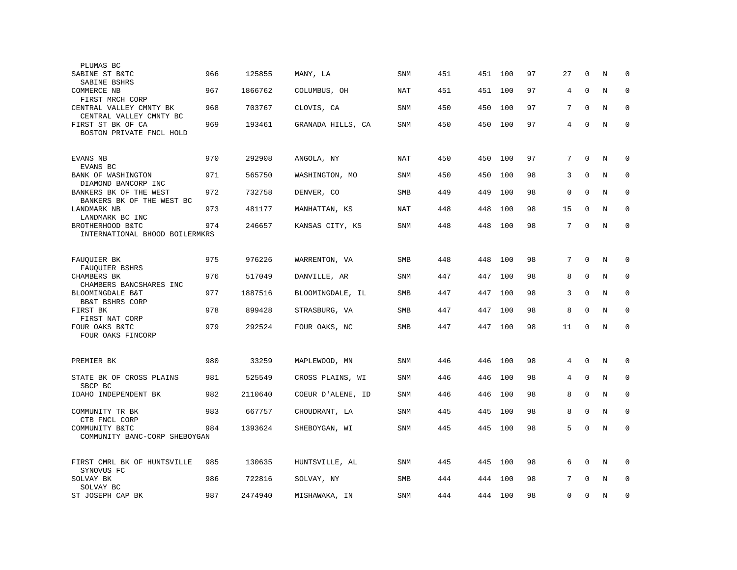| PLUMAS BC                                           |     |         |                   |            |     |     |     |    |          |              |   |             |
|-----------------------------------------------------|-----|---------|-------------------|------------|-----|-----|-----|----|----------|--------------|---|-------------|
| SABINE ST B&TC<br>SABINE BSHRS                      | 966 | 125855  | MANY, LA          | SNM        | 451 | 451 | 100 | 97 | 27       | 0            | N | 0           |
| COMMERCE NB<br>FIRST MRCH CORP                      | 967 | 1866762 | COLUMBUS, OH      | NAT        | 451 | 451 | 100 | 97 | 4        | $\mathbf 0$  | N | $\mathbf 0$ |
| CENTRAL VALLEY CMNTY BK<br>CENTRAL VALLEY CMNTY BC  | 968 | 703767  | CLOVIS, CA        | <b>SNM</b> | 450 | 450 | 100 | 97 | 7        | $\Omega$     | N | $\mathbf 0$ |
| FIRST ST BK OF CA<br>BOSTON PRIVATE FNCL HOLD       | 969 | 193461  | GRANADA HILLS, CA | <b>SNM</b> | 450 | 450 | 100 | 97 | 4        | $\mathbf 0$  | N | $\Omega$    |
| EVANS NB<br>EVANS BC                                | 970 | 292908  | ANGOLA, NY        | NAT        | 450 | 450 | 100 | 97 | 7        | $\mathbf 0$  | N | $\mathbf 0$ |
| BANK OF WASHINGTON<br>DIAMOND BANCORP INC           | 971 | 565750  | WASHINGTON, MO    | <b>SNM</b> | 450 | 450 | 100 | 98 | 3        | $\Omega$     | N | $\mathbf 0$ |
| BANKERS BK OF THE WEST<br>BANKERS BK OF THE WEST BC | 972 | 732758  | DENVER, CO        | SMB        | 449 | 449 | 100 | 98 | 0        | $\mathbf 0$  | N | $\mathbf 0$ |
| LANDMARK NB<br>LANDMARK BC INC                      | 973 | 481177  | MANHATTAN, KS     | NAT        | 448 | 448 | 100 | 98 | 15       | $\Omega$     | N | $\mathbf 0$ |
| BROTHERHOOD B&TC<br>INTERNATIONAL BHOOD BOILERMKRS  | 974 | 246657  | KANSAS CITY, KS   | SNM        | 448 | 448 | 100 | 98 | 7        | $\mathbf 0$  | N | $\mathbf 0$ |
|                                                     | 975 | 976226  |                   | <b>SMB</b> | 448 | 448 | 100 | 98 | 7        | $\mathbf{0}$ | N | $\mathbf 0$ |
| FAUQUIER BK<br>FAUQUIER BSHRS                       |     |         | WARRENTON, VA     |            |     |     |     | 98 |          | $\mathbf 0$  |   | $\mathbf 0$ |
| CHAMBERS BK<br>CHAMBERS BANCSHARES INC              | 976 | 517049  | DANVILLE, AR      | SNM        | 447 | 447 | 100 |    | 8        |              | N |             |
| BLOOMINGDALE B&T<br>BB&T BSHRS CORP                 | 977 | 1887516 | BLOOMINGDALE, IL  | SMB        | 447 | 447 | 100 | 98 | 3        | $\mathbf 0$  | N | $\mathbf 0$ |
| FIRST BK<br>FIRST NAT CORP                          | 978 | 899428  | STRASBURG, VA     | SMB        | 447 | 447 | 100 | 98 | 8        | $\mathbf 0$  | N | $\mathbf 0$ |
| FOUR OAKS B&TC<br>FOUR OAKS FINCORP                 | 979 | 292524  | FOUR OAKS, NC     | SMB        | 447 | 447 | 100 | 98 | 11       | $\Omega$     | N | $\mathbf 0$ |
| PREMIER BK                                          | 980 | 33259   | MAPLEWOOD, MN     | <b>SNM</b> | 446 | 446 | 100 | 98 | 4        | $\mathbf 0$  | N | $\mathbf 0$ |
| STATE BK OF CROSS PLAINS<br>SBCP BC                 | 981 | 525549  | CROSS PLAINS, WI  | SNM        | 446 | 446 | 100 | 98 | 4        | $\mathbf 0$  | N | $\mathbf 0$ |
| IDAHO INDEPENDENT BK                                | 982 | 2110640 | COEUR D'ALENE, ID | <b>SNM</b> | 446 | 446 | 100 | 98 | 8        | $\Omega$     | N | $\mathbf 0$ |
| COMMUNITY TR BK<br>CTB FNCL CORP                    | 983 | 667757  | CHOUDRANT, LA     | SNM        | 445 | 445 | 100 | 98 | 8        | 0            | N | 0           |
| COMMUNITY B&TC<br>COMMUNITY BANC-CORP SHEBOYGAN     | 984 | 1393624 | SHEBOYGAN, WI     | <b>SNM</b> | 445 | 445 | 100 | 98 | 5        | $\mathbf 0$  | N | $\mathbf 0$ |
| FIRST CMRL BK OF HUNTSVILLE<br>SYNOVUS FC           | 985 | 130635  | HUNTSVILLE, AL    | SNM        | 445 | 445 | 100 | 98 | 6        | $\mathbf 0$  | N | $\mathbf 0$ |
| SOLVAY BK<br>SOLVAY BC                              | 986 | 722816  | SOLVAY, NY        | <b>SMB</b> | 444 | 444 | 100 | 98 | 7        | $\Omega$     | N | $\mathbf 0$ |
| ST JOSEPH CAP BK                                    | 987 | 2474940 | MISHAWAKA, IN     | SNM        | 444 | 444 | 100 | 98 | $\Omega$ | $\Omega$     | N | $\Omega$    |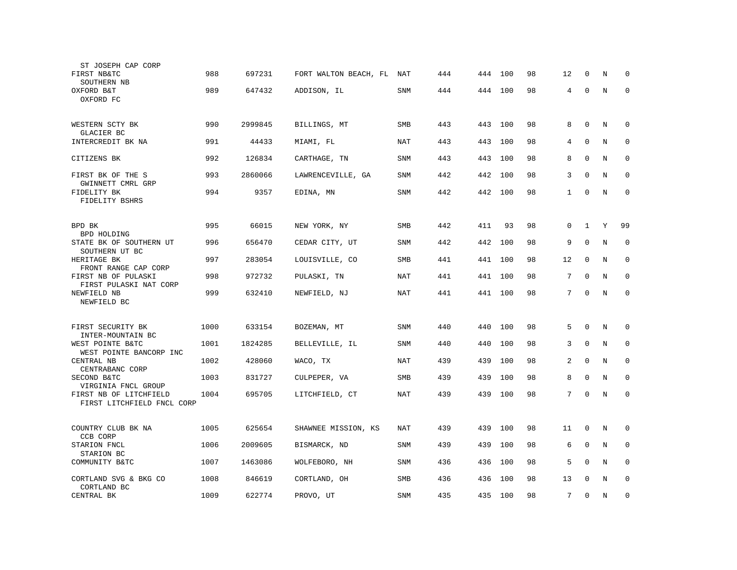| ST JOSEPH CAP CORP                                   |      |         |                       |            |     |     |         |    |              |              |   |             |
|------------------------------------------------------|------|---------|-----------------------|------------|-----|-----|---------|----|--------------|--------------|---|-------------|
| FIRST NB&TC<br>SOUTHERN NB                           | 988  | 697231  | FORT WALTON BEACH, FL | NAT        | 444 | 444 | 100     | 98 | 12           | 0            | N | 0           |
| OXFORD B&T<br>OXFORD FC                              | 989  | 647432  | ADDISON, IL           | <b>SNM</b> | 444 | 444 | 100     | 98 | 4            | $\mathbf{0}$ | N | $\Omega$    |
| WESTERN SCTY BK<br>GLACIER BC                        | 990  | 2999845 | BILLINGS, MT          | SMB        | 443 | 443 | 100     | 98 | 8            | $\mathbf 0$  | N | $\mathbf 0$ |
| INTERCREDIT BK NA                                    | 991  | 44433   | MIAMI, FL             | <b>NAT</b> | 443 | 443 | 100     | 98 | 4            | $\mathbf 0$  | N | $\mathbf 0$ |
| CITIZENS BK                                          | 992  | 126834  | CARTHAGE, TN          | <b>SNM</b> | 443 | 443 | 100     | 98 | 8            | $\mathbf 0$  | N | $\mathbf 0$ |
| FIRST BK OF THE S                                    | 993  | 2860066 | LAWRENCEVILLE, GA     | <b>SNM</b> | 442 | 442 | 100     | 98 | 3            | $\Omega$     | N | $\mathbf 0$ |
| GWINNETT CMRL GRP<br>FIDELITY BK<br>FIDELITY BSHRS   | 994  | 9357    | EDINA, MN             | SNM        | 442 | 442 | 100     | 98 | $\mathbf{1}$ | $\Omega$     | N | $\Omega$    |
| BPD BK<br>BPD HOLDING                                | 995  | 66015   | NEW YORK, NY          | SMB        | 442 | 411 | 93      | 98 | 0            | $\mathbf{1}$ | Υ | 99          |
| STATE BK OF SOUTHERN UT<br>SOUTHERN UT BC            | 996  | 656470  | CEDAR CITY, UT        | <b>SNM</b> | 442 | 442 | 100     | 98 | 9            | $\mathbf{0}$ | N | $\mathbf 0$ |
| HERITAGE BK<br>FRONT RANGE CAP CORP                  | 997  | 283054  | LOUISVILLE, CO        | SMB        | 441 | 441 | 100     | 98 | 12           | $\mathbf{0}$ | N | $\mathbf 0$ |
| FIRST NB OF PULASKI<br>FIRST PULASKI NAT CORP        | 998  | 972732  | PULASKI, TN           | <b>NAT</b> | 441 | 441 | 100     | 98 | 7            | $\mathbf{0}$ | N | $\mathbf 0$ |
| NEWFIELD NB<br>NEWFIELD BC                           | 999  | 632410  | NEWFIELD, NJ          | NAT        | 441 |     | 441 100 | 98 | 7            | $\mathbf 0$  | N | $\mathbf 0$ |
| FIRST SECURITY BK<br>INTER-MOUNTAIN BC               | 1000 | 633154  | BOZEMAN, MT           | SNM        | 440 | 440 | 100     | 98 | 5            | $\Omega$     | N | $\Omega$    |
| WEST POINTE B&TC<br>WEST POINTE BANCORP INC          | 1001 | 1824285 | BELLEVILLE, IL        | <b>SNM</b> | 440 | 440 | 100     | 98 | 3            | $\mathbf 0$  | N | $\mathbf 0$ |
| CENTRAL NB<br>CENTRABANC CORP                        | 1002 | 428060  | WACO, TX              | <b>NAT</b> | 439 | 439 | 100     | 98 | 2            | $\mathbf{0}$ | N | $\mathbf 0$ |
| SECOND B&TC<br>VIRGINIA FNCL GROUP                   | 1003 | 831727  | CULPEPER, VA          | <b>SMB</b> | 439 | 439 | 100     | 98 | 8            | $\mathbf 0$  | N | $\mathbf 0$ |
| FIRST NB OF LITCHFIELD<br>FIRST LITCHFIELD FNCL CORP | 1004 | 695705  | LITCHFIELD, CT        | NAT        | 439 | 439 | 100     | 98 | 7            | $\mathbf 0$  | N | $\mathbf 0$ |
| COUNTRY CLUB BK NA<br>CCB CORP                       | 1005 | 625654  | SHAWNEE MISSION, KS   | NAT        | 439 | 439 | 100     | 98 | 11           | $\mathbf 0$  | N | $\mathbf 0$ |
| STARION FNCL<br>STARION BC                           | 1006 | 2009605 | BISMARCK, ND          | <b>SNM</b> | 439 | 439 | 100     | 98 | 6            | $\mathbf 0$  | N | 0           |
| COMMUNITY B&TC                                       | 1007 | 1463086 | WOLFEBORO, NH         | SNM        | 436 | 436 | 100     | 98 | 5            | $\mathbf 0$  | N | $\mathbf 0$ |
| CORTLAND SVG & BKG CO<br>CORTLAND BC                 | 1008 | 846619  | CORTLAND, OH          | SMB        | 436 | 436 | 100     | 98 | 13           | $\Omega$     | N | $\mathbf 0$ |
| CENTRAL BK                                           | 1009 | 622774  | PROVO, UT             | SNM        | 435 | 435 | 100     | 98 | 7            | $\mathbf{0}$ | N | $\mathbf 0$ |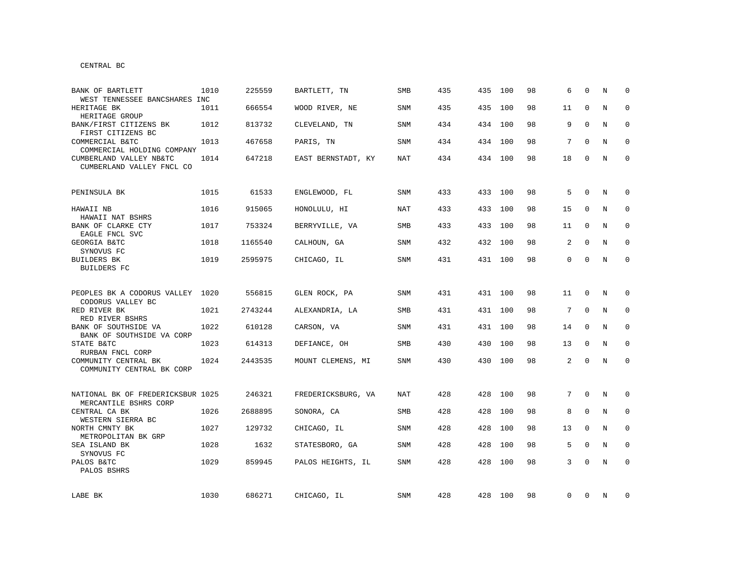| BANK OF BARTLETT                                                                   | 1010 | 225559  | BARTLETT, TN       | <b>SMB</b> | 435 | 435 | 100     | 98 | 6              | $\Omega$    | N | $\Omega$    |
|------------------------------------------------------------------------------------|------|---------|--------------------|------------|-----|-----|---------|----|----------------|-------------|---|-------------|
| WEST TENNESSEE BANCSHARES INC<br>HERITAGE BK                                       | 1011 | 666554  | WOOD RIVER, NE     | SNM        | 435 | 435 | 100     | 98 | 11             | $\Omega$    | N | $\mathbf 0$ |
| HERITAGE GROUP<br>BANK/FIRST CITIZENS BK                                           | 1012 | 813732  | CLEVELAND, TN      | <b>SNM</b> | 434 |     | 434 100 | 98 | 9              | $\Omega$    | N | 0           |
| FIRST CITIZENS BC<br>COMMERCIAL B&TC                                               | 1013 | 467658  | PARIS, TN          | SNM        | 434 |     | 434 100 | 98 | 7              | 0           | N | $\mathbf 0$ |
| COMMERCIAL HOLDING COMPANY<br>CUMBERLAND VALLEY NB&TC<br>CUMBERLAND VALLEY FNCL CO | 1014 | 647218  | EAST BERNSTADT, KY | NAT        | 434 |     | 434 100 | 98 | 18             | 0           | N | $\mathbf 0$ |
| PENINSULA BK                                                                       | 1015 | 61533   | ENGLEWOOD, FL      | SNM        | 433 |     | 433 100 | 98 | 5              | $\Omega$    | N | $\mathbf 0$ |
| HAWAII NB<br>HAWAII NAT BSHRS                                                      | 1016 | 915065  | HONOLULU, HI       | <b>NAT</b> | 433 |     | 433 100 | 98 | 15             | 0           | N | $\mathbf 0$ |
| BANK OF CLARKE CTY<br>EAGLE FNCL SVC                                               | 1017 | 753324  | BERRYVILLE, VA     | SMB        | 433 |     | 433 100 | 98 | 11             | 0           | N | $\mathbf 0$ |
| GEORGIA B&TC<br>SYNOVUS FC                                                         | 1018 | 1165540 | CALHOUN, GA        | <b>SNM</b> | 432 |     | 432 100 | 98 | 2              | 0           | N | 0           |
| <b>BUILDERS BK</b><br><b>BUILDERS FC</b>                                           | 1019 | 2595975 | CHICAGO, IL        | <b>SNM</b> | 431 |     | 431 100 | 98 | $\mathbf{0}$   | $\Omega$    | N | $\Omega$    |
| PEOPLES BK A CODORUS VALLEY                                                        | 1020 | 556815  | GLEN ROCK, PA      | SNM        | 431 |     | 431 100 | 98 | 11             | $\mathbf 0$ | N | 0           |
| CODORUS VALLEY BC<br>RED RIVER BK                                                  | 1021 | 2743244 | ALEXANDRIA, LA     | SMB        | 431 |     | 431 100 | 98 | 7              | $\mathbf 0$ | N | $\mathbf 0$ |
| RED RIVER BSHRS<br>BANK OF SOUTHSIDE VA<br>BANK OF SOUTHSIDE VA CORP               | 1022 | 610128  | CARSON, VA         | SNM        | 431 |     | 431 100 | 98 | 14             | 0           | N | $\mathbf 0$ |
| STATE B&TC<br>RURBAN FNCL CORP                                                     | 1023 | 614313  | DEFIANCE, OH       | <b>SMB</b> | 430 |     | 430 100 | 98 | 13             | $\mathbf 0$ | N | $\mathbf 0$ |
| COMMUNITY CENTRAL BK<br>COMMUNITY CENTRAL BK CORP                                  | 1024 | 2443535 | MOUNT CLEMENS, MI  | SNM        | 430 |     | 430 100 | 98 | $\overline{a}$ | $\Omega$    | N | $\mathbf 0$ |
| NATIONAL BK OF FREDERICKSBUR 1025<br>MERCANTILE BSHRS CORP                         |      | 246321  | FREDERICKSBURG, VA | NAT        | 428 | 428 | 100     | 98 | $7^{\circ}$    | $\mathbf 0$ | N | 0           |
| CENTRAL CA BK<br>WESTERN SIERRA BC                                                 | 1026 | 2688895 | SONORA, CA         | SMB        | 428 | 428 | 100     | 98 | 8              | 0           | N | 0           |
| NORTH CMNTY BK<br>METROPOLITAN BK GRP                                              | 1027 | 129732  | CHICAGO, IL        | SNM        | 428 | 428 | 100     | 98 | 13             | $\mathbf 0$ | N | $\mathbf 0$ |
| SEA ISLAND BK<br>SYNOVUS FC                                                        | 1028 | 1632    | STATESBORO, GA     | SNM        | 428 | 428 | 100     | 98 | 5              | $\Omega$    | N | 0           |
| PALOS B&TC<br>PALOS BSHRS                                                          | 1029 | 859945  | PALOS HEIGHTS, IL  | SNM        | 428 | 428 | 100     | 98 | 3              | $\Omega$    | N | $\mathbf 0$ |
| LABE BK                                                                            | 1030 | 686271  | CHICAGO, IL        | SNM        | 428 |     | 428 100 | 98 | 0              | 0           | N | 0           |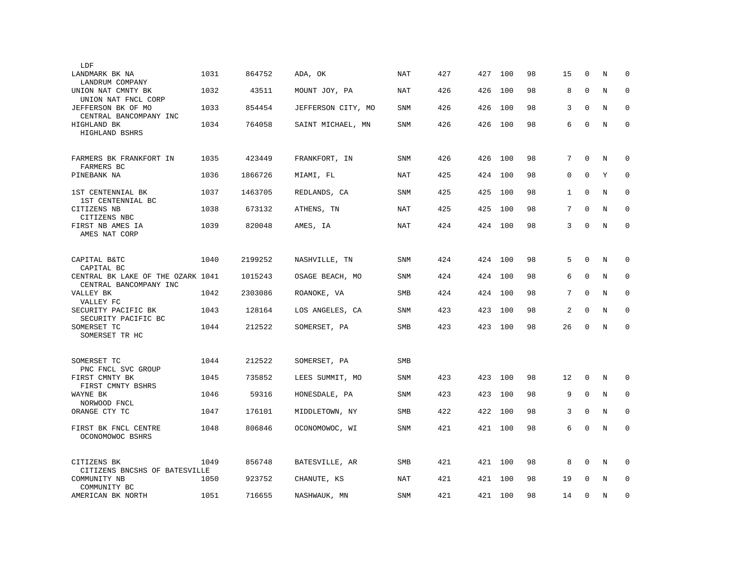| LDF                                                         |      |         |                    |            |     |     |     |    |              |              |   |             |
|-------------------------------------------------------------|------|---------|--------------------|------------|-----|-----|-----|----|--------------|--------------|---|-------------|
| LANDMARK BK NA<br>LANDRUM COMPANY                           | 1031 | 864752  | ADA, OK            | NAT        | 427 | 427 | 100 | 98 | 15           | 0            | N | $\mathbf 0$ |
| UNION NAT CMNTY BK<br>UNION NAT FNCL CORP                   | 1032 | 43511   | MOUNT JOY, PA      | NAT        | 426 | 426 | 100 | 98 | 8            | $\Omega$     | N | $\mathbf 0$ |
| JEFFERSON BK OF MO<br>CENTRAL BANCOMPANY INC                | 1033 | 854454  | JEFFERSON CITY, MO | <b>SNM</b> | 426 | 426 | 100 | 98 | 3            | $\Omega$     | N | $\Omega$    |
| HIGHLAND BK<br>HIGHLAND BSHRS                               | 1034 | 764058  | SAINT MICHAEL, MN  | <b>SNM</b> | 426 | 426 | 100 | 98 | 6            | $\mathbf 0$  | N | $\mathbf 0$ |
| FARMERS BK FRANKFORT IN<br>FARMERS BC                       | 1035 | 423449  | FRANKFORT, IN      | <b>SNM</b> | 426 | 426 | 100 | 98 | 7            | $\Omega$     | N | $\mathbf 0$ |
| PINEBANK NA                                                 | 1036 | 1866726 | MIAMI, FL          | NAT        | 425 | 424 | 100 | 98 | 0            | $\Omega$     | Y | $\mathbf 0$ |
| 1ST CENTENNIAL BK<br>1ST CENTENNIAL BC                      | 1037 | 1463705 | REDLANDS, CA       | SNM        | 425 | 425 | 100 | 98 | $\mathbf{1}$ | $\Omega$     | N | $\Omega$    |
| CITIZENS NB<br>CITIZENS NBC                                 | 1038 | 673132  | ATHENS, TN         | NAT        | 425 | 425 | 100 | 98 | 7            | $\Omega$     | N | $\mathbf 0$ |
| FIRST NB AMES IA<br>AMES NAT CORP                           | 1039 | 820048  | AMES, IA           | NAT        | 424 | 424 | 100 | 98 | 3            | $\mathbf 0$  | N | $\mathbf 0$ |
| CAPITAL B&TC<br>CAPITAL BC                                  | 1040 | 2199252 | NASHVILLE, TN      | <b>SNM</b> | 424 | 424 | 100 | 98 | 5            | $\mathbf{0}$ | N | $\mathbf 0$ |
| CENTRAL BK LAKE OF THE OZARK 1041<br>CENTRAL BANCOMPANY INC |      | 1015243 | OSAGE BEACH, MO    | SNM        | 424 | 424 | 100 | 98 | 6            | $\mathbf{0}$ | N | $\mathbf 0$ |
| VALLEY BK<br>VALLEY FC                                      | 1042 | 2303086 | ROANOKE, VA        | SMB        | 424 | 424 | 100 | 98 | 7            | $\Omega$     | N | $\mathbf 0$ |
| SECURITY PACIFIC BK<br>SECURITY PACIFIC BC                  | 1043 | 128164  | LOS ANGELES, CA    | <b>SNM</b> | 423 | 423 | 100 | 98 | 2            | $\Omega$     | N | $\Omega$    |
| SOMERSET TC<br>SOMERSET TR HC                               | 1044 | 212522  | SOMERSET, PA       | SMB        | 423 | 423 | 100 | 98 | 26           | $\Omega$     | N | $\Omega$    |
| SOMERSET TC<br>PNC FNCL SVC GROUP                           | 1044 | 212522  | SOMERSET, PA       | SMB        |     |     |     |    |              |              |   |             |
| FIRST CMNTY BK<br>FIRST CMNTY BSHRS                         | 1045 | 735852  | LEES SUMMIT, MO    | <b>SNM</b> | 423 | 423 | 100 | 98 | 12           | $\mathbf 0$  | N | 0           |
| WAYNE BK<br>NORWOOD FNCL                                    | 1046 | 59316   | HONESDALE, PA      | <b>SNM</b> | 423 | 423 | 100 | 98 | 9            | $\mathbf 0$  | N | $\mathbf 0$ |
| ORANGE CTY TC                                               | 1047 | 176101  | MIDDLETOWN, NY     | <b>SMB</b> | 422 | 422 | 100 | 98 | 3            | $\mathbf 0$  | N | $\Omega$    |
| FIRST BK FNCL CENTRE<br>OCONOMOWOC BSHRS                    | 1048 | 806846  | OCONOMOWOC, WI     | <b>SNM</b> | 421 | 421 | 100 | 98 | 6            | $\Omega$     | N | $\Omega$    |
| CITIZENS BK<br>CITIZENS BNCSHS OF BATESVILLE                | 1049 | 856748  | BATESVILLE, AR     | SMB        | 421 | 421 | 100 | 98 | 8            | $\mathbf 0$  | N | $\mathbf 0$ |
| COMMUNITY NB<br>COMMUNITY BC                                | 1050 | 923752  | CHANUTE, KS        | <b>NAT</b> | 421 | 421 | 100 | 98 | 19           | $\Omega$     | N | $\mathbf 0$ |
| AMERICAN BK NORTH                                           | 1051 | 716655  | NASHWAUK, MN       | SNM        | 421 | 421 | 100 | 98 | 14           | $\mathbf{0}$ | N | $\mathbf 0$ |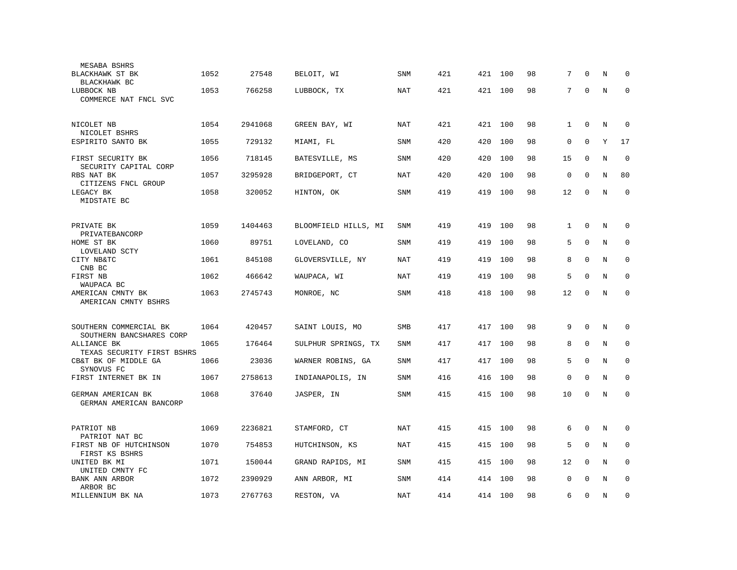| MESABA BSHRS                                       |      |         |                      |            |     |         |     |    |              |              |   |             |
|----------------------------------------------------|------|---------|----------------------|------------|-----|---------|-----|----|--------------|--------------|---|-------------|
| BLACKHAWK ST BK<br>BLACKHAWK BC                    | 1052 | 27548   | BELOIT, WI           | SNM        | 421 | 421     | 100 | 98 | 7            | $\Omega$     | N | 0           |
| LUBBOCK NB<br>COMMERCE NAT FNCL SVC                | 1053 | 766258  | LUBBOCK, TX          | NAT        | 421 | 421 100 |     | 98 | $7^{\circ}$  | $\mathbf 0$  | N | $\mathbf 0$ |
| NICOLET NB<br>NICOLET BSHRS                        | 1054 | 2941068 | GREEN BAY, WI        | NAT        | 421 | 421     | 100 | 98 | $\mathbf{1}$ | $\mathbf{0}$ | N | $\mathbf 0$ |
| ESPIRITO SANTO BK                                  | 1055 | 729132  | MIAMI, FL            | <b>SNM</b> | 420 | 420     | 100 | 98 | $\mathbf 0$  | $\mathbf{0}$ | Y | 17          |
| FIRST SECURITY BK<br>SECURITY CAPITAL CORP         | 1056 | 718145  | BATESVILLE, MS       | <b>SNM</b> | 420 | 420     | 100 | 98 | 15           | $\mathbf 0$  | N | $\mathbf 0$ |
| RBS NAT BK<br>CITIZENS FNCL GROUP                  | 1057 | 3295928 | BRIDGEPORT, CT       | <b>NAT</b> | 420 | 420     | 100 | 98 | $\mathbf 0$  | $\Omega$     | N | 80          |
| LEGACY BK<br>MIDSTATE BC                           | 1058 | 320052  | HINTON, OK           | SNM        | 419 | 419     | 100 | 98 | 12           | $\mathbf 0$  | N | $\mathbf 0$ |
| PRIVATE BK<br>PRIVATEBANCORP                       | 1059 | 1404463 | BLOOMFIELD HILLS, MI | SNM        | 419 | 419     | 100 | 98 | $\mathbf{1}$ | $\mathbf 0$  | N | $\Omega$    |
| HOME ST BK<br>LOVELAND SCTY                        | 1060 | 89751   | LOVELAND, CO         | SNM        | 419 | 419     | 100 | 98 | 5            | $\mathbf{0}$ | N | $\mathbf 0$ |
| CITY NB&TC<br>CNB BC                               | 1061 | 845108  | GLOVERSVILLE, NY     | NAT        | 419 | 419     | 100 | 98 | 8            | $\mathbf 0$  | N | $\mathbf 0$ |
| FIRST NB<br>WAUPACA BC                             | 1062 | 466642  | WAUPACA, WI          | <b>NAT</b> | 419 | 419     | 100 | 98 | 5            | $\mathbf{0}$ | N | $\mathbf 0$ |
| AMERICAN CMNTY BK<br>AMERICAN CMNTY BSHRS          | 1063 | 2745743 | MONROE, NC           | <b>SNM</b> | 418 | 418     | 100 | 98 | 12           | $\mathbf 0$  | N | $\mathbf 0$ |
| SOUTHERN COMMERCIAL BK<br>SOUTHERN BANCSHARES CORP | 1064 | 420457  | SAINT LOUIS, MO      | SMB        | 417 | 417     | 100 | 98 | 9            | $\Omega$     | N | $\mathbf 0$ |
| ALLIANCE BK<br>TEXAS SECURITY FIRST BSHRS          | 1065 | 176464  | SULPHUR SPRINGS, TX  | <b>SNM</b> | 417 | 417     | 100 | 98 | 8            | $\mathbf 0$  | N | $\mathbf 0$ |
| CB&T BK OF MIDDLE GA<br>SYNOVUS FC                 | 1066 | 23036   | WARNER ROBINS, GA    | <b>SNM</b> | 417 | 417     | 100 | 98 | 5            | $\Omega$     | N | $\mathbf 0$ |
| FIRST INTERNET BK IN                               | 1067 | 2758613 | INDIANAPOLIS, IN     | <b>SNM</b> | 416 | 416     | 100 | 98 | 0            | $\mathbf 0$  | N | $\mathbf 0$ |
| GERMAN AMERICAN BK<br>GERMAN AMERICAN BANCORP      | 1068 | 37640   | JASPER, IN           | SNM        | 415 | 415     | 100 | 98 | 10           | $\mathbf 0$  | N | $\mathbf 0$ |
| PATRIOT NB<br>PATRIOT NAT BC                       | 1069 | 2236821 | STAMFORD, CT         | <b>NAT</b> | 415 | 415     | 100 | 98 | 6            | $\mathbf 0$  | N | $\mathbf 0$ |
| FIRST NB OF HUTCHINSON<br>FIRST KS BSHRS           | 1070 | 754853  | HUTCHINSON, KS       | NAT        | 415 | 415     | 100 | 98 | 5            | $\mathbf 0$  | N | $\mathbf 0$ |
| UNITED BK MI<br>UNITED CMNTY FC                    | 1071 | 150044  | GRAND RAPIDS, MI     | <b>SNM</b> | 415 | 415     | 100 | 98 | 12           | $\Omega$     | N | $\Omega$    |
| BANK ANN ARBOR<br>ARBOR BC                         | 1072 | 2390929 | ANN ARBOR, MI        | SNM        | 414 | 414     | 100 | 98 | $\mathbf 0$  | $\Omega$     | N | $\mathbf 0$ |
| MILLENNIUM BK NA                                   | 1073 | 2767763 | RESTON, VA           | NAT        | 414 | 414     | 100 | 98 | 6            | 0            | N | $\mathbf 0$ |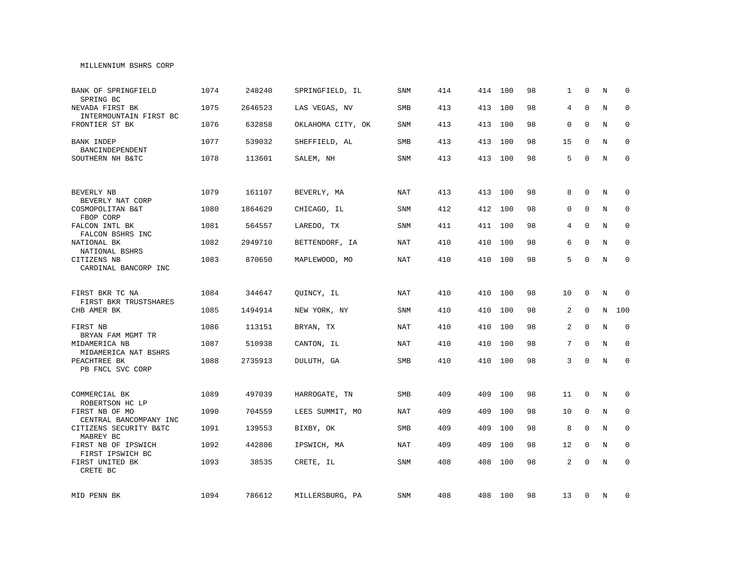### MILLENNIUM BSHRS CORP

| BANK OF SPRINGFIELD<br>SPRING BC          | 1074 | 248240  | SPRINGFIELD, IL   | SNM        | 414 | 414 | 100     | 98 | $\mathbf{1}$ | $\Omega$    | N | $\Omega$     |
|-------------------------------------------|------|---------|-------------------|------------|-----|-----|---------|----|--------------|-------------|---|--------------|
| NEVADA FIRST BK<br>INTERMOUNTAIN FIRST BC | 1075 | 2646523 | LAS VEGAS, NV     | <b>SMB</b> | 413 | 413 | 100     | 98 | 4            | $\Omega$    | N | $\mathbf 0$  |
| FRONTIER ST BK                            | 1076 | 632858  | OKLAHOMA CITY, OK | SNM        | 413 | 413 | 100     | 98 | $\mathbf 0$  | $\Omega$    | N | $\mathbf{0}$ |
| <b>BANK INDEP</b><br>BANCINDEPENDENT      | 1077 | 539032  | SHEFFIELD, AL     | SMB        | 413 | 413 | 100     | 98 | 15           | $\Omega$    | N | $\mathbf 0$  |
| SOUTHERN NH B&TC                          | 1078 | 113601  | SALEM, NH         | <b>SNM</b> | 413 |     | 413 100 | 98 | 5            | $\mathbf 0$ | N | $\mathbf 0$  |
|                                           |      |         |                   |            |     |     |         |    |              |             |   |              |
| BEVERLY NB<br>BEVERLY NAT CORP            | 1079 | 161107  | BEVERLY, MA       | <b>NAT</b> | 413 | 413 | 100     | 98 | 8            | $\mathbf 0$ | N | 0            |
| COSMOPOLITAN B&T<br>FBOP CORP             | 1080 | 1864629 | CHICAGO, IL       | <b>SNM</b> | 412 | 412 | 100     | 98 | 0            | $\mathbf 0$ | N | 0            |
| FALCON INTL BK<br>FALCON BSHRS INC        | 1081 | 564557  | LAREDO, TX        | <b>SNM</b> | 411 |     | 411 100 | 98 | 4            | $\Omega$    | N | $\mathbf 0$  |
| NATIONAL BK<br>NATIONAL BSHRS             | 1082 | 2949710 | BETTENDORF, IA    | <b>NAT</b> | 410 | 410 | 100     | 98 | 6            | $\Omega$    | N | $\Omega$     |
| CITIZENS NB<br>CARDINAL BANCORP INC       | 1083 | 870650  | MAPLEWOOD, MO     | NAT        | 410 | 410 | 100     | 98 | 5            | $\mathbf 0$ | N | $\Omega$     |
|                                           |      |         |                   |            |     |     |         |    |              |             |   |              |
| FIRST BKR TC NA<br>FIRST BKR TRUSTSHARES  | 1084 | 344647  | QUINCY, IL        | NAT        | 410 | 410 | 100     | 98 | 10           | $\mathbf 0$ | N | $\Omega$     |
| CHB AMER BK                               | 1085 | 1494914 | NEW YORK, NY      | <b>SNM</b> | 410 | 410 | 100     | 98 | 2            | $\mathbf 0$ | N | 100          |
| FIRST NB<br>BRYAN FAM MGMT TR             | 1086 | 113151  | BRYAN, TX         | <b>NAT</b> | 410 | 410 | 100     | 98 | 2            | $\mathbf 0$ | N | 0            |
| MIDAMERICA NB<br>MIDAMERICA NAT BSHRS     | 1087 | 510938  | CANTON, IL        | NAT        | 410 | 410 | 100     | 98 | 7            | $\mathbf 0$ | N | 0            |
| PEACHTREE BK<br>PB FNCL SVC CORP          | 1088 | 2735913 | DULUTH, GA        | <b>SMB</b> | 410 | 410 | 100     | 98 | 3            | $\Omega$    | N | $\mathbf 0$  |
|                                           |      |         |                   |            |     |     |         |    |              |             |   |              |
| COMMERCIAL BK<br>ROBERTSON HC LP          | 1089 | 497039  | HARROGATE, TN     | <b>SMB</b> | 409 | 409 | 100     | 98 | 11           | $\mathbf 0$ | N | 0            |
| FIRST NB OF MO<br>CENTRAL BANCOMPANY INC  | 1090 | 704559  | LEES SUMMIT, MO   | <b>NAT</b> | 409 | 409 | 100     | 98 | 10           | $\mathbf 0$ | N | $\mathbf 0$  |
| CITIZENS SECURITY B&TC<br>MABREY BC       | 1091 | 139553  | BIXBY, OK         | <b>SMB</b> | 409 | 409 | 100     | 98 | 8            | $\mathbf 0$ | N | $\mathbf 0$  |
| FIRST NB OF IPSWICH<br>FIRST IPSWICH BC   | 1092 | 442806  | IPSWICH, MA       | <b>NAT</b> | 409 | 409 | 100     | 98 | 12           | $\mathbf 0$ | N | $\mathbf 0$  |
| FIRST UNITED BK<br>CRETE BC               | 1093 | 38535   | CRETE, IL         | <b>SNM</b> | 408 | 408 | 100     | 98 | 2            | $\mathbf 0$ | N | $\mathbf 0$  |
|                                           |      |         |                   |            |     |     |         |    |              |             |   |              |
| MID PENN BK                               | 1094 | 786612  | MILLERSBURG, PA   | SNM        | 408 |     | 408 100 | 98 | 13           | 0           | N | 0            |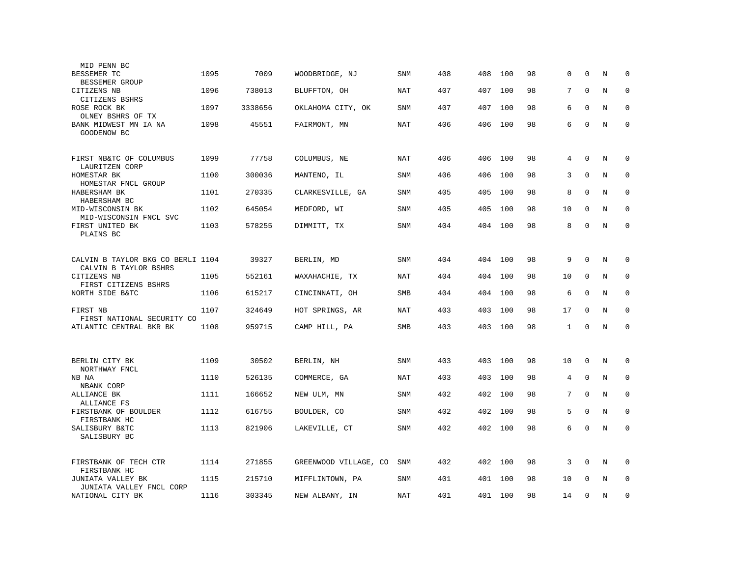| MID PENN BC                                                |      |         |                       |            |     |     |     |    |    |              |         |             |
|------------------------------------------------------------|------|---------|-----------------------|------------|-----|-----|-----|----|----|--------------|---------|-------------|
| BESSEMER TC<br><b>BESSEMER GROUP</b>                       | 1095 | 7009    | WOODBRIDGE, NJ        | SNM        | 408 | 408 | 100 | 98 | 0  | $\mathbf 0$  | N       | $\mathbf 0$ |
| CITIZENS NB<br>CITIZENS BSHRS                              | 1096 | 738013  | BLUFFTON, OH          | NAT        | 407 | 407 | 100 | 98 | 7  | $\mathbf 0$  | N       | $\mathbf 0$ |
| ROSE ROCK BK                                               | 1097 | 3338656 | OKLAHOMA CITY, OK     | <b>SNM</b> | 407 | 407 | 100 | 98 | 6  | $\mathbf 0$  | N       | $\mathbf 0$ |
| OLNEY BSHRS OF TX<br>BANK MIDWEST MN IA NA<br>GOODENOW BC  | 1098 | 45551   | FAIRMONT, MN          | <b>NAT</b> | 406 | 406 | 100 | 98 | 6  | $\mathbf 0$  | $\rm N$ | $\Omega$    |
| FIRST NB&TC OF COLUMBUS<br>LAURITZEN CORP                  | 1099 | 77758   | COLUMBUS, NE          | NAT        | 406 | 406 | 100 | 98 | 4  | $\mathbf 0$  | N       | $\mathbf 0$ |
| HOMESTAR BK<br>HOMESTAR FNCL GROUP                         | 1100 | 300036  | MANTENO, IL           | <b>SNM</b> | 406 | 406 | 100 | 98 | 3  | $\mathbf{0}$ | N       | $\mathbf 0$ |
| HABERSHAM BK<br>HABERSHAM BC                               | 1101 | 270335  | CLARKESVILLE, GA      | <b>SNM</b> | 405 | 405 | 100 | 98 | 8  | $\mathbf 0$  | N       | $\mathbf 0$ |
| MID-WISCONSIN BK<br>MID-WISCONSIN FNCL SVC                 | 1102 | 645054  | MEDFORD, WI           | <b>SNM</b> | 405 | 405 | 100 | 98 | 10 | $\Omega$     | N       | $\mathbf 0$ |
| FIRST UNITED BK<br>PLAINS BC                               | 1103 | 578255  | DIMMITT, TX           | SNM        | 404 | 404 | 100 | 98 | 8  | $\mathbf 0$  | N       | $\mathbf 0$ |
| CALVIN B TAYLOR BKG CO BERLI 1104<br>CALVIN B TAYLOR BSHRS |      | 39327   | BERLIN, MD            | <b>SNM</b> | 404 | 404 | 100 | 98 | 9  | $\Omega$     | N       | $\mathbf 0$ |
| CITIZENS NB<br>FIRST CITIZENS BSHRS                        | 1105 | 552161  | WAXAHACHIE, TX        | NAT        | 404 | 404 | 100 | 98 | 10 | $\mathbf 0$  | N       | $\mathbf 0$ |
| NORTH SIDE B&TC                                            | 1106 | 615217  | CINCINNATI, OH        | SMB        | 404 | 404 | 100 | 98 | 6  | $\mathbf 0$  | N       | $\mathbf 0$ |
| FIRST NB<br>FIRST NATIONAL SECURITY CO                     | 1107 | 324649  | HOT SPRINGS, AR       | <b>NAT</b> | 403 | 403 | 100 | 98 | 17 | $\mathbf 0$  | N       | $\mathbf 0$ |
| ATLANTIC CENTRAL BKR BK                                    | 1108 | 959715  | CAMP HILL, PA         | SMB        | 403 | 403 | 100 | 98 | 1  | $\Omega$     | N       | $\mathbf 0$ |
| BERLIN CITY BK                                             | 1109 | 30502   | BERLIN, NH            | <b>SNM</b> | 403 | 403 | 100 | 98 | 10 | $\mathbf 0$  | N       | 0           |
| NORTHWAY FNCL<br>NB NA                                     | 1110 | 526135  | COMMERCE, GA          | NAT        | 403 | 403 | 100 | 98 | 4  | $\mathbf 0$  | N       | 0           |
| NBANK CORP<br>ALLIANCE BK                                  | 1111 | 166652  | NEW ULM, MN           | <b>SNM</b> | 402 | 402 | 100 | 98 | 7  | $\Omega$     | N       | $\mathbf 0$ |
| ALLIANCE FS<br>FIRSTBANK OF BOULDER                        | 1112 | 616755  | BOULDER, CO           | <b>SNM</b> | 402 | 402 | 100 | 98 | 5  | $\mathbf 0$  | N       | 0           |
| FIRSTBANK HC<br>SALISBURY B&TC<br>SALISBURY BC             | 1113 | 821906  | LAKEVILLE, CT         | <b>SNM</b> | 402 | 402 | 100 | 98 | 6  | $\mathbf 0$  | N       | $\mathbf 0$ |
| FIRSTBANK OF TECH CTR<br>FIRSTBANK HC                      | 1114 | 271855  | GREENWOOD VILLAGE, CO | SNM        | 402 | 402 | 100 | 98 | 3  | $\mathbf 0$  | N       | 0           |
| JUNIATA VALLEY BK<br>JUNIATA VALLEY FNCL CORP              | 1115 | 215710  | MIFFLINTOWN, PA       | <b>SNM</b> | 401 | 401 | 100 | 98 | 10 | $\Omega$     | N       | $\mathbf 0$ |
| NATIONAL CITY BK                                           | 1116 | 303345  | NEW ALBANY, IN        | NAT        | 401 | 401 | 100 | 98 | 14 | $\Omega$     | N       | $\Omega$    |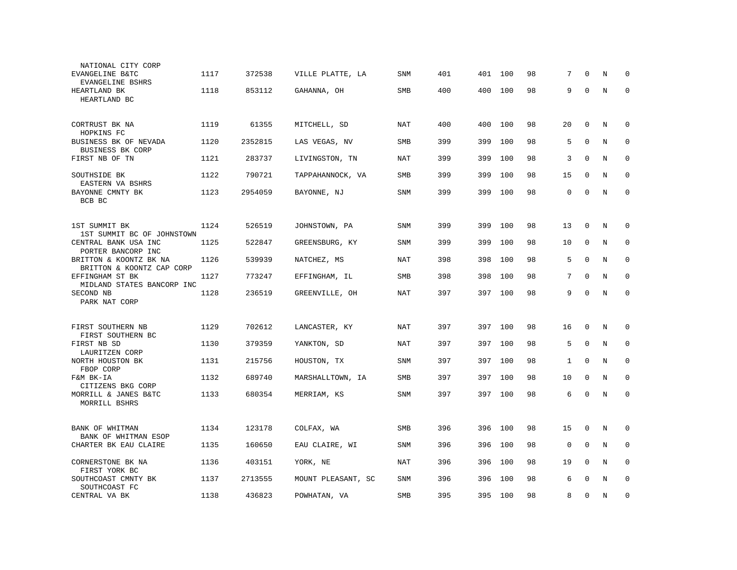| NATIONAL CITY CORP<br>EVANGELINE B&TC               | 1117 | 372538  | VILLE PLATTE, LA   | <b>SNM</b> | 401 | 401     | 100 | 98 | 7           | $\Omega$     | N       | $\mathbf 0$ |
|-----------------------------------------------------|------|---------|--------------------|------------|-----|---------|-----|----|-------------|--------------|---------|-------------|
| EVANGELINE BSHRS<br>HEARTLAND BK<br>HEARTLAND BC    | 1118 | 853112  | GAHANNA, OH        | SMB        | 400 | 400     | 100 | 98 | 9           | $\mathbf 0$  | N       | $\mathbf 0$ |
| CORTRUST BK NA<br>HOPKINS FC                        | 1119 | 61355   | MITCHELL, SD       | <b>NAT</b> | 400 | 400     | 100 | 98 | 20          | $\mathbf 0$  | N       | $\mathbf 0$ |
| BUSINESS BK OF NEVADA<br>BUSINESS BK CORP           | 1120 | 2352815 | LAS VEGAS, NV      | SMB        | 399 | 399     | 100 | 98 | 5           | $\mathbf 0$  | N       | $\mathbf 0$ |
| FIRST NB OF TN                                      | 1121 | 283737  | LIVINGSTON, TN     | NAT        | 399 | 399     | 100 | 98 | 3           | $\Omega$     | N       | $\mathbf 0$ |
| SOUTHSIDE BK<br>EASTERN VA BSHRS                    | 1122 | 790721  | TAPPAHANNOCK, VA   | SMB        | 399 | 399     | 100 | 98 | 15          | $\mathbf 0$  | N       | $\mathbf 0$ |
| BAYONNE CMNTY BK<br>BCB BC                          | 1123 | 2954059 | BAYONNE, NJ        | <b>SNM</b> | 399 | 399     | 100 | 98 | 0           | $\Omega$     | N       | $\mathbf 0$ |
| 1ST SUMMIT BK<br>1ST SUMMIT BC OF JOHNSTOWN         | 1124 | 526519  | JOHNSTOWN, PA      | SNM        | 399 | 399     | 100 | 98 | 13          | $\mathbf 0$  | N       | 0           |
| CENTRAL BANK USA INC<br>PORTER BANCORP INC          | 1125 | 522847  | GREENSBURG, KY     | SNM        | 399 | 399     | 100 | 98 | 10          | $\mathbf 0$  | N       | 0           |
| BRITTON & KOONTZ BK NA<br>BRITTON & KOONTZ CAP CORP | 1126 | 539939  | NATCHEZ, MS        | <b>NAT</b> | 398 | 398     | 100 | 98 | 5           | $\mathbf 0$  | N       | $\mathbf 0$ |
| EFFINGHAM ST BK<br>MIDLAND STATES BANCORP INC       | 1127 | 773247  | EFFINGHAM, IL      | SMB        | 398 | 398     | 100 | 98 | 7           | $\mathbf{0}$ | N       | $\mathbf 0$ |
| SECOND NB<br>PARK NAT CORP                          | 1128 | 236519  | GREENVILLE, OH     | NAT        | 397 | 397 100 |     | 98 | 9           | $\Omega$     | N       | $\mathbf 0$ |
| FIRST SOUTHERN NB<br>FIRST SOUTHERN BC              | 1129 | 702612  | LANCASTER, KY      | <b>NAT</b> | 397 | 397     | 100 | 98 | 16          | $\mathbf 0$  | N       | $\mathbf 0$ |
| FIRST NB SD<br>LAURITZEN CORP                       | 1130 | 379359  | YANKTON, SD        | <b>NAT</b> | 397 | 397     | 100 | 98 | 5           | $\mathbf 0$  | N       | $\mathbf 0$ |
| NORTH HOUSTON BK<br>FBOP CORP                       | 1131 | 215756  | HOUSTON, TX        | <b>SNM</b> | 397 | 397     | 100 | 98 | 1           | $\Omega$     | N       | $\mathbf 0$ |
| F&M BK-IA<br>CITIZENS BKG CORP                      | 1132 | 689740  | MARSHALLTOWN, IA   | SMB        | 397 | 397     | 100 | 98 | 10          | $\mathbf 0$  | N       | $\mathbf 0$ |
| MORRILL & JANES B&TC<br>MORRILL BSHRS               | 1133 | 680354  | MERRIAM, KS        | SNM        | 397 | 397     | 100 | 98 | 6           | $\mathbf 0$  | N       | $\mathbf 0$ |
| BANK OF WHITMAN<br>BANK OF WHITMAN ESOP             | 1134 | 123178  | COLFAX, WA         | SMB        | 396 | 396     | 100 | 98 | 15          | $\mathbf 0$  | N       | $\mathbf 0$ |
| CHARTER BK EAU CLAIRE                               | 1135 | 160650  | EAU CLAIRE, WI     | SNM        | 396 | 396     | 100 | 98 | $\mathbf 0$ | $\mathbf 0$  | N       | $\mathbf 0$ |
| CORNERSTONE BK NA<br>FIRST YORK BC                  | 1136 | 403151  | YORK, NE           | <b>NAT</b> | 396 | 396     | 100 | 98 | 19          | $\mathbf 0$  | N       | 0           |
| SOUTHCOAST CMNTY BK<br>SOUTHCOAST FC                | 1137 | 2713555 | MOUNT PLEASANT, SC | SNM        | 396 | 396     | 100 | 98 | 6           | $\Omega$     | N       | $\mathbf 0$ |
| CENTRAL VA BK                                       | 1138 | 436823  | POWHATAN, VA       | SMB        | 395 | 395     | 100 | 98 | 8           | $\mathbf 0$  | $\rm N$ | $\mathbf 0$ |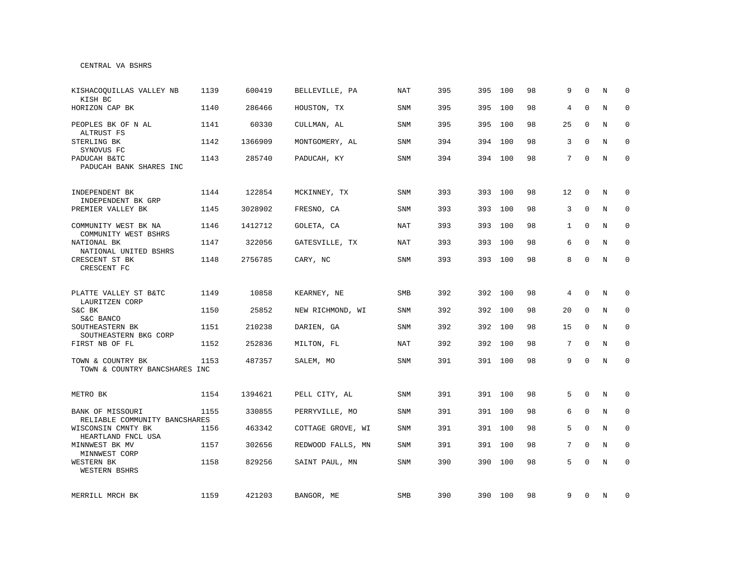### CENTRAL VA BSHRS

| KISHACOOUILLAS VALLEY NB<br>KISH BC                | 1139 | 600419  | BELLEVILLE, PA    | <b>NAT</b> | 395 | 395 | 100     | 98 | 9            | $\Omega$     | N | $\Omega$    |
|----------------------------------------------------|------|---------|-------------------|------------|-----|-----|---------|----|--------------|--------------|---|-------------|
| HORIZON CAP BK                                     | 1140 | 286466  | HOUSTON, TX       | <b>SNM</b> | 395 | 395 | 100     | 98 | 4            | $\Omega$     | N | $\mathbf 0$ |
| PEOPLES BK OF N AL<br>ALTRUST FS                   | 1141 | 60330   | CULLMAN, AL       | <b>SNM</b> | 395 | 395 | 100     | 98 | 25           | $\Omega$     | N | $\Omega$    |
| STERLING BK<br>SYNOVUS FC                          | 1142 | 1366909 | MONTGOMERY, AL    | SNM        | 394 | 394 | 100     | 98 | 3            | $\Omega$     | N | $\mathbf 0$ |
| PADUCAH B&TC<br>PADUCAH BANK SHARES INC            | 1143 | 285740  | PADUCAH, KY       | SNM        | 394 |     | 394 100 | 98 | 7            | $\Omega$     | N | $\mathbf 0$ |
| INDEPENDENT BK                                     | 1144 | 122854  | MCKINNEY, TX      | <b>SNM</b> | 393 | 393 | 100     | 98 | 12           | 0            | N | 0           |
| INDEPENDENT BK GRP<br>PREMIER VALLEY BK            | 1145 | 3028902 | FRESNO, CA        | <b>SNM</b> | 393 | 393 | 100     | 98 | 3            | $\mathbf{0}$ | N | $\mathbf 0$ |
| COMMUNITY WEST BK NA<br>COMMUNITY WEST BSHRS       | 1146 | 1412712 | GOLETA, CA        | NAT        | 393 | 393 | 100     | 98 | $\mathbf{1}$ | $\Omega$     | N | $\mathbf 0$ |
| NATIONAL BK<br>NATIONAL UNITED BSHRS               | 1147 | 322056  | GATESVILLE, TX    | <b>NAT</b> | 393 | 393 | 100     | 98 | 6            | $\Omega$     | N | $\mathbf 0$ |
| CRESCENT ST BK<br>CRESCENT FC                      | 1148 | 2756785 | CARY, NC          | SNM        | 393 |     | 393 100 | 98 | 8            | $\mathbf 0$  | N | $\mathbf 0$ |
| PLATTE VALLEY ST B&TC                              | 1149 | 10858   | KEARNEY, NE       | <b>SMB</b> | 392 | 392 | 100     | 98 | 4            | $\Omega$     | N | 0           |
| LAURITZEN CORP<br>S&C BK<br>S&C BANCO              | 1150 | 25852   | NEW RICHMOND, WI  | SNM        | 392 | 392 | 100     | 98 | 20           | $\Omega$     | N | $\mathbf 0$ |
| SOUTHEASTERN BK<br>SOUTHEASTERN BKG CORP           | 1151 | 210238  | DARIEN, GA        | SNM        | 392 |     | 392 100 | 98 | 15           | $\Omega$     | N | $\mathbf 0$ |
| FIRST NB OF FL                                     | 1152 | 252836  | MILTON, FL        | <b>NAT</b> | 392 | 392 | 100     | 98 | 7            | $\mathbf 0$  | N | $\mathbf 0$ |
| TOWN & COUNTRY BK<br>TOWN & COUNTRY BANCSHARES INC | 1153 | 487357  | SALEM, MO         | SNM        | 391 |     | 391 100 | 98 | 9            | $\mathbf 0$  | N | $\mathbf 0$ |
| METRO BK                                           | 1154 | 1394621 | PELL CITY, AL     | SNM        | 391 |     | 391 100 | 98 | 5            | $\mathbf 0$  | N | 0           |
| BANK OF MISSOURI<br>RELIABLE COMMUNITY BANCSHARES  | 1155 | 330855  | PERRYVILLE, MO    | <b>SNM</b> | 391 | 391 | 100     | 98 | 6            | $\Omega$     | N | $\Omega$    |
| WISCONSIN CMNTY BK<br>HEARTLAND FNCL USA           | 1156 | 463342  | COTTAGE GROVE, WI | <b>SNM</b> | 391 | 391 | 100     | 98 | 5            | $\mathbf 0$  | N | $\mathbf 0$ |
| MINNWEST BK MV<br>MINNWEST CORP                    | 1157 | 302656  | REDWOOD FALLS, MN | <b>SNM</b> | 391 | 391 | 100     | 98 | 7            | $\mathbf 0$  | N | $\mathbf 0$ |
| WESTERN BK<br>WESTERN BSHRS                        | 1158 | 829256  | SAINT PAUL, MN    | <b>SNM</b> | 390 | 390 | 100     | 98 | 5            | $\mathbf 0$  | N | $\mathbf 0$ |
| MERRILL MRCH BK                                    | 1159 | 421203  | BANGOR, ME        | SMB        | 390 |     | 390 100 | 98 | 9            | 0            | N | 0           |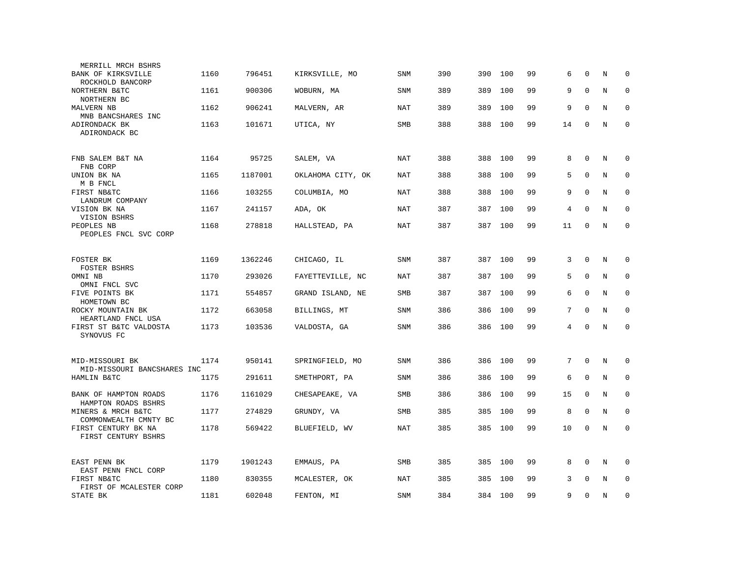| MERRILL MRCH BSHRS                             |      |         |                   |            |     |     |         |    |    |              |         |             |
|------------------------------------------------|------|---------|-------------------|------------|-----|-----|---------|----|----|--------------|---------|-------------|
| BANK OF KIRKSVILLE<br>ROCKHOLD BANCORP         | 1160 | 796451  | KIRKSVILLE, MO    | <b>SNM</b> | 390 | 390 | 100     | 99 | 6  | $\mathbf 0$  | N       | $\mathbf 0$ |
| NORTHERN B&TC<br>NORTHERN BC                   | 1161 | 900306  | WOBURN, MA        | <b>SNM</b> | 389 | 389 | 100     | 99 | 9  | $\Omega$     | N       | $\mathbf 0$ |
| MALVERN NB<br>MNB BANCSHARES INC               | 1162 | 906241  | MALVERN, AR       | NAT        | 389 | 389 | 100     | 99 | 9  | $\mathbf 0$  | N       | $\mathbf 0$ |
| ADIRONDACK BK<br>ADIRONDACK BC                 | 1163 | 101671  | UTICA, NY         | SMB        | 388 | 388 | 100     | 99 | 14 | $\mathbf 0$  | N       | $\mathbf 0$ |
| FNB SALEM B&T NA<br>FNB CORP                   | 1164 | 95725   | SALEM, VA         | <b>NAT</b> | 388 | 388 | 100     | 99 | 8  | $\mathbf 0$  | N       | $\mathbf 0$ |
| UNION BK NA<br>M B FNCL                        | 1165 | 1187001 | OKLAHOMA CITY, OK | NAT        | 388 | 388 | 100     | 99 | 5  | $\Omega$     | N       | $\mathbf 0$ |
| FIRST NB&TC<br>LANDRUM COMPANY                 | 1166 | 103255  | COLUMBIA, MO      | NAT        | 388 | 388 | 100     | 99 | 9  | $\Omega$     | N       | $\mathbf 0$ |
| VISION BK NA<br>VISION BSHRS                   | 1167 | 241157  | ADA, OK           | NAT        | 387 | 387 | 100     | 99 | 4  | $\Omega$     | N       | $\Omega$    |
| PEOPLES NB<br>PEOPLES FNCL SVC CORP            | 1168 | 278818  | HALLSTEAD, PA     | NAT        | 387 | 387 | 100     | 99 | 11 | $\mathbf 0$  | $\rm N$ | $\mathbf 0$ |
| FOSTER BK<br><b>FOSTER BSHRS</b>               | 1169 | 1362246 | CHICAGO, IL       | <b>SNM</b> | 387 | 387 | 100     | 99 | 3  | $\mathbf{0}$ | N       | 0           |
| OMNI NB<br>OMNI FNCL SVC                       | 1170 | 293026  | FAYETTEVILLE, NC  | <b>NAT</b> | 387 | 387 | 100     | 99 | 5  | $\mathbf 0$  | N       | $\mathbf 0$ |
| FIVE POINTS BK<br>HOMETOWN BC                  | 1171 | 554857  | GRAND ISLAND, NE  | SMB        | 387 | 387 | 100     | 99 | 6  | $\Omega$     | N       | $\mathbf 0$ |
| ROCKY MOUNTAIN BK<br>HEARTLAND FNCL USA        | 1172 | 663058  | BILLINGS, MT      | SNM        | 386 | 386 | 100     | 99 | 7  | $\Omega$     | N       | $\mathbf 0$ |
| FIRST ST B&TC VALDOSTA<br>SYNOVUS FC           | 1173 | 103536  | VALDOSTA, GA      | <b>SNM</b> | 386 | 386 | 100     | 99 | 4  | $\mathbf{0}$ | N       | 0           |
| MID-MISSOURI BK<br>MID-MISSOURI BANCSHARES INC | 1174 | 950141  | SPRINGFIELD, MO   | <b>SNM</b> | 386 | 386 | 100     | 99 | 7  | $\mathbf{0}$ | N       | $\mathbf 0$ |
| HAMLIN B&TC                                    | 1175 | 291611  | SMETHPORT, PA     | <b>SNM</b> | 386 | 386 | 100     | 99 | 6  | $\mathbf{0}$ | N       | $\mathbf 0$ |
| BANK OF HAMPTON ROADS<br>HAMPTON ROADS BSHRS   | 1176 | 1161029 | CHESAPEAKE, VA    | <b>SMB</b> | 386 | 386 | 100     | 99 | 15 | $\mathbf 0$  | N       | $\mathbf 0$ |
| MINERS & MRCH B&TC<br>COMMONWEALTH CMNTY BC    | 1177 | 274829  | GRUNDY, VA        | <b>SMB</b> | 385 | 385 | 100     | 99 | 8  | $\mathbf 0$  | N       | $\mathbf 0$ |
| FIRST CENTURY BK NA<br>FIRST CENTURY BSHRS     | 1178 | 569422  | BLUEFIELD, WV     | NAT        | 385 | 385 | 100     | 99 | 10 | $\mathbf 0$  | N       | $\Omega$    |
| EAST PENN BK<br>EAST PENN FNCL CORP            | 1179 | 1901243 | EMMAUS, PA        | SMB        | 385 | 385 | 100     | 99 | 8  | $\mathbf 0$  | N       | 0           |
| FIRST NB&TC<br>FIRST OF MCALESTER CORP         | 1180 | 830355  | MCALESTER, OK     | <b>NAT</b> | 385 | 385 | 100     | 99 | 3  | $\Omega$     | N       | $\mathbf 0$ |
| STATE BK                                       | 1181 | 602048  | FENTON, MI        | <b>SNM</b> | 384 |     | 384 100 | 99 | 9  | $\mathbf 0$  | N       | $\Omega$    |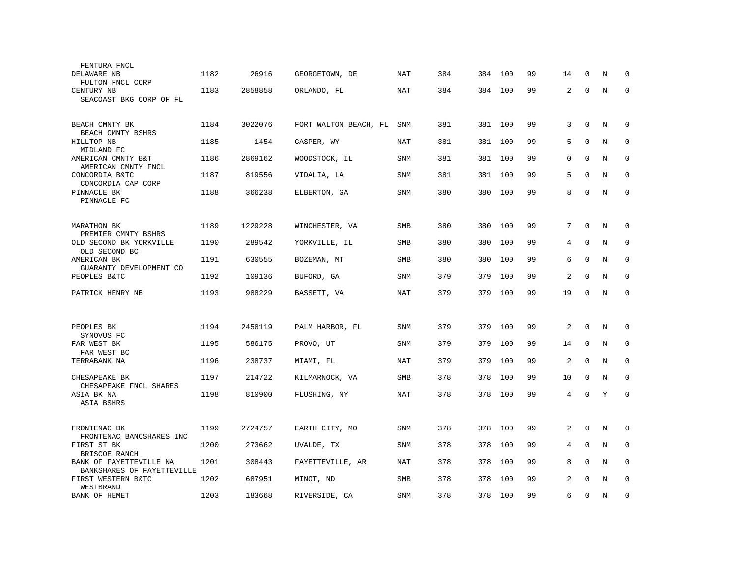| FENTURA FNCL                             |      |         |                       |            |     |     |     |    |                |             |         |             |
|------------------------------------------|------|---------|-----------------------|------------|-----|-----|-----|----|----------------|-------------|---------|-------------|
| DELAWARE NB                              | 1182 | 26916   | GEORGETOWN, DE        | NAT        | 384 | 384 | 100 | 99 | 14             | $\mathbf 0$ | N       | $\mathbf 0$ |
| FULTON FNCL CORP                         |      |         |                       |            |     |     |     |    |                |             |         |             |
| CENTURY NB                               | 1183 | 2858858 | ORLANDO, FL           | <b>NAT</b> | 384 | 384 | 100 | 99 | 2              | $\mathbf 0$ | N       | $\mathbf 0$ |
| SEACOAST BKG CORP OF FL                  |      |         |                       |            |     |     |     |    |                |             |         |             |
|                                          |      |         |                       |            |     |     |     |    |                |             |         |             |
| BEACH CMNTY BK                           | 1184 | 3022076 | FORT WALTON BEACH, FL | <b>SNM</b> | 381 | 381 | 100 | 99 | 3              | $\mathbf 0$ | N       | $\mathbf 0$ |
| BEACH CMNTY BSHRS                        |      |         |                       |            |     |     |     |    |                |             |         |             |
| HILLTOP NB                               | 1185 | 1454    | CASPER, WY            | NAT        | 381 | 381 | 100 | 99 | 5              | $\mathbf 0$ | N       | $\mathbf 0$ |
| MIDLAND FC<br>AMERICAN CMNTY B&T         | 1186 | 2869162 | WOODSTOCK, IL         | SNM        | 381 | 381 | 100 | 99 | $\Omega$       | $\Omega$    | N       | $\mathbf 0$ |
| AMERICAN CMNTY FNCL                      |      |         |                       |            |     |     |     |    |                |             |         |             |
| CONCORDIA B&TC                           | 1187 | 819556  | VIDALIA, LA           | <b>SNM</b> | 381 | 381 | 100 | 99 | 5              | $\Omega$    | N       | $\mathbf 0$ |
| CONCORDIA CAP CORP                       |      |         |                       |            |     |     |     |    |                |             |         |             |
| PINNACLE BK                              | 1188 | 366238  | ELBERTON, GA          | <b>SNM</b> | 380 | 380 | 100 | 99 | 8              | $\Omega$    | N       | $\mathbf 0$ |
| PINNACLE FC                              |      |         |                       |            |     |     |     |    |                |             |         |             |
|                                          |      |         |                       |            |     |     |     |    |                |             |         |             |
| MARATHON BK                              | 1189 | 1229228 | WINCHESTER, VA        | <b>SMB</b> | 380 | 380 | 100 | 99 | 7              | $\Omega$    | N       | $\mathbf 0$ |
| PREMIER CMNTY BSHRS                      |      |         |                       |            |     |     |     |    |                |             |         |             |
| OLD SECOND BK YORKVILLE<br>OLD SECOND BC | 1190 | 289542  | YORKVILLE, IL         | SMB        | 380 | 380 | 100 | 99 | 4              | $\mathbf 0$ | N       | 0           |
| AMERICAN BK                              | 1191 | 630555  | BOZEMAN, MT           | SMB        | 380 | 380 | 100 | 99 | 6              | $\mathbf 0$ | N       | $\mathbf 0$ |
| GUARANTY DEVELOPMENT CO                  |      |         |                       |            |     |     |     |    |                |             |         |             |
| PEOPLES B&TC                             | 1192 | 109136  | BUFORD, GA            | SNM        | 379 | 379 | 100 | 99 | $\overline{c}$ | $\mathbf 0$ | N       | $\mathbf 0$ |
|                                          |      |         |                       |            |     |     |     |    |                |             |         |             |
| PATRICK HENRY NB                         | 1193 | 988229  | BASSETT, VA           | NAT        | 379 | 379 | 100 | 99 | 19             | $\Omega$    | N       | $\mathbf 0$ |
|                                          |      |         |                       |            |     |     |     |    |                |             |         |             |
|                                          |      |         |                       |            |     |     |     |    |                |             |         |             |
| PEOPLES BK                               | 1194 | 2458119 | PALM HARBOR, FL       | <b>SNM</b> | 379 | 379 | 100 | 99 | 2              | $\mathbf 0$ | N       | $\mathbf 0$ |
| SYNOVUS FC                               |      |         |                       |            |     |     |     |    |                |             |         |             |
| FAR WEST BK<br>FAR WEST BC               | 1195 | 586175  | PROVO, UT             | <b>SNM</b> | 379 | 379 | 100 | 99 | 14             | $\mathbf 0$ | N       | $\mathbf 0$ |
| TERRABANK NA                             | 1196 | 238737  | MIAMI, FL             | NAT        | 379 | 379 | 100 | 99 | 2              | $\Omega$    | N       | $\mathbf 0$ |
|                                          |      |         |                       |            |     |     |     |    |                |             |         |             |
| CHESAPEAKE BK                            | 1197 | 214722  | KILMARNOCK, VA        | <b>SMB</b> | 378 | 378 | 100 | 99 | 10             | $\mathbf 0$ | N       | $\mathbf 0$ |
| CHESAPEAKE FNCL SHARES                   |      |         |                       |            |     |     |     |    |                |             |         |             |
| ASIA BK NA<br>ASIA BSHRS                 | 1198 | 810900  | FLUSHING, NY          | NAT        | 378 | 378 | 100 | 99 | 4              | $\mathbf 0$ | Y       | $\mathbf 0$ |
|                                          |      |         |                       |            |     |     |     |    |                |             |         |             |
|                                          |      |         |                       |            |     |     |     |    |                |             |         |             |
| FRONTENAC BK                             | 1199 | 2724757 | EARTH CITY, MO        | <b>SNM</b> | 378 | 378 | 100 | 99 | 2              | $\mathbf 0$ | N       | $\mathbf 0$ |
| FRONTENAC BANCSHARES INC                 |      |         |                       |            |     |     |     |    |                |             |         |             |
| FIRST ST BK<br>BRISCOE RANCH             | 1200 | 273662  | UVALDE, TX            | SNM        | 378 | 378 | 100 | 99 | 4              | $\mathbf 0$ | N       | $\mathbf 0$ |
| BANK OF FAYETTEVILLE NA                  | 1201 | 308443  | FAYETTEVILLE, AR      | NAT        | 378 | 378 | 100 | 99 | 8              | $\mathbf 0$ | N       | $\mathbf 0$ |
| BANKSHARES OF FAYETTEVILLE               |      |         |                       |            |     |     |     |    |                |             |         |             |
| FIRST WESTERN B&TC                       | 1202 | 687951  | MINOT, ND             | SMB        | 378 | 378 | 100 | 99 | 2              | $\Omega$    | N       | $\mathbf 0$ |
| WESTBRAND                                |      |         |                       |            |     |     |     |    |                |             |         |             |
| <b>BANK OF HEMET</b>                     | 1203 | 183668  | RIVERSIDE, CA         | SNM        | 378 | 378 | 100 | 99 | 6              | $\mathbf 0$ | $\rm N$ | $\mathbf 0$ |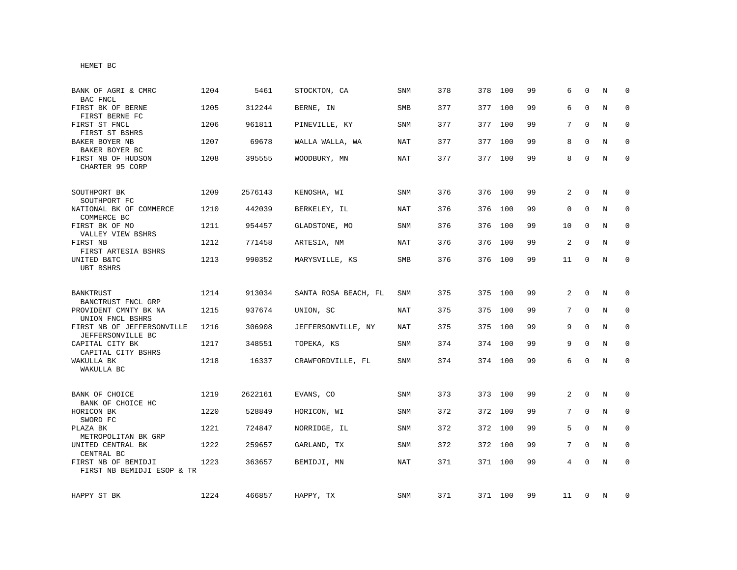HEMET BC

| BANK OF AGRI & CMRC<br>BAC FNCL                                     | 1204 | 5461    | STOCKTON, CA         | <b>SNM</b> | 378 | 378 | 100     | 99 | 6              | $\Omega$     | N | $\Omega$    |
|---------------------------------------------------------------------|------|---------|----------------------|------------|-----|-----|---------|----|----------------|--------------|---|-------------|
| FIRST BK OF BERNE<br>FIRST BERNE FC                                 | 1205 | 312244  | BERNE, IN            | SMB        | 377 | 377 | 100     | 99 | 6              | $\Omega$     | N | $\mathbf 0$ |
| FIRST ST FNCL<br>FIRST ST BSHRS                                     | 1206 | 961811  | PINEVILLE, KY        | <b>SNM</b> | 377 | 377 | 100     | 99 | 7              | $\Omega$     | N | $\Omega$    |
| BAKER BOYER NB<br>BAKER BOYER BC                                    | 1207 | 69678   | WALLA WALLA, WA      | NAT        | 377 | 377 | 100     | 99 | 8              | $\Omega$     | N | $\mathbf 0$ |
| FIRST NB OF HUDSON<br>CHARTER 95 CORP                               | 1208 | 395555  | WOODBURY, MN         | NAT        | 377 |     | 377 100 | 99 | 8              | $\mathbf 0$  | N | $\mathbf 0$ |
| SOUTHPORT BK<br>SOUTHPORT FC                                        | 1209 | 2576143 | KENOSHA, WI          | SNM        | 376 | 376 | 100     | 99 | 2              | $\mathbf 0$  | N | 0           |
| NATIONAL BK OF COMMERCE<br>COMMERCE BC                              | 1210 | 442039  | BERKELEY, IL         | <b>NAT</b> | 376 | 376 | 100     | 99 | $\mathbf 0$    | $\Omega$     | N | $\mathbf 0$ |
| FIRST BK OF MO<br>VALLEY VIEW BSHRS                                 | 1211 | 954457  | GLADSTONE, MO        | <b>SNM</b> | 376 | 376 | 100     | 99 | 10             | $\mathbf 0$  | N | $\mathbf 0$ |
| FIRST NB<br>FIRST ARTESIA BSHRS                                     | 1212 | 771458  | ARTESIA, NM          | <b>NAT</b> | 376 | 376 | 100     | 99 | $\overline{c}$ | $\Omega$     | N | $\mathbf 0$ |
| UNITED B&TC<br><b>UBT BSHRS</b>                                     | 1213 | 990352  | MARYSVILLE, KS       | SMB        | 376 |     | 376 100 | 99 | 11             | $\mathbf 0$  | N | $\mathbf 0$ |
| BANKTRUST                                                           | 1214 | 913034  | SANTA ROSA BEACH, FL | SNM        | 375 |     | 375 100 | 99 | 2              | $\mathbf{0}$ | N | $\mathbf 0$ |
| BANCTRUST FNCL GRP<br>PROVIDENT CMNTY BK NA                         | 1215 | 937674  | UNION, SC            | NAT        | 375 | 375 | 100     | 99 | 7              | 0            | N | $\mathbf 0$ |
| UNION FNCL BSHRS<br>FIRST NB OF JEFFERSONVILLE<br>JEFFERSONVILLE BC | 1216 | 306908  | JEFFERSONVILLE, NY   | NAT        | 375 | 375 | 100     | 99 | 9              | $\mathbf{0}$ | N | $\mathbf 0$ |
| CAPITAL CITY BK<br>CAPITAL CITY BSHRS                               | 1217 | 348551  | TOPEKA, KS           | SNM        | 374 | 374 | 100     | 99 | 9              | $\mathbf 0$  | N | 0           |
| WAKULLA BK<br>WAKULLA BC                                            | 1218 | 16337   | CRAWFORDVILLE, FL    | <b>SNM</b> | 374 | 374 | 100     | 99 | 6              | $\Omega$     | N | $\mathbf 0$ |
| BANK OF CHOICE<br>BANK OF CHOICE HC                                 | 1219 | 2622161 | EVANS, CO            | <b>SNM</b> | 373 | 373 | 100     | 99 | $\overline{a}$ | $\mathbf{0}$ | N | $\mathbf 0$ |
| HORICON BK<br>SWORD FC                                              | 1220 | 528849  | HORICON, WI          | <b>SNM</b> | 372 | 372 | 100     | 99 | 7              | $\Omega$     | N | $\mathbf 0$ |
| PLAZA BK<br>METROPOLITAN BK GRP                                     | 1221 | 724847  | NORRIDGE, IL         | <b>SNM</b> | 372 | 372 | 100     | 99 | 5              | $\Omega$     | N | $\mathbf 0$ |
| UNITED CENTRAL BK<br>CENTRAL BC                                     | 1222 | 259657  | GARLAND, TX          | SNM        | 372 | 372 | 100     | 99 | 7              | $\Omega$     | N | $\mathbf 0$ |
| FIRST NB OF BEMIDJI<br>FIRST NB BEMIDJI ESOP & TR                   | 1223 | 363657  | BEMIDJI, MN          | NAT        | 371 |     | 371 100 | 99 | 4              | $\Omega$     | N | $\Omega$    |
| HAPPY ST BK                                                         | 1224 | 466857  | HAPPY, TX            | SNM        | 371 |     | 371 100 | 99 | 11             | $\mathbf{0}$ | N | 0           |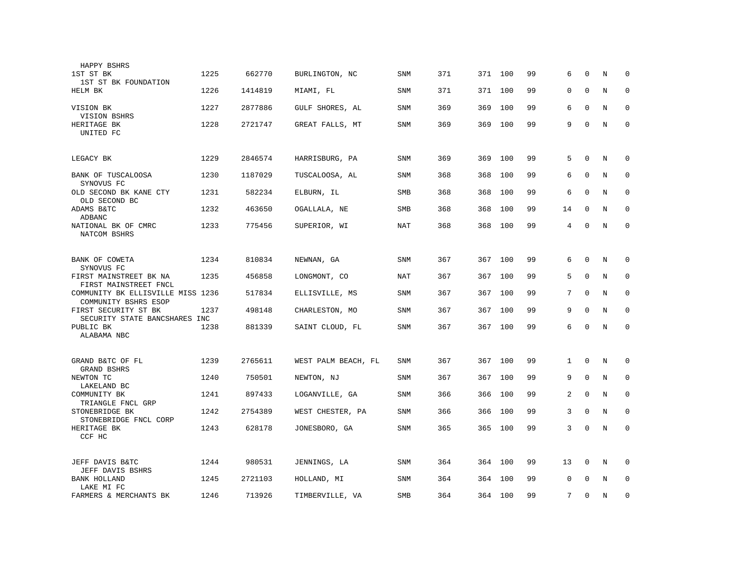| HAPPY BSHRS                                               |      |         |                     |            |     |         |     |    |              |              |   |             |
|-----------------------------------------------------------|------|---------|---------------------|------------|-----|---------|-----|----|--------------|--------------|---|-------------|
| 1ST ST BK<br>1ST ST BK FOUNDATION                         | 1225 | 662770  | BURLINGTON, NC      | <b>SNM</b> | 371 | 371     | 100 | 99 | 6            | $\Omega$     | N | $\Omega$    |
| HELM BK                                                   | 1226 | 1414819 | MIAMI, FL           | SNM        | 371 | 371     | 100 | 99 | 0            | $\mathbf{0}$ | N | $\mathbf 0$ |
| VISION BK<br>VISION BSHRS                                 | 1227 | 2877886 | GULF SHORES, AL     | SNM        | 369 | 369     | 100 | 99 | 6            | $\mathbf 0$  | N | $\mathbf 0$ |
| HERITAGE BK<br>UNITED FC                                  | 1228 | 2721747 | GREAT FALLS, MT     | SNM        | 369 | 369     | 100 | 99 | 9            | $\mathbf 0$  | N | $\mathbf 0$ |
| LEGACY BK                                                 | 1229 | 2846574 | HARRISBURG, PA      | SNM        | 369 | 369     | 100 | 99 | 5            | $\mathbf 0$  | N | 0           |
| BANK OF TUSCALOOSA<br>SYNOVUS FC                          | 1230 | 1187029 | TUSCALOOSA, AL      | SNM        | 368 | 368     | 100 | 99 | 6            | $\mathbf 0$  | N | $\mathbf 0$ |
| OLD SECOND BK KANE CTY<br>OLD SECOND BC                   | 1231 | 582234  | ELBURN, IL          | <b>SMB</b> | 368 | 368     | 100 | 99 | 6            | $\mathbf 0$  | N | $\mathbf 0$ |
| ADAMS B&TC<br>ADBANC                                      | 1232 | 463650  | OGALLALA, NE        | SMB        | 368 | 368     | 100 | 99 | 14           | $\mathbf 0$  | N | $\mathbf 0$ |
| NATIONAL BK OF CMRC<br>NATCOM BSHRS                       | 1233 | 775456  | SUPERIOR, WI        | <b>NAT</b> | 368 | 368     | 100 | 99 | 4            | $\mathbf{0}$ | N | $\mathbf 0$ |
| BANK OF COWETA<br>SYNOVUS FC                              | 1234 | 810834  | NEWNAN, GA          | <b>SNM</b> | 367 | 367     | 100 | 99 | 6            | $\mathbf 0$  | N | $\mathbf 0$ |
| FIRST MAINSTREET BK NA<br>FIRST MAINSTREET FNCL           | 1235 | 456858  | LONGMONT, CO        | <b>NAT</b> | 367 | 367     | 100 | 99 | 5            | $\mathbf 0$  | N | $\mathbf 0$ |
| COMMUNITY BK ELLISVILLE MISS 1236<br>COMMUNITY BSHRS ESOP |      | 517834  | ELLISVILLE, MS      | SNM        | 367 | 367 100 |     | 99 | 7            | $\mathbf 0$  | N | $\mathbf 0$ |
| FIRST SECURITY ST BK<br>SECURITY STATE BANCSHARES INC     | 1237 | 498148  | CHARLESTON, MO      | SNM        | 367 | 367     | 100 | 99 | 9            | $\Omega$     | N | $\mathbf 0$ |
| PUBLIC BK<br>ALABAMA NBC                                  | 1238 | 881339  | SAINT CLOUD, FL     | <b>SNM</b> | 367 | 367     | 100 | 99 | 6            | $\Omega$     | N | $\mathbf 0$ |
| GRAND B&TC OF FL                                          | 1239 | 2765611 | WEST PALM BEACH, FL | <b>SNM</b> | 367 | 367     | 100 | 99 | $\mathbf{1}$ | $\mathbf{0}$ | N | $\mathbf 0$ |
| <b>GRAND BSHRS</b><br>NEWTON TC                           | 1240 | 750501  | NEWTON, NJ          | SNM        | 367 | 367     | 100 | 99 | 9            | $\mathbf{0}$ | N | $\mathbf 0$ |
| LAKELAND BC<br>COMMUNITY BK                               | 1241 | 897433  | LOGANVILLE, GA      | <b>SNM</b> | 366 | 366     | 100 | 99 | 2            | $\Omega$     | N | $\mathbf 0$ |
| TRIANGLE FNCL GRP<br>STONEBRIDGE BK                       | 1242 | 2754389 | WEST CHESTER, PA    | SNM        | 366 | 366     | 100 | 99 | 3            | $\mathbf{0}$ | N | $\mathbf 0$ |
| STONEBRIDGE FNCL CORP<br>HERITAGE BK<br>CCF HC            | 1243 | 628178  | JONESBORO, GA       | <b>SNM</b> | 365 | 365     | 100 | 99 | 3            | $\mathbf 0$  | N | $\mathbf 0$ |
| JEFF DAVIS B&TC<br>JEFF DAVIS BSHRS                       | 1244 | 980531  | JENNINGS, LA        | SNM        | 364 | 364     | 100 | 99 | 13           | 0            | Ν | 0           |
| <b>BANK HOLLAND</b><br>LAKE MI FC                         | 1245 | 2721103 | HOLLAND, MI         | SNM        | 364 | 364     | 100 | 99 | 0            | $\Omega$     | N | $\mathbf 0$ |
| FARMERS & MERCHANTS BK                                    | 1246 | 713926  | TIMBERVILLE, VA     | <b>SMB</b> | 364 | 364 100 |     | 99 | 7            | $\mathbf 0$  | N | $\mathbf 0$ |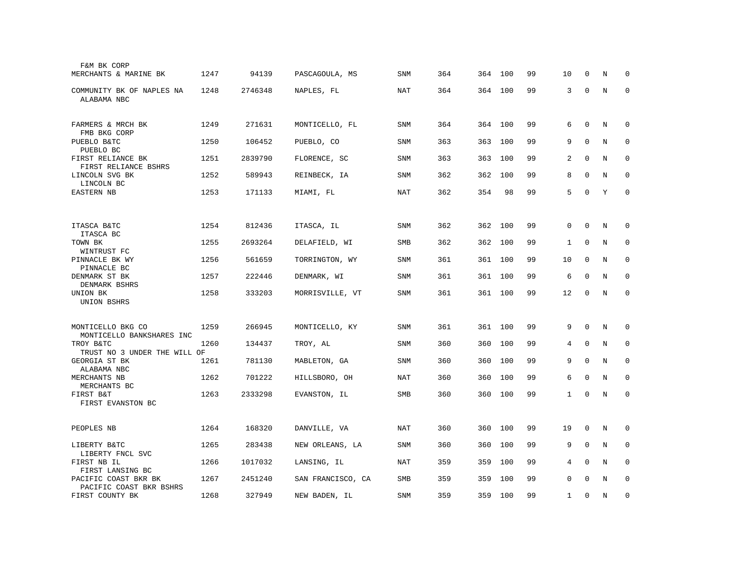| F&M BK CORP                                     |      |         |                   |            |     |     |         |    |              |              |         |             |
|-------------------------------------------------|------|---------|-------------------|------------|-----|-----|---------|----|--------------|--------------|---------|-------------|
| MERCHANTS & MARINE BK                           | 1247 | 94139   | PASCAGOULA, MS    | <b>SNM</b> | 364 |     | 364 100 | 99 | 10           | $\Omega$     | N       | 0           |
| COMMUNITY BK OF NAPLES NA<br>ALABAMA NBC        | 1248 | 2746348 | NAPLES, FL        | <b>NAT</b> | 364 |     | 364 100 | 99 | 3            | 0            | N       | $\mathbf 0$ |
| FARMERS & MRCH BK<br>FMB BKG CORP               | 1249 | 271631  | MONTICELLO, FL    | <b>SNM</b> | 364 | 364 | 100     | 99 | 6            | $\mathbf 0$  | N       | $\mathbf 0$ |
| PUEBLO B&TC<br>PUEBLO BC                        | 1250 | 106452  | PUEBLO, CO        | SNM        | 363 | 363 | 100     | 99 | 9            | $\mathbf 0$  | N       | $\mathbf 0$ |
| FIRST RELIANCE BK<br>FIRST RELIANCE BSHRS       | 1251 | 2839790 | FLORENCE, SC      | <b>SNM</b> | 363 | 363 | 100     | 99 | 2            | $\mathbf 0$  | N       | $\mathbf 0$ |
| LINCOLN SVG BK<br>LINCOLN BC                    | 1252 | 589943  | REINBECK, IA      | SNM        | 362 | 362 | 100     | 99 | 8            | $\mathbf 0$  | N       | 0           |
| EASTERN NB                                      | 1253 | 171133  | MIAMI, FL         | <b>NAT</b> | 362 | 354 | 98      | 99 | 5            | $\mathbf 0$  | Y       | $\mathbf 0$ |
|                                                 |      |         |                   |            |     |     |         |    |              |              |         |             |
| ITASCA B&TC<br>ITASCA BC                        | 1254 | 812436  | ITASCA, IL        | SNM        | 362 | 362 | 100     | 99 | 0            | $\mathbf 0$  | N       | $\mathbf 0$ |
| TOWN BK<br>WINTRUST FC                          | 1255 | 2693264 | DELAFIELD, WI     | <b>SMB</b> | 362 | 362 | 100     | 99 | 1            | $\mathbf 0$  | N       | 0           |
| PINNACLE BK WY<br>PINNACLE BC                   | 1256 | 561659  | TORRINGTON, WY    | SNM        | 361 | 361 | 100     | 99 | 10           | $\mathbf 0$  | N       | $\mathbf 0$ |
| DENMARK ST BK<br>DENMARK BSHRS                  | 1257 | 222446  | DENMARK, WI       | SNM        | 361 |     | 361 100 | 99 | 6            | $\mathbf 0$  | N       | $\mathbf 0$ |
| UNION BK<br>UNION BSHRS                         | 1258 | 333203  | MORRISVILLE, VT   | <b>SNM</b> | 361 |     | 361 100 | 99 | 12           | $\mathbf{0}$ | $\rm N$ | $\mathbf 0$ |
|                                                 |      |         |                   |            |     |     |         |    |              |              |         |             |
| MONTICELLO BKG CO<br>MONTICELLO BANKSHARES INC  | 1259 | 266945  | MONTICELLO, KY    | SNM        | 361 | 361 | 100     | 99 | 9            | $\Omega$     | N       | 0           |
| TROY B&TC<br>TRUST NO 3 UNDER THE WILL OF       | 1260 | 134437  | TROY, AL          | SNM        | 360 | 360 | 100     | 99 | 4            | $\mathbf 0$  | N       | $\mathbf 0$ |
| GEORGIA ST BK<br>ALABAMA NBC                    | 1261 | 781130  | MABLETON, GA      | SNM        | 360 | 360 | 100     | 99 | 9            | $\mathbf 0$  | N       | 0           |
| MERCHANTS NB<br>MERCHANTS BC                    | 1262 | 701222  | HILLSBORO, OH     | NAT        | 360 | 360 | 100     | 99 | 6            | $\mathbf 0$  | N       | 0           |
| FIRST B&T<br>FIRST EVANSTON BC                  | 1263 | 2333298 | EVANSTON, IL      | <b>SMB</b> | 360 | 360 | 100     | 99 | $\mathbf{1}$ | $\mathbf 0$  | N       | $\Omega$    |
|                                                 |      |         |                   |            |     |     |         |    |              |              |         |             |
| PEOPLES NB                                      | 1264 | 168320  | DANVILLE, VA      | NAT        | 360 | 360 | 100     | 99 | 19           | 0            | Ν       | 0           |
| LIBERTY B&TC<br>LIBERTY FNCL SVC                | 1265 | 283438  | NEW ORLEANS, LA   | <b>SNM</b> | 360 | 360 | 100     | 99 | 9            | $\Omega$     | N       | 0           |
| FIRST NB IL<br>FIRST LANSING BC                 | 1266 | 1017032 | LANSING, IL       | <b>NAT</b> | 359 | 359 | 100     | 99 | 4            | $\mathbf 0$  | N       | $\mathbf 0$ |
| PACIFIC COAST BKR BK<br>PACIFIC COAST BKR BSHRS | 1267 | 2451240 | SAN FRANCISCO, CA | <b>SMB</b> | 359 | 359 | 100     | 99 | 0            | $\mathbf 0$  | N       | $\mathbf 0$ |
| FIRST COUNTY BK                                 | 1268 | 327949  | NEW BADEN, IL     | SNM        | 359 |     | 359 100 | 99 | $\mathbf{1}$ | 0            | N       | $\mathbf 0$ |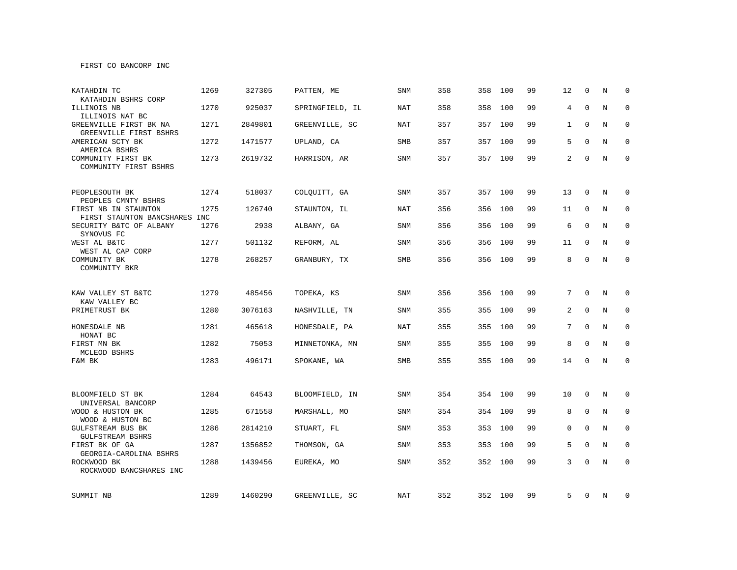FIRST CO BANCORP INC

| KATAHDIN TC                                                         | 1269 | 327305  | PATTEN, ME      | SNM        | 358 | 358     | 100     | 99 | 12             | $\mathbf 0$  | N | $\Omega$    |
|---------------------------------------------------------------------|------|---------|-----------------|------------|-----|---------|---------|----|----------------|--------------|---|-------------|
| KATAHDIN BSHRS CORP<br>ILLINOIS NB                                  | 1270 | 925037  | SPRINGFIELD, IL | NAT        | 358 | 358     | 100     | 99 | $\overline{4}$ | $\mathbf{0}$ | N | 0           |
| ILLINOIS NAT BC<br>GREENVILLE FIRST BK NA<br>GREENVILLE FIRST BSHRS | 1271 | 2849801 | GREENVILLE, SC  | NAT        | 357 | 357     | 100     | 99 | 1              | $\mathbf 0$  | N | $\mathbf 0$ |
| AMERICAN SCTY BK<br>AMERICA BSHRS                                   | 1272 | 1471577 | UPLAND, CA      | <b>SMB</b> | 357 | 357     | 100     | 99 | 5              | $\mathbf 0$  | N | 0           |
| COMMUNITY FIRST BK<br>COMMUNITY FIRST BSHRS                         | 1273 | 2619732 | HARRISON, AR    | SNM        | 357 | 357 100 |         | 99 | $\overline{2}$ | $\Omega$     | N | $\mathbf 0$ |
| PEOPLESOUTH BK<br>PEOPLES CMNTY BSHRS                               | 1274 | 518037  | COLQUITT, GA    | SNM        | 357 |         | 357 100 | 99 | 13             | $\mathbf 0$  | Ν | 0           |
| FIRST NB IN STAUNTON<br>FIRST STAUNTON BANCSHARES INC               | 1275 | 126740  | STAUNTON, IL    | <b>NAT</b> | 356 | 356     | 100     | 99 | 11             | $\Omega$     | N | $\mathbf 0$ |
| SECURITY B&TC OF ALBANY<br>SYNOVUS FC                               | 1276 | 2938    | ALBANY, GA      | <b>SNM</b> | 356 | 356     | 100     | 99 | 6              | $\mathbf{0}$ | N | $\mathbf 0$ |
| WEST AL B&TC<br>WEST AL CAP CORP                                    | 1277 | 501132  | REFORM, AL      | SNM        | 356 | 356     | 100     | 99 | 11             | $\mathbf 0$  | N | 0           |
| COMMUNITY BK<br>COMMUNITY BKR                                       | 1278 | 268257  | GRANBURY, TX    | SMB        | 356 | 356     | 100     | 99 | 8              | $\mathbf 0$  | N | $\mathbf 0$ |
| KAW VALLEY ST B&TC<br>KAW VALLEY BC                                 | 1279 | 485456  | TOPEKA, KS      | SNM        | 356 | 356     | 100     | 99 | $7^{\circ}$    | $\mathbf{0}$ | N | 0           |
| PRIMETRUST BK                                                       | 1280 | 3076163 | NASHVILLE, TN   | SNM        | 355 | 355     | 100     | 99 | 2              | $\mathbf 0$  | N | 0           |
| HONESDALE NB<br>HONAT BC                                            | 1281 | 465618  | HONESDALE, PA   | <b>NAT</b> | 355 | 355     | 100     | 99 | 7              | $\mathbf{0}$ | N | $\mathbf 0$ |
| FIRST MN BK<br>MCLEOD BSHRS                                         | 1282 | 75053   | MINNETONKA, MN  | <b>SNM</b> | 355 | 355     | 100     | 99 | 8              | $\mathbf{0}$ | N | $\mathbf 0$ |
| F&M BK                                                              | 1283 | 496171  | SPOKANE, WA     | SMB        | 355 | 355     | 100     | 99 | 14             | $\mathbf 0$  | N | $\mathbf 0$ |
|                                                                     |      |         |                 |            |     |         |         |    |                |              |   |             |
| BLOOMFIELD ST BK<br>UNIVERSAL BANCORP                               | 1284 | 64543   | BLOOMFIELD, IN  | <b>SNM</b> | 354 | 354     | 100     | 99 | 10             | $\mathbf{0}$ | N | 0           |
| WOOD & HUSTON BK<br>WOOD & HUSTON BC                                | 1285 | 671558  | MARSHALL, MO    | <b>SNM</b> | 354 | 354     | 100     | 99 | 8              | $\mathbf{0}$ | N | 0           |
| <b>GULFSTREAM BUS BK</b><br><b>GULFSTREAM BSHRS</b>                 | 1286 | 2814210 | STUART, FL      | <b>SNM</b> | 353 | 353     | 100     | 99 | 0              | $\mathbf{0}$ | N | 0           |
| FIRST BK OF GA<br>GEORGIA-CAROLINA BSHRS                            | 1287 | 1356852 | THOMSON, GA     | <b>SNM</b> | 353 | 353     | 100     | 99 | 5              | $\Omega$     | N | $\Omega$    |
| ROCKWOOD BK<br>ROCKWOOD BANCSHARES INC                              | 1288 | 1439456 | EUREKA, MO      | <b>SNM</b> | 352 | 352     | 100     | 99 | 3              | $\Omega$     | N | $\mathbf 0$ |
| SUMMIT NB                                                           | 1289 | 1460290 | GREENVILLE, SC  | NAT        | 352 |         | 352 100 | 99 | 5              | 0            | N | 0           |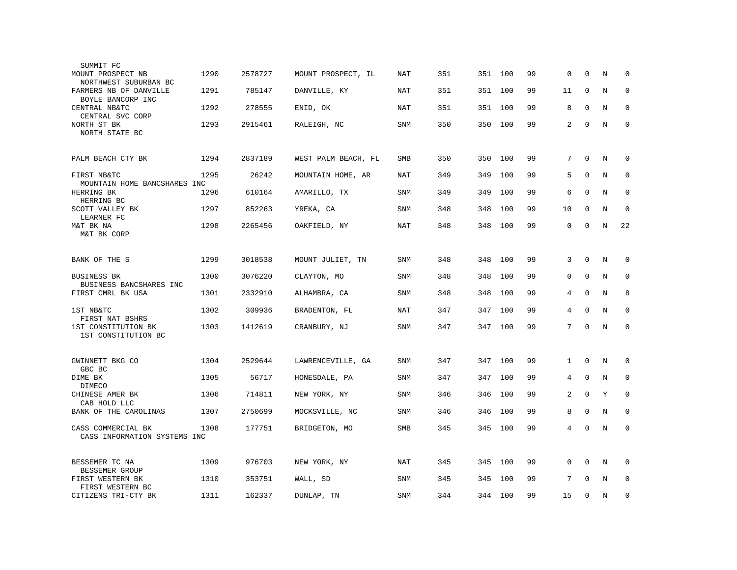| SUMMIT FC                                          |      |         |                     |            |     |     |         |    |              |              |         |             |
|----------------------------------------------------|------|---------|---------------------|------------|-----|-----|---------|----|--------------|--------------|---------|-------------|
| MOUNT PROSPECT NB<br>NORTHWEST SUBURBAN BC         | 1290 | 2578727 | MOUNT PROSPECT, IL  | NAT        | 351 |     | 351 100 | 99 | $\mathbf 0$  | $\mathbf 0$  | N       | $\mathbf 0$ |
| FARMERS NB OF DANVILLE<br>BOYLE BANCORP INC        | 1291 | 785147  | DANVILLE, KY        | NAT        | 351 | 351 | 100     | 99 | 11           | $\mathbf 0$  | N       | $\mathbf 0$ |
| CENTRAL NB&TC<br>CENTRAL SVC CORP                  | 1292 | 278555  | ENID, OK            | NAT        | 351 | 351 | 100     | 99 | 8            | $\mathbf{0}$ | N       | $\mathbf 0$ |
| NORTH ST BK<br>NORTH STATE BC                      | 1293 | 2915461 | RALEIGH, NC         | <b>SNM</b> | 350 | 350 | 100     | 99 | 2            | $\mathbf 0$  | N       | $\mathbf 0$ |
| PALM BEACH CTY BK                                  | 1294 | 2837189 | WEST PALM BEACH, FL | SMB        | 350 | 350 | 100     | 99 | 7            | $\mathbf{0}$ | N       | $\mathbf 0$ |
| FIRST NB&TC<br>MOUNTAIN HOME BANCSHARES INC        | 1295 | 26242   | MOUNTAIN HOME, AR   | NAT        | 349 | 349 | 100     | 99 | 5            | $\Omega$     | N       | $\mathbf 0$ |
| HERRING BK<br>HERRING BC                           | 1296 | 610164  | AMARILLO, TX        | <b>SNM</b> | 349 | 349 | 100     | 99 | 6            | $\Omega$     | N       | $\mathbf 0$ |
| SCOTT VALLEY BK<br>LEARNER FC                      | 1297 | 852263  | YREKA, CA           | SNM        | 348 | 348 | 100     | 99 | 10           | $\Omega$     | N       | $\Omega$    |
| M&T BK NA<br>M&T BK CORP                           | 1298 | 2265456 | OAKFIELD, NY        | <b>NAT</b> | 348 | 348 | 100     | 99 | 0            | $\mathbf{0}$ | $\rm N$ | 22          |
| BANK OF THE S                                      | 1299 | 3018538 | MOUNT JULIET, TN    | <b>SNM</b> | 348 | 348 | 100     | 99 | 3            | $\mathbf{0}$ | N       | $\mathbf 0$ |
| BUSINESS BK<br>BUSINESS BANCSHARES INC             | 1300 | 3076220 | CLAYTON, MO         | SNM        | 348 | 348 | 100     | 99 | 0            | $\mathbf{0}$ | N       | $\mathbf 0$ |
| FIRST CMRL BK USA                                  | 1301 | 2332910 | ALHAMBRA, CA        | SNM        | 348 | 348 | 100     | 99 | 4            | $\mathbf{0}$ | N       | 8           |
| 1ST NB&TC<br>FIRST NAT BSHRS                       | 1302 | 309936  | BRADENTON, FL       | NAT        | 347 | 347 | 100     | 99 | 4            | $\Omega$     | N       | $\mathbf 0$ |
| 1ST CONSTITUTION BK<br>1ST CONSTITUTION BC         | 1303 | 1412619 | CRANBURY, NJ        | SNM        | 347 |     | 347 100 | 99 | 7            | $\mathbf 0$  | N       | $\mathbf 0$ |
| GWINNETT BKG CO<br>GBC BC                          | 1304 | 2529644 | LAWRENCEVILLE, GA   | <b>SNM</b> | 347 | 347 | 100     | 99 | $\mathbf{1}$ | $\Omega$     | N       | $\Omega$    |
| DIME BK<br>DIMECO                                  | 1305 | 56717   | HONESDALE, PA       | <b>SNM</b> | 347 | 347 | 100     | 99 | 4            | $\mathbf{0}$ | N       | $\mathbf 0$ |
| CHINESE AMER BK<br>CAB HOLD LLC                    | 1306 | 714811  | NEW YORK, NY        | SNM        | 346 | 346 | 100     | 99 | 2            | $\Omega$     | Y       | $\mathbf 0$ |
| BANK OF THE CAROLINAS                              | 1307 | 2750699 | MOCKSVILLE, NC      | <b>SNM</b> | 346 | 346 | 100     | 99 | 8            | $\mathbf{0}$ | N       | $\mathbf 0$ |
| CASS COMMERCIAL BK<br>CASS INFORMATION SYSTEMS INC | 1308 | 177751  | BRIDGETON, MO       | SMB        | 345 | 345 | 100     | 99 | 4            | $\Omega$     | N       | $\Omega$    |
| BESSEMER TC NA<br>BESSEMER GROUP                   | 1309 | 976703  | NEW YORK, NY        | <b>NAT</b> | 345 | 345 | 100     | 99 | 0            | $\mathbf 0$  | $\rm N$ | $\mathbf 0$ |
| FIRST WESTERN BK<br>FIRST WESTERN BC               | 1310 | 353751  | WALL, SD            | <b>SNM</b> | 345 | 345 | 100     | 99 | 7            | $\Omega$     | N       | $\mathbf 0$ |
| CITIZENS TRI-CTY BK                                | 1311 | 162337  | DUNLAP, TN          | <b>SNM</b> | 344 | 344 | 100     | 99 | 15           | $\Omega$     | N       | $\Omega$    |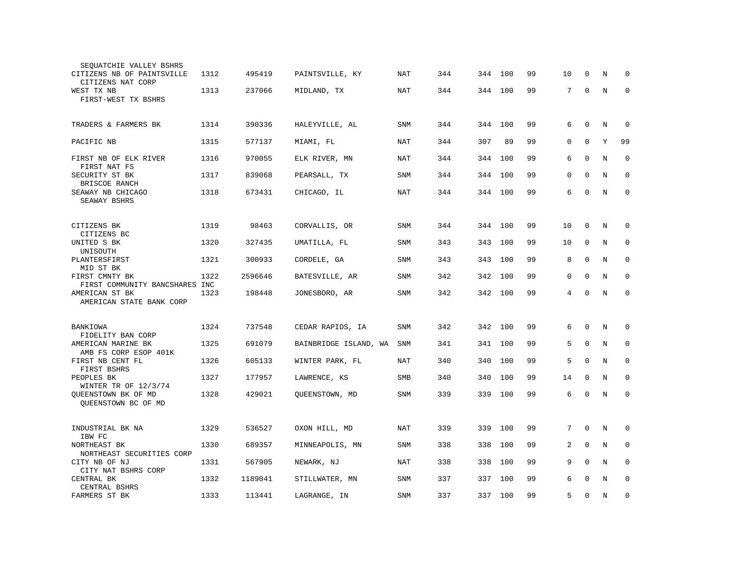| SEQUATCHIE VALLEY BSHRS<br>CITIZENS NB OF PAINTSVILLE<br>CITIZENS NAT CORP<br>WEST TX NB | 1312<br>1313 | 495419<br>237066 | PAINTSVILLE, KY       | NAT        | 344<br>344 | 344<br>344 | 100<br>100 | 99<br>99 | 10<br>7 | 0<br>$\mathbf 0$ | N<br>$\rm N$ | 0<br>$\mathbf 0$ |
|------------------------------------------------------------------------------------------|--------------|------------------|-----------------------|------------|------------|------------|------------|----------|---------|------------------|--------------|------------------|
| FIRST-WEST TX BSHRS                                                                      |              |                  | MIDLAND, TX           | NAT        |            |            |            |          |         |                  |              |                  |
| TRADERS & FARMERS BK                                                                     | 1314         | 390336           | HALEYVILLE, AL        | SNM        | 344        | 344        | 100        | 99       | 6       | $\mathbf 0$      | N            | $\mathbf 0$      |
| PACIFIC NB                                                                               | 1315         | 577137           | MIAMI, FL             | <b>NAT</b> | 344        | 307        | 89         | 99       | 0       | 0                | Υ            | 99               |
| FIRST NB OF ELK RIVER<br>FIRST NAT FS                                                    | 1316         | 970055           | ELK RIVER, MN         | NAT        | 344        | 344        | 100        | 99       | 6       | $\mathbf 0$      | N            | $\mathbf 0$      |
| SECURITY ST BK<br>BRISCOE RANCH                                                          | 1317         | 839068           | PEARSALL, TX          | SNM        | 344        | 344        | 100        | 99       | 0       | $\Omega$         | N            | $\Omega$         |
| SEAWAY NB CHICAGO<br>SEAWAY BSHRS                                                        | 1318         | 673431           | CHICAGO, IL           | NAT        | 344        | 344        | 100        | 99       | 6       | $\Omega$         | N            | $\Omega$         |
| CITIZENS BK<br>CITIZENS BC                                                               | 1319         | 98463            | CORVALLIS, OR         | <b>SNM</b> | 344        | 344        | 100        | 99       | 10      | $\mathbf 0$      | N            | 0                |
| UNITED S BK<br>UNISOUTH                                                                  | 1320         | 327435           | UMATILLA, FL          | SNM        | 343        | 343        | 100        | 99       | 10      | 0                | N            | $\mathbf 0$      |
| PLANTERSFIRST<br>MID ST BK                                                               | 1321         | 300933           | CORDELE, GA           | <b>SNM</b> | 343        | 343        | 100        | 99       | 8       | $\mathbf 0$      | N            | $\mathbf 0$      |
| FIRST CMNTY BK                                                                           | 1322         | 2596646          | BATESVILLE, AR        | <b>SNM</b> | 342        | 342        | 100        | 99       | 0       | $\mathbf 0$      | N            | $\mathbf 0$      |
| FIRST COMMUNITY BANCSHARES INC<br>AMERICAN ST BK<br>AMERICAN STATE BANK CORP             | 1323         | 198448           | JONESBORO, AR         | SNM        | 342        | 342 100    |            | 99       | 4       | $\Omega$         | N            | $\mathbf 0$      |
| BANKIOWA                                                                                 | 1324         | 737548           | CEDAR RAPIDS, IA      | SNM        | 342        | 342        | 100        | 99       | 6       | $\mathbf 0$      | N            | $\mathbf 0$      |
| FIDELITY BAN CORP<br>AMERICAN MARINE BK                                                  | 1325         | 691079           | BAINBRIDGE ISLAND, WA | <b>SNM</b> | 341        | 341        | 100        | 99       | 5       | $\mathbf 0$      | N            | $\mathbf 0$      |
| AMB FS CORP ESOP 401K<br>FIRST NB CENT FL<br>FIRST BSHRS                                 | 1326         | 605133           | WINTER PARK, FL       | NAT        | 340        | 340        | 100        | 99       | 5       | $\Omega$         | N            | $\mathbf 0$      |
| PEOPLES BK<br>WINTER TR OF 12/3/74                                                       | 1327         | 177957           | LAWRENCE, KS          | <b>SMB</b> | 340        | 340        | 100        | 99       | 14      | 0                | N            | $\mathbf 0$      |
| QUEENSTOWN BK OF MD<br>OUEENSTOWN BC OF MD                                               | 1328         | 429021           | QUEENSTOWN, MD        | <b>SNM</b> | 339        | 339        | 100        | 99       | 6       | $\mathbf 0$      | N            | $\Omega$         |
| INDUSTRIAL BK NA<br>IBW FC                                                               | 1329         | 536527           | OXON HILL, MD         | NAT        | 339        | 339        | 100        | 99       | 7       | $\mathbf 0$      | N            | 0                |
| NORTHEAST BK<br>NORTHEAST SECURITIES CORP                                                | 1330         | 689357           | MINNEAPOLIS, MN       | SNM        | 338        | 338        | 100        | 99       | 2       | $\Omega$         | N            | $\mathbf 0$      |
| CITY NB OF NJ<br>CITY NAT BSHRS CORP                                                     | 1331         | 567905           | NEWARK, NJ            | NAT        | 338        | 338        | 100        | 99       | 9       | $\Omega$         | N            | $\mathbf 0$      |
| CENTRAL BK<br>CENTRAL BSHRS                                                              | 1332         | 1189041          | STILLWATER, MN        | SNM        | 337        | 337        | 100        | 99       | 6       | 0                | N            | 0                |
| FARMERS ST BK                                                                            | 1333         | 113441           | LAGRANGE, IN          | <b>SNM</b> | 337        | 337 100    |            | 99       | 5       | $\mathbf 0$      | N            | $\mathbf 0$      |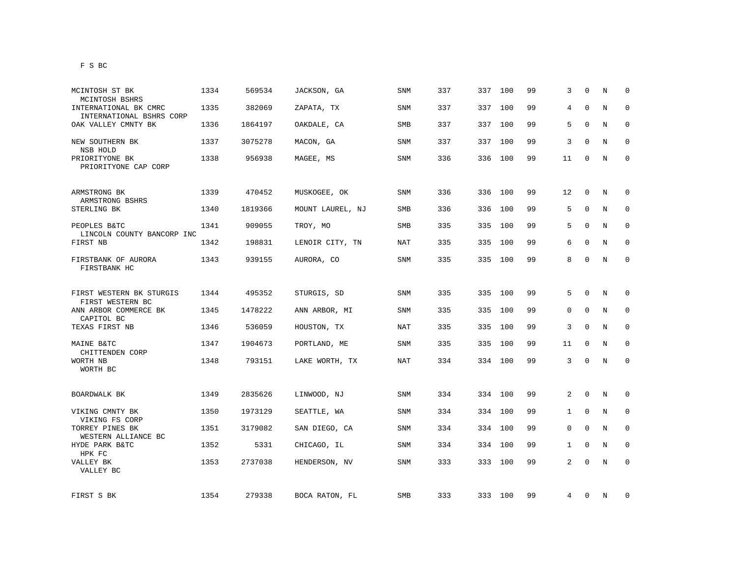| MCINTOSH ST BK                                                      | 1334 | 569534  | JACKSON, GA      | SNM        | 337 | 337 | 100     | 99 | 3  | $\mathbf 0$ | Ν       | 0           |
|---------------------------------------------------------------------|------|---------|------------------|------------|-----|-----|---------|----|----|-------------|---------|-------------|
| MCINTOSH BSHRS<br>INTERNATIONAL BK CMRC<br>INTERNATIONAL BSHRS CORP | 1335 | 382069  | ZAPATA, TX       | <b>SNM</b> | 337 | 337 | 100     | 99 | 4  | $\mathbf 0$ | $\rm N$ | 0           |
| OAK VALLEY CMNTY BK                                                 | 1336 | 1864197 | OAKDALE, CA      | SMB        | 337 |     | 337 100 | 99 | 5  | $\mathbf 0$ | N       | 0           |
| NEW SOUTHERN BK<br>NSB HOLD                                         | 1337 | 3075278 | MACON, GA        | SNM        | 337 |     | 337 100 | 99 | 3  | $\mathbf 0$ | N       | $\mathbf 0$ |
| PRIORITYONE BK<br>PRIORITYONE CAP CORP                              | 1338 | 956938  | MAGEE, MS        | <b>SNM</b> | 336 |     | 336 100 | 99 | 11 | $\mathbf 0$ | N       | $\mathbf 0$ |
| ARMSTRONG BK                                                        | 1339 | 470452  | MUSKOGEE, OK     | SNM        | 336 | 336 | 100     | 99 | 12 | 0           | N       | 0           |
| ARMSTRONG BSHRS<br>STERLING BK                                      | 1340 | 1819366 | MOUNT LAUREL, NJ | SMB        | 336 | 336 | 100     | 99 | 5  | $\mathbf 0$ | N       | $\mathbf 0$ |
| PEOPLES B&TC<br>LINCOLN COUNTY BANCORP INC                          | 1341 | 909055  | TROY, MO         | SMB        | 335 | 335 | 100     | 99 | 5  | 0           | N       | $\mathbf 0$ |
| FIRST NB                                                            | 1342 | 198831  | LENOIR CITY, TN  | NAT        | 335 | 335 | 100     | 99 | 6  | $\mathbf 0$ | N       | 0           |
| FIRSTBANK OF AURORA<br>FIRSTBANK HC                                 | 1343 | 939155  | AURORA, CO       | SNM        | 335 |     | 335 100 | 99 | 8  | $\mathbf 0$ | N       | $\mathbf 0$ |
| FIRST WESTERN BK STURGIS                                            | 1344 | 495352  | STURGIS, SD      | SNM        | 335 |     | 335 100 | 99 | 5  | 0           | N       | 0           |
| FIRST WESTERN BC<br>ANN ARBOR COMMERCE BK                           | 1345 | 1478222 | ANN ARBOR, MI    | SNM        | 335 | 335 | 100     | 99 | 0  | 0           | N       | 0           |
| CAPITOL BC<br>TEXAS FIRST NB                                        | 1346 | 536059  | HOUSTON, TX      | NAT        | 335 | 335 | 100     | 99 | 3  | 0           | N       | 0           |
| MAINE B&TC<br>CHITTENDEN CORP                                       | 1347 | 1904673 | PORTLAND, ME     | SNM        | 335 | 335 | 100     | 99 | 11 | 0           | N       | 0           |
| WORTH NB<br>WORTH BC                                                | 1348 | 793151  | LAKE WORTH, TX   | NAT        | 334 |     | 334 100 | 99 | 3  | $\mathbf 0$ | N       | $\mathbf 0$ |
| BOARDWALK BK                                                        | 1349 | 2835626 | LINWOOD, NJ      | SNM        | 334 | 334 | 100     | 99 | 2  | 0           | N       | 0           |
| VIKING CMNTY BK<br>VIKING FS CORP                                   | 1350 | 1973129 | SEATTLE, WA      | SNM        | 334 | 334 | 100     | 99 | 1  | $\mathbf 0$ | Ν       | 0           |
| TORREY PINES BK<br>WESTERN ALLIANCE BC                              | 1351 | 3179082 | SAN DIEGO, CA    | SNM        | 334 | 334 | 100     | 99 | 0  | 0           | N       | 0           |
| HYDE PARK B&TC<br>HPK FC                                            | 1352 | 5331    | CHICAGO, IL      | SNM        | 334 | 334 | 100     | 99 | 1  | $\mathbf 0$ | N       | 0           |
| VALLEY BK<br>VALLEY BC                                              | 1353 | 2737038 | HENDERSON, NV    | SNM        | 333 | 333 | 100     | 99 | 2  | $\mathbf 0$ | $\rm N$ | 0           |
| FIRST S BK                                                          | 1354 | 279338  | BOCA RATON, FL   | SMB        | 333 |     | 333 100 | 99 | 4  | 0           | N       | 0           |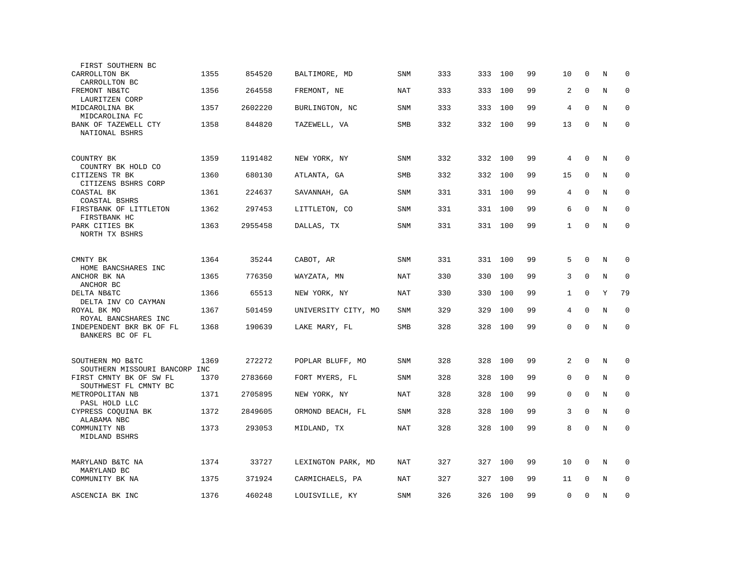| FIRST SOUTHERN BC                                                                 |      |         |                     |            |     |     |         |    |              |              |         |             |
|-----------------------------------------------------------------------------------|------|---------|---------------------|------------|-----|-----|---------|----|--------------|--------------|---------|-------------|
| CARROLLTON BK<br>CARROLLTON BC                                                    | 1355 | 854520  | BALTIMORE, MD       | SNM        | 333 | 333 | 100     | 99 | 10           | 0            | N       | 0           |
| FREMONT NB&TC<br>LAURITZEN CORP                                                   | 1356 | 264558  | FREMONT, NE         | NAT        | 333 | 333 | 100     | 99 | 2            | $\mathbf 0$  | N       | $\mathbf 0$ |
| MIDCAROLINA BK                                                                    | 1357 | 2602220 | BURLINGTON, NC      | SNM        | 333 | 333 | 100     | 99 | 4            | $\Omega$     | N       | $\mathbf 0$ |
| MIDCAROLINA FC<br>BANK OF TAZEWELL CTY<br>NATIONAL BSHRS                          | 1358 | 844820  | TAZEWELL, VA        | SMB        | 332 | 332 | 100     | 99 | 13           | $\mathbf 0$  | N       | $\mathbf 0$ |
| COUNTRY BK                                                                        | 1359 | 1191482 | NEW YORK, NY        | SNM        | 332 | 332 | 100     | 99 | 4            | $\mathbf 0$  | N       | $\mathbf 0$ |
| COUNTRY BK HOLD CO<br>CITIZENS TR BK                                              | 1360 | 680130  | ATLANTA, GA         | <b>SMB</b> | 332 | 332 | 100     | 99 | 15           | $\mathbf 0$  | N       | $\mathbf 0$ |
| CITIZENS BSHRS CORP<br>COASTAL BK<br>COASTAL BSHRS                                | 1361 | 224637  | SAVANNAH, GA        | SNM        | 331 | 331 | 100     | 99 | 4            | $\Omega$     | N       | $\Omega$    |
| FIRSTBANK OF LITTLETON<br>FIRSTBANK HC                                            | 1362 | 297453  | LITTLETON, CO       | <b>SNM</b> | 331 | 331 | 100     | 99 | 6            | $\Omega$     | N       | $\mathbf 0$ |
| PARK CITIES BK<br>NORTH TX BSHRS                                                  | 1363 | 2955458 | DALLAS, TX          | SNM        | 331 | 331 | 100     | 99 | $\mathbf{1}$ | $\mathbf 0$  | N       | $\mathbf 0$ |
| CMNTY BK                                                                          | 1364 | 35244   | CABOT, AR           | <b>SNM</b> | 331 |     | 331 100 | 99 | 5            | $\mathbf 0$  | N       | $\mathbf 0$ |
| HOME BANCSHARES INC<br>ANCHOR BK NA<br>ANCHOR BC                                  | 1365 | 776350  | WAYZATA, MN         | <b>NAT</b> | 330 | 330 | 100     | 99 | 3            | $\mathbf 0$  | $\rm N$ | $\mathbf 0$ |
| DELTA NB&TC<br>DELTA INV CO CAYMAN                                                | 1366 | 65513   | NEW YORK, NY        | NAT        | 330 | 330 | 100     | 99 | $\mathbf{1}$ | $\Omega$     | Y       | 79          |
| ROYAL BK MO<br>ROYAL BANCSHARES INC                                               | 1367 | 501459  | UNIVERSITY CITY, MO | <b>SNM</b> | 329 | 329 | 100     | 99 | 4            | $\Omega$     | N       | $\Omega$    |
| INDEPENDENT BKR BK OF FL<br>BANKERS BC OF FL                                      | 1368 | 190639  | LAKE MARY, FL       | SMB        | 328 | 328 | 100     | 99 | $\Omega$     | $\Omega$     | N       | $\Omega$    |
| SOUTHERN MO B&TC                                                                  | 1369 | 272272  | POPLAR BLUFF, MO    | <b>SNM</b> | 328 | 328 | 100     | 99 | 2            | $\mathbf 0$  | N       | 0           |
| SOUTHERN MISSOURI BANCORP INC<br>FIRST CMNTY BK OF SW FL<br>SOUTHWEST FL CMNTY BC | 1370 | 2783660 | FORT MYERS, FL      | <b>SNM</b> | 328 | 328 | 100     | 99 | 0            | $\mathbf 0$  | N       | $\mathbf 0$ |
| METROPOLITAN NB<br>PASL HOLD LLC                                                  | 1371 | 2705895 | NEW YORK, NY        | NAT        | 328 | 328 | 100     | 99 | 0            | $\mathbf 0$  | N       | $\mathbf 0$ |
| CYPRESS COQUINA BK<br>ALABAMA NBC                                                 | 1372 | 2849605 | ORMOND BEACH, FL    | SNM        | 328 | 328 | 100     | 99 | 3            | $\mathbf{0}$ | N       | $\Omega$    |
| COMMUNITY NB<br>MIDLAND BSHRS                                                     | 1373 | 293053  | MIDLAND, TX         | <b>NAT</b> | 328 | 328 | 100     | 99 | 8            | $\Omega$     | N       | $\mathbf 0$ |
| MARYLAND B&TC NA<br>MARYLAND BC                                                   | 1374 | 33727   | LEXINGTON PARK, MD  | NAT        | 327 | 327 | 100     | 99 | 10           | 0            | N       | $\mathbf 0$ |
| COMMUNITY BK NA                                                                   | 1375 | 371924  | CARMICHAELS, PA     | <b>NAT</b> | 327 | 327 | 100     | 99 | 11           | $\Omega$     | N       | $\mathbf 0$ |
| ASCENCIA BK INC                                                                   | 1376 | 460248  | LOUISVILLE, KY      | <b>SNM</b> | 326 | 326 | 100     | 99 | 0            | $\mathbf 0$  | N       | $\mathbf 0$ |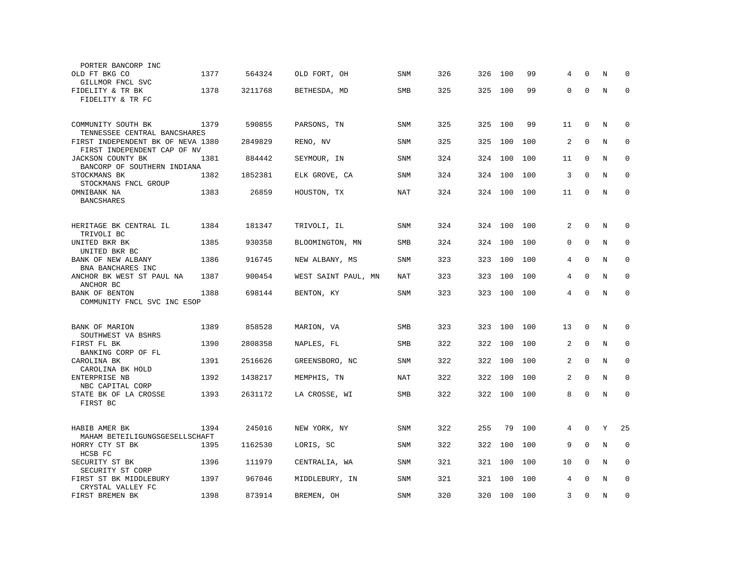| PORTER BANCORP INC                          |      |         |                     |            |     |     |     |     |          |             |   |             |
|---------------------------------------------|------|---------|---------------------|------------|-----|-----|-----|-----|----------|-------------|---|-------------|
| OLD FT BKG CO                               | 1377 | 564324  | OLD FORT, OH        | <b>SNM</b> | 326 | 326 | 100 | 99  | 4        | $\Omega$    | N | 0           |
| GILLMOR FNCL SVC                            |      |         |                     |            |     |     |     |     |          |             |   |             |
| FIDELITY & TR BK                            | 1378 | 3211768 | BETHESDA, MD        | <b>SMB</b> | 325 | 325 | 100 | 99  | $\Omega$ | $\mathbf 0$ | N | $\Omega$    |
| FIDELITY & TR FC                            |      |         |                     |            |     |     |     |     |          |             |   |             |
|                                             |      |         |                     |            |     |     |     |     |          |             |   |             |
| COMMUNITY SOUTH BK                          | 1379 | 590855  | PARSONS, TN         | <b>SNM</b> | 325 | 325 | 100 | 99  | 11       | $\mathbf 0$ | N | $\mathbf 0$ |
| TENNESSEE CENTRAL BANCSHARES                |      |         |                     |            |     |     |     |     |          |             |   |             |
| FIRST INDEPENDENT BK OF NEVA 1380           |      | 2849829 | RENO, NV            | <b>SNM</b> | 325 | 325 | 100 | 100 | 2        | $\mathbf 0$ | N | $\mathbf 0$ |
| FIRST INDEPENDENT CAP OF NV                 |      |         |                     |            |     |     |     |     |          |             |   |             |
| JACKSON COUNTY BK                           | 1381 | 884442  | SEYMOUR, IN         | SNM        | 324 | 324 | 100 | 100 | 11       | $\Omega$    | N | $\mathbf 0$ |
| BANCORP OF SOUTHERN INDIANA<br>STOCKMANS BK | 1382 | 1852381 |                     | <b>SNM</b> | 324 | 324 | 100 | 100 | 3        | $\Omega$    | N | $\Omega$    |
| STOCKMANS FNCL GROUP                        |      |         | ELK GROVE, CA       |            |     |     |     |     |          |             |   |             |
| OMNIBANK NA                                 | 1383 | 26859   | HOUSTON, TX         | <b>NAT</b> | 324 | 324 | 100 | 100 | 11       | $\mathbf 0$ | N | $\mathbf 0$ |
| <b>BANCSHARES</b>                           |      |         |                     |            |     |     |     |     |          |             |   |             |
|                                             |      |         |                     |            |     |     |     |     |          |             |   |             |
| HERITAGE BK CENTRAL IL                      | 1384 | 181347  |                     | <b>SNM</b> | 324 | 324 | 100 | 100 | 2        | $\mathbf 0$ | N | $\mathbf 0$ |
| TRIVOLI BC                                  |      |         | TRIVOLI, IL         |            |     |     |     |     |          |             |   |             |
| UNITED BKR BK                               | 1385 | 930358  | BLOOMINGTON, MN     | SMB        | 324 | 324 | 100 | 100 | $\Omega$ | $\Omega$    | N | $\mathbf 0$ |
| UNITED BKR BC                               |      |         |                     |            |     |     |     |     |          |             |   |             |
| BANK OF NEW ALBANY                          | 1386 | 916745  | NEW ALBANY, MS      | <b>SNM</b> | 323 | 323 | 100 | 100 | 4        | $\Omega$    | N | $\mathbf 0$ |
| BNA BANCHARES INC                           |      |         |                     |            |     |     |     |     |          |             |   |             |
| ANCHOR BK WEST ST PAUL NA                   | 1387 | 900454  | WEST SAINT PAUL, MN | NAT        | 323 | 323 | 100 | 100 | 4        | $\mathbf 0$ | N | $\mathbf 0$ |
| ANCHOR BC<br>BANK OF BENTON                 | 1388 | 698144  | BENTON, KY          | <b>SNM</b> | 323 | 323 | 100 | 100 | 4        | $\mathbf 0$ | N | $\mathbf 0$ |
| COMMUNITY FNCL SVC INC ESOP                 |      |         |                     |            |     |     |     |     |          |             |   |             |
|                                             |      |         |                     |            |     |     |     |     |          |             |   |             |
|                                             |      |         |                     |            |     |     |     |     |          |             |   |             |
| BANK OF MARION<br>SOUTHWEST VA BSHRS        | 1389 | 858528  | MARION, VA          | <b>SMB</b> | 323 | 323 | 100 | 100 | 13       | $\Omega$    | N | 0           |
| FIRST FL BK                                 | 1390 | 2808358 | NAPLES, FL          | <b>SMB</b> | 322 | 322 | 100 | 100 | 2        | $\Omega$    | N | $\Omega$    |
| BANKING CORP OF FL                          |      |         |                     |            |     |     |     |     |          |             |   |             |
| CAROLINA BK                                 | 1391 | 2516626 | GREENSBORO, NC      | <b>SNM</b> | 322 | 322 | 100 | 100 | 2        | $\Omega$    | N | 0           |
| CAROLINA BK HOLD                            |      |         |                     |            |     |     |     |     |          |             |   |             |
| ENTERPRISE NB                               | 1392 | 1438217 | MEMPHIS, TN         | <b>NAT</b> | 322 | 322 | 100 | 100 | 2        | $\mathbf 0$ | N | 0           |
| NBC CAPITAL CORP                            |      |         |                     |            |     |     |     |     | 8        | $\mathbf 0$ |   | $\mathbf 0$ |
| STATE BK OF LA CROSSE<br>FIRST BC           | 1393 | 2631172 | LA CROSSE, WI       | SMB        | 322 | 322 | 100 | 100 |          |             | N |             |
|                                             |      |         |                     |            |     |     |     |     |          |             |   |             |
|                                             |      |         |                     |            |     |     |     |     |          |             |   |             |
| HABIB AMER BK                               | 1394 | 245016  | NEW YORK, NY        | SNM        | 322 | 255 | 79  | 100 | 4        | $\mathbf 0$ | Υ | 25          |
| MAHAM BETEILIGUNGSGESELLSCHAFT              |      |         |                     |            |     |     |     |     |          | $\Omega$    | N |             |
| HORRY CTY ST BK<br>HCSB FC                  | 1395 | 1162530 | LORIS, SC           | <b>SNM</b> | 322 | 322 | 100 | 100 | 9        |             |   | 0           |
| SECURITY ST BK                              | 1396 | 111979  | CENTRALIA, WA       | SNM        | 321 | 321 | 100 | 100 | 10       | $\mathbf 0$ | N | $\mathbf 0$ |
| SECURITY ST CORP                            |      |         |                     |            |     |     |     |     |          |             |   |             |
| FIRST ST BK MIDDLEBURY                      | 1397 | 967046  | MIDDLEBURY, IN      | SNM        | 321 | 321 | 100 | 100 | 4        | $\Omega$    | N | $\mathbf 0$ |
| CRYSTAL VALLEY FC                           |      |         |                     |            |     |     |     |     |          |             |   |             |
| FIRST BREMEN BK                             | 1398 | 873914  | BREMEN, OH          | <b>SNM</b> | 320 | 320 | 100 | 100 | 3        | $\mathbf 0$ | N | $\mathbf 0$ |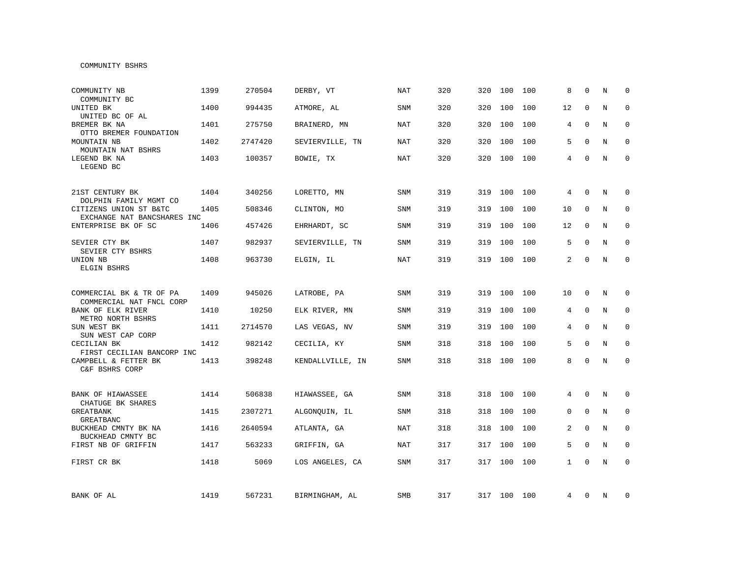### COMMUNITY BSHRS

| COMMUNITY NB<br>COMMUNITY BC                          | 1399 | 270504  | DERBY, VT        | <b>NAT</b> | 320 | 320 | 100         | 100 | 8              | $\Omega$    | N | $\Omega$    |
|-------------------------------------------------------|------|---------|------------------|------------|-----|-----|-------------|-----|----------------|-------------|---|-------------|
| UNITED BK<br>UNITED BC OF AL                          | 1400 | 994435  | ATMORE, AL       | SNM        | 320 | 320 | 100         | 100 | 12             | $\Omega$    | N | $\Omega$    |
| BREMER BK NA<br>OTTO BREMER FOUNDATION                | 1401 | 275750  | BRAINERD, MN     | NAT        | 320 | 320 | 100         | 100 | 4              | $\Omega$    | N | $\Omega$    |
| MOUNTAIN NB<br>MOUNTAIN NAT BSHRS                     | 1402 | 2747420 | SEVIERVILLE, TN  | NAT        | 320 | 320 | 100         | 100 | 5              | $\Omega$    | N | $\mathbf 0$ |
| LEGEND BK NA<br>LEGEND BC                             | 1403 | 100357  | BOWIE, TX        | <b>NAT</b> | 320 | 320 | 100         | 100 | 4              | $\Omega$    | N | $\mathbf 0$ |
| 21ST CENTURY BK<br>DOLPHIN FAMILY MGMT CO             | 1404 | 340256  | LORETTO, MN      | SNM        | 319 | 319 | 100         | 100 | 4              | $\mathbf 0$ | N | 0           |
| CITIZENS UNION ST B&TC<br>EXCHANGE NAT BANCSHARES INC | 1405 | 508346  | CLINTON, MO      | SNM        | 319 | 319 | 100         | 100 | 10             | $\mathbf 0$ | N | 0           |
| ENTERPRISE BK OF SC                                   | 1406 | 457426  | EHRHARDT, SC     | SNM        | 319 | 319 | 100         | 100 | 12             | $\Omega$    | N | $\Omega$    |
| SEVIER CTY BK<br>SEVIER CTY BSHRS                     | 1407 | 982937  | SEVIERVILLE, TN  | SNM        | 319 | 319 | 100         | 100 | 5              | $\Omega$    | N | $\mathbf 0$ |
| UNION NB<br>ELGIN BSHRS                               | 1408 | 963730  | ELGIN, IL        | <b>NAT</b> | 319 | 319 | 100         | 100 | $\overline{a}$ | $\Omega$    | N | $\mathbf 0$ |
| COMMERCIAL BK & TR OF PA<br>COMMERCIAL NAT FNCL CORP  | 1409 | 945026  | LATROBE, PA      | <b>SNM</b> | 319 | 319 | 100         | 100 | 10             | $\mathbf 0$ | N | 0           |
| BANK OF ELK RIVER<br>METRO NORTH BSHRS                | 1410 | 10250   | ELK RIVER, MN    | <b>SNM</b> | 319 | 319 | 100         | 100 | 4              | $\mathbf 0$ | N | $\mathbf 0$ |
| SUN WEST BK<br>SUN WEST CAP CORP                      | 1411 | 2714570 | LAS VEGAS, NV    | <b>SNM</b> | 319 | 319 | 100         | 100 | 4              | $\Omega$    | N | $\mathbf 0$ |
| CECILIAN BK<br>FIRST CECILIAN BANCORP INC             | 1412 | 982142  | CECILIA, KY      | <b>SNM</b> | 318 | 318 | 100         | 100 | 5              | $\mathbf 0$ | N | $\mathbf 0$ |
| CAMPBELL & FETTER BK<br>C&F BSHRS CORP                | 1413 | 398248  | KENDALLVILLE, IN | SNM        | 318 | 318 | 100         | 100 | 8              | $\mathbf 0$ | N | $\mathbf 0$ |
| <b>BANK OF HIAWASSEE</b><br>CHATUGE BK SHARES         | 1414 | 506838  | HIAWASSEE, GA    | <b>SNM</b> | 318 | 318 | 100         | 100 | 4              | $\Omega$    | N | $\mathbf 0$ |
| <b>GREATBANK</b><br>GREATBANC                         | 1415 | 2307271 | ALGONOUIN, IL    | <b>SNM</b> | 318 | 318 | 100         | 100 | 0              | $\Omega$    | N | $\Omega$    |
| BUCKHEAD CMNTY BK NA<br>BUCKHEAD CMNTY BC             | 1416 | 2640594 | ATLANTA, GA      | <b>NAT</b> | 318 | 318 | 100         | 100 | 2              | $\mathbf 0$ | N | $\mathbf 0$ |
| FIRST NB OF GRIFFIN                                   | 1417 | 563233  | GRIFFIN, GA      | <b>NAT</b> | 317 | 317 | 100         | 100 | 5              | $\mathbf 0$ | N | $\mathbf 0$ |
| FIRST CR BK                                           | 1418 | 5069    | LOS ANGELES, CA  | <b>SNM</b> | 317 | 317 | 100         | 100 | $\mathbf{1}$   | $\mathbf 0$ | N | $\mathbf 0$ |
| BANK OF AL                                            | 1419 | 567231  | BIRMINGHAM, AL   | SMB        | 317 |     | 317 100 100 |     | 4              | 0           | N | 0           |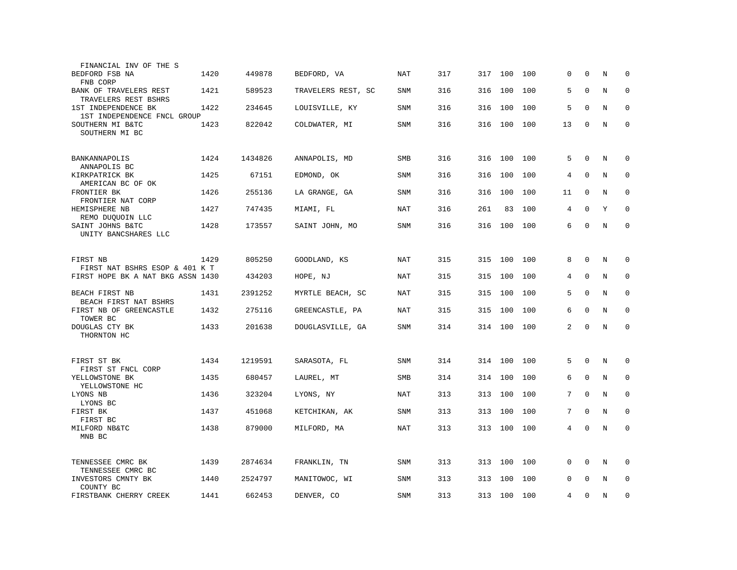| FINANCIAL INV OF THE S                             |      |         |                    |            |     |     |     |     |                |             |   |             |
|----------------------------------------------------|------|---------|--------------------|------------|-----|-----|-----|-----|----------------|-------------|---|-------------|
| BEDFORD FSB NA<br>FNB CORP                         | 1420 | 449878  | BEDFORD, VA        | NAT        | 317 | 317 | 100 | 100 | 0              | $\mathbf 0$ | N | $\mathbf 0$ |
| BANK OF TRAVELERS REST<br>TRAVELERS REST BSHRS     | 1421 | 589523  | TRAVELERS REST, SC | SNM        | 316 | 316 | 100 | 100 | 5              | $\Omega$    | N | $\mathbf 0$ |
| 1ST INDEPENDENCE BK<br>1ST INDEPENDENCE FNCL GROUP | 1422 | 234645  | LOUISVILLE, KY     | SNM        | 316 | 316 | 100 | 100 | 5              | $\mathbf 0$ | N | $\mathbf 0$ |
| SOUTHERN MI B&TC<br>SOUTHERN MI BC                 | 1423 | 822042  | COLDWATER, MI      | <b>SNM</b> | 316 | 316 | 100 | 100 | 13             | $\mathsf 0$ | N | $\mathbf 0$ |
| BANKANNAPOLIS<br>ANNAPOLIS BC                      | 1424 | 1434826 | ANNAPOLIS, MD      | SMB        | 316 | 316 | 100 | 100 | 5              | $\mathbf 0$ | N | $\mathbf 0$ |
| KIRKPATRICK BK<br>AMERICAN BC OF OK                | 1425 | 67151   | EDMOND, OK         | <b>SNM</b> | 316 | 316 | 100 | 100 | 4              | $\Omega$    | N | $\mathbf 0$ |
| FRONTIER BK<br>FRONTIER NAT CORP                   | 1426 | 255136  | LA GRANGE, GA      | <b>SNM</b> | 316 | 316 | 100 | 100 | 11             | $\Omega$    | N | $\mathbf 0$ |
| HEMISPHERE NB<br>REMO DUQUOIN LLC                  | 1427 | 747435  | MIAMI, FL          | NAT        | 316 | 261 | 83  | 100 | 4              | $\Omega$    | Y | $\Omega$    |
| SAINT JOHNS B&TC<br>UNITY BANCSHARES LLC           | 1428 | 173557  | SAINT JOHN, MO     | <b>SNM</b> | 316 | 316 | 100 | 100 | 6              | $\mathbf 0$ | N | $\mathbf 0$ |
| FIRST NB<br>FIRST NAT BSHRS ESOP & 401 K T         | 1429 | 805250  | GOODLAND, KS       | NAT        | 315 | 315 | 100 | 100 | 8              | $\mathbf 0$ | N | $\mathbf 0$ |
| FIRST HOPE BK A NAT BKG ASSN 1430                  |      | 434203  | HOPE, NJ           | NAT        | 315 | 315 | 100 | 100 | 4              | $\mathbf 0$ | N | $\mathbf 0$ |
| BEACH FIRST NB<br>BEACH FIRST NAT BSHRS            | 1431 | 2391252 | MYRTLE BEACH, SC   | NAT        | 315 | 315 | 100 | 100 | 5              | $\Omega$    | N | $\mathbf 0$ |
| FIRST NB OF GREENCASTLE<br>TOWER BC                | 1432 | 275116  | GREENCASTLE, PA    | <b>NAT</b> | 315 | 315 | 100 | 100 | 6              | $\Omega$    | N | $\mathbf 0$ |
| DOUGLAS CTY BK<br>THORNTON HC                      | 1433 | 201638  | DOUGLASVILLE, GA   | SNM        | 314 | 314 | 100 | 100 | 2              | $\mathbf 0$ | N | $\mathbf 0$ |
| FIRST ST BK<br>FIRST ST FNCL CORP                  | 1434 | 1219591 | SARASOTA, FL       | <b>SNM</b> | 314 | 314 | 100 | 100 | 5              | $\Omega$    | N | $\Omega$    |
| YELLOWSTONE BK<br>YELLOWSTONE HC                   | 1435 | 680457  | LAUREL, MT         | SMB        | 314 | 314 | 100 | 100 | 6              | $\mathbf 0$ | N | $\mathbf 0$ |
| LYONS NB<br>LYONS BC                               | 1436 | 323204  | LYONS, NY          | NAT        | 313 | 313 | 100 | 100 | 7              | $\Omega$    | N | $\mathbf 0$ |
| FIRST BK<br>FIRST BC                               | 1437 | 451068  | KETCHIKAN, AK      | <b>SNM</b> | 313 | 313 | 100 | 100 | 7              | $\mathbf 0$ | N | $\mathbf 0$ |
| MILFORD NB&TC<br>MNB BC                            | 1438 | 879000  | MILFORD, MA        | NAT        | 313 | 313 | 100 | 100 | 4              | $\Omega$    | N | $\Omega$    |
| TENNESSEE CMRC BK<br>TENNESSEE CMRC BC             | 1439 | 2874634 | FRANKLIN, TN       | <b>SNM</b> | 313 | 313 | 100 | 100 | 0              | $\mathbf 0$ | N | 0           |
| INVESTORS CMNTY BK<br>COUNTY BC                    | 1440 | 2524797 | MANITOWOC, WI      | <b>SNM</b> | 313 | 313 | 100 | 100 | 0              | $\Omega$    | N | $\mathbf 0$ |
| FIRSTBANK CHERRY CREEK                             | 1441 | 662453  | DENVER, CO         | SNM        | 313 | 313 | 100 | 100 | $\overline{4}$ | $\Omega$    | N | $\Omega$    |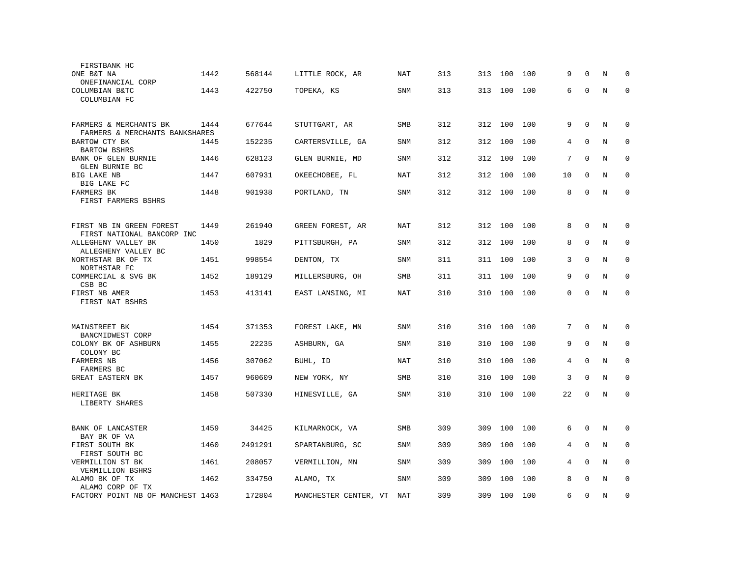| FIRSTBANK HC                               |      |         |                       |            |     |     |     |     |          |              |         |             |
|--------------------------------------------|------|---------|-----------------------|------------|-----|-----|-----|-----|----------|--------------|---------|-------------|
| ONE B&T NA                                 | 1442 | 568144  | LITTLE ROCK, AR       | NAT        | 313 | 313 | 100 | 100 | 9        | $\Omega$     | N       | $\Omega$    |
| ONEFINANCIAL CORP                          |      |         |                       |            |     |     |     |     |          |              |         |             |
| COLUMBIAN B&TC                             | 1443 | 422750  | TOPEKA, KS            | <b>SNM</b> | 313 | 313 | 100 | 100 | 6        | $\mathbf 0$  | N       | $\Omega$    |
| COLUMBIAN FC                               |      |         |                       |            |     |     |     |     |          |              |         |             |
| FARMERS & MERCHANTS BK                     | 1444 | 677644  | STUTTGART, AR         | SMB        | 312 | 312 | 100 | 100 | 9        | $\mathbf 0$  | N       | $\mathbf 0$ |
| FARMERS & MERCHANTS BANKSHARES             |      |         |                       |            |     |     |     |     |          |              |         |             |
| BARTOW CTY BK<br><b>BARTOW BSHRS</b>       | 1445 | 152235  | CARTERSVILLE, GA      | <b>SNM</b> | 312 | 312 | 100 | 100 | 4        | $\Omega$     | N       | $\mathbf 0$ |
| BANK OF GLEN BURNIE<br>GLEN BURNIE BC      | 1446 | 628123  | GLEN BURNIE, MD       | <b>SNM</b> | 312 | 312 | 100 | 100 | 7        | $\Omega$     | $\rm N$ | $\mathbf 0$ |
| BIG LAKE NB<br>BIG LAKE FC                 | 1447 | 607931  | OKEECHOBEE, FL        | NAT        | 312 | 312 | 100 | 100 | 10       | $\Omega$     | N       | $\Omega$    |
| <b>FARMERS BK</b>                          | 1448 | 901938  | PORTLAND, TN          | <b>SNM</b> | 312 | 312 | 100 | 100 | 8        | $\Omega$     | N       | $\Omega$    |
| FIRST FARMERS BSHRS                        |      |         |                       |            |     |     |     |     |          |              |         |             |
| FIRST NB IN GREEN FOREST                   | 1449 | 261940  | GREEN FOREST, AR      | <b>NAT</b> | 312 | 312 | 100 | 100 | 8        | $\mathbf 0$  | $\rm N$ | 0           |
| FIRST NATIONAL BANCORP INC                 |      |         |                       |            |     |     |     |     |          |              |         |             |
| ALLEGHENY VALLEY BK<br>ALLEGHENY VALLEY BC | 1450 | 1829    | PITTSBURGH, PA        | <b>SNM</b> | 312 | 312 | 100 | 100 | 8        | $\mathbf{0}$ | N       | 0           |
| NORTHSTAR BK OF TX<br>NORTHSTAR FC         | 1451 | 998554  | DENTON, TX            | <b>SNM</b> | 311 | 311 | 100 | 100 | 3        | $\mathbf{0}$ | N       | $\mathbf 0$ |
| COMMERCIAL & SVG BK<br>CSB BC              | 1452 | 189129  | MILLERSBURG, OH       | SMB        | 311 | 311 | 100 | 100 | 9        | $\Omega$     | N       | $\Omega$    |
| FIRST NB AMER<br>FIRST NAT BSHRS           | 1453 | 413141  | EAST LANSING, MI      | NAT        | 310 | 310 | 100 | 100 | $\Omega$ | $\mathbf 0$  | N       | $\mathbf 0$ |
|                                            |      |         |                       |            |     |     |     |     |          |              |         |             |
| MAINSTREET BK                              | 1454 | 371353  | FOREST LAKE, MN       | SNM        | 310 | 310 | 100 | 100 | 7        | $\mathbf 0$  | N       | $\mathbf 0$ |
| BANCMIDWEST CORP<br>COLONY BK OF ASHBURN   | 1455 | 22235   | ASHBURN, GA           | <b>SNM</b> | 310 | 310 | 100 | 100 | 9        | $\mathbf 0$  | N       | $\mathbf 0$ |
| COLONY BC                                  |      |         |                       |            |     |     |     |     |          |              |         |             |
| FARMERS NB<br>FARMERS BC                   | 1456 | 307062  | BUHL, ID              | NAT        | 310 | 310 | 100 | 100 | 4        | $\Omega$     | N       | $\Omega$    |
| <b>GREAT EASTERN BK</b>                    | 1457 | 960609  | NEW YORK, NY          | SMB        | 310 | 310 | 100 | 100 | 3        | $\mathbf 0$  | N       | $\mathbf 0$ |
| HERITAGE BK                                | 1458 | 507330  | HINESVILLE, GA        | SNM        | 310 | 310 | 100 | 100 | 22       | $\Omega$     | N       | $\Omega$    |
| LIBERTY SHARES                             |      |         |                       |            |     |     |     |     |          |              |         |             |
| BANK OF LANCASTER                          | 1459 | 34425   | KILMARNOCK, VA        | SMB        | 309 | 309 | 100 | 100 | 6        | $\Omega$     | N       | $\Omega$    |
| BAY BK OF VA                               |      |         |                       |            |     |     |     |     |          |              |         |             |
| FIRST SOUTH BK<br>FIRST SOUTH BC           | 1460 | 2491291 | SPARTANBURG, SC       | <b>SNM</b> | 309 | 309 | 100 | 100 | 4        | $\mathbf 0$  | N       | $\mathbf 0$ |
| VERMILLION ST BK<br>VERMILLION BSHRS       | 1461 | 208057  | VERMILLION, MN        | <b>SNM</b> | 309 | 309 | 100 | 100 | 4        | $\mathbf 0$  | N       | $\mathbf 0$ |
| ALAMO BK OF TX<br>ALAMO CORP OF TX         | 1462 | 334750  | ALAMO, TX             | <b>SNM</b> | 309 | 309 | 100 | 100 | 8        | $\Omega$     | N       | $\mathbf 0$ |
| FACTORY POINT NB OF MANCHEST 1463          |      | 172804  | MANCHESTER CENTER, VT | NAT        | 309 | 309 | 100 | 100 | 6        | $\Omega$     | N       | $\Omega$    |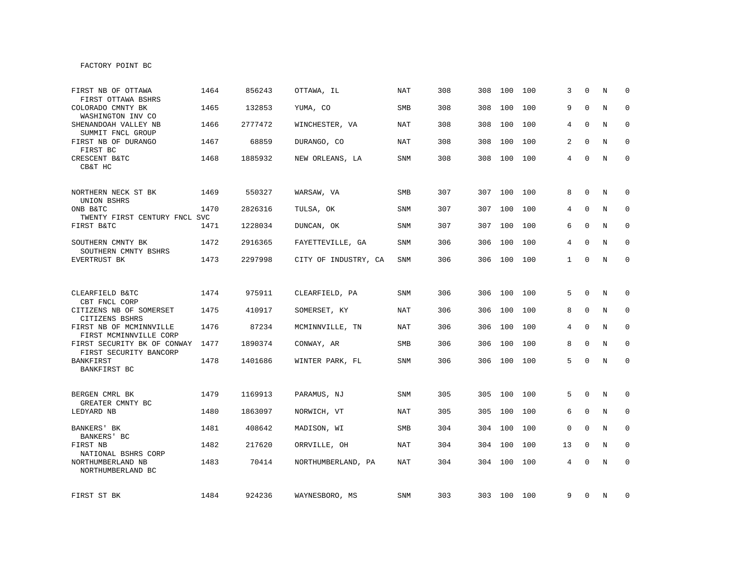## FACTORY POINT BC

| FIRST NB OF OTTAWA<br>FIRST OTTAWA BSHRS                            | 1464 | 856243  | OTTAWA, IL           | <b>NAT</b> | 308 | 308 | 100         | 100 | 3            | $\Omega$     | N | $\Omega$     |
|---------------------------------------------------------------------|------|---------|----------------------|------------|-----|-----|-------------|-----|--------------|--------------|---|--------------|
| COLORADO CMNTY BK<br>WASHINGTON INV CO                              | 1465 | 132853  | YUMA, CO             | SMB        | 308 | 308 | 100         | 100 | 9            | $\Omega$     | N | $\Omega$     |
| SHENANDOAH VALLEY NB<br>SUMMIT FNCL GROUP                           | 1466 | 2777472 | WINCHESTER, VA       | NAT        | 308 | 308 | 100         | 100 | 4            | $\Omega$     | N | $\mathbf 0$  |
| FIRST NB OF DURANGO<br>FIRST BC                                     | 1467 | 68859   | DURANGO, CO          | NAT        | 308 | 308 | 100         | 100 | 2            | 0            | N | $\mathbf 0$  |
| CRESCENT B&TC<br>CB&T HC                                            | 1468 | 1885932 | NEW ORLEANS, LA      | <b>SNM</b> | 308 |     | 308 100     | 100 | 4            | $\Omega$     | N | $\mathbf{0}$ |
| NORTHERN NECK ST BK<br>UNION BSHRS                                  | 1469 | 550327  | WARSAW, VA           | SMB        | 307 | 307 | 100         | 100 | 8            | 0            | N | 0            |
| ONB B&TC<br>TWENTY FIRST CENTURY FNCL SVC                           | 1470 | 2826316 | TULSA, OK            | <b>SNM</b> | 307 | 307 | 100         | 100 | 4            | $\Omega$     | N | $\mathbf 0$  |
| FIRST B&TC                                                          | 1471 | 1228034 | DUNCAN, OK           | <b>SNM</b> | 307 |     | 307 100     | 100 | 6            | $\Omega$     | N | $\mathbf 0$  |
| SOUTHERN CMNTY BK<br>SOUTHERN CMNTY BSHRS                           | 1472 | 2916365 | FAYETTEVILLE, GA     | <b>SNM</b> | 306 | 306 | 100         | 100 | 4            | $\Omega$     | N | $\mathbf 0$  |
| EVERTRUST BK                                                        | 1473 | 2297998 | CITY OF INDUSTRY, CA | SNM        | 306 |     | 306 100     | 100 | $\mathbf{1}$ | 0            | N | $\mathbf 0$  |
|                                                                     |      |         |                      |            |     |     |             |     |              |              |   |              |
| CLEARFIELD B&TC                                                     | 1474 | 975911  | CLEARFIELD, PA       | <b>SNM</b> | 306 |     | 306 100     | 100 | 5            | $\mathbf 0$  | N | $\mathbf 0$  |
| CBT FNCL CORP<br>CITIZENS NB OF SOMERSET                            | 1475 | 410917  | SOMERSET, KY         | NAT        | 306 | 306 | 100         | 100 | 8            | $\mathbf{0}$ | N | $\mathbf 0$  |
| CITIZENS BSHRS<br>FIRST NB OF MCMINNVILLE<br>FIRST MCMINNVILLE CORP | 1476 | 87234   | MCMINNVILLE, TN      | <b>NAT</b> | 306 |     | 306 100     | 100 | 4            | $\Omega$     | N | $\Omega$     |
| FIRST SECURITY BK OF CONWAY<br>FIRST SECURITY BANCORP               | 1477 | 1890374 | CONWAY, AR           | SMB        | 306 | 306 | 100         | 100 | 8            | $\mathbf{0}$ | N | $\mathbf 0$  |
| <b>BANKFIRST</b><br>BANKFIRST BC                                    | 1478 | 1401686 | WINTER PARK, FL      | <b>SNM</b> | 306 |     | 306 100     | 100 | 5            | $\Omega$     | N | $\mathbf 0$  |
|                                                                     |      |         |                      |            |     |     |             |     |              |              |   |              |
| BERGEN CMRL BK<br>GREATER CMNTY BC                                  | 1479 | 1169913 | PARAMUS, NJ          | SNM        | 305 | 305 | 100         | 100 | 5            | $\mathbf 0$  | N | $\mathbf 0$  |
| LEDYARD NB                                                          | 1480 | 1863097 | NORWICH, VT          | NAT        | 305 | 305 | 100         | 100 | 6            | $\mathbf 0$  | N | 0            |
| BANKERS' BK<br>BANKERS' BC                                          | 1481 | 408642  | MADISON, WI          | SMB        | 304 | 304 | 100         | 100 | 0            | 0            | N | 0            |
| FIRST NB                                                            | 1482 | 217620  | ORRVILLE, OH         | <b>NAT</b> | 304 | 304 | 100         | 100 | 13           | $\Omega$     | N | $\mathbf 0$  |
| NATIONAL BSHRS CORP<br>NORTHUMBERLAND NB<br>NORTHUMBERLAND BC       | 1483 | 70414   | NORTHUMBERLAND, PA   | <b>NAT</b> | 304 | 304 | 100         | 100 | 4            | $\Omega$     | N | $\mathbf 0$  |
| FIRST ST BK                                                         | 1484 | 924236  | WAYNESBORO, MS       | <b>SNM</b> | 303 |     | 303 100 100 |     | 9            | 0            | N | 0            |
|                                                                     |      |         |                      |            |     |     |             |     |              |              |   |              |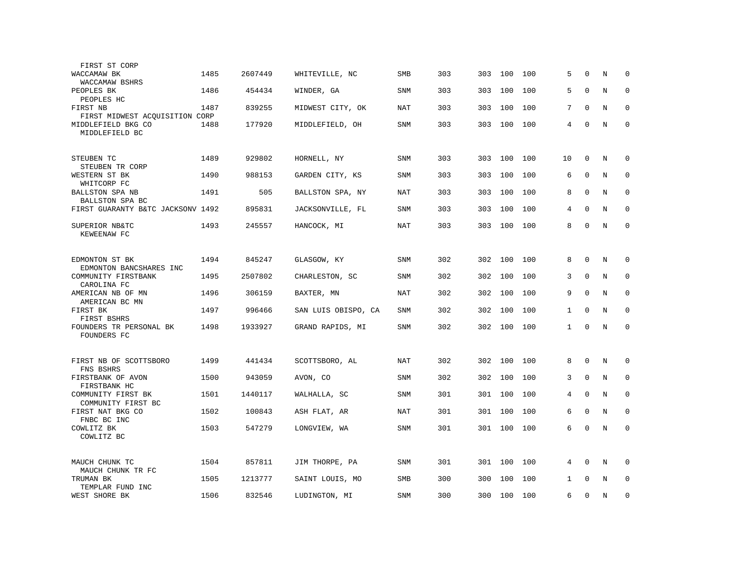| FIRST ST CORP                              |      |         |                     |            |     |     |         |     |              |             |             |             |
|--------------------------------------------|------|---------|---------------------|------------|-----|-----|---------|-----|--------------|-------------|-------------|-------------|
| WACCAMAW BK<br>WACCAMAW BSHRS              | 1485 | 2607449 | WHITEVILLE, NC      | <b>SMB</b> | 303 | 303 | 100     | 100 | 5            | $\Omega$    | N           | $\Omega$    |
| PEOPLES BK<br>PEOPLES HC                   | 1486 | 454434  | WINDER, GA          | <b>SNM</b> | 303 | 303 | 100     | 100 | 5            | $\mathbf 0$ | N           | $\mathbf 0$ |
| FIRST NB<br>FIRST MIDWEST ACQUISITION CORP | 1487 | 839255  | MIDWEST CITY, OK    | NAT        | 303 | 303 | 100     | 100 | 7            | $\mathbf 0$ | N           | $\mathbf 0$ |
| MIDDLEFIELD BKG CO<br>MIDDLEFIELD BC       | 1488 | 177920  | MIDDLEFIELD, OH     | SNM        | 303 | 303 | 100     | 100 | 4            | $\mathbf 0$ | N           | $\mathbf 0$ |
| STEUBEN TC<br>STEUBEN TR CORP              | 1489 | 929802  | HORNELL, NY         | <b>SNM</b> | 303 | 303 | 100     | 100 | 10           | $\mathbf 0$ | N           | $\mathbf 0$ |
| WESTERN ST BK<br>WHITCORP FC               | 1490 | 988153  | GARDEN CITY, KS     | <b>SNM</b> | 303 | 303 | 100     | 100 | 6            | $\Omega$    | N           | $\mathbf 0$ |
| BALLSTON SPA NB<br>BALLSTON SPA BC         | 1491 | 505     | BALLSTON SPA, NY    | NAT        | 303 | 303 | 100     | 100 | 8            | $\Omega$    | N           | $\mathbf 0$ |
| FIRST GUARANTY B&TC JACKSONV 1492          |      | 895831  | JACKSONVILLE, FL    | SNM        | 303 | 303 | 100     | 100 | 4            | $\Omega$    | N           | $\mathbf 0$ |
| SUPERIOR NB&TC<br>KEWEENAW FC              | 1493 | 245557  | HANCOCK, MI         | <b>NAT</b> | 303 | 303 | 100     | 100 | 8            | $\mathbf 0$ | N           | $\mathbf 0$ |
| EDMONTON ST BK<br>EDMONTON BANCSHARES INC  | 1494 | 845247  | GLASGOW, KY         | <b>SNM</b> | 302 | 302 | 100     | 100 | 8            | $\mathbf 0$ | N           | $\mathbf 0$ |
| COMMUNITY FIRSTBANK<br>CAROLINA FC         | 1495 | 2507802 | CHARLESTON, SC      | SNM        | 302 | 302 | 100     | 100 | 3            | $\mathbf 0$ | N           | $\mathbf 0$ |
| AMERICAN NB OF MN<br>AMERICAN BC MN        | 1496 | 306159  | BAXTER, MN          | <b>NAT</b> | 302 | 302 | 100     | 100 | 9            | $\mathbf 0$ | N           | $\mathbf 0$ |
| FIRST BK<br>FIRST BSHRS                    | 1497 | 996466  | SAN LUIS OBISPO, CA | SNM        | 302 | 302 | 100     | 100 | $\mathbf{1}$ | $\Omega$    | N           | $\mathbf 0$ |
| FOUNDERS TR PERSONAL BK<br>FOUNDERS FC     | 1498 | 1933927 | GRAND RAPIDS, MI    | <b>SNM</b> | 302 |     | 302 100 | 100 | $\mathbf{1}$ | $\Omega$    | N           | $\Omega$    |
| FIRST NB OF SCOTTSBORO<br>FNS BSHRS        | 1499 | 441434  | SCOTTSBORO, AL      | NAT        | 302 | 302 | 100     | 100 | 8            | $\mathbf 0$ | N           | $\mathbf 0$ |
| FIRSTBANK OF AVON<br>FIRSTBANK HC          | 1500 | 943059  | AVON, CO            | SNM        | 302 | 302 | 100     | 100 | 3            | $\mathbf 0$ | $\mathbf N$ | $\mathbf 0$ |
| COMMUNITY FIRST BK<br>COMMUNITY FIRST BC   | 1501 | 1440117 | WALHALLA, SC        | <b>SNM</b> | 301 | 301 | 100     | 100 | 4            | $\Omega$    | N           | $\mathbf 0$ |
| FIRST NAT BKG CO<br>FNBC BC INC            | 1502 | 100843  | ASH FLAT, AR        | <b>NAT</b> | 301 | 301 | 100     | 100 | 6            | $\mathbf 0$ | N           | $\mathbf 0$ |
| COWLITZ BK<br>COWLITZ BC                   | 1503 | 547279  | LONGVIEW, WA        | <b>SNM</b> | 301 | 301 | 100     | 100 | 6            | $\mathbf 0$ | $\rm N$     | $\mathbf 0$ |
| MAUCH CHUNK TC<br>MAUCH CHUNK TR FC        | 1504 | 857811  | JIM THORPE, PA      | SNM        | 301 | 301 | 100     | 100 | 4            | $\Omega$    | N           | $\Omega$    |
| TRUMAN BK<br>TEMPLAR FUND INC              | 1505 | 1213777 | SAINT LOUIS, MO     | SMB        | 300 | 300 | 100     | 100 | $\mathbf{1}$ | $\Omega$    | N           | $\mathbf 0$ |
| WEST SHORE BK                              | 1506 | 832546  | LUDINGTON, MI       | <b>SNM</b> | 300 | 300 | 100     | 100 | 6            | $\mathbf 0$ | N           | $\mathbf 0$ |